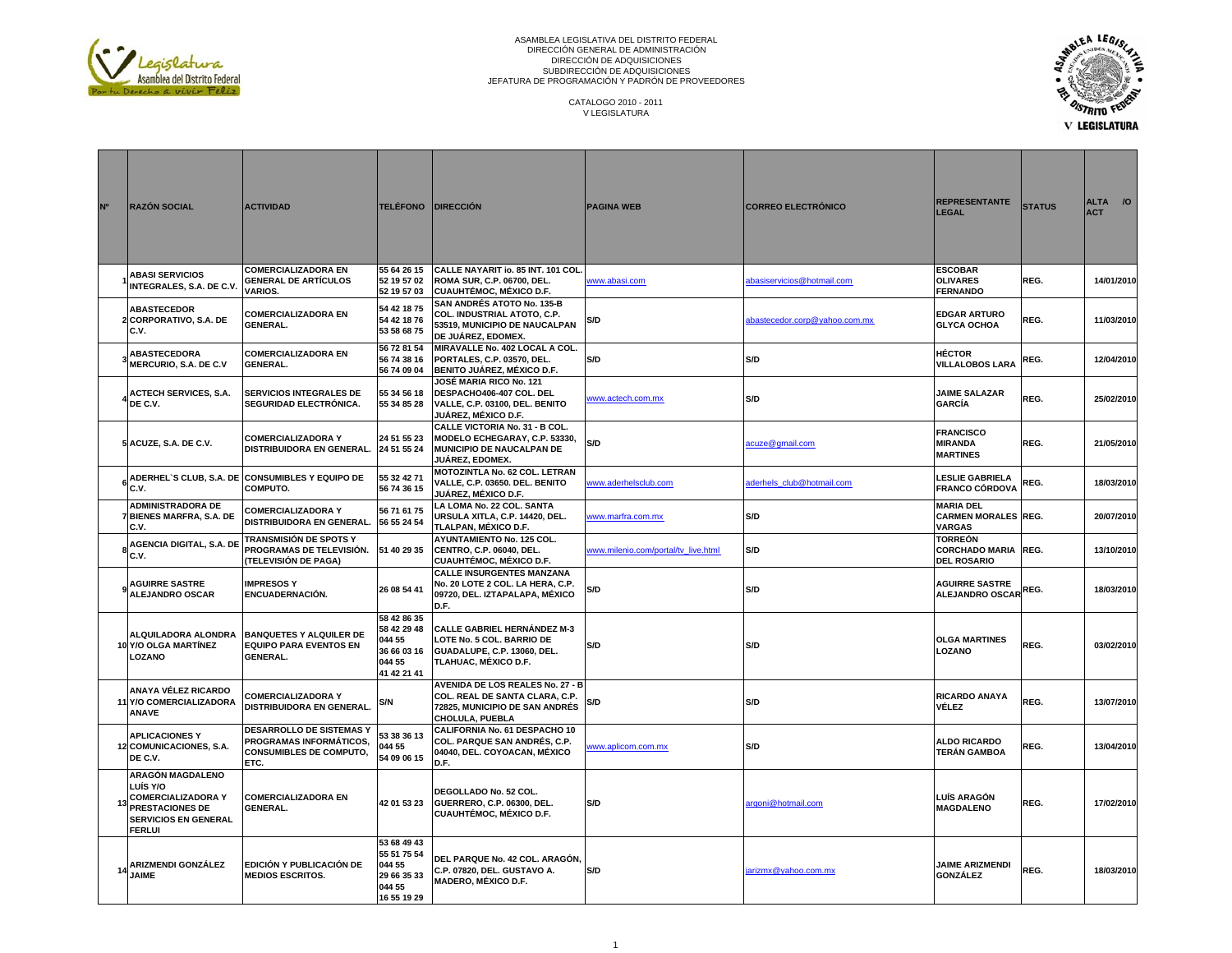



| <b>RAZÓN SOCIAL</b>                                                                                                                        | <b>ACTIVIDAD</b>                                                                                            | <b>TELÉFONO</b>                                                              | <b>IDIRECCIÓN</b>                                                                                                             | <b>PAGINA WEB</b>                   | <b>CORREO ELECTRÓNICO</b>     | <b>REPRESENTANTE</b><br><b>LEGAL</b>                            | <b>STATUS</b> | ALTA /O<br><b>ACT</b> |
|--------------------------------------------------------------------------------------------------------------------------------------------|-------------------------------------------------------------------------------------------------------------|------------------------------------------------------------------------------|-------------------------------------------------------------------------------------------------------------------------------|-------------------------------------|-------------------------------|-----------------------------------------------------------------|---------------|-----------------------|
| <b>ABASI SERVICIOS</b><br>INTEGRALES, S.A. DE C.V.                                                                                         | <b>COMERCIALIZADORA EN</b><br><b>GENERAL DE ARTÍCULOS</b><br><b>VARIOS.</b>                                 | 55 64 26 15<br>52 19 57 02<br>52 19 57 03                                    | CALLE NAYARIT io. 85 INT. 101 COL.<br>ROMA SUR, C.P. 06700, DEL.<br><b>CUAUHTÉMOC, MÉXICO D.F.</b>                            | www.abasi.com                       | abasiservicios@hotmail.com    | <b>ESCOBAR</b><br><b>OLIVARES</b><br><b>FERNANDO</b>            | REG.          | 14/01/2010            |
| <b>ABASTECEDOR</b><br>2 CORPORATIVO, S.A. DE<br>C.V.                                                                                       | <b>COMERCIALIZADORA EN</b><br>GENERAL.                                                                      | 54 42 18 75<br>54 42 18 76<br>53 58 68 75                                    | SAN ANDRÉS ATOTO No. 135-B<br>COL. INDUSTRIAL ATOTO, C.P.<br>53519, MUNICIPIO DE NAUCALPAN<br>DE JUÁREZ, EDOMEX.              | S/D                                 | abastecedor.corp@yahoo.com.mx | <b>EDGAR ARTURO</b><br><b>GLYCA OCHOA</b>                       | REG.          | 11/03/2010            |
| <b>ABASTECEDORA</b><br>MERCURIO, S.A. DE C.V                                                                                               | <b>COMERCIALIZADORA EN</b><br><b>GENERAL</b>                                                                | 56 72 81 54<br>56 74 38 16<br>56 74 09 04                                    | MIRAVALLE No. 402 LOCAL A COL.<br>PORTALES, C.P. 03570, DEL.<br>BENITO JUÁREZ, MÉXICO D.F.                                    | S/D                                 | S/D                           | <b>HÉCTOR</b><br><b>VILLALOBOS LARA</b>                         | REG.          | 12/04/2010            |
| <b>ACTECH SERVICES, S.A.</b><br>DE C.V.                                                                                                    | <b>SERVICIOS INTEGRALES DE</b><br>SEGURIDAD ELECTRÓNICA.                                                    | 55 34 56 18<br>55 34 85 28                                                   | JOSÉ MARIA RICO No. 121<br>DESPACHO406-407 COL. DEL<br>VALLE, C.P. 03100, DEL. BENITO<br>JUÁREZ, MÉXICO D.F.                  | www.actech.com.mx                   | S/D                           | <b>JAIME SALAZAR</b><br><b>GARCÍA</b>                           | REG.          | 25/02/2010            |
| 5 ACUZE, S.A. DE C.V.                                                                                                                      | <b>COMERCIALIZADORA Y</b><br>DISTRIBUIDORA EN GENERAL.                                                      | 24 51 55 23<br>24 51 55 24                                                   | <b>CALLE VICTORIA No. 31 - B COL.</b><br>MODELO ECHEGARAY, C.P. 53330,<br>MUNICIPIO DE NAUCALPAN DE<br>JUÁREZ, EDOMEX.        | S/D                                 | acuze@gmail.com               | <b>FRANCISCO</b><br><b>MIRANDA</b><br><b>MARTINES</b>           | REG.          | 21/05/2010            |
| ADERHEL'S CLUB, S.A. DE<br>C.V.                                                                                                            | <b>CONSUMIBLES Y EQUIPO DE</b><br><b>COMPUTO.</b>                                                           | 55 32 42 71<br>56 74 36 15                                                   | MOTOZINTLA No. 62 COL. LETRAN<br>VALLE, C.P. 03650. DEL. BENITO<br>JUÁREZ, MÉXICO D.F.                                        | www.aderhelsclub.com                | aderhels club@hotmail.com     | <b>LESLIE GABRIELA</b><br><b>FRANCO CÓRDOVA</b>                 | REG.          | 18/03/2010            |
| <b>ADMINISTRADORA DE</b><br><b>BIENES MARFRA, S.A. DE</b><br>C.V.                                                                          | <b>COMERCIALIZADORA Y</b><br>DISTRIBUIDORA EN GENERAL.                                                      | 56 71 61 75<br>56 55 24 54                                                   | LA LOMA No. 22 COL. SANTA<br>URSULA XITLA, C.P. 14420, DEL.<br>TLALPAN, MÉXICO D.F.                                           | www.marfra.com.mx                   | S/D                           | <b>MARIA DEL</b><br><b>CARMEN MORALES REG.</b><br><b>VARGAS</b> |               | 20/07/2010            |
| <b>AGENCIA DIGITAL, S.A. DE</b><br>C.V.                                                                                                    | TRANSMISIÓN DE SPOTS Y<br>PROGRAMAS DE TELEVISIÓN.<br>(TELEVISIÓN DE PAGA)                                  | 51 40 29 35                                                                  | <b>AYUNTAMIENTO No. 125 COL.</b><br>CENTRO, C.P. 06040, DEL.<br>CUAUHTÉMOC, MÉXICO D.F.                                       | www.milenio.com/portal/tv_live.html | S/D                           | <b>TORREÓN</b><br><b>CORCHADO MARIA</b><br><b>DEL ROSARIO</b>   | REG.          | 13/10/2010            |
| <b>AGUIRRE SASTRE</b><br><b>ALEJANDRO OSCAR</b>                                                                                            | <b>IMPRESOS Y</b><br>ENCUADERNACIÓN.                                                                        | 26 08 54 41                                                                  | <b>CALLE INSURGENTES MANZANA</b><br>No. 20 LOTE 2 COL. LA HERA, C.P.<br>09720, DEL. IZTAPALAPA, MÉXICO<br>D.F.                | S/D                                 | S/D                           | <b>AGUIRRE SASTRE</b><br><b>ALEJANDRO OSCAR</b>                 | REG.          | 18/03/2010            |
| ALQUILADORA ALONDRA<br>10 Y/O OLGA MARTÍNEZ<br><b>LOZANO</b>                                                                               | <b>BANQUETES Y ALQUILER DE</b><br><b>EQUIPO PARA EVENTOS EN</b><br>GENERAL.                                 | 58 42 86 35<br>58 42 29 48<br>044 55<br>36 66 03 16<br>044 55<br>41 42 21 41 | <b>CALLE GABRIEL HERNÁNDEZ M-3</b><br><b>LOTE No. 5 COL. BARRIO DE</b><br>GUADALUPE, C.P. 13060, DEL.<br>TLAHUAC, MÉXICO D.F. | S/D                                 | S/D                           | <b>OLGA MARTINES</b><br><b>LOZANO</b>                           | REG.          | 03/02/2010            |
| ANAYA VÉLEZ RICARDO<br>11 Y/O COMERCIALIZADORA<br><b>ANAVE</b>                                                                             | <b>COMERCIALIZADORA Y</b><br>DISTRIBUIDORA EN GENERAL.                                                      | S/N                                                                          | AVENIDA DE LOS REALES No. 27 - B<br>COL. REAL DE SANTA CLARA, C.P.<br>72825, MUNICIPIO DE SAN ANDRÉS<br>CHOLULA, PUEBLA       | S/D                                 | S/D                           | <b>RICARDO ANAYA</b><br><b>VÉLEZ</b>                            | REG.          | 13/07/2010            |
| <b>APLICACIONES Y</b><br><b>12 COMUNICACIONES, S.A.</b><br>DE C.V.                                                                         | <b>DESARROLLO DE SISTEMAS Y</b><br><b>PROGRAMAS INFORMÁTICOS.</b><br><b>CONSUMIBLES DE COMPUTO,</b><br>ETC. | 3 38 36 13<br>044 55<br>54 09 06 15                                          | CALIFORNIA No. 61 DESPACHO 10<br><b>COL. PARQUE SAN ANDRÉS. C.P.</b><br>04040, DEL. COYOACAN, MÉXICO<br>D.F.                  | www.aplicom.com.mx                  | S/D                           | <b>ALDO RICARDO</b><br><b>TERÁN GAMBOA</b>                      | REG.          | 13/04/2010            |
| <b>ARAGÓN MAGDALENO</b><br>LUÍS Y/O<br><b>COMERCIALIZADORA Y</b><br><b>PRESTACIONES DE</b><br><b>SERVICIOS EN GENERAL</b><br><b>FERLUI</b> | <b>COMERCIALIZADORA EN</b><br>GENERAL.                                                                      | 42 01 53 23                                                                  | <b>DEGOLLADO No. 52 COL.</b><br>GUERRERO, C.P. 06300, DEL.<br><b>CUAUHTÉMOC, MÉXICO D.F.</b>                                  | S/D                                 | argoni@hotmail.com            | LUÍS ARAGÓN<br><b>MAGDALENO</b>                                 | REG.          | 17/02/2010            |
| 14 ARIZMENDI GONZÁLEZ<br><b>JAIME</b>                                                                                                      | EDICIÓN Y PUBLICACIÓN DE<br><b>MEDIOS ESCRITOS.</b>                                                         | 53 68 49 43<br>55 51 75 54<br>044 55<br>29 66 35 33<br>044 55<br>16 55 19 29 | DEL PARQUE No. 42 COL. ARAGÓN,<br>C.P. 07820, DEL. GUSTAVO A.<br><b>MADERO, MÉXICO D.F.</b>                                   | S/D                                 | jarizmx@yahoo.com.mx          | <b>JAIME ARIZMENDI</b><br><b>GONZÁLEZ</b>                       | REG.          | 18/03/2010            |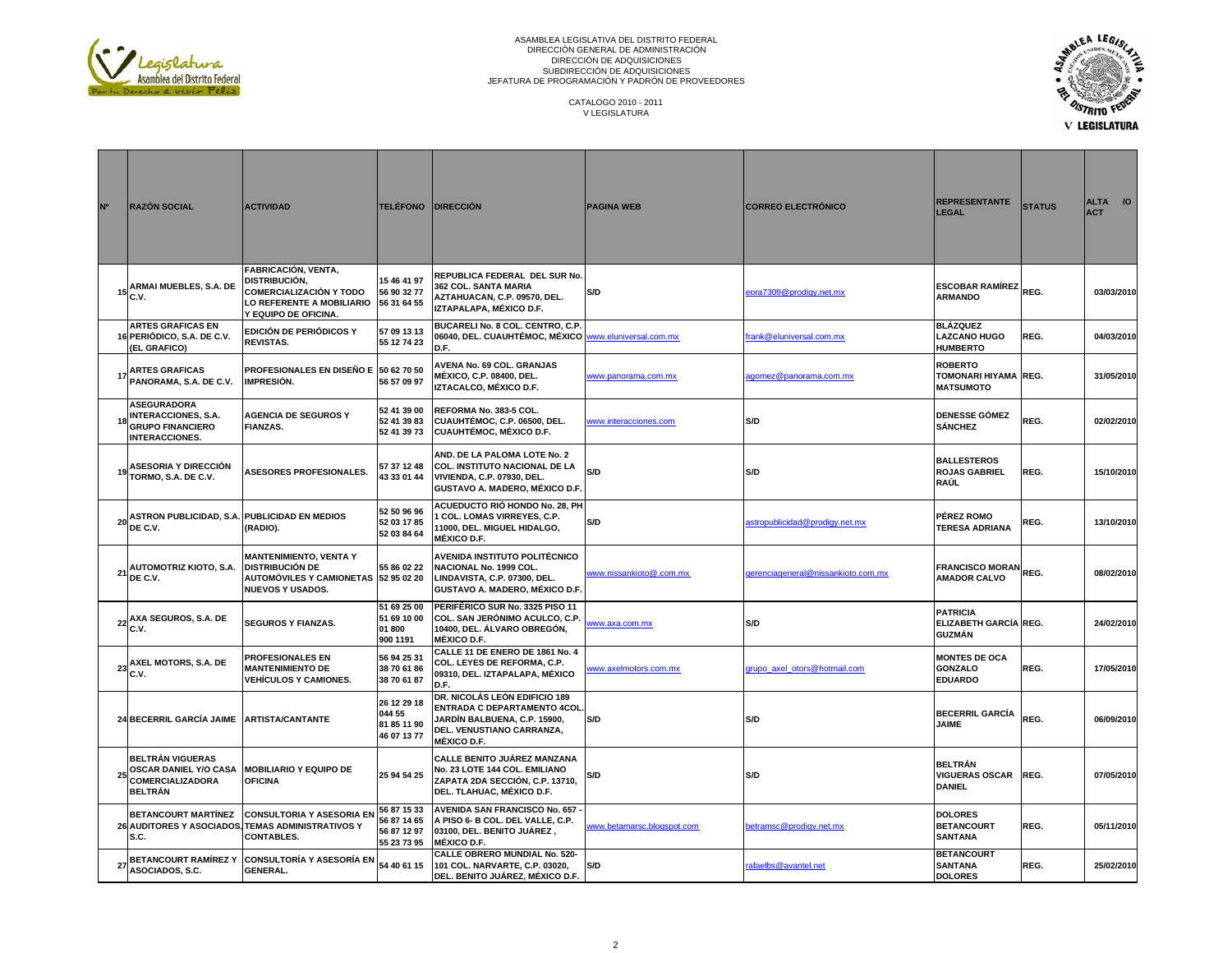



| <b>RAZÓN SOCIAL</b>                                                                              | <b>ACTIVIDAD</b>                                                                                                            | <b>TELÉFONO</b>                                          | <b>DIRECCIÓN</b>                                                                                                                                 | <b>PAGINA WEB</b>          | <b>CORREO ELECTRÓNICO</b>          | <b>REPRESENTANTE</b><br><b>LEGAL</b>                      | <b>STATUS</b> | ALTA /O<br><b>ACT</b> |
|--------------------------------------------------------------------------------------------------|-----------------------------------------------------------------------------------------------------------------------------|----------------------------------------------------------|--------------------------------------------------------------------------------------------------------------------------------------------------|----------------------------|------------------------------------|-----------------------------------------------------------|---------------|-----------------------|
| 15 ARMAI MUEBLES, S.A. DE                                                                        | FABRICACIÓN, VENTA,<br>DISTRIBUCIÓN,<br><b>COMERCIALIZACIÓN Y TODO</b><br>LO REFERENTE A MOBILIARIO<br>Y EQUIPO DE OFICINA. | 15 46 41 97<br>56 90 32 77<br>56 31 64 55                | REPUBLICA FEDERAL DEL SUR No.<br>362 COL. SANTA MARIA<br>AZTAHUACAN, C.P. 09570, DEL.<br>IZTAPALAPA, MÉXICO D.F.                                 | S/D                        | eora7309@prodigy.net.mx            | <b>ESCOBAR RAMÍREZ</b><br><b>ARMANDO</b>                  | REG.          | 03/03/2010            |
| <b>ARTES GRAFICAS EN</b><br>16 PERIÓDICO, S.A. DE C.V.<br>(EL GRAFICO)                           | <b>EDICIÓN DE PERIÓDICOS Y</b><br><b>REVISTAS.</b>                                                                          | 57 09 13 13<br>55 12 74 23                               | BUCARELI No. 8 COL. CENTRO, C.P.<br>06040, DEL. CUAUHTÉMOC, MÉXICO www.eluniversal.com.mx<br>D.F.                                                |                            | rank@eluniversal.com.mx            | <b>BLÁZQUEZ</b><br><b>LAZCANO HUGO</b><br><b>HUMBERTO</b> | REG.          | 04/03/2010            |
| 17 ARTES GRAFICAS<br>PANORAMA, S.A. DE C.V.                                                      | PROFESIONALES EN DISEÑO E 50 62 70 50<br><b>IMPRESIÓN.</b>                                                                  | 56 57 09 97                                              | AVENA No. 69 COL. GRANJAS<br><b>MÉXICO, C.P. 08400, DEL.</b><br>IZTACALCO, MÉXICO D.F.                                                           | www.panorama.com.mx        | agomez@panorama.com.mx             | <b>ROBERTO</b><br>TOMONARI HIYAMA<br><b>MATSUMOTO</b>     | REG.          | 31/05/2010            |
| <b>ASEGURADORA</b><br>18 INTERACCIONES, S.A.<br><b>GRUPO FINANCIERO</b><br><b>INTERACCIONES.</b> | <b>AGENCIA DE SEGUROS Y</b><br><b>FIANZAS.</b>                                                                              | 52 41 39 00<br>52 41 39 83<br>52 41 39 73                | REFORMA No. 383-5 COL.<br>CUAUHTÉMOC, C.P. 06500, DEL.<br><b>CUAUHTÉMOC, MÉXICO D.F.</b>                                                         | www.interacciones.com      | S/D                                | <b>DENESSE GÓMEZ</b><br><b>SÁNCHEZ</b>                    | REG.          | 02/02/2010            |
| ASESORIA Y DIRECCIÓN<br>19 TORMO, S.A. DE C.V.                                                   | <b>ASESORES PROFESIONALES.</b>                                                                                              | 57 37 12 48<br>43 33 01 44                               | AND. DE LA PALOMA LOTE No. 2<br>COL. INSTITUTO NACIONAL DE LA<br><b>VIVIENDA, C.P. 07930, DEL.</b><br>GUSTAVO A. MADERO, MÉXICO D.F.             | S/D                        | S/D                                | <b>BALLESTEROS</b><br><b>ROJAS GABRIEL</b><br>RAÚL        | REG.          | 15/10/2010            |
| 20 ASTRON PUBLICIDAD, S.A.<br>DE C.V.                                                            | <b>PUBLICIDAD EN MEDIOS</b><br>(RADIO).                                                                                     | 52 50 96 96<br>52 03 17 85<br>52 03 84 64                | ACUEDUCTO RIÓ HONDO No. 28, PH<br><b>COL. LOMAS VIRREYES, C.P.</b><br>11000, DEL. MIGUEL HIDALGO,<br>MÉXICO D.F.                                 | S/D                        | astropublicidad@prodigy.net.mx     | PÉREZ ROMO<br><b>TERESA ADRIANA</b>                       | REG.          | 13/10/2010            |
| <b>AUTOMOTRIZ KIOTO, S.A.</b><br>$21$ DE C.V.                                                    | <b>MANTENIMIENTO, VENTA Y</b><br><b>DISTRIBUCIÓN DE</b><br>AUTOMÓVILES Y CAMIONETAS 52 95 02 20<br><b>NUEVOS Y USADOS.</b>  | 55 86 02 22                                              | AVENIDA INSTITUTO POLITÉCNICO<br>NACIONAL No. 1999 COL.<br>LINDAVISTA, C.P. 07300, DEL.<br>GUSTAVO A. MADERO, MÉXICO D.F.                        | www.nissankioto@.com.mx    | gerenciageneral@nissankioto.com.mx | <b>FRANCISCO MORAN</b><br><b>AMADOR CALVO</b>             | REG.          | 08/02/2010            |
| 22 AXA SEGUROS, S.A. DE                                                                          | <b>SEGUROS Y FIANZAS.</b>                                                                                                   | 51 69 25 00<br>51 69 10 00<br>01 800<br>900 1191         | PERIFÉRICO SUR No. 3325 PISO 11<br>COL. SAN JERÓNIMO ACULCO, C.P.<br>10400, DEL. ÁLVARO OBREGÓN,<br><b>MÉXICO D.F.</b>                           | ww.axa.com.mx              | S/D                                | <b>PATRICIA</b><br>ELIZABETH GARCÍA REG.<br><b>GUZMÁN</b> |               | 24/02/2010            |
| 23 AXEL MOTORS, S.A. DE                                                                          | <b>PROFESIONALES EN</b><br><b>MANTENIMIENTO DE</b><br><b>VEHÍCULOS Y CAMIONES.</b>                                          | 56 94 25 31<br>38 70 61 86<br>38 70 61 87                | CALLE 11 DE ENERO DE 1861 No. 4<br>COL. LEYES DE REFORMA, C.P.<br>09310, DEL. IZTAPALAPA, MÉXICO<br>D.F.                                         | ww.axelmotors.com.mx       | grupo axel otors@hotmail.com       | <b>MONTES DE OCA</b><br><b>GONZALO</b><br><b>EDUARDO</b>  | REG.          | 17/05/2010            |
| 24 BECERRIL GARCÍA JAIME                                                                         | <b>ARTISTA/CANTANTE</b>                                                                                                     | 26 12 29 18<br>044 55<br>81 85 11 90<br>46 07 13 77      | DR. NICOLÁS LEÓN EDIFICIO 189<br>ENTRADA C DEPARTAMENTO 4COL.<br>JARDÍN BALBUENA, C.P. 15900,<br>DEL. VENUSTIANO CARRANZA,<br><b>MÉXICO D.F.</b> | S/D                        | S/D                                | <b>BECERRIL GARCÍA</b><br><b>JAIME</b>                    | REG.          | 06/09/2010            |
| <b>BELTRÁN VIGUERAS</b><br>25 OSCAR DANIEL Y/O CASA<br><b>COMERCIALIZADORA</b><br><b>BELTRÁN</b> | <b>MOBILIARIO Y EQUIPO DE</b><br><b>OFICINA</b>                                                                             | 25 94 54 25                                              | <b>CALLE BENITO JUÁREZ MANZANA</b><br>No. 23 LOTE 144 COL. EMILIANO<br>ZAPATA 2DA SECCIÓN, C.P. 13710,<br>DEL. TLAHUAC, MÉXICO D.F.              | S/D                        | S/D                                | <b>BELTRÁN</b><br><b>VIGUERAS OSCAR</b><br><b>DANIEL</b>  | REG.          | 07/05/2010            |
| <b>BETANCOURT MARTÍNEZ</b><br>S.C.                                                               | <b>CONSULTORIA Y ASESORIA EN</b><br>26 AUDITORES Y ASOCIADOS, TEMAS ADMINISTRATIVOS Y<br><b>CONTABLES.</b>                  | 56 87 15 33<br>56 87 14 65<br>56 87 12 97<br>55 23 73 95 | <b>AVENIDA SAN FRANCISCO No. 657 -</b><br>A PISO 6- B COL. DEL VALLE, C.P.<br>03100, DEL. BENITO JUÁREZ,<br><b>MÉXICO D.F.</b>                   | www.betamarsc.blogspot.com | betramsc@prodigy.net.mx            | <b>DOLORES</b><br><b>BETANCOURT</b><br><b>SANTANA</b>     | REG.          | 05/11/2010            |
| 27 BETANCOURT RAMÍREZ Y<br>ASOCIADOS, S.C.                                                       | <b>CONSULTORÍA Y ASESORÍA EN</b><br><b>GENERAL.</b>                                                                         | 54 40 61 15                                              | <b>CALLE OBRERO MUNDIAL No. 520-</b><br>101 COL. NARVARTE, C.P. 03020,<br>DEL. BENITO JUÁREZ, MÉXICO D.F.                                        | S/D                        | rafaelbs@avantel.net               | <b>BETANCOURT</b><br><b>SANTANA</b><br><b>DOLORES</b>     | REG.          | 25/02/2010            |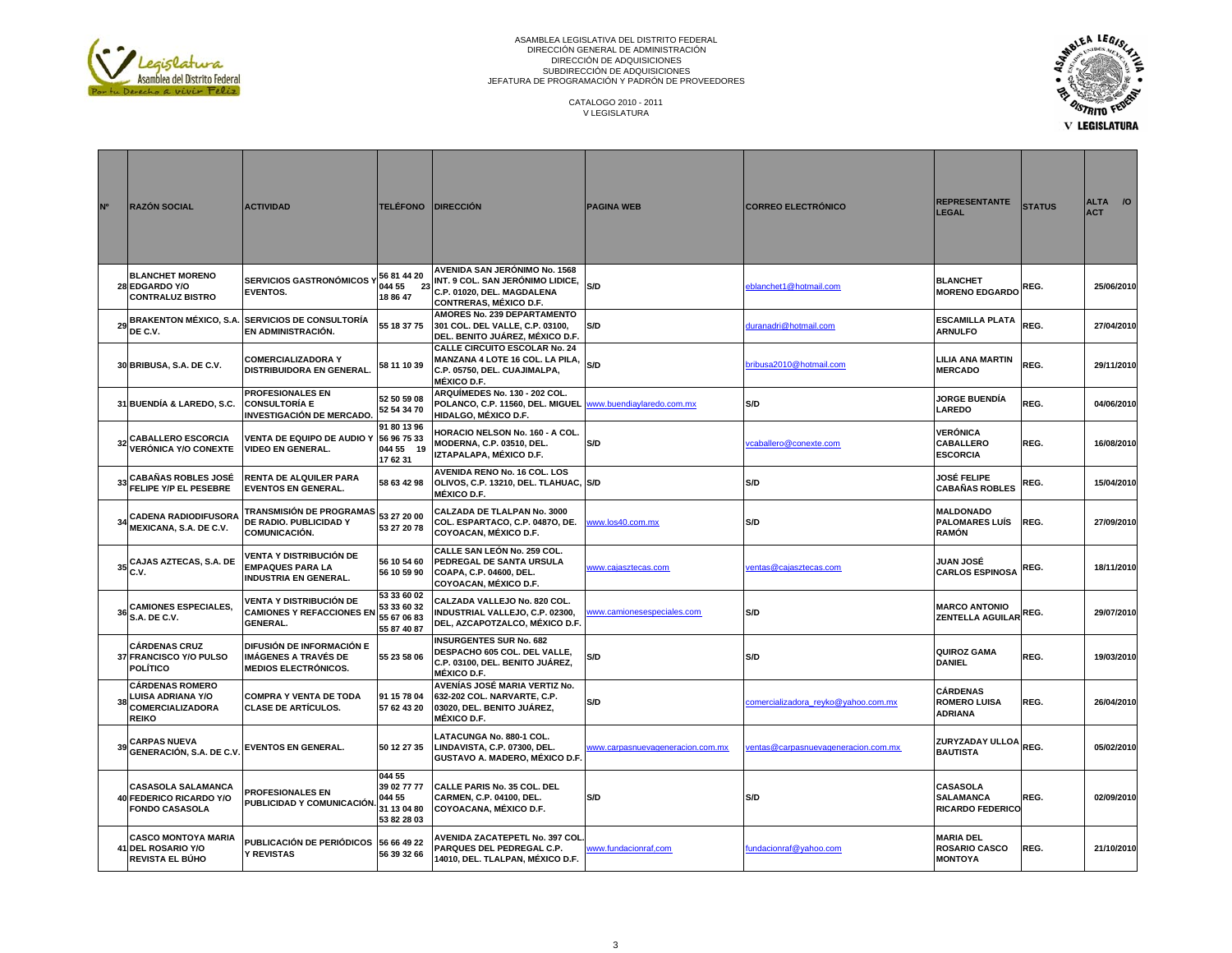



|    | <b>RAZÓN SOCIAL</b>                                                                       | <b>ACTIVIDAD</b>                                                                          | <b>TELÉFONO</b>                                               | <b>IDIRECCIÓN</b>                                                                                                                    | <b>PAGINA WEB</b>                | <b>CORREO ELECTRÓNICO</b>                  | <b>REPRESENTANTE</b><br><b>LEGAL</b>                           | <b>STATUS</b> | ALTA /O<br><b>ACT</b> |
|----|-------------------------------------------------------------------------------------------|-------------------------------------------------------------------------------------------|---------------------------------------------------------------|--------------------------------------------------------------------------------------------------------------------------------------|----------------------------------|--------------------------------------------|----------------------------------------------------------------|---------------|-----------------------|
|    | <b>BLANCHET MORENO</b><br>28 EDGARDO Y/O<br><b>CONTRALUZ BISTRO</b>                       | <b>SERVICIOS GASTRONÓMICOS</b><br><b>EVENTOS.</b>                                         | 56 81 44 20<br>044 55<br>23<br>18 86 47                       | AVENIDA SAN JERÓNIMO No. 1568<br>INT. 9 COL. SAN JERÓNIMO LIDICE, S/D<br>C.P. 01020, DEL. MAGDALENA<br><b>CONTRERAS, MÉXICO D.F.</b> |                                  | eblanchet1@hotmail.com                     | <b>BLANCHET</b><br><b>MORENO EDGARDO</b>                       | REG.          | 25/06/2010            |
|    | <b>BRAKENTON MÉXICO, S.A.</b><br>$^{29}$ DE C.V.                                          | <b>SERVICIOS DE CONSULTORÍA</b><br>EN ADMINISTRACIÓN.                                     | 55 18 37 75                                                   | AMORES No. 239 DEPARTAMENTO<br>301 COL. DEL VALLE, C.P. 03100.<br>DEL. BENITO JUÁREZ, MÉXICO D.F.                                    | S/D                              | duranadri@hotmail.com                      | <b>ESCAMILLA PLATA</b><br><b>ARNULFO</b>                       | REG.          | 27/04/2010            |
|    | 30 BRIBUSA, S.A. DE C.V.                                                                  | <b>COMERCIALIZADORA Y</b><br>DISTRIBUIDORA EN GENERAL                                     | 58 11 10 39                                                   | <b>CALLE CIRCUITO ESCOLAR No. 24</b><br>MANZANA 4 LOTE 16 COL. LA PILA,<br>C.P. 05750, DEL. CUAJIMALPA,<br><b>MÉXICO D.F.</b>        | S/D                              | bribusa2010@hotmail.com                    | LILIA ANA MARTIN<br><b>MERCADO</b>                             | REG.          | 29/11/2010            |
|    | 31 BUENDÍA & LAREDO, S.C.                                                                 | <b>PROFESIONALES EN</b><br><b>CONSULTORÍA E</b><br>INVESTIGACIÓN DE MERCADO               | 52 50 59 08<br>52 54 34 70                                    | ARQUÍMEDES No. 130 - 202 COL.<br>POLANCO, C.P. 11560, DEL. MIGUEL www.buendiaylaredo.com.mx<br>HIDALGO, MÉXICO D.F.                  |                                  | S/D                                        | JORGE BUENDÍA<br><b>LAREDO</b>                                 | REG.          | 04/06/2010            |
|    | 32 CABALLERO ESCORCIA<br>VERÓNICA Y/O CONEXTE                                             | VENTA DE EQUIPO DE AUDIO Y<br><b>VIDEO EN GENERAL.</b>                                    | 91 80 13 96<br>56 96 75 33<br>044 55 19<br>17 62 31           | <b>HORACIO NELSON No. 160 - A COL.</b><br>MODERNA, C.P. 03510, DEL.<br>IZTAPALAPA, MÉXICO D.F.                                       | S/D                              | caballero@conexte.com                      | <b>VERÓNICA</b><br><b>CABALLERO</b><br><b>ESCORCIA</b>         | REG.          | 16/08/2010            |
|    | 33 CABAÑAS ROBLES JOSÉ<br>FELIPE Y/P EL PESEBRE                                           | RENTA DE ALQUILER PARA<br><b>EVENTOS EN GENERAL.</b>                                      | 58 63 42 98                                                   | <b>AVENIDA RENO No. 16 COL. LOS</b><br>OLIVOS, C.P. 13210, DEL. TLAHUAC, S/D<br><b>MÉXICO D.F.</b>                                   |                                  | S/D                                        | JOSÉ FELIPE<br><b>CABAÑAS ROBLES</b>                           | REG.          | 15/04/2010            |
|    | 34 CADENA RADIODIFUSORA<br>MEXICANA, S.A. DE C.V.                                         | TRANSMISIÓN DE PROGRAMAS<br>DE RADIO, PUBLICIDAD Y<br>COMUNICACIÓN.                       | 53 27 20 00<br>53 27 20 78                                    | CALZADA DE TLALPAN No. 3000<br>COL. ESPARTACO, C.P. 0487O, DE.<br>COYOACAN, MÉXICO D.F.                                              | www.los40.com.mx                 | S/D                                        | <b>MALDONADO</b><br><b>PALOMARES LUÍS</b><br><b>RAMÓN</b>      | REG.          | 27/09/2010            |
|    | 35 CAJAS AZTECAS, S.A. DE                                                                 | <b>/ENTA Y DISTRIBUCIÓN DE</b><br><b>EMPAQUES PARA LA</b><br><b>INDUSTRIA EN GENERAL.</b> | 56 10 54 60<br>56 10 59 90                                    | CALLE SAN LEÓN No. 259 COL.<br>PEDREGAL DE SANTA URSULA<br>COAPA, C.P. 04600, DEL.<br>COYOACAN, MÉXICO D.F.                          | www.cajasztecas.com              | entas@cajasztecas.com                      | JUAN JOSÉ<br><b>CARLOS ESPINOSA</b>                            | REG.          | 18/11/2010            |
| 36 | <b>CAMIONES ESPECIALES,</b><br>S.A. DE C.V.                                               | VENTA Y DISTRIBUCIÓN DE<br><b>CAMIONES Y REFACCIONES EN</b><br>GENERAL.                   | 53 33 60 02<br>53 33 60 32<br>55 67 06 83<br>55 87 40 87      | CALZADA VALLEJO No. 820 COL.<br>INDUSTRIAL VALLEJO, C.P. 02300,<br>DEL, AZCAPOTZALCO, MÉXICO D.F.                                    | www.camionesespeciales.com       | S/D                                        | <b>MARCO ANTONIO</b><br><b>ZENTELLA AGUILAR</b>                | REG.          | 29/07/2010            |
|    | <b>CÁRDENAS CRUZ</b><br>37 FRANCISCO Y/O PULSO<br><b>POLÍTICO</b>                         | DIFUSIÓN DE INFORMACIÓN E<br>IMÁGENES A TRAVÉS DE<br><b>MEDIOS ELECTRÓNICOS.</b>          | 55 23 58 06                                                   | <b>INSURGENTES SUR No. 682</b><br>DESPACHO 605 COL. DEL VALLE,<br>C.P. 03100, DEL. BENITO JUÁREZ,<br><b>MÉXICO D.F.</b>              | S/D                              | S/D                                        | QUIROZ GAMA<br><b>DANIEL</b>                                   | REG.          | 19/03/2010            |
|    | <b>CÁRDENAS ROMERO</b><br>38 LUISA ADRIANA Y/O<br><b>COMERCIALIZADORA</b><br><b>REIKO</b> | <b>COMPRA Y VENTA DE TODA</b><br><b>CLASE DE ARTÍCULOS.</b>                               | 91 15 78 04<br>57 62 43 20                                    | AVENÍAS JOSÉ MARIA VERTIZ No.<br>632-202 COL. NARVARTE, C.P.<br>03020, DEL. BENITO JUÁREZ,<br><b>MÉXICO D.F.</b>                     | S/D                              | <u>comercializadora reyko@yahoo.com.mx</u> | <b>CÁRDENAS</b><br><b>ROMERO LUISA</b><br><b>ADRIANA</b>       | REG.          | 26/04/2010            |
|    | <b>CARPAS NUEVA</b><br>GENERACIÓN, S.A. DE C.V.                                           | <b>EVENTOS EN GENERAL.</b>                                                                | 50 12 27 35                                                   | <b>LATACUNGA No. 880-1 COL.</b><br>LINDAVISTA, C.P. 07300, DEL.<br>GUSTAVO A. MADERO, MÉXICO D.F.                                    | www.carpasnuevageneracion.com.mx | ventas@carpasnuevageneracion.com.mx        | ZURYZADAY ULLOA<br><b>BAUTISTA</b>                             | REG.          | 05/02/2010            |
|    | <b>CASASOLA SALAMANCA</b><br>40 FEDERICO RICARDO Y/O<br><b>FONDO CASASOLA</b>             | <b>PROFESIONALES EN</b><br>PUBLICIDAD Y COMUNICACIÓN                                      | 044 55<br>39 02 77 77<br>044 55<br>31 13 04 80<br>53 82 28 03 | CALLE PARIS No. 35 COL. DEL<br>CARMEN, C.P. 04100, DEL.<br>COYOACANA, MÉXICO D.F.                                                    | S/D                              | S/D                                        | <b>CASASOLA</b><br><b>SALAMANCA</b><br><b>RICARDO FEDERICO</b> | REG.          | 02/09/2010            |
|    | <b>CASCO MONTOYA MARIA</b><br>41 DEL ROSARIO Y/O<br>REVISTA EL BÚHO                       | PUBLICACIÓN DE PERIÓDICOS<br><b>Y REVISTAS</b>                                            | 56 66 49 22<br>56 39 32 66                                    | <b>AVENIDA ZACATEPETL No. 397 COL.</b><br>PARQUES DEL PEDREGAL C.P.<br>14010, DEL. TLALPAN, MÉXICO D.F.                              | www.fundacionraf,com             | fundacionraf@yahoo.com                     | <b>MARIA DEL</b><br><b>ROSARIO CASCO</b><br><b>MONTOYA</b>     | REG.          | 21/10/2010            |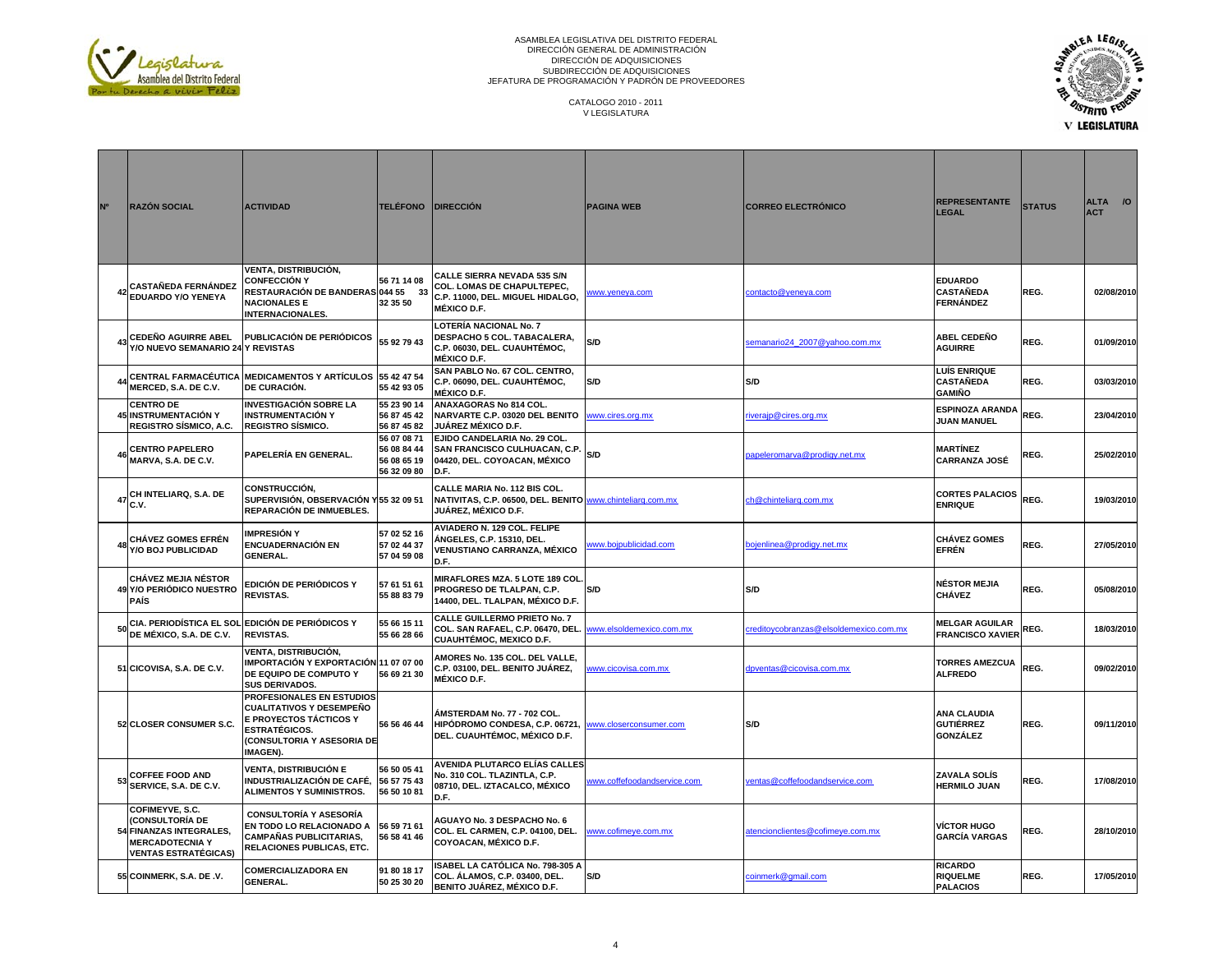

CATALOGO 2010 - 2011V LEGISLATURA



| <b>RAZÓN SOCIAL</b>                                                                                                           | <b>ACTIVIDAD</b>                                                                                                                                         | <b>TELÉFONO DIRECCIÓN</b>                                |                                                                                                                            | <b>PAGINA WEB</b>           | <b>CORREO ELECTRÓNICO</b>              | <b>REPRESENTANTE</b><br><b>LEGAL</b>                      | <b>STATUS</b> | ALTA /O<br><b>ACT</b> |
|-------------------------------------------------------------------------------------------------------------------------------|----------------------------------------------------------------------------------------------------------------------------------------------------------|----------------------------------------------------------|----------------------------------------------------------------------------------------------------------------------------|-----------------------------|----------------------------------------|-----------------------------------------------------------|---------------|-----------------------|
| <b>CASTAÑEDA FERNÁNDEZ</b><br><b>EDUARDO Y/O YENEYA</b>                                                                       | VENTA, DISTRIBUCIÓN,<br>CONFECCIÓN Y<br><b>RESTAURACIÓN DE BANDERAS 044 55 33</b><br><b>NACIONALES E</b><br><b>INTERNACIONALES.</b>                      | 56 71 14 08<br>32 35 50                                  | <b>CALLE SIERRA NEVADA 535 S/N</b><br>COL. LOMAS DE CHAPULTEPEC,<br>C.P. 11000, DEL. MIGUEL HIDALGO,<br><b>MÉXICO D.F.</b> | www.yeneya.com              | contacto@yeneya.com                    | <b>EDUARDO</b><br><b>CASTAÑEDA</b><br><b>FERNÁNDEZ</b>    | REG.          | 02/08/2010            |
| <b>CEDEÑO AGUIRRE ABEL</b><br>Y/O NUEVO SEMANARIO 24 Y REVISTAS                                                               | PUBLICACIÓN DE PERIÓDICOS                                                                                                                                | 55 92 79 43                                              | LOTERÍA NACIONAL No. 7<br><b>DESPACHO 5 COL. TABACALERA,</b><br>C.P. 06030, DEL. CUAUHTÉMOC,<br><b>MÉXICO D.F.</b>         | S/D                         | semanario24_2007@yahoo.com.mx          | <b>ABEL CEDEÑO</b><br><b>AGUIRRE</b>                      | REG.          | 01/09/2010            |
| <b>CENTRAL FARMACÉUTICA</b><br>MERCED, S.A. DE C.V.                                                                           | MEDICAMENTOS Y ARTÍCULOS 55 42 47 54<br><b>DE CURACIÓN.</b>                                                                                              | 55 42 93 05                                              | SAN PABLO No. 67 COL. CENTRO,<br>C.P. 06090, DEL. CUAUHTÉMOC,<br><b>MÉXICO D.F.</b>                                        | S/D                         | S/D                                    | LUÍS ENRIQUE<br><b>CASTAÑEDA</b><br><b>GAMIÑO</b>         | REG.          | 03/03/2010            |
| <b>CENTRO DE</b><br>45 INSTRUMENTACIÓN Y<br>REGISTRO SÍSMICO, A.C.                                                            | INVESTIGACIÓN SOBRE LA<br>INSTRUMENTACIÓN Y<br><b>REGISTRO SÍSMICO.</b>                                                                                  | 55 23 90 14<br>56 87 45 42<br>56 87 45 82                | ANAXAGORAS No 814 COL.<br>NARVARTE C.P. 03020 DEL BENITO<br><b>JUÁREZ MÉXICO D.F.</b>                                      | www.cires.org.mx            | riverajp@cires.org.mx                  | <b>ESPINOZA ARANDA</b><br><b>JUAN MANUEL</b>              | REG.          | 23/04/2010            |
| 46 CENTRO PAPELERO<br>MARVA, S.A. DE C.V.                                                                                     | PAPELERÍA EN GENERAL.                                                                                                                                    | 56 07 08 71<br>56 08 84 44<br>56 08 65 19<br>56 32 09 80 | EJIDO CANDELARIA No. 29 COL.<br>SAN FRANCISCO CULHUACAN, C.P.<br>04420, DEL. COYOACAN, MÉXICO<br>D.F.                      | S/D                         | bapeleromarva@prodigy.net.mx           | <b>MARTÍNEZ</b><br><b>CARRANZA JOSÉ</b>                   | REG.          | 25/02/2010            |
| 47 CH INTELIARQ, S.A. DE                                                                                                      | <b>CONSTRUCCIÓN,</b><br>SUPERVISIÓN, OBSERVACIÓN Y 55 32 09 51<br>REPARACIÓN DE INMUEBLES.                                                               |                                                          | <b>CALLE MARIA No. 112 BIS COL.</b><br>NATIVITAS, C.P. 06500, DEL. BENITO www.chinteliarq.com.mx<br>JUÁREZ, MÉXICO D.F.    |                             | ch@chinteliarq.com.mx                  | <b>CORTES PALACIOS</b><br><b>ENRIQUE</b>                  | REG.          | 19/03/2010            |
| 48 CHÁVEZ GOMES EFRÉN                                                                                                         | IMPRESIÓN Y<br><b>ENCUADERNACIÓN EN</b><br><b>GENERAL.</b>                                                                                               | 57 02 52 16<br>57 02 44 37<br>57 04 59 08                | AVIADERO N. 129 COL. FELIPE<br>ÁNGELES, C.P. 15310, DEL.<br>VENUSTIANO CARRANZA, MÉXICO<br>D.F.                            | www.bojpublicidad.com       | bojenlinea@prodigy.net.mx              | <b>CHÁVEZ GOMES</b><br><b>EFRÉN</b>                       | REG.          | 27/05/2010            |
| <b>CHÁVEZ MEJIA NÉSTOR</b><br>49 Y/O PERIÓDICO NUESTRO<br><b>PAÍS</b>                                                         | EDICIÓN DE PERIÓDICOS Y<br><b>REVISTAS.</b>                                                                                                              | 57 61 51 61<br>55 88 83 79                               | MIRAFLORES MZA. 5 LOTE 189 COL.<br>PROGRESO DE TLALPAN, C.P.<br>14400, DEL. TLALPAN, MÉXICO D.F.                           | S/D                         | S/D                                    | <b>NÉSTOR MEJIA</b><br><b>CHÁVEZ</b>                      | REG.          | 05/08/2010            |
| CIA. PERIODÍSTICA EL SOL<br>DE MÉXICO, S.A. DE C.V.                                                                           | <b>EDICIÓN DE PERIÓDICOS Y</b><br>REVISTAS.                                                                                                              | 55 66 15 11<br>55 66 28 66                               | CALLE GUILLERMO PRIETO No. 7<br>COL. SAN RAFAEL, C.P. 06470, DEL.<br><b>CUAUHTÉMOC, MEXICO D.F.</b>                        | www.elsoldemexico.com.mx    | creditoycobranzas@elsoldemexico.com.mx | <b>MELGAR AGUILAR</b><br><b>FRANCISCO XAVIER</b>          | REG.          | 18/03/2010            |
| 51 CICOVISA, S.A. DE C.V.                                                                                                     | VENTA, DISTRIBUCIÓN,<br>IMPORTACIÓN Y EXPORTACIÓN 11 07 07 00<br>DE EQUIPO DE COMPUTO Y<br><b>SUS DERIVADOS.</b>                                         | 56 69 21 30                                              | <b>AMORES No. 135 COL. DEL VALLE,</b><br>C.P. 03100, DEL. BENITO JUÁREZ,<br><b>MÉXICO D.F.</b>                             | www.cicovisa.com.mx         | dpventas@cicovisa.com.mx               | <b>TORRES AMEZCUA</b><br><b>ALFREDO</b>                   | REG.          | 09/02/2010            |
| 52 CLOSER CONSUMER S.C.                                                                                                       | PROFESIONALES EN ESTUDIOS<br>CUALITATIVOS Y DESEMPEÑO<br><b>E PROYECTOS TÁCTICOS Y</b><br><b>ESTRATÉGICOS.</b><br>(CONSULTORIA Y ASESORIA DE<br>IMAGEN). | 56 56 46 44                                              | ÁMSTERDAM No. 77 - 702 COL.<br>HIPÓDROMO CONDESA, C.P. 06721, www.closerconsumer.com<br>DEL. CUAUHTÉMOC, MÉXICO D.F.       |                             | S/D                                    | <b>ANA CLAUDIA</b><br><b>GUTIÉRREZ</b><br><b>GONZÁLEZ</b> | REG.          | 09/11/2010            |
| <b>COFFEE FOOD AND</b><br>53 SERVICE, S.A. DE C.V.                                                                            | VENTA, DISTRIBUCIÓN E<br>INDUSTRIALIZACIÓN DE CAFÉ,<br>ALIMENTOS Y SUMINISTROS.                                                                          | 56 50 05 41<br>56 57 75 43<br>56 50 10 81                | AVENIDA PLUTARCO ELÍAS CALLES<br>No. 310 COL. TLAZINTLA, C.P.<br>08710, DEL. IZTACALCO, MÉXICO<br>D.F.                     | www.coffefoodandservice.com | ventas@coffefoodandservice.com         | <b>ZAVALA SOLÍS</b><br><b>HERMILO JUAN</b>                | REG.          | 17/08/2010            |
| <b>COFIMEYVE, S.C.</b><br>(CONSULTORÍA DE<br>54 FINANZAS INTEGRALES,<br><b>MERCADOTECNIA Y</b><br><b>VENTAS ESTRATÉGICAS)</b> | <b>CONSULTORÍA Y ASESORÍA</b><br>EN TODO LO RELACIONADO A<br><b>CAMPAÑAS PUBLICITARIAS,</b><br>RELACIONES PUBLICAS, ETC.                                 | 56 59 71 61<br>56 58 41 46                               | <b>AGUAYO No. 3 DESPACHO No. 6</b><br>COL. EL CARMEN, C.P. 04100, DEL.<br>COYOACAN, MÉXICO D.F.                            | www.cofimeye.com.mx         | atencionclientes@cofimeye.com.mx       | <b>VÍCTOR HUGO</b><br><b>GARCÍA VARGAS</b>                | REG.          | 28/10/2010            |
| 55 COINMERK, S.A. DE .V.                                                                                                      | <b>COMERCIALIZADORA EN</b><br><b>GENERAL.</b>                                                                                                            | 91 80 18 17<br>50 25 30 20                               | SABEL LA CATÓLICA No. 798-305 A<br>COL. ÁLAMOS, C.P. 03400, DEL.<br><b>BENITO JUÁREZ. MÉXICO D.F.</b>                      | S/D                         | coinmerk@gmail.com                     | <b>RICARDO</b><br><b>RIQUELME</b><br><b>PALACIOS</b>      | REG.          | 17/05/2010            |

### 4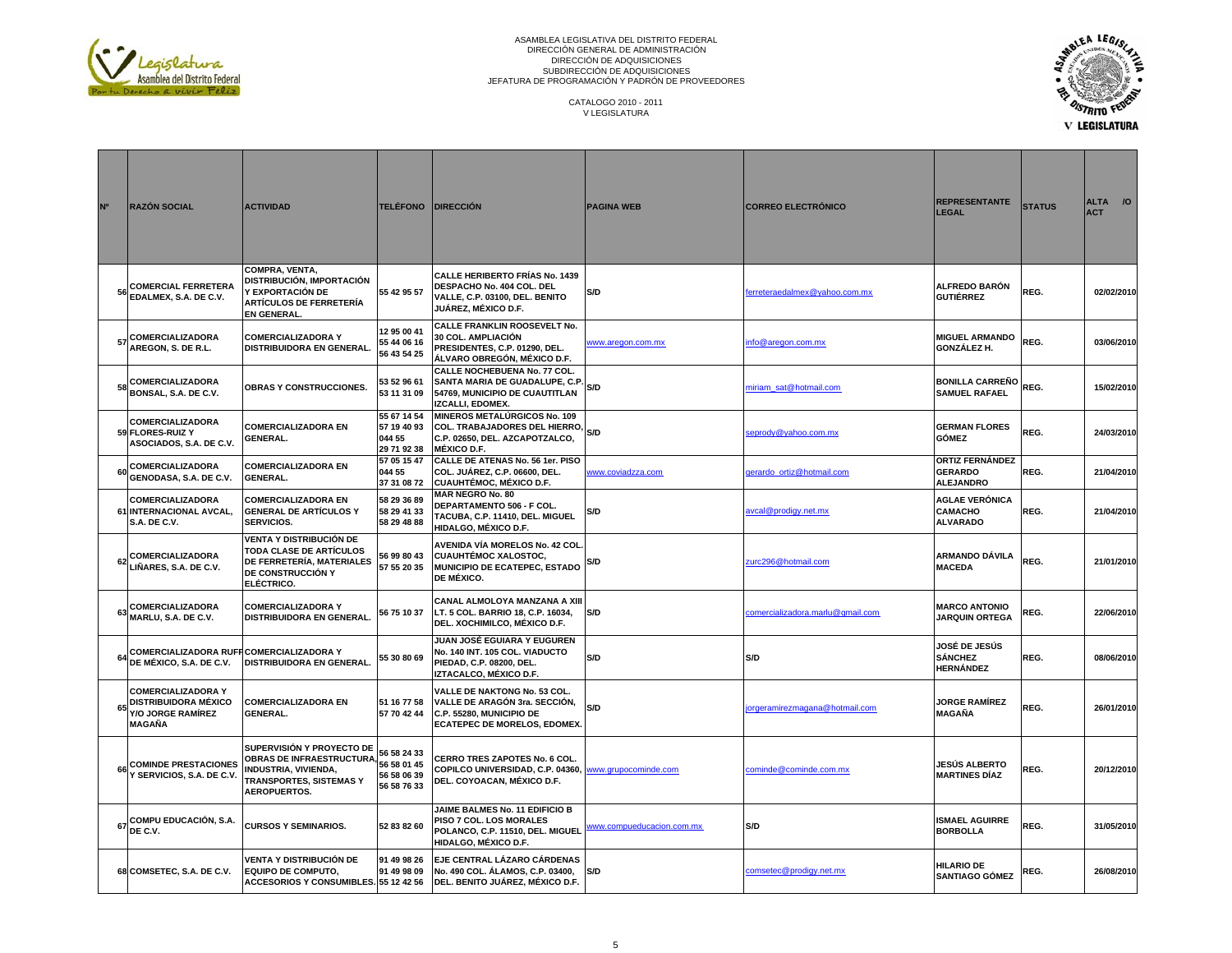



|    | <b>RAZÓN SOCIAL</b>                                                                            | <b>ACTIVIDAD</b>                                                                                                                              | <b>TELÉFONO</b>                                          | <b>DIRECCIÓN</b>                                                                                                                 | <b>PAGINA WEB</b>         | <b>CORREO ELECTRÓNICO</b>        | <b>REPRESENTANTE</b><br><b>LEGAL</b>                         | <b>STATUS</b> | ALTA /O<br><b>ACT</b> |
|----|------------------------------------------------------------------------------------------------|-----------------------------------------------------------------------------------------------------------------------------------------------|----------------------------------------------------------|----------------------------------------------------------------------------------------------------------------------------------|---------------------------|----------------------------------|--------------------------------------------------------------|---------------|-----------------------|
| 56 | <b>COMERCIAL FERRETERA</b><br>EDALMEX, S.A. DE C.V.                                            | COMPRA, VENTA,<br>DISTRIBUCIÓN. IMPORTACIÓN<br>Y EXPORTACIÓN DE<br>ARTÍCULOS DE FERRETERÍA<br>EN GENERAL.                                     | 55 42 95 57                                              | <b>CALLE HERIBERTO FRÍAS No. 1439</b><br>DESPACHO No. 404 COL. DEL<br>VALLE, C.P. 03100, DEL. BENITO<br>JUÁREZ, MÉXICO D.F.      | S/D                       | ferreteraedalmex@yahoo.com.mx    | <b>ALFREDO BARÓN</b><br><b>GUTIÉRREZ</b>                     | REG.          | 02/02/2010            |
|    | 57 COMERCIALIZADORA<br>AREGON, S. DE R.L.                                                      | <b>COMERCIALIZADORA Y</b><br>DISTRIBUIDORA EN GENERAL.                                                                                        | 12 95 00 41<br>55 44 06 16<br>56 43 54 25                | CALLE FRANKLIN ROOSEVELT No.<br>30 COL. AMPLIACIÓN<br>PRESIDENTES, C.P. 01290, DEL.<br>ÁLVARO OBREGÓN, MÉXICO D.F.               | www.aregon.com.mx         | info@aregon.com.mx               | <b>MIGUEL ARMANDO</b><br><b>GONZÁLEZ H.</b>                  | REG.          | 03/06/2010            |
|    | <b>COMERCIALIZADORA</b><br>BONSAL, S.A. DE C.V.                                                | <b>OBRAS Y CONSTRUCCIONES.</b>                                                                                                                | 53 52 96 61<br>53 11 31 09                               | CALLE NOCHEBUENA No. 77 COL.<br>SANTA MARIA DE GUADALUPE, C.P.<br>54769, MUNICIPIO DE CUAUTITLAN<br>IZCALLI, EDOMEX.             | S/D                       | niriam_sat@hotmail.com           | <b>BONILLA CARREÑO</b><br><b>SAMUEL RAFAEL</b>               | REG.          | 15/02/2010            |
|    | <b>COMERCIALIZADORA</b><br>59 FLORES RUIZ Y<br>ASOCIADOS, S.A. DE C.V.                         | <b>COMERCIALIZADORA EN</b><br><b>GENERAL.</b>                                                                                                 | 55 67 14 54<br>57 19 40 93<br>044 55<br>29 71 92 38      | MINEROS METALÚRGICOS No. 109<br>COL. TRABAJADORES DEL HIERRO, S/D<br>C.P. 02650, DEL. AZCAPOTZALCO,<br><b>MÉXICO D.F.</b>        |                           | seprody@yahoo.com.mx             | <b>GERMAN FLORES</b><br>GÓMEZ                                | REG.          | 24/03/2010            |
|    | 60 COMERCIALIZADORA<br>GENODASA, S.A. DE C.V.                                                  | <b>COMERCIALIZADORA EN</b><br><b>GENERAL.</b>                                                                                                 | 57 05 15 47<br>044 55<br>37 31 08 72                     | CALLE DE ATENAS No. 56 1er. PISO<br>COL. JUÁREZ, C.P. 06600, DEL.<br><b>CUAUHTÉMOC, MÉXICO D.F.</b>                              | www.coviadzza.com         | gerardo ortiz@hotmail.com        | <b>ORTIZ FERNÁNDEZ</b><br><b>GERARDO</b><br><b>ALEJANDRO</b> | REG.          | 21/04/2010            |
|    | <b>COMERCIALIZADORA</b><br>61 INTERNACIONAL AVCAL,<br>S.A. DE C.V.                             | <b>COMERCIALIZADORA EN</b><br><b>GENERAL DE ARTÍCULOS Y</b><br>SERVICIOS.                                                                     | 58 29 36 89<br>58 29 41 33<br>58 29 48 88                | <b>MAR NEGRO No. 80</b><br>DEPARTAMENTO 506 - F COL.<br>TACUBA, C.P. 11410, DEL. MIGUEL<br>HIDALGO, MÉXICO D.F.                  | S/D                       | avcal@prodigy.net.mx             | <b>AGLAE VERÓNICA</b><br><b>CAMACHO</b><br><b>ALVARADO</b>   | REG.          | 21/04/2010            |
|    | 62 COMERCIALIZADORA<br>LIÑARES, S.A. DE C.V.                                                   | VENTA Y DISTRIBUCIÓN DE<br>TODA CLASE DE ARTÍCULOS<br>DE FERRETERÍA, MATERIALES<br>DE CONSTRUCCIÓN Y<br>ELÉCTRICO.                            | 56 99 80 43<br>57 55 20 35                               | AVENIDA VÍA MORELOS No. 42 COL<br><b>CUAUHTÉMOC XALOSTOC,</b><br>MUNICIPIO DE ECATEPEC, ESTADO<br>DE MÉXICO.                     | S/D                       | zurc296@hotmail.com              | ARMANDO DÁVILA<br><b>MACEDA</b>                              | REG.          | 21/01/2010            |
|    | 63 COMERCIALIZADORA<br>MARLU, S.A. DE C.V.                                                     | <b>COMERCIALIZADORA Y</b><br><b>DISTRIBUIDORA EN GENERAL.</b>                                                                                 | 56 75 10 37                                              | CANAL ALMOLOYA MANZANA A XIII<br>LT. 5 COL. BARRIO 18, C.P. 16034,<br>DEL. XOCHIMILCO, MÉXICO D.F.                               | S/D                       | comercializadora.marlu@qmail.com | <b>MARCO ANTONIO</b><br><b>JARQUIN ORTEGA</b>                | REG.          | 22/06/2010            |
|    | COMERCIALIZADORA RUFF COMERCIALIZADORA Y<br>DE MÉXICO, S.A. DE C.V.                            | <b>DISTRIBUIDORA EN GENERAL</b>                                                                                                               | 55 30 80 69                                              | JUAN JOSÉ EGUIARA Y EUGUREN<br>No. 140 INT. 105 COL. VIADUCTO<br>PIEDAD, C.P. 08200, DEL.<br>IZTACALCO, MÉXICO D.F.              | S/D                       | S/D                              | JOSÉ DE JESÚS<br><b>SÁNCHEZ</b><br><b>HERNÁNDEZ</b>          | REG.          | 08/06/2010            |
|    | <b>COMERCIALIZADORA Y</b><br><b>DISTRIBUIDORA MÉXICO</b><br>Y/O JORGE RAMÍREZ<br><b>MAGAÑA</b> | <b>COMERCIALIZADORA EN</b><br><b>GENERAL.</b>                                                                                                 | 51 16 77 58<br>57 70 42 44                               | <b>VALLE DE NAKTONG No. 53 COL.</b><br>VALLE DE ARAGÓN 3ra. SECCIÓN,<br>C.P. 55280, MUNICIPIO DE<br>ECATEPEC DE MORELOS, EDOMEX. | S/D                       | jorgeramirezmagana@hotmail.com   | <b>JORGE RAMÍREZ</b><br>MAGAÑA                               | REG.          | 26/01/2010            |
| 66 | <b>COMINDE PRESTACIONES</b><br>Y SERVICIOS, S.A. DE C.V.                                       | SUPERVISIÓN Y PROYECTO DE<br><b>OBRAS DE INFRAESTRUCTURA</b><br>INDUSTRIA, VIVIENDA,<br><b>TRANSPORTES, SISTEMAS Y</b><br><b>AEROPUERTOS.</b> | 56 58 24 33<br>56 58 01 45<br>56 58 06 39<br>56 58 76 33 | <b>CERRO TRES ZAPOTES No. 6 COL.</b><br>COPILCO UNIVERSIDAD, C.P. 04360, www.grupocominde.com<br>DEL. COYOACAN, MÉXICO D.F.      |                           | cominde@cominde.com.mx           | <b>JESÚS ALBERTO</b><br><b>MARTINES DÍAZ</b>                 | REG.          | 20/12/2010            |
|    | COMPU EDUCACIÓN, S.A.<br>$67$ <sub>DE C.V</sub>                                                | <b>CURSOS Y SEMINARIOS.</b>                                                                                                                   | 52 83 82 60                                              | JAIME BALMES No. 11 EDIFICIO B<br>PISO 7 COL. LOS MORALES<br>POLANCO, C.P. 11510, DEL. MIGUEL<br>HIDALGO, MÉXICO D.F.            | www.compueducacion.com.mx | S/D                              | <b>ISMAEL AGUIRRE</b><br><b>BORBOLLA</b>                     | REG.          | 31/05/2010            |
|    | 68 COMSETEC, S.A. DE C.V.                                                                      | VENTA Y DISTRIBUCIÓN DE<br><b>EQUIPO DE COMPUTO,</b><br><b>ACCESORIOS Y CONSUMIBLES. 55 12 42 56</b>                                          | 91 49 98 26<br>91 49 98 09                               | EJE CENTRAL LÁZARO CÁRDENAS<br>No. 490 COL. ÁLAMOS, C.P. 03400,<br>DEL. BENITO JUÁREZ, MÉXICO D.F.                               | S/D                       | comsetec@prodigy.net.mx          | <b>HILARIO DE</b><br><b>SANTIAGO GÓMEZ</b>                   | REG.          | 26/08/2010            |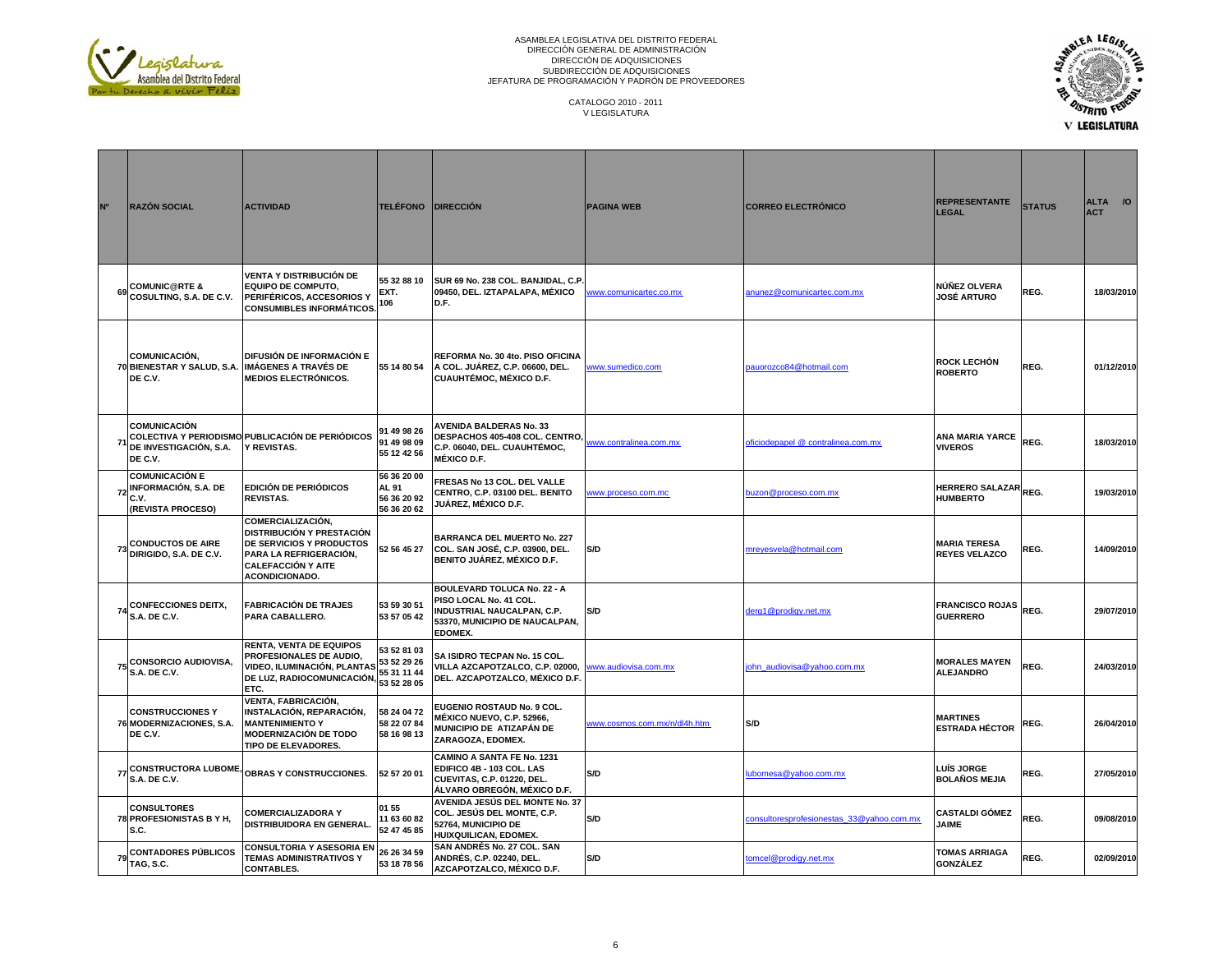

69 COMUNIC@RTE &<br><sup>69</sup> COSULTING, S.A. DE C.V.

### ASAMBLEA LEGISLATIVA DEL DISTRITO FEDERAL DIRECCIÓN GENERAL DE ADMINISTRACIÓN DIRECCIÓN DE ADQUISICIONESSUBDIRECCIÓN DE ADQUISICIONES JEFATURA DE PROGRAMACIÓN Y PADRÓN DE PROVEEDORES





**ACT** 

**REG. 18/03/2010**

**REPRESENTANTE** STATUS ALTA /O

**NÚÑEZ OLVERA JOSÉ ARTURO**

**Nº RAZÓN SOCIAL ACTIVIDAD TELÉFONO DIRECCIÓN PAGINA WEB CORREO ELECTRÓNICOVENTA Y DISTRIBUCIÓN DE EQUIPO DE COMPUTO, PERIFÉRICOS, ACCESORIOS Y EXT. 106CONSUMIBLES INFORMÁTICOS. 55 32 88 10 SUR 69 No. 238 COL. BANJIDAL, C.P. 09450, DEL. IZTAPALAPA, MÉXICO D.F.** www.comunicartec.co.mxanunez@comunicartec.com.mx **55 14 80 54REFORMA No. 30 4to. PISO OFICINA A COL. JUÁREZ, C.P. 06600, DEL. CUAUHTÉMOC, MÉXICO D.F.** www.sumedico.com

|    | COMUNICACIÓN.<br>70 BIENESTAR Y SALUD, S.A. IMÁGENES A TRAVÉS DE<br>DE C.V. | <b>DIFUSIÓN DE INFORMACIÓN E</b><br><b>MEDIOS ELECTRÓNICOS.</b>                                                                                                                                                          | 55 14 80 54                                               | REFORMA No. 30 4to. PISO OFICINA<br>A COL. JUÁREZ, C.P. 06600, DEL.<br><b>CUAUHTÉMOC, MÉXICO D.F.</b>                                          | www.sumedico.com             | pauorozco84@hotmail.com                   | <b>ROCK LECHÓN</b><br><b>ROBERTO</b>        | REG. | 01/12/2010 |
|----|-----------------------------------------------------------------------------|--------------------------------------------------------------------------------------------------------------------------------------------------------------------------------------------------------------------------|-----------------------------------------------------------|------------------------------------------------------------------------------------------------------------------------------------------------|------------------------------|-------------------------------------------|---------------------------------------------|------|------------|
|    | COMUNICACIÓN<br>DE INVESTIGACIÓN, S.A.<br>DE C.V.                           | COLECTIVA Y PERIODISMO PUBLICACIÓN DE PERIÓDICOS<br>Y REVISTAS.                                                                                                                                                          | 91 49 98 26<br>91 49 98 09<br>55 12 42 56                 | <b>AVENIDA BALDERAS No. 33</b><br>DESPACHOS 405-408 COL. CENTRO,<br>C.P. 06040, DEL. CUAUHTÉMOC,<br><b>MÉXICO D.F.</b>                         | www.contralinea.com.mx       | oficiodepapel @ contralinea.com.mx        | <b>ANA MARIA YARCE</b><br><b>VIVEROS</b>    | REG. | 18/03/2010 |
|    | <b>COMUNICACIÓN E</b><br>INFORMACIÓN, S.A. DE<br>C.V.<br>(REVISTA PROCESO)  | <b>EDICIÓN DE PERIÓDICOS</b><br><b>REVISTAS.</b>                                                                                                                                                                         | 56 36 20 00<br><b>AL 91</b><br>56 36 20 92<br>56 36 20 62 | FRESAS No 13 COL. DEL VALLE<br>CENTRO, C.P. 03100 DEL. BENITO<br>JUÁREZ. MÉXICO D.F.                                                           | www.proceso.com.mc           | ouzon@proceso.com.mx                      | HERRERO SALAZAR REG.<br><b>HUMBERTO</b>     |      | 19/03/2010 |
| 73 | <b>CONDUCTOS DE AIRE</b><br>DIRIGIDO, S.A. DE C.V.                          | <b>COMERCIALIZACIÓN,</b><br><b>DISTRIBUCIÓN Y PRESTACIÓN</b><br><b>DE SERVICIOS Y PRODUCTOS</b><br>PARA LA REFRIGERACIÓN.<br><b>CALEFACCIÓN Y AITE</b><br><b>ACONDICIONADO.</b>                                          | 52 56 45 27                                               | <b>BARRANCA DEL MUERTO No. 227</b><br>COL. SAN JOSÉ, C.P. 03900, DEL.<br><b>BENITO JUÁREZ. MÉXICO D.F.</b>                                     | S/D                          | nreyesvela@hotmail.com                    | <b>MARIA TERESA</b><br><b>REYES VELAZCO</b> | REG. | 14/09/2010 |
| 74 | <b>CONFECCIONES DEITX,</b><br>S.A. DE C.V.                                  | <b>FABRICACIÓN DE TRAJES</b><br>PARA CABALLERO.                                                                                                                                                                          | 53 59 30 51<br>53 57 05 42                                | <b>BOULEVARD TOLUCA No. 22 - A</b><br>PISO LOCAL No. 41 COL.<br><b>INDUSTRIAL NAUCALPAN, C.P.</b><br>53370, MUNICIPIO DE NAUCALPAN,<br>EDOMEX. | S/D                          | derg1@prodigy.net.mx                      | <b>FRANCISCO ROJAS</b><br><b>GUERRERO</b>   | REG. | 29/07/2010 |
|    | <b>CONSORCIO AUDIOVISA,</b><br>S.A. DE C.V.                                 | <b>RENTA, VENTA DE EQUIPOS</b><br>PROFESIONALES DE AUDIO,<br><b>PROFESIONALES DE AUDIO,<br/>VIDEO, ILUMINACIÓN, PLANTAS</b> 53 52 29 26<br>DE UIT DADIGO QUANDO O QUÍAL 55 31 11 44<br>DE LUZ, RADIOCOMUNICACIÓN<br>ETC. | 53 52 81 03<br>53 52 28 05                                | SA ISIDRO TECPAN No. 15 COL.<br>VILLA AZCAPOTZALCO. C.P. 02000.<br>DEL. AZCAPOTZALCO, MÉXICO D.F.                                              | ww.audiovisa.com.mx          | ohn audiovisa@yahoo.com.mx                | <b>MORALES MAYEN</b><br><b>ALEJANDRO</b>    | REG. | 24/03/2010 |
|    | <b>CONSTRUCCIONES Y</b><br>76 MODERNIZACIONES, S.A.<br>DE C.V.              | <b>VENTA, FABRICACIÓN.</b><br><b>INSTALACIÓN, REPARACIÓN.</b><br><b>MANTENIMIENTO Y</b><br><b>MODERNIZACIÓN DE TODO</b><br><b>TIPO DE ELEVADORES.</b>                                                                    | 58 24 04 72<br>58 22 07 84<br>58 16 98 13                 | EUGENIO ROSTAUD No. 9 COL.<br>MÉXICO NUEVO, C.P. 52966,<br>MUNICIPIO DE ATIZAPÁN DE<br>ZARAGOZA, EDOMEX.                                       | www.cosmos.com.mx/n/dl4h.htm | S/D                                       | <b>MARTINES</b><br><b>ESTRADA HÉCTOR</b>    | REG. | 26/04/2010 |
| 77 | <b>CONSTRUCTORA LUBOME,</b><br>S.A. DE C.V.                                 | <b>OBRAS Y CONSTRUCCIONES.</b>                                                                                                                                                                                           | 52 57 20 01                                               | <b>CAMINO A SANTA FE No. 1231</b><br>EDIFICO 4B - 103 COL. LAS<br><b>CUEVITAS, C.P. 01220, DEL.</b><br>ÁLVARO OBREGÓN, MÉXICO D.F.             | S/D                          | ubomesa@yahoo.com.mx                      | <b>LUÍS JORGE</b><br><b>BOLAÑOS MEJIA</b>   | REG. | 27/05/2010 |
|    | <b>CONSULTORES</b><br>78 PROFESIONISTAS B Y H,<br>S.C.                      | <b>COMERCIALIZADORA Y</b><br><b>DISTRIBUIDORA EN GENERAL.</b>                                                                                                                                                            | 01 55<br>11 63 60 82<br>52 47 45 85                       | AVENIDA JESÚS DEL MONTE No. 37<br>COL. JESÚS DEL MONTE, C.P.<br>52764, MUNICIPIO DE<br>HUIXQUILICAN, EDOMEX.                                   | S/D                          | consultoresprofesionestas 33@yahoo.com.mx | <b>CASTALDI GÓMEZ</b><br><b>JAIME</b>       | REG. | 09/08/2010 |
|    | <b>CONTADORES PÚBLICOS</b><br>TAG. S.C.                                     | <b>CONSULTORIA Y ASESORIA EN</b><br><b>TEMAS ADMINISTRATIVOS Y</b><br><b>CONTABLES.</b>                                                                                                                                  | 26 26 34 59<br>53 18 78 56                                | SAN ANDRÉS No. 27 COL. SAN<br>ANDRÉS. C.P. 02240. DEL.<br>AZCAPOTZALCO, MÉXICO D.F.                                                            | S/D                          | omcel@prodigy.net.mx                      | <b>TOMAS ARRIAGA</b><br><b>GONZÁLEZ</b>     | REG. | 02/09/2010 |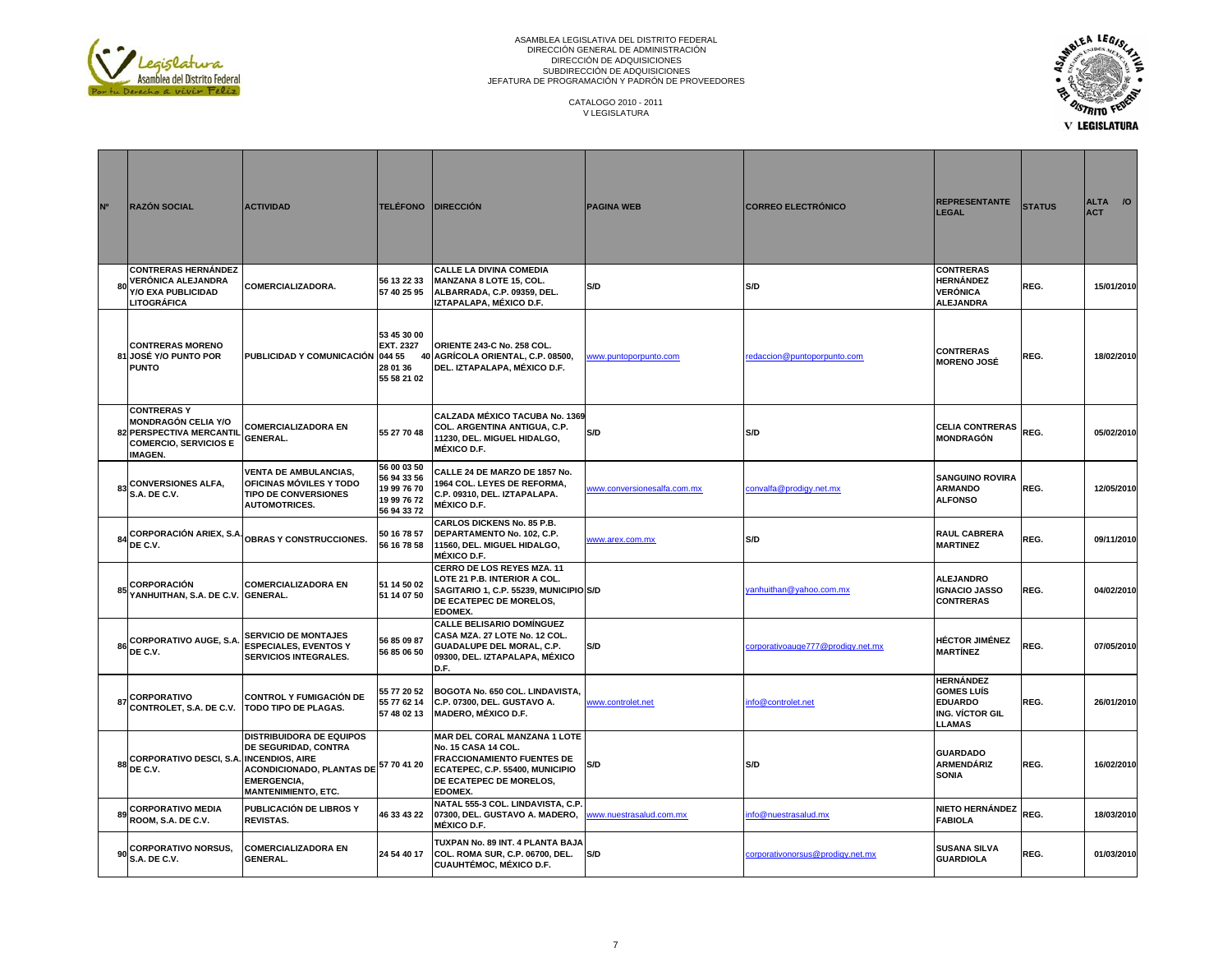





**Nº RAZÓN SOCIAL ACTIVIDAD TELÉFONO DIRECCIÓN PAGINA WEB CORREO ELECTRÓNICOREPRESENTANTE STATUS ALTA /O**<br>LEGAL STATUS ACT **ACT 80CONTRERAS HERNÁNDEZ VERÓNICA ALEJANDRA Y/O EXA PUBLICIDAD LITOGRÁFICACOMERCIALIZADORA. 56 13 22 33 57 40 25 95 CALLE LA DIVINA COMEDIA MANZANA 8 LOTE 15, COL. ALBARRADA, C.P. 09359, DEL. IZTAPALAPA, MÉXICO D.F. S/D S/DCONTRERAS HERNÁNDEZ VERÓNICA ALEJANDRAREG. 15/01/201081JOSÉ Y/O PUNTO POR CONTRERAS MORENO PUNTOPUBLICIDAD Y COMUNICACIÓN53 45 30 00 EXT. 2327 AGRÍCOLA ORIENTAL, C.P. 08500, 044 55 40 28 01 36 55 58 21 02ORIENTE 243-C No. 258 COL. DEL. IZTAPALAPA, MÉXICO D.F.** www.puntoporpunto.com redaccion@puntoporpunto.com **CONTRERAS MORENO JOSÉ REG. 18/02/2010 82 PERSPECTIVA MERCANTIL CONTRERAS Y MONDRAGÓN CELIA Y/O COMERCIO, SERVICIOS E IMAGEN. COMERCIALIZADORA EN GENERAL. 55 27 70 48 CALZADA MÉXICO TACUBA No. 1369COL. ARGENTINA ANTIGUA, C.P. 11230, DEL. MIGUEL HIDALGO, MÉXICO D.F.S/D S/D CELIA CONTRERAS MONDRAGÓN REG. 05/02/2010** 83 CONVERSIONES ALFA,<br>83 S.A. DE C.V. **VENTA DE AMBULANCIAS, OFICINAS MÓVILES Y TODO TIPO DE CONVERSIONES AUTOMOTRICES.56 00 03 50 56 94 33 56 19 99 76 70 19 99 76 72 56 94 33 72 CALLE 24 DE MARZO DE 1857 No. 1964 COL. LEYES DE REFORMA, C.P. 09310, DEL. IZTAPALAPA. MÉXICO D.F.**ww.conversionesalfa.com.mx convalfa@prodigy.net.mx **SANGUINO ROVIRA ARMANDO ALFONSOREG. 12/05/201084 CORPORACIÓN ARIEX, S.A. DE C.V. OBRAS Y CONSTRUCCIONES. 50 16 78 57 56 16 78 58**56 16 78 58 **CARLOS DICKENS No. 85 P.B. DEPARTAMENTO No. 102, C.P. 11560, DEL. MIGUEL HIDALGO, MÉXICO D.F.** www.arex.com.mx **S/D RAUL CABRERA MARTINEZ REG. 09/11/2010 85 CORPORACIÓN YANHUITHAN, S.A. DE C.V. COMERCIALIZADORA EN GENERAL. 51 14 50 02 51 14 07 50 CERRO DE LOS REYES MZA. 11 LOTE 21 P.B. INTERIOR A COL. SAGITARIO 1, C.P. 55239, MUNICIPIO S/DDE ECATEPEC DE MORELOS, EDOMEX.** anhuithan@yahoo.com.mx **ALEJANDRO IGNACIO JASSO CONTRERAS REG. 04/02/201086 CORPORATIVO AUGE, S.A. DE C.V. SERVICIO DE MONTAJES ESPECIALES, EVENTOS Y SERVICIOS INTEGRALES.SERVICIO DE MONTAJES**<br> **ESPECIALES, EVENTOS Y** 56 85 09 87<br> **SERVICIOS INTEGRALES.** 56 85 06 50 **CALLE BELISARIO DOMÍNGUEZ CASA MZA. 27 LOTE No. 12 COL. GUADALUPE DEL MORAL, C.P. 09300, DEL. IZTAPALAPA, MÉXICO D.F.S/D** corporativoauge777@prodigy.net.mx **HÉCTOR JIMÉNEZ MARTÍNEZ REG. 07/05/2010 87 CORPORATIVO CONTROLET, S.A. DE C.V. CONTROL Y FUMIGACIÓN DE TODO TIPO DE PLAGAS. 55 77 20 52 55 77 62 14 57 48 02 13BOGOTA No. 650 COL. LINDAVISTA, A. 2000, P. 0730, P. 0830, P. 0730, P. 0830, P. 0730, D.F. 0830, D.F. 0830, D.**<br>57 48 02 13 **MADERO, MÉXICO D.F.** WWW.controlet.net info@controlet.net info@controlet.net info@controlet.ne **HERNÁNDEZ GOMES LUÍS EDUARDO ING. VÍCTOR GIL LLAMASREG. 26/01/2010**88 DE C.V. **CORPORATIVO DESCI, S.A. DISTRIBUIDORA DE EQUIPOS DE SEGURIDAD, CONTRA INCENDIOS, AIRE ACONDICIONADO, PLANTAS DE 57 70 41 20 EMERGENCIA, MANTENIMIENTO, ETC. MAR DEL CORAL MANZANA 1 LOTE No. 15 CASA 14 COL. FRACCIONAMIENTO FUENTES DE ECATEPEC, C.P. 55400, MUNICIPIO DE ECATEPEC DE MORELOS, EDOMEX.S/D S/DGUARDADO ARMENDÁRIZ SONIAREG. 16/02/201089 CORPORATIVO MEDIA ROOM, S.A. DE C.V. PUBLICACIÓN DE LIBROS Y REVISTAS. 46 33 43 22 NATAL 555-3 COL. LINDAVISTA, C.P. 07300, DEL. GUSTAVO A. MADERO, MÉXICO D.F.** www.nuestrasalud.com.mx info@nuestrasalud.mx **NIETO HERNÁNDEZ FABIOLA REG. 18/03/2010 90 CORPORATIVO NORSUS, S.A. DE C.V.**NO NORSUS, COMERCIALIZADORA EN 24 54 40 17 UXPAN No. 89 INT. 4 PLANTA BAJA (UNIVERSIAL)<br>. GENERAL. GENERAL POLICOL ROMA SUR, C.P. 06700, DEL. S/D (COMPORTED DEL DE CONFORTED DES DE DE DE DE DE DE DE<br>. GENERAL GENERAL DE C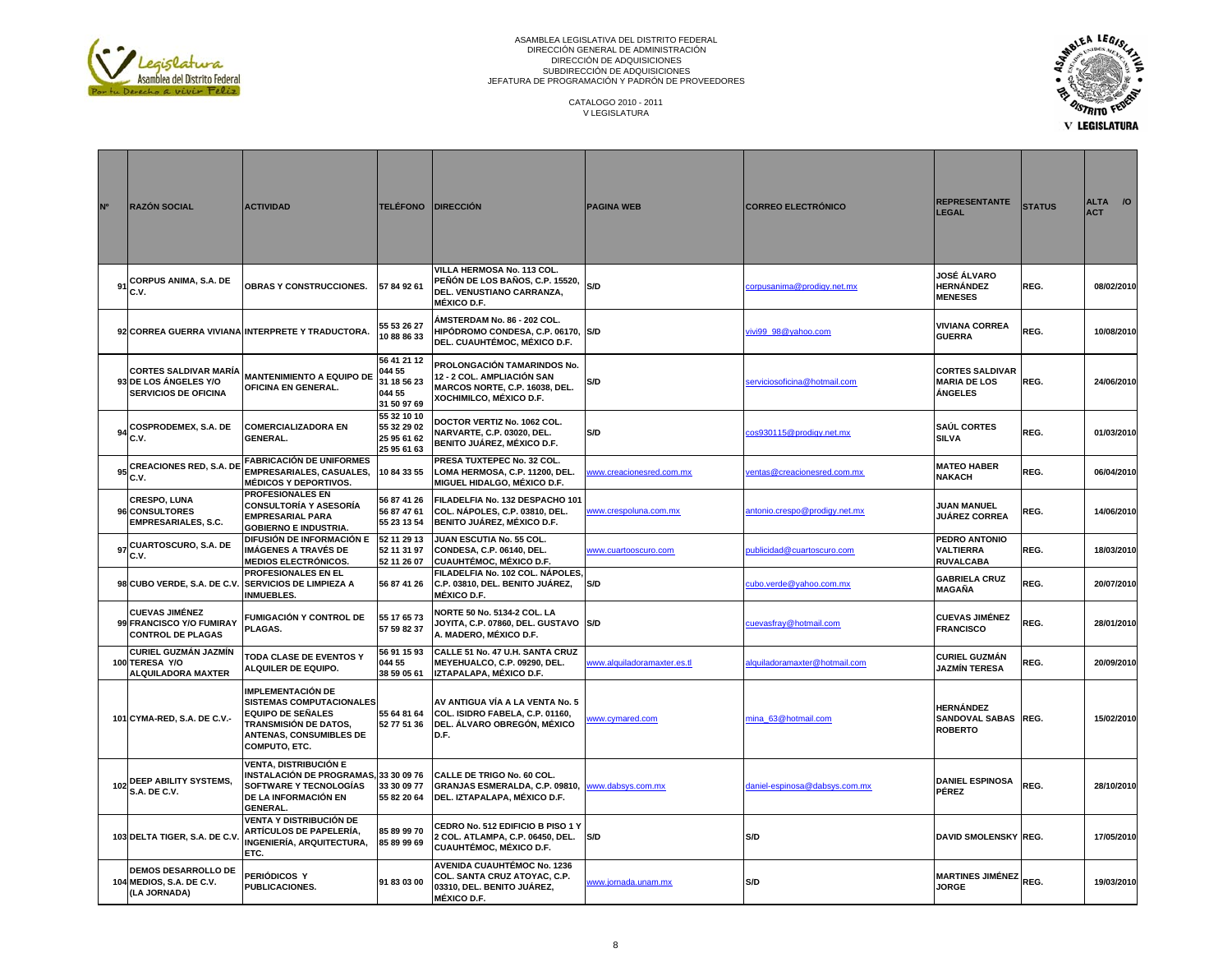





**Nº RAZÓN SOCIAL ACTIVIDAD TELÉFONO DIRECCIÓN PAGINA WEB CORREO ELECTRÓNICOREPRESENTANTE STATUS ALTA /O**<br>LEGAL STATUS ACT **91 CORPUS ANIMA, S.A. DE C.V. OBRAS Y CONSTRUCCIONES. 57 84 92 61 VILLA HERMOSA No. 113 COL. PEÑÓN DE LOS BAÑOS, C.P. 15520, S/DDEL. VENUSTIANO CARRANZA, MÉXICO D.F.** corpusanima@prodigy.net.mx **JOSÉ ÁLVARO HERNÁNDEZ MENESES REG. 08/02/201092 CORREA GUERRA VIVIANA INTERPRETE Y TRADUCTORA. 55 53 26 27 10 88 86 33 ÁMSTERDAM No. 86 - 202 COL. HIPÓDROMO CONDESA, C.P. 06170, DEL. CUAUHTÉMOC, MÉXICO D.F. S/D** vivi99\_98@yahoo.com **VIVIANA CORREA GUERRA REG. 10/08/2010 93DE LOS ÁNGELES Y/O CORTES SALDIVAR MARÍA SERVICIOS DE OFICINAMANTENIMIENTO A EQUIPO DE OFICINA EN GENERAL.56 41 21 12 044 55 31 18 56 23 044 55 31 50 97 69PROLONGACIÓN TAMARINDOS No. 12 - 2 COL. AMPLIACIÓN SAN MARCOS NORTE, C.P. 16038, DEL. XOCHIMILCO, MÉXICO D.F. S/D** serviciosoficina@hotmail.com **CORTES SALDIVAR MARIA DE LOS ÁNGELESREG. 24/06/201094 COSPRODEMEX, S.A. DE C.V. COMERCIALIZADORA EN GENERAL. 55 32 10 10 55 32 29 02 25 95 61 62 25 95 61 63 DOCTOR VERTIZ No. 1062 COL. NARVARTE, C.P. 03020, DEL. BENITO JUÁREZ, MÉXICO D.F. S/D** cos930115@prodigy.net.mx **SAÚL CORTES SILVA REG. 01/03/2010 95CREACIONES RED, S.A. DE FABRICACIÓN DE UNIFORMES<br>C.V. EMPRESARIALES, CASUALES,<br>MÉDICOS Y DEPORTIVOS. 10 84 33 55 PRESA TUXTEPEC No. 32 COL. LOMA HERMOSA, C.P. 11200, DEL. MIGUEL HIDALGO, MÉXICO D.F.** www.creacionesred.com.mx ventas@creacionesred.com.mx **MATEO HABER NAKACH REG. 06/04/2010 96 CONSULTORES CRESPO, LUNA EMPRESARIALES, S.C. PROFESIONALES EN CONSULTORÍA Y ASESORÍA EMPRESARIAL PARA GOBIERNO E INDUSTRIA.56 87 41 26 56 87 47 61 55 23 13 54FILADELFIA No. 132 DESPACHO 101 COL. NÁPOLES, C.P. 03810, DEL. BENITO JUÁREZ, MÉXICO D.F.** www.crespoluna.com.mx antonio.crespo@prodigy.net.mx **JUAN MANUEL JUÁREZ CORREA REG. 14/06/2010 97 CUARTOSCURO, S.A. DE C.V. DIFUSIÓN DE INFORMACIÓN E IMÁGENES A TRAVÉS DE MEDIOS ELECTRÓNICOS. 52 11 29 13 52 11 31 97 52 11 26 07 JUAN ESCUTIA No. 55 COL. CONDESA, C.P. 06140, DEL. CUAUHTÉMOC, MÉXICO D.F.** www.cuartooscuro.com publicidad@cuartoscuro.com **PEDRO ANTONIO VALTIERRA RUVALCABA REG. 18/03/2010 98 CUBO VERDE, S.A. DE C.V. PROFESIONALES EN EL SERVICIOS DE LIMPIEZA A INMUEBLES.56 87 41 26 FILADELFIA No. 102 COL. NÁPOLES, C.P. 03810, DEL. BENITO JUÁREZ, MÉXICO D.F.S/D** cubo.verde@yahoo.com.mx **GABRIELA CRUZ MAGAÑA REG. 20/07/2010 99FRANCISCO Y/O FUMIRAY CUEVAS JIMÉNEZ CONTROL DE PLAGASFUMIGACIÓN Y CONTROL DE PLAGAS.55 17 65 73 57 59 82 37NORTE 50 No. 5134-2 COL. LA JOYITA, C.P. 07860, DEL. GUSTAVO S/DA. MADERO, MÉXICO D.F.** cuevasfray@hotmail.com **CUEVAS JIMÉNEZ FRANCISCOCUEVAS JIMÉNEZ**<br>**FRANCISCO** REG. 28/01/2010 **100 TERESA Y/O CURIEL GUZMÁN JAZMÍN ALQUILADORA MAXTERTODA CLASE DE EVENTOS Y ALQUILER DE EQUIPO.56 91 15 93 044 55 38 59 05 61CALLE 51 No. 47 U.H. SANTA CRUZ MEYEHUALCO, C.P. 09290, DEL. IZTAPALAPA, MÉXICO D.F.** www.alquiladoramaxter.es.tl alquiladoramaxter@hotmail.com **CURIEL GUZMÁN JAZMÍN TERESA REG. 20/09/2010 101 CYMA-RED, S.A. DE C.V.- IMPLEMENTACIÓN DE SISTEMAS COMPUTACIONALES 55 64 81 64 EQUIPO DE SEÑALES TRANSMISIÓN DE DATOS, ANTENAS, CONSUMIBLES DE COMPUTO, ETC. 52 77 51 36AV ANTIGUA VÍA A LA VENTA No. 5 COL. ISIDRO FABELA, C.P. 01160, DEL. ÁLVARO OBREGÓN, MÉXICO D.F.**ww.cymared.com mina\_63@hotmail.com **HERNÁNDEZ SANDOVAL SABAS ROBERTOREG. 15/02/2010**102 DEEP ABILITY SYSTEMS,<br><sup>102</sup> S.A. DE C.V. **VENTA, DISTRIBUCIÓN E INSTALACIÓN DE PROGRAMAS, 33 30 09 76 SOFTWARE Y TECNOLOGÍAS DE LA INFORMACIÓN EN GENERAL.33 30 09 77 55 82 20 64CALLE DE TRIGO No. 60 COL. GRANJAS ESMERALDA, C.P. 09810, DEL. IZTAPALAPA, MÉXICO D.F.** ww.dabsys.com.mx daniel-espinosa@dabsys.com.mx **DANIEL ESPINOSA REG. 28/10/2010 103 DELTA TIGER, S.A. DE C.V. VENTA Y DISTRIBUCIÓN DE ARTÍCULOS DE PAPELERÍA, INGENIERÍA, ARQUITECTURA, ETC.85 89 99 70 85 89 99 69CEDRO No. 512 EDIFICIO B PISO 1 Y 2 COL. ATLAMPA, C.P. 06450, DEL. CUAUHTÉMOC, MÉXICO D.F. S/D S/D DAVID SMOLENSKY REG. 17/05/2010**17/05/2010 **104MEDIOS, S.A. DE C.V. DEMOS DESARROLLO DE (LA JORNADA) PERIÓDICOS Y PUBLICACIONES. 91 83 03 00 AVENIDA CUAUHTÉMOC No. 1236 COL. SANTA CRUZ ATOYAC, C.P. 03310, DEL. BENITO JUÁREZ,**  www.jornada.unam.mx **S/D MARTINES JIMÉNEZ JORGEREG. 19/03/2010**

**MÉXICO D.F.**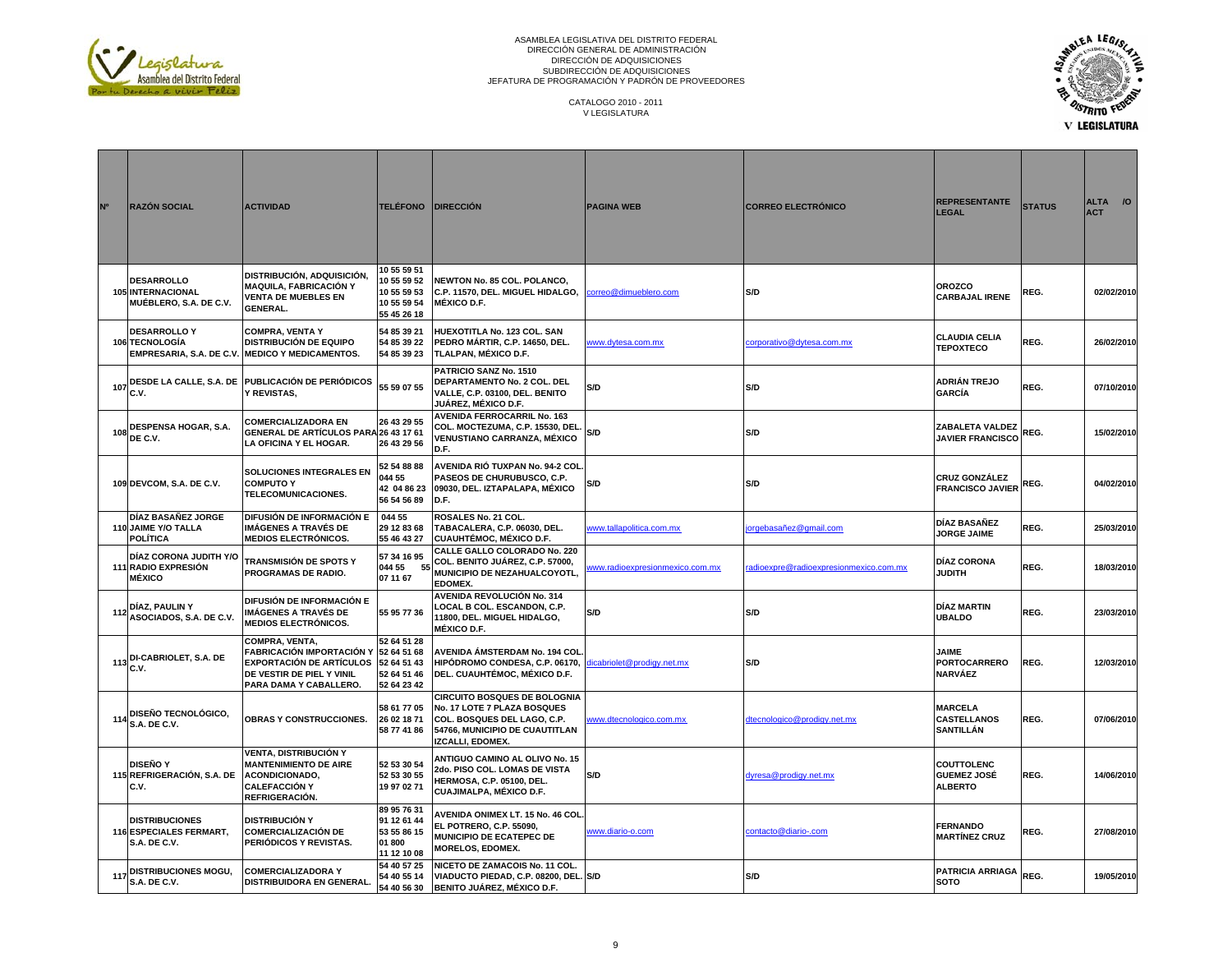



| <b>RAZÓN SOCIAL</b>                                                            | <b>ACTIVIDAD</b>                                                                                                                                  | <b>TELÉFONO</b>                                                         | <b>DIRECCIÓN</b>                                                                                                                                        | <b>PAGINA WEB</b>               | <b>CORREO ELECTRÓNICO</b>              | <b>REPRESENTANTE</b><br><b>LEGAL</b>                      | <b>STATUS</b> | ALTA /O<br><b>ACT</b> |
|--------------------------------------------------------------------------------|---------------------------------------------------------------------------------------------------------------------------------------------------|-------------------------------------------------------------------------|---------------------------------------------------------------------------------------------------------------------------------------------------------|---------------------------------|----------------------------------------|-----------------------------------------------------------|---------------|-----------------------|
| <b>DESARROLLO</b><br>105 INTERNACIONAL<br>MUÉBLERO, S.A. DE C.V.               | DISTRIBUCIÓN, ADQUISICIÓN,<br>MAQUILA, FABRICACIÓN Y<br><b>VENTA DE MUEBLES EN</b><br><b>GENERAL.</b>                                             | 10 55 59 51<br>10 55 59 52<br>10 55 59 53<br>10 55 59 54<br>55 45 26 18 | NEWTON No. 85 COL. POLANCO,<br>C.P. 11570, DEL. MIGUEL HIDALGO,<br><b>MÉXICO D.F.</b>                                                                   | correo@dimueblero.com           | S/D                                    | OROZCO<br><b>CARBAJAL IRENE</b>                           | REG.          | 02/02/2010            |
| <b>DESARROLLOY</b><br>106 TECNOLOGÍA<br>EMPRESARIA, S.A. DE C.V.               | <b>COMPRA, VENTA Y</b><br><b>DISTRIBUCIÓN DE EQUIPO</b><br><b>MEDICO Y MEDICAMENTOS.</b>                                                          | 54 85 39 21<br>54 85 39 22<br>54 85 39 23                               | <b>IUEXOTITLA No. 123 COL. SAN</b><br>PEDRO MÁRTIR, C.P. 14650, DEL.<br>TLALPAN, MÉXICO D.F.                                                            | www.dytesa.com.mx               | corporativo@dytesa.com.mx              | <b>CLAUDIA CELIA</b><br><b>TEPOXTECO</b>                  | REG.          | 26/02/2010            |
| 107 DESDE LA CALLE, S.A. DE                                                    | PUBLICACIÓN DE PERIÓDICOS<br>Y REVISTAS,                                                                                                          | 55 59 07 55                                                             | PATRICIO SANZ No. 1510<br>DEPARTAMENTO No. 2 COL. DEL<br>VALLE, C.P. 03100, DEL. BENITO<br>JUÁREZ, MÉXICO D.F.                                          | S/D                             | S/D                                    | <b>ADRIÁN TREJO</b><br><b>GARCÍA</b>                      | REG.          | 07/10/2010            |
| <b>DESPENSA HOGAR, S.A.</b><br>$108$ DE C.V.                                   | <b>COMERCIALIZADORA EN</b><br><b>GENERAL DE ARTÍCULOS PARA 26 43 17 61</b><br>LA OFICINA Y EL HOGAR.                                              | 26 43 29 55<br>26 43 29 56                                              | <b>AVENIDA FERROCARRIL No. 163</b><br>COL. MOCTEZUMA, C.P. 15530, DEL.<br><b>VENUSTIANO CARRANZA, MÉXICO</b><br>D.F.                                    | S/D                             | S/D                                    | ZABALETA VALDEZ<br><b>JAVIER FRANCISCO</b>                | REG.          | 15/02/2010            |
| 109 DEVCOM, S.A. DE C.V.                                                       | <b>SOLUCIONES INTEGRALES EN</b><br><b>COMPUTO Y</b><br>TELECOMUNICACIONES.                                                                        | 52 54 88 88<br>044 55<br>42 04 86 23<br>56 54 56 89                     | AVENIDA RIÓ TUXPAN No. 94-2 COL.<br>PASEOS DE CHURUBUSCO, C.P.<br>09030, DEL. IZTAPALAPA, MÉXICO<br>D.F.                                                | S/D                             | S/D                                    | <b>CRUZ GONZÁLEZ</b><br><b>FRANCISCO JAVIER</b>           | REG.          | 04/02/2010            |
| DÍAZ BASAÑEZ JORGE<br>110 JAIME Y/O TALLA<br><b>POLÍTICA</b>                   | DIFUSIÓN DE INFORMACIÓN E<br>IMÁGENES A TRAVÉS DE<br><b>MEDIOS ELECTRÓNICOS.</b>                                                                  | 044 55<br>29 12 83 68<br>55 46 43 27                                    | ROSALES No. 21 COL.<br>TABACALERA, C.P. 06030, DEL.<br><b>CUAUHTÉMOC, MÉXICO D.F.</b>                                                                   | www.tallapolitica.com.mx        | jorgebasañez@gmail.com                 | <b>DÍAZ BASAÑEZ</b><br><b>JORGE JAIME</b>                 | REG.          | 25/03/2010            |
| DÍAZ CORONA JUDITH Y/O<br>111 RADIO EXPRESIÓN<br><b>MÉXICO</b>                 | TRANSMISIÓN DE SPOTS Y<br>PROGRAMAS DE RADIO.                                                                                                     | 57 34 16 95<br>044 55<br>07 11 67                                       | CALLE GALLO COLORADO No. 220<br>COL. BENITO JUÁREZ, C.P. 57000,<br>55 MUNICIPIO DE NEZAHUALCOYOTL<br>EDOMEX.                                            | www.radioexpresionmexico.com.mx | radioexpre@radioexpresionmexico.com.mx | DÍAZ CORONA<br><b>JUDITH</b>                              | REG.          | 18/03/2010            |
| DÍAZ, PAULIN Y<br>112 ASOCIADOS, S.A. DE C.V.                                  | DIFUSIÓN DE INFORMACIÓN E<br>IMÁGENES A TRAVÉS DE<br><b>MEDIOS ELECTRÓNICOS.</b>                                                                  | 55 95 77 36                                                             | AVENIDA REVOLUCIÓN No. 314<br>LOCAL B COL. ESCANDON, C.P.<br>11800, DEL. MIGUEL HIDALGO,<br><b>MÉXICO D.F.</b>                                          | S/D                             | S/D                                    | <b>DIAZ MARTIN</b><br><b>UBALDO</b>                       | REG.          | 23/03/2010            |
| 113 DI-CABRIOLET, S.A. DE                                                      | COMPRA, VENTA,<br>FABRICACIÓN IMPORTACIÓN Y 52 64 51 68<br><b>EXPORTACIÓN DE ARTÍCULOS</b><br>DE VESTIR DE PIEL Y VINIL<br>PARA DAMA Y CABALLERO. | 52 64 51 28<br>52 64 51 43<br>52 64 51 46<br>52 64 23 42                | AVENIDA ÁMSTERDAM No. 194 COL.<br>HIPÓDROMO CONDESA, C.P. 06170,<br>DEL. CUAUHTÉMOC, MÉXICO D.F.                                                        | licabriolet@prodigy.net.mx      | S/D                                    | <b>JAIME</b><br><b>PORTOCARRERO</b><br><b>NARVÁEZ</b>     | REG.          | 12/03/2010            |
| 114 DISEÑO TECNOLÓGICO,<br>114 S.A. DE C.V.                                    | <b>OBRAS Y CONSTRUCCIONES.</b>                                                                                                                    | 58 61 77 05<br>26 02 18 71<br>58 77 41 86                               | <b>CIRCUITO BOSQUES DE BOLOGNIA</b><br>No. 17 LOTE 7 PLAZA BOSQUES<br>COL. BOSQUES DEL LAGO, C.P.<br>54766, MUNICIPIO DE CUAUTITLAN<br>IZCALLI, EDOMEX. | www.dtecnologico.com.mx         | dtecnologico@prodigy.net.mx            | <b>MARCELA</b><br><b>CASTELLANOS</b><br><b>SANTILLÁN</b>  | REG.          | 07/06/2010            |
| <b>DISEÑO Y</b><br>115 REFRIGERACIÓN, S.A. DE<br>C.V.                          | VENTA, DISTRIBUCIÓN Y<br><b>MANTENIMIENTO DE AIRE</b><br>ACONDICIONADO,<br><b>CALEFACCIÓN Y</b><br>REFRIGERACIÓN.                                 | 52 53 30 54<br>52 53 30 55<br>19 97 02 71                               | ANTIGUO CAMINO AL OLIVO No. 15<br>2do. PISO COL. LOMAS DE VISTA<br><b>HERMOSA, C.P. 05100, DEL.</b><br>CUAJIMALPA, MÉXICO D.F.                          | S/D                             | dyresa@prodigy.net.mx                  | <b>COUTTOLENC</b><br><b>GUEMEZ JOSÉ</b><br><b>ALBERTO</b> | REG.          | 14/06/2010            |
| <b>DISTRIBUCIONES</b><br><b>116 ESPECIALES FERMART,</b><br><b>S.A. DE C.V.</b> | DISTRIBUCIÓN Y<br><b>COMERCIALIZACIÓN DE</b><br>PERIÓDICOS Y REVISTAS.                                                                            | 89 95 76 31<br>91 12 61 44<br>53 55 86 15<br>01 800<br>11 12 10 08      | <b>AVENIDA ONIMEX LT. 15 No. 46 COL</b><br>EL POTRERO, C.P. 55090,<br>MUNICIPIO DE ECATEPEC DE<br><b>MORELOS, EDOMEX.</b>                               | www.diario-o.com                | contacto@diario-.com                   | <b>FERNANDO</b><br><b>MARTÍNEZ CRUZ</b>                   | REG.          | 27/08/2010            |
| <b>DISTRIBUCIONES MOGU,</b><br>$117$ S.A. DE C.V.                              | <b>COMERCIALIZADORA Y</b><br>DISTRIBUIDORA EN GENERAL.                                                                                            | 54 40 57 25<br>54 40 55 14<br>54 40 56 30                               | <b>NICETO DE ZAMACOIS No. 11 COL.</b><br>VIADUCTO PIEDAD, C.P. 08200, DEL. S/D<br>BENITO JUÁREZ, MÉXICO D.F.                                            |                                 | S/D                                    | <b>PATRICIA ARRIAGA</b><br>SOTO                           | REG.          | 19/05/2010            |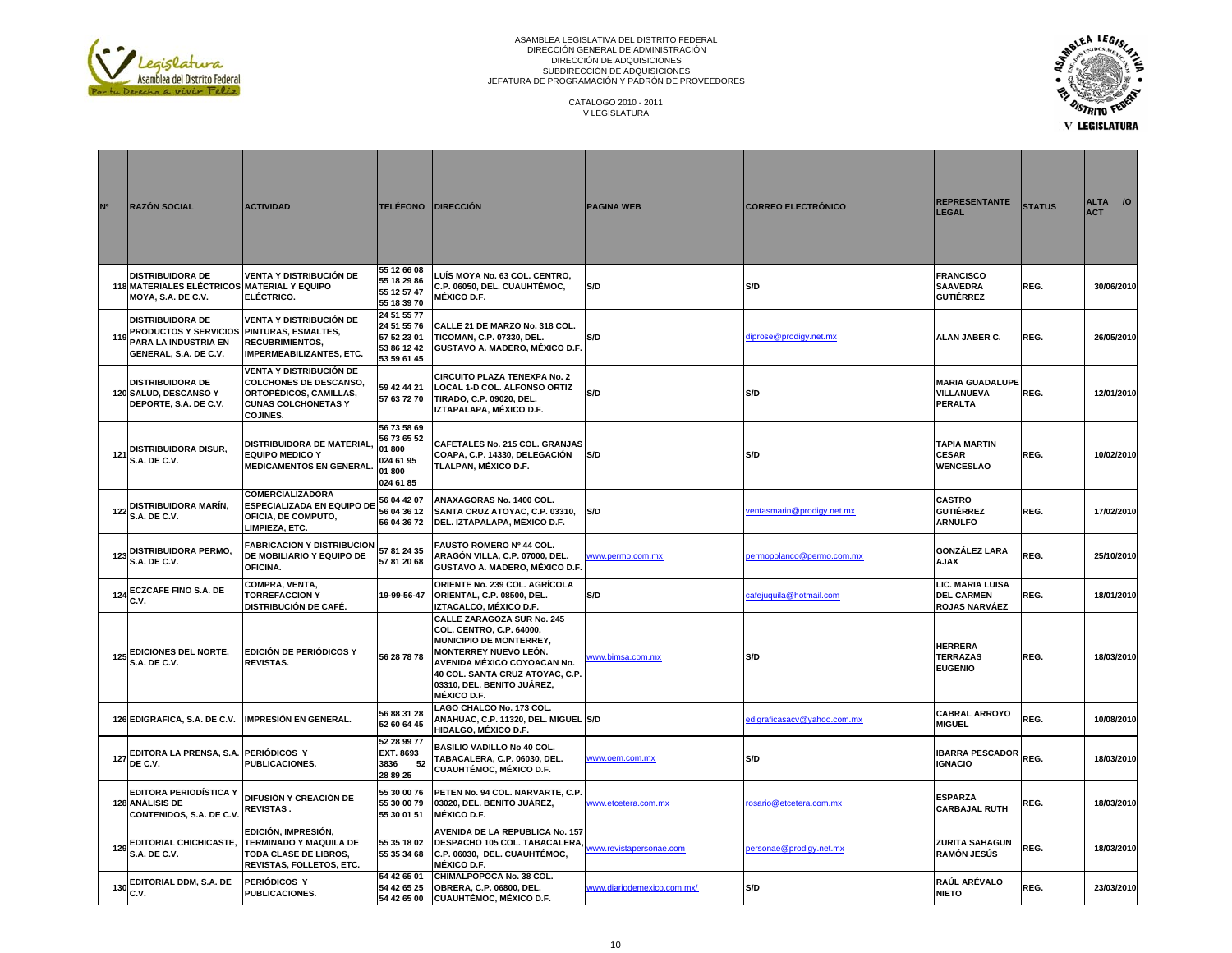



| N   | <b>RAZÓN SOCIAL</b>                                                                                                          | <b>ACTIVIDAD</b>                                                                                                             | <b>TELÉFONO</b>                                                          | <b>DIRECCIÓN</b>                                                                                                                                                                                                                 | <b>PAGINA WEB</b>          | <b>CORREO ELECTRÓNICO</b>      | <b>REPRESENTANTE</b><br><b>LEGAL</b>                          | <b>STATUS</b> | ALTA /O<br><b>ACT</b> |
|-----|------------------------------------------------------------------------------------------------------------------------------|------------------------------------------------------------------------------------------------------------------------------|--------------------------------------------------------------------------|----------------------------------------------------------------------------------------------------------------------------------------------------------------------------------------------------------------------------------|----------------------------|--------------------------------|---------------------------------------------------------------|---------------|-----------------------|
|     | <b>DISTRIBUIDORA DE</b><br>118 MATERIALES ELÉCTRICOS MATERIAL Y EQUIPO<br>MOYA, S.A. DE C.V.                                 | VENTA Y DISTRIBUCIÓN DE<br>ELÉCTRICO.                                                                                        | 55 12 66 08<br>55 18 29 86<br>55 12 57 47<br>55 18 39 70                 | .UÍS MOYA No. 63 COL. CENTRO.<br>C.P. 06050, DEL. CUAUHTÉMOC,<br><b>MÉXICO D.F.</b>                                                                                                                                              | S/D                        | S/D                            | <b>FRANCISCO</b><br><b>SAAVEDRA</b><br><b>GUTIÉRREZ</b>       | REG.          | 30/06/2010            |
| 119 | <b>DISTRIBUIDORA DE</b><br>PRODUCTOS Y SERVICIOS PINTURAS, ESMALTES,<br>PARA LA INDUSTRIA EN<br><b>GENERAL. S.A. DE C.V.</b> | VENTA Y DISTRIBUCIÓN DE<br><b>RECUBRIMIENTOS,</b><br><b>IMPERMEABILIZANTES, ETC.</b>                                         | 24 51 55 77<br>24 51 55 76<br>57 52 23 01<br>53 86 12 42<br>53 59 61 45  | CALLE 21 DE MARZO No. 318 COL.<br>TICOMAN, C.P. 07330, DEL.<br>GUSTAVO A. MADERO, MÉXICO D.F.                                                                                                                                    | S/D                        | diprose@prodigy.net.mx         | ALAN JABER C.                                                 | REG.          | 26/05/2010            |
|     | <b>DISTRIBUIDORA DE</b><br>120 SALUD, DESCANSO Y<br>DEPORTE, S.A. DE C.V.                                                    | VENTA Y DISTRIBUCIÓN DE<br><b>COLCHONES DE DESCANSO,</b><br>ORTOPÉDICOS, CAMILLAS,<br><b>CUNAS COLCHONETAS Y</b><br>COJINES. | 59 42 44 21<br>57 63 72 70                                               | <b>CIRCUITO PLAZA TENEXPA No. 2</b><br>LOCAL 1-D COL. ALFONSO ORTIZ<br>TIRADO, C.P. 09020, DEL.<br>IZTAPALAPA, MÉXICO D.F.                                                                                                       | S/D                        | S/D                            | <b>MARIA GUADALUPE</b><br>VILLANUEVA<br><b>PERALTA</b>        | REG.          | 12/01/2010            |
| 121 | <b>DISTRIBUIDORA DISUR,</b><br>S.A. DE C.V.                                                                                  | DISTRIBUIDORA DE MATERIAL<br><b>EQUIPO MEDICO Y</b><br><b>MEDICAMENTOS EN GENERAL</b>                                        | 56 73 58 69<br>56 73 65 52<br>01 800<br>024 61 95<br>01 800<br>024 61 85 | <b>CAFETALES No. 215 COL. GRANJAS</b><br>COAPA, C.P. 14330, DELEGACIÓN<br>TLALPAN, MÉXICO D.F.                                                                                                                                   | S/D                        | S/D                            | <b>TAPIA MARTIN</b><br><b>CESAR</b><br><b>WENCESLAO</b>       | REG.          | 10/02/2010            |
|     | 122 DISTRIBUIDORA MARÍN,<br>S.A. DE C.V.                                                                                     | COMERCIALIZADORA<br><b>ESPECIALIZADA EN EQUIPO DE</b><br>OFICIA, DE COMPUTO,<br>LIMPIEZA, ETC.                               | 56 04 42 07<br>56 04 36 12<br>56 04 36 72                                | ANAXAGORAS No. 1400 COL.<br>SANTA CRUZ ATOYAC, C.P. 03310,<br>DEL. IZTAPALAPA, MÉXICO D.F.                                                                                                                                       | S/D                        | ventasmarin@prodigy.net.mx     | <b>CASTRO</b><br><b>GUTIÉRREZ</b><br><b>ARNULFO</b>           | REG.          | 17/02/2010            |
| 123 | <b>DISTRIBUIDORA PERMO,</b><br>S.A. DE C.V.                                                                                  | <b>FABRICACION Y DISTRIBUCION</b><br>DE MOBILIARIO Y EQUIPO DE<br>OFICINA.                                                   | 57 81 24 35<br>57 81 20 68                                               | <b>FAUSTO ROMERO Nº 44 COL.</b><br>ARAGÓN VILLA, C.P. 07000, DEL.<br>GUSTAVO A. MADERO, MÉXICO D.F.                                                                                                                              | vww.permo.com.mx           | permopolanco@permo.com.mx      | <b>GONZÁLEZ LARA</b><br><b>AJAX</b>                           | REG.          | 25/10/2010            |
|     | 124 ECZCAFE FINO S.A. DE<br>C.V.                                                                                             | COMPRA, VENTA,<br><b>TORREFACCION Y</b><br>DISTRIBUCIÓN DE CAFÉ.                                                             | 19-99-56-47                                                              | ORIENTE No. 239 COL. AGRÍCOLA<br>ORIENTAL, C.P. 08500, DEL.<br>IZTACALCO, MÉXICO D.F.                                                                                                                                            | S/D                        | <u>cafejuquila@hotmail.com</u> | LIC. MARIA LUISA<br><b>DEL CARMEN</b><br><b>ROJAS NARVÁEZ</b> | REG.          | 18/01/2010            |
|     | 125 EDICIONES DEL NORTE,<br>S.A. DE C.V.                                                                                     | EDICIÓN DE PERIÓDICOS Y<br>REVISTAS.                                                                                         | 56 28 78 78                                                              | <b>CALLE ZARAGOZA SUR No. 245</b><br>COL. CENTRO, C.P. 64000,<br>MUNICIPIO DE MONTERREY,<br>MONTERREY NUEVO LEÓN.<br>AVENIDA MÉXICO COYOACAN No.<br>40 COL. SANTA CRUZ ATOYAC, C.P.<br>03310, DEL. BENITO JUÁREZ,<br>MÉXICO D.F. | www.bimsa.com.mx           | S/D                            | <b>HERRERA</b><br><b>TERRAZAS</b><br><b>EUGENIO</b>           | REG.          | 18/03/2010            |
|     | 126 EDIGRAFICA, S.A. DE C.V.                                                                                                 | IMPRESIÓN EN GENERAL.                                                                                                        | 56 88 31 28<br>52 60 64 45                                               | <b>AGO CHALCO No. 173 COL.</b><br>ANAHUAC, C.P. 11320, DEL. MIGUEL S/D<br>HIDALGO, MÉXICO D.F.                                                                                                                                   |                            | edigraficasacv@yahoo.com.mx    | <b>CABRAL ARROYO</b><br><b>MIGUEL</b>                         | REG.          | 10/08/2010            |
|     | 127 EDITORA LA PRENSA, S.A.<br>DE C.V.                                                                                       | PERIÓDICOS Y<br>PUBLICACIONES.                                                                                               | 52 28 99 77<br>EXT. 8693<br>3836<br>52<br>28 89 25                       | <b>BASILIO VADILLO No 40 COL.</b><br>TABACALERA, C.P. 06030, DEL.<br>CUAUHTÉMOC, MÉXICO D.F.                                                                                                                                     | www.oem.com.mx             | S/D                            | <b>IBARRA PESCADOR</b><br><b>IGNACIO</b>                      | REG.          | 18/03/2010            |
|     | <b>EDITORA PERIODÍSTICA Y</b><br><b>128 ANÁLISIS DE</b><br>CONTENIDOS, S.A. DE C.V.                                          | <b>DIFUSIÓN Y CREACIÓN DE</b><br><b>REVISTAS .</b>                                                                           | 55 30 00 76<br>55 30 00 79<br>55 30 01 51                                | PETEN No. 94 COL. NARVARTE, C.P.<br>03020, DEL. BENITO JUÁREZ,<br><b>MÉXICO D.F.</b>                                                                                                                                             | www.etcetera.com.mx        | osario@etcetera.com.mx         | <b>ESPARZA</b><br><b>CARBAJAL RUTH</b>                        | REG.          | 18/03/2010            |
|     | <b>EDITORIAL CHICHICASTE,</b><br>$129$ S.A. DE C.V.                                                                          | EDICIÓN, IMPRESIÓN,<br>TERMINADO Y MAQUILA DE<br><b>TODA CLASE DE LIBROS,</b><br>REVISTAS, FOLLETOS, ETC.                    | 55 35 18 02<br>55 35 34 68                                               | <b>AVENIDA DE LA REPUBLICA No. 157</b><br>DESPACHO 105 COL. TABACALERA,<br>C.P. 06030, DEL. CUAUHTÉMOC,<br><b>MÉXICO D.F.</b>                                                                                                    | www.revistapersonae.com    | personae@prodigy.net.mx        | <b>ZURITA SAHAGUN</b><br><b>RAMÓN JESÚS</b>                   | REG.          | 18/03/2010            |
|     | 130 EDITORIAL DDM, S.A. DE                                                                                                   | PERIÓDICOS Y<br>PUBLICACIONES.                                                                                               | 54 42 65 01<br>54 42 65 25<br>54 42 65 00                                | CHIMALPOPOCA No. 38 COL.<br>OBRERA, C.P. 06800, DEL.<br><b>CUAUHTÉMOC. MÉXICO D.F.</b>                                                                                                                                           | www.diariodemexico.com.mx/ | S/D                            | RAÚL ARÉVALO<br><b>NIETO</b>                                  | REG.          | 23/03/2010            |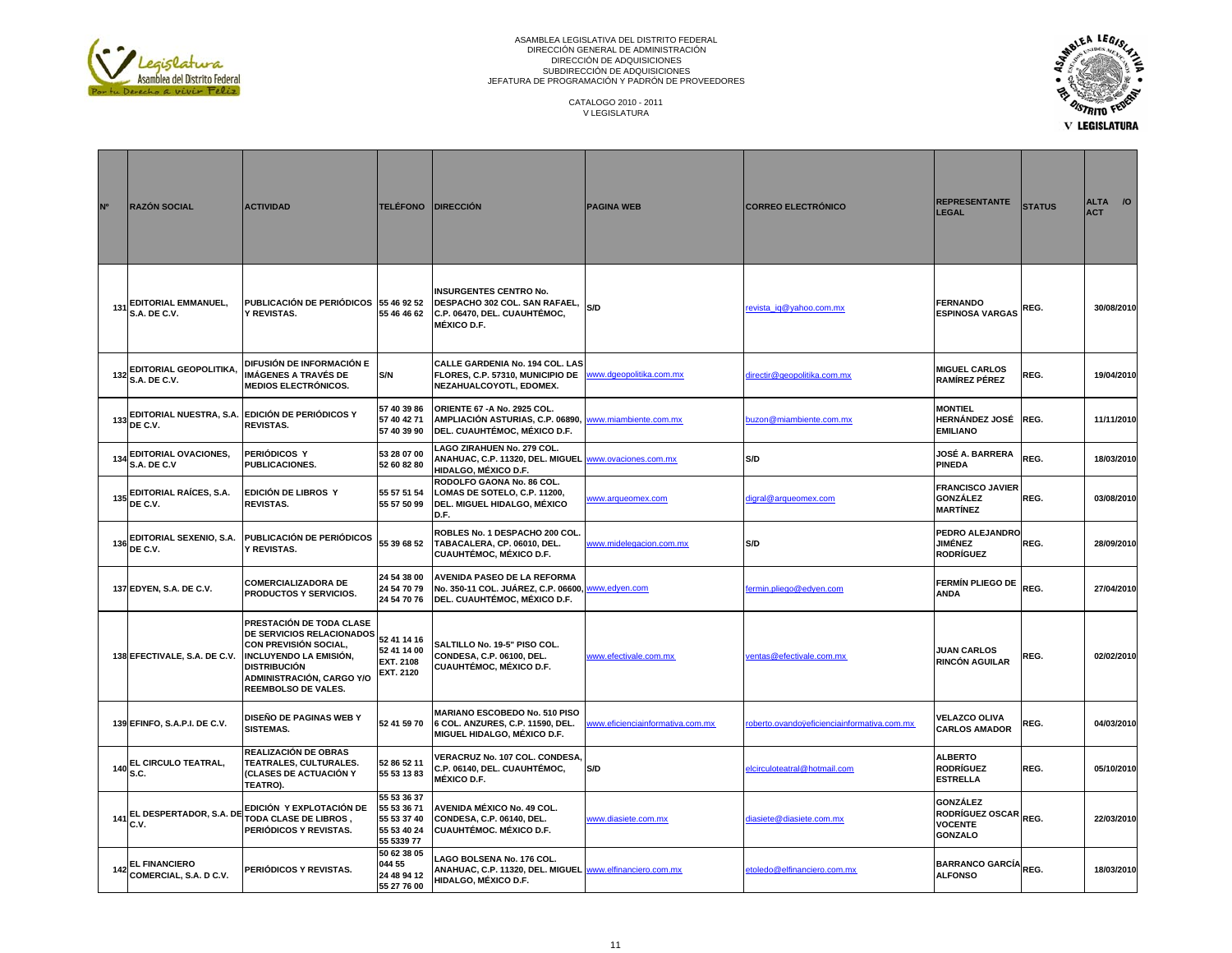





|     | <b>RAZÓN SOCIAL</b>                                | <b>ACTIVIDAD</b>                                                                                                                                                                           | <b>TELÉFONO</b>                                                        | <b>DIRECCIÓN</b>                                                                                                         | <b>PAGINA WEB</b>                | <b>CORREO ELECTRÓNICO</b>                  | <b>REPRESENTANTE</b><br><b>LEGAL</b>                                        | <b>STATUS</b> | ALTA /O<br><b>ACT</b> |
|-----|----------------------------------------------------|--------------------------------------------------------------------------------------------------------------------------------------------------------------------------------------------|------------------------------------------------------------------------|--------------------------------------------------------------------------------------------------------------------------|----------------------------------|--------------------------------------------|-----------------------------------------------------------------------------|---------------|-----------------------|
| 131 | <b>EDITORIAL EMMANUEL,</b><br>S.A. DE C.V.         | PUBLICACIÓN DE PERIÓDICOS 55 46 92 52<br>Y REVISTAS.                                                                                                                                       | 55 46 46 62                                                            | <b>INSURGENTES CENTRO No.</b><br>DESPACHO 302 COL. SAN RAFAEL, S/D<br>C.P. 06470, DEL. CUAUHTÉMOC,<br><b>MÉXICO D.F.</b> |                                  | revista_iq@yahoo.com.mx                    | <b>FERNANDO</b><br><b>ESPINOSA VARGAS</b>                                   | REG.          | 30/08/2010            |
|     | 132 EDITORIAL GEOPOLITIKA,<br>S.A. DE C.V.         | <b>DIFUSIÓN DE INFORMACIÓN E</b><br>IMÁGENES A TRAVÉS DE<br><b>MEDIOS ELECTRÓNICOS.</b>                                                                                                    | S/N                                                                    | <b>CALLE GARDENIA No. 194 COL. LAS</b><br>FLORES, C.P. 57310, MUNICIPIO DE<br>NEZAHUALCOYOTL, EDOMEX.                    | www.dgeopolitika.com.mx          | directir@geopolitika.com.mx                | <b>MIGUEL CARLOS</b><br><b>RAMÍREZ PÉREZ</b>                                | REG.          | 19/04/2010            |
|     | 133 EDITORIAL NUESTRA, S.A.<br>DE C.V.             | <b>EDICIÓN DE PERIÓDICOS Y</b><br><b>REVISTAS.</b>                                                                                                                                         | 57 40 39 86<br>57 40 42 71<br>57 40 39 90                              | ORIENTE 67 - A No. 2925 COL.<br>AMPLIACIÓN ASTURIAS, C.P. 06890, www.miambiente.com.mx<br>DEL. CUAUHTÉMOC, MÉXICO D.F.   |                                  | buzon@miambiente.com.mx                    | <b>MONTIEL</b><br><b>HERNÁNDEZ JOSÉ</b><br><b>EMILIANO</b>                  | REG.          | 11/11/2010            |
| 134 | <b>EDITORIAL OVACIONES,</b><br>S.A. DE C.V         | PERIÓDICOS Y<br><b>PUBLICACIONES.</b>                                                                                                                                                      | 53 28 07 00<br>52 60 82 80                                             | <b>LAGO ZIRAHUEN No. 279 COL.</b><br>ANAHUAC, C.P. 11320, DEL. MIGUEL www.ovaciones.com.mx<br>HIDALGO, MÉXICO D.F.       |                                  | S/D                                        | JOSÉ A. BARRERA<br><b>PINEDA</b>                                            | REG.          | 18/03/2010            |
|     | 135 EDITORIAL RAÍCES, S.A.<br>DE C.V.              | EDICIÓN DE LIBROS Y<br><b>REVISTAS.</b>                                                                                                                                                    | 55 57 51 54<br>55 57 50 99                                             | RODOLFO GAONA No. 86 COL.<br>LOMAS DE SOTELO, C.P. 11200,<br><b>I</b> DEL. MIGUEL HIDALGO. MÉXICO<br>D.F.                | www.arqueomex.com                | digral@arqueomex.com                       | <b>FRANCISCO JAVIER</b><br><b>GONZÁLEZ</b><br><b>MARTÍNEZ</b>               | REG.          | 03/08/2010            |
|     | 136 EDITORIAL SEXENIO, S.A.<br>DE C.V.             | <b>PUBLICACIÓN DE PERIÓDICOS</b><br>Y REVISTAS.                                                                                                                                            | 55 39 68 52                                                            | ROBLES No. 1 DESPACHO 200 COL.<br>TABACALERA, CP. 06010, DEL.<br><b>CUAUHTÉMOC, MÉXICO D.F.</b>                          | www.midelegacion.com.mx          | S/D                                        | PEDRO ALEJANDRO<br><b>JIMÉNEZ</b><br><b>RODRÍGUEZ</b>                       | REG.          | 28/09/2010            |
|     | 137 EDYEN, S.A. DE C.V.                            | <b>COMERCIALIZADORA DE</b><br>PRODUCTOS Y SERVICIOS.                                                                                                                                       | 24 54 38 00<br>24 54 70 79<br>24 54 70 76                              | <b>AVENIDA PASEO DE LA REFORMA</b><br>No. 350-11 COL. JUÁREZ, C.P. 06600,<br>DEL. CUAUHTÉMOC, MÉXICO D.F.                | www.edyen.com                    | ermin.pliego@edyen.com                     | <b>FERMÍN PLIEGO DE</b><br><b>ANDA</b>                                      | REG.          | 27/04/2010            |
|     | 138 EFECTIVALE, S.A. DE C.V.                       | PRESTACIÓN DE TODA CLASE<br><b>DE SERVICIOS RELACIONADOS</b><br>CON PREVISIÓN SOCIAL,<br>INCLUYENDO LA EMISIÓN,<br><b>DISTRIBUCIÓN</b><br>ADMINISTRACIÓN, CARGO Y/O<br>REEMBOLSO DE VALES. | 52 41 14 16<br>52 41 14 00<br><b>EXT. 2108</b><br><b>EXT. 2120</b>     | SALTILLO No. 19-5" PISO COL.<br>CONDESA, C.P. 06100, DEL.<br><b>CUAUHTÉMOC, MÉXICO D.F.</b>                              | www.efectivale.com.mx            | ventas@efectivale.com.mx                   | <b>JUAN CARLOS</b><br><b>RINCÓN AGUILAR</b>                                 | REG.          | 02/02/2010            |
|     | 139 EFINFO, S.A.P.I. DE C.V.                       | DISEÑO DE PAGINAS WEB Y<br><b>SISTEMAS.</b>                                                                                                                                                | 52 41 59 70                                                            | MARIANO ESCOBEDO No. 510 PISO<br>6 COL. ANZURES, C.P. 11590, DEL.<br>MIGUEL HIDALGO, MÉXICO D.F.                         | www.eficienciainformativa.com.mx | oberto.ovandoÿeficienciainformativa.com.mx | <b>VELAZCO OLIVA</b><br><b>CARLOS AMADOR</b>                                | REG.          | 04/03/2010            |
|     | 140 EL CIRCULO TEATRAL,                            | <b>REALIZACIÓN DE OBRAS</b><br>TEATRALES, CULTURALES.<br><i>(CLASES DE ACTUACIÓN Y</i><br>TEATRO).                                                                                         | 52 86 52 11<br>55 53 13 83                                             | <b>VERACRUZ No. 107 COL. CONDESA,</b><br>C.P. 06140, DEL. CUAUHTÉMOC,<br><b>MÉXICO D.F.</b>                              | S/D                              | elcirculoteatral@hotmail.com               | <b>ALBERTO</b><br><b>RODRÍGUEZ</b><br><b>ESTRELLA</b>                       | REG.          | 05/10/2010            |
|     | 141 EL DESPERTADOR, S.A. DE                        | EDICIÓN Y EXPLOTACIÓN DE<br><b>TODA CLASE DE LIBROS</b> .<br>PERIÓDICOS Y REVISTAS.                                                                                                        | 55 53 36 37<br>55 53 36 71<br>55 53 37 40<br>55 53 40 24<br>55 5339 77 | AVENIDA MÉXICO No. 49 COL.<br>CONDESA, C.P. 06140, DEL.<br><b>CUAUHTÉMOC. MÉXICO D.F.</b>                                | www.diasiete.com.mx              | diasiete@diasiete.com.mx                   | <b>GONZÁLEZ</b><br>RODRÍGUEZ OSCAR REG.<br><b>VOCENTE</b><br><b>GONZALO</b> |               | 22/03/2010            |
|     | <b>EL FINANCIERO</b><br>142 COMERCIAL, S.A. D C.V. | PERIÓDICOS Y REVISTAS.                                                                                                                                                                     | 50 62 38 05<br>044 55<br>24 48 94 12<br>55 27 76 00                    | AGO BOLSENA No. 176 COL.<br>ANAHUAC, C.P. 11320, DEL. MIGUEL www.elfinanciero.com.mx<br>HIDALGO, MÉXICO D.F.             |                                  | etoledo@elfinanciero.com.mx                | <b>BARRANCO GARCÍA</b><br><b>ALFONSO</b>                                    | REG.          | 18/03/2010            |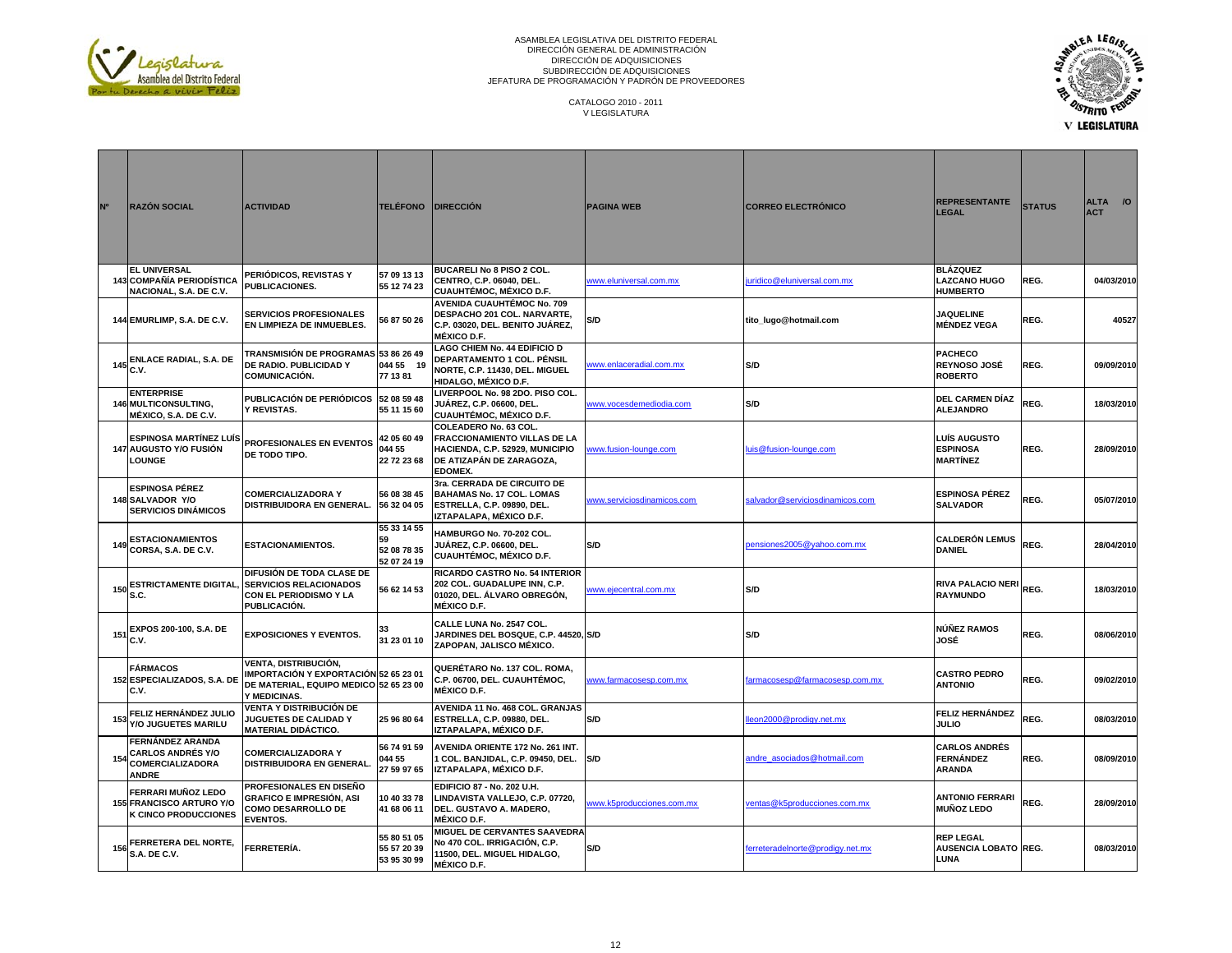





**Nº RAZÓN SOCIAL ACTIVIDAD TELÉFONO DIRECCIÓN PAGINA WEB CORREO ELECTRÓNICOREPRESENTANTE STATUS ALTA /O**<br>LEGAL STATUS ACT **143 COMPAÑÍA PERIODÍSTICA EL UNIVERSAL NACIONAL, S.A. DE C.V. PERIÓDICOS, REVISTAS Y PUBLICACIONES.57 09 13 13 55 12 74 23BUCARELI No 8 PISO 2 COL. CENTRO, C.P. 06040, DEL. CUAUHTÉMOC, MÉXICO D.F.** www.eluniversal.com.mxridico@eluniversal.com.mx **BLÁZQUEZ LAZCANO HUGO HUMBERTOREG. 04/03/2010<sup>144</sup> EMURLIMP, S.A. DE C.V. SERVICIOS PROFESIONALES EN LIMPIEZA DE INMUEBLES. 56 87 50 26 AVENIDA CUAUHTÉMOC No. 709 DESPACHO 201 COL. NARVARTE, C.P. 03020, DEL. BENITO JUÁREZ, MÉXICO D.F. S/D tito\_lugo@hotmail.com JAQUELINE MÉNDEZ VEGA REG. <sup>40527</sup> 145** ENLACE RADIAL, S.A. DE TRANSMISIÓN DE PROGRAMAS<br>C.V. C.V. COMUNICACIÓN. **53 86 26 49 044 55 19 77 13 81 LAGO CHIEM No. 44 EDIFICIO D DEPARTAMENTO 1 COL. PÉNSIL NORTE, C.P. 11430, DEL. MIGUEL HIDALGO, MÉXICO D.F.** www.enlaceradial.com.mx **S/D PACHECO REYNOSO JOSÉ ROBERTO REG. 09/09/2010 146 MULTICONSULTING, ENTERPRISE MÉXICO, S.A. DE C.V. PUBLICACIÓN DE PERIÓDICOS 52 08 59 48 Y REVISTAS. 55 11 15 60LIVERPOOL No. 98 2DO. PISO COL. JUÁREZ, C.P. 06600, DEL. CUAUHTÉMOC, MÉXICO D.F.** www.vocesdemediodia.com **S/D DEL CARMEN DÍAZ ALEJANDROREL CARMEN DÍAZ REG.** 18/03/2010<br>ALEJANDRO **147AUGUSTO Y/O FUSIÓN ESPINOSA MARTÍNEZ LUÍS LOUNGEPROFESIONALES EN EVENTOS DE TODO TIPO. 42 05 60 49 044 55 22 72 23 68COLEADERO No. 63 COL. FRACCIONAMIENTO VILLAS DE LA HACIENDA, C.P. 52929, MUNICIPIO DE ATIZAPÁN DE ZARAGOZA, EDOMEX.**ww.fusion-lounge.com luis@fusion-lounge.com **LUÍS AUGUSTO ESPINOSA MARTÍNEZREG. 28/09/2010148SALVADOR Y/O ESPINOSA PÉREZ SERVICIOS DINÁMICOSCOMERCIALIZADORA Y DISTRIBUIDORA EN GENERAL.56 08 38 45 56 32 04 053ra. CERRADA DE CIRCUITO DE BAHAMAS No. 17 COL. LOMAS ESTRELLA, C.P. 09890, DEL. IZTAPALAPA, MÉXICO D.F.** www.serviciosdinamicos.com salvador@serviciosdinamicos.com **ESPINOSA PÉREZ SALVADOR REG. 05/07/2010 149 ESTACIONAMIENTOS CORSA, S.A. DE C.V. ESTACIONAMIENTOS. 55 33 14 55 59 52 08 78 35 52 07 24 19HAMBURGO No. 70-202 COL. JUÁREZ, C.P. 06600, DEL. CUAUHTÉMOC, MÉXICO D.F. S/D** pensiones2005@yahoo.com.mx **CALDERÓN LEMUS DANIEL REG. 28/04/2010 150 ESTRICTAMENTE DIGITAL, S.C.DIFUSIÓN DE TODA CLASE DE SERVICIOS RELACIONADOS CON EL PERIODISMO Y LA PUBLICACIÓN.56 62 14 53RICARDO CASTRO No. 54 INTERIOR 202 COL. GUADALUPE INN, C.P. 01020, DEL. ÁLVARO OBREGÓN, MÉXICO D.F.**www.ejecentral.com.mx **S/D RIVA PALACIO NERI RAYMUNDO REG. 18/03/2010**  $151 \, C.V.$ **EXPOS 200-100, S.A. DE. EXPOSICIONES Y EVENTOS. 33 31 23 01 10 CALLE LUNA No. 2547 COL. JARDINES DEL BOSQUE, C.P. 44520, ZAPOPAN, JALISCO MÉXICO. S/D S/D NÚÑEZ RAMOS JOSÉ REG. 08/06/2010 152 ESPECIALIZADOS, S.A. DE FÁRMACOS C.V.VENTA, DISTRIBUCIÓN, IMPORTACIÓN Y EXPORTACIÓN 52 65 23 01 DE MATERIAL, EQUIPO MEDICO 52 65 23 00Y MEDICINAS.QUERÉTARO No. 137 COL. ROMA, C.P. 06700, DEL. CUAUHTÉMOC, MÉXICO D.F.**ww.farmacosesp.com.mx **farmacosesp@farmacosesp.com.mx CASTRO PEDRO REG. 09/02/2010 153 FELIZ HERNÁNDEZ JULIO Y/O JUGUETES MARILU VENTA Y DISTRIBUCIÓN DE JUGUETES DE CALIDAD Y MATERIAL DIDÁCTICO. 25 96 80 64 AVENIDA 11 No. 468 COL. GRANJAS ESTRELLA, C.P. 09880, DEL. IZTAPALAPA, MÉXICO D.F. S/D** lleon2000@prodigy.net.mx **FELIZ HERNÁNDEZ JULIO REG. 08/03/2010 154 FERNÁNDEZ ARANDA CARLOS ANDRÉS Y/O COMERCIALIZADORA ANDRECOMERCIALIZADORA Y DISTRIBUIDORA EN GENERAL. 56 74 91 59 044 55 27 59 97 65AVENIDA ORIENTE 172 No. 261 INT. 1 COL. BANJIDAL, C.P. 09450, DEL. IZTAPALAPA, MÉXICO D.F. S/D**ndre\_asociados@hotmail.com **CARLOS ANDRÉS FERNÁNDEZ ARANDAREG. 08/09/2010 155 FRANCISCO ARTURO Y/O FERRARI MUÑOZ LEDO K CINCO PRODUCCIONESPROFESIONALES EN DISEÑO GRAFICO E IMPRESIÓN, ASI COMO DESARROLLO DE EVENTOS.10 40 33 78 41 68 06 11 EDIFICIO 87 - No. 202 U.H. LINDAVISTA VALLEJO, C.P. 07720, DEL. GUSTAVO A. MADERO, MÉXICO D.F.**ww.k5producciones.com.mx ventas@k5producciones.com.mx **ANTONIO FERRARI MUÑOZ LEDO REG. 28/09/2010** 156 FERRETERA DEL NORTE,<br><sup>156</sup> S.A. DE C.V. **FERRETERÍA. 55 80 51 05 55 57 20 39 53 95 30 99MIGUEL DE CERVANTES SAAVEDRA<br>55 50 51 05 No 470 COL. IRRIGACIÓN, C.P. 11500, DEL. MIGUEL HIDALGO, P.<br>53 95 30 99 MÉXICO D.F. MIGUEL HIDALGO, P.P. 11500, P.P. 11500, D.F. 11500, P.P. 11500, P.P. 11500, P.P. 1150 S/D S/D ferreteradelnorte@prodigy.net.mx REP LEGAL AUSENCIA LOBATO REG. 18/03/2010**<br> **MIGUEL HIDALGO, S/D REG. P REG. P REG. P REG. P REG. P REG. P REG. P REG. P P P P P**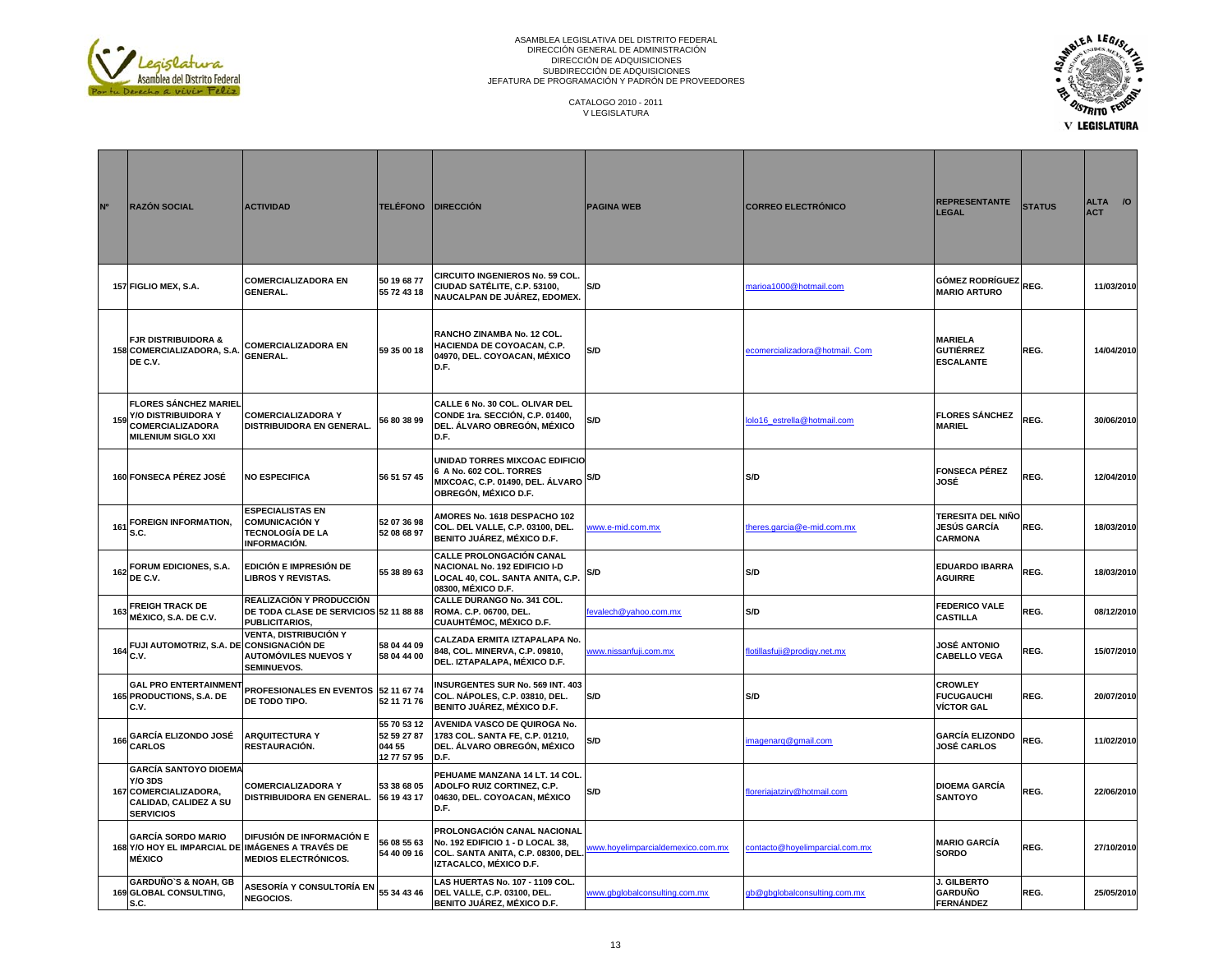

**169GLOBAL CONSULTING,** 

**55 34 43 46**

**NEGOCIOS.**

**S.C.**

### ASAMBLEA LEGISLATIVA DEL DISTRITO FEDERALDIRECCIÓN GENERAL DE ADMINISTRACIÓN DIRECCIÓN DE ADQUISICIONES SUBDIRECCIÓN DE ADQUISICIONESJEFATURA DE PROGRAMACIÓN Y PADRÓN DE PROVEEDORES

CATALOGO 2010 - 2011V LEGISLATURA



**FERNÁNDEZ**

**REG. 25/05/2010**

**Nº RAZÓN SOCIAL ACTIVIDAD TELÉFONO DIRECCIÓN PAGINA WEB CORREO ELECTRÓNICOREPRESENTANTE STATUS ALTA /O**<br>LEGAL STATUS ACT **<sup>157</sup> FIGLIO MEX, S.A. COMERCIALIZADORA EN GENERAL. 50 19 68 77 55 72 43 18 CIRCUITO INGENIEROS No. 59 COL. CIUDAD SATÉLITE, C.P. 53100, NAUCALPAN DE JUÁREZ, EDOMEX. S/D** marioa1000@hotmail.com **GÓMEZ RODRÍGUEZ MARIO ARTURO REG. 11/03/2010 158COMERCIALIZADORA, S.A. FJR DISTRIBUIDORA & DE C.V.COMERCIALIZADORA EN GENERAL. 59 35 00 18 RANCHO ZINAMBA No. 12 COL. HACIENDA DE COYOACAN, C.P. 04970, DEL. COYOACAN, MÉXICO D.F.S/D** ecomercializadora@hotmail. Com**MARIELA GUTIÉRREZ ESCALANTE REG. 14/04/2010159FLORES SÁNCHEZ MARIEL Y/O DISTRIBUIDORA Y COMERCIALIZADORA MILENIUM SIGLO XXI COMERCIALIZADORA Y DISTRIBUIDORA EN GENERAL. 56 80 38 99 CALLE 6 No. 30 COL. OLIVAR DEL CONDE 1ra. SECCIÓN, C.P. 01400, DEL. ÁLVARO OBREGÓN, MÉXICO D.F.S/D** lolo16\_estrella@hotmail.com **FLORES SÁNCHEZ MARIEL REG. 30/06/2010 160 FONSECA PÉREZ JOSÉ NO ESPECIFICA 56 51 57 45UNIDAD TORRES MIXCOAC EDIFICIO6 A No. 602 COL. TORRES MIXCOAC, C.P. 01490, DEL. ÁLVARO OBREGÓN, MÉXICO D.F. S/D S/D FONSECA PÉREZ JOSÉ REG. 12/04/2010 161FOREIGN INFORMATION,** s.c. **ESPECIALISTAS EN COMUNICACIÓN Y TECNOLOGÍA DE LA INFORMACIÓN.52 07 36 98 52 08 68 97AMORES No. 1618 DESPACHO 102 COL. DEL VALLE, C.P. 03100, DEL. BENITO JUÁREZ, MÉXICO D.F.** .e-mid.com.mx eres.garcia@e-mid.com.mx **TERESITA DEL NIÑO JESÚS GARCÍA CARMONAREG. 18/03/2010162 FORUM EDICIONES, S.A. DE C.V. EDICIÓN E IMPRESIÓN DE LIBROS Y REVISTAS. 55 38 89 63 CALLE PROLONGACIÓN CANAL NACIONAL No. 192 EDIFICIO I-D LOCAL 40, COL. SANTA ANITA, C.P. 08300, MÉXICO D.F. S/D S/D EDUARDO IBARRA AGUIRRE REG. 18/03/2010 163**PREIGH TRACK DE REALIZACIÓN Y PRODUCCIÓN | CALLE DURANGO No. 341 COL. | revalech®yahoo.com.mx | S/D S/D S/D FEDERICO VALE | REG. | 08/12/2010<br>| МÉXICO, S.A. DE C.V. | PUBLICITARIOS, DE SERVICIOS | S2 11 88 ROMAL CIAUHTÉM **164 FUJI AUTOMOTRIZ, S.A. DE CONSIGNACIÓN DE<br>AUTOMÓVILES NUE VENTA, DISTRIBUCIÓN Y AUTOMÓVILES NUEVOS Y SEMINUEVOS.58 04 44 09 58 04 44 00CALZADA ERMITA IZTAPALAPA No. 848, COL. MINERVA, C.P. 09810, DEL. IZTAPALAPA, MÉXICO D.F.** www.nissanfuji.com.mx flotillasfuji@prodigy.net.mx **JOSÉ ANTONIO CABELLO VEGA REG. 15/07/2010 165PRODUCTIONS, S.A. DE GAL PRO ENTERTAINMENT PROFESIONALES EN EVENTOS 52 11 67 74 C.V.DE TODO TIPO. 52 11 71 76 INSURGENTES SUR No. 569 INT. 403** S/D **COL. NÁPOLES, C.P. 03810, DEL. BENITO JUÁREZ, MÉXICO D.F. S/D S/DCROWLEY FUCUGAUCHI VÍCTOR GALREG. 20/07/2010166 GARCÍA ELIZONDO JOSÉ CARLOS ARQUITECTURA Y RESTAURACIÓN. 55 70 53 12 52 59 27 87 044 55 12 77 57 95 AVENIDA VASCO DE QUIROGA No. 1783 COL. SANTA FE, C.P. 01210, DEL. ÁLVARO OBREGÓN, MÉXICO D.F.S/D** imagenarq@gmail.com **GARCÍA ELIZONDO JOSÉ CARLOSGARCÍA ELIZONDO**<br>JOSÉ CARLOS **REG.** 11/02/2010 **167 COMERCIALIZADORA, GARCÍA SANTOYO DIOEMAY/O 3DS CALIDAD, CALIDEZ A SU SERVICIOSCOMERCIALIZADORA Y DISTRIBUIDORA EN GENERAL.53 38 68 05 56 19 43 17PEHUAME MANZANA 14 LT. 14 COL. ADOLFO RUIZ CORTINEZ, C.P. 04630, DEL. COYOACAN, MÉXICO D.F.S/D** floreriajatziry@hotmail.com **DIOEMA GARCÍA SANTOYO REG. 22/06/2010 168 Y/O HOY EL IMPARCIAL DE IMÁGENES A TRAVÉS DE GARCÍA SORDO MARIO MÉXICODIFUSIÓN DE INFORMACIÓN E MEDIOS ELECTRÓNICOS.56 08 55 63 54 40 09 16 PROLONGACIÓN CANAL NACIONAL No. 192 EDIFICIO 1 - D LOCAL 38, COL. SANTA ANITA, C.P. 08300, DEL. IZTACALCO, MÉXICO D.F.** ww.hoyelimparcialdemexico.com.mx contacto@hoyelimparcial.com.mx **MARIO GARCÍA** SORDO **REG. 27/10/2010 GARDUÑO`S & NOAH, GB ASESORÍA Y CONSULTORÍA EN LAS HUERTAS No. 107 - 1109 COL. DEL VALLE, C.P. 03100, DEL.**  gbglobalconsulting.com.mx gb@gbglobalconsulting.com.mx **J. GILBERTO GARDUÑO** 

**BENITO JUÁREZ, MÉXICO D.F.**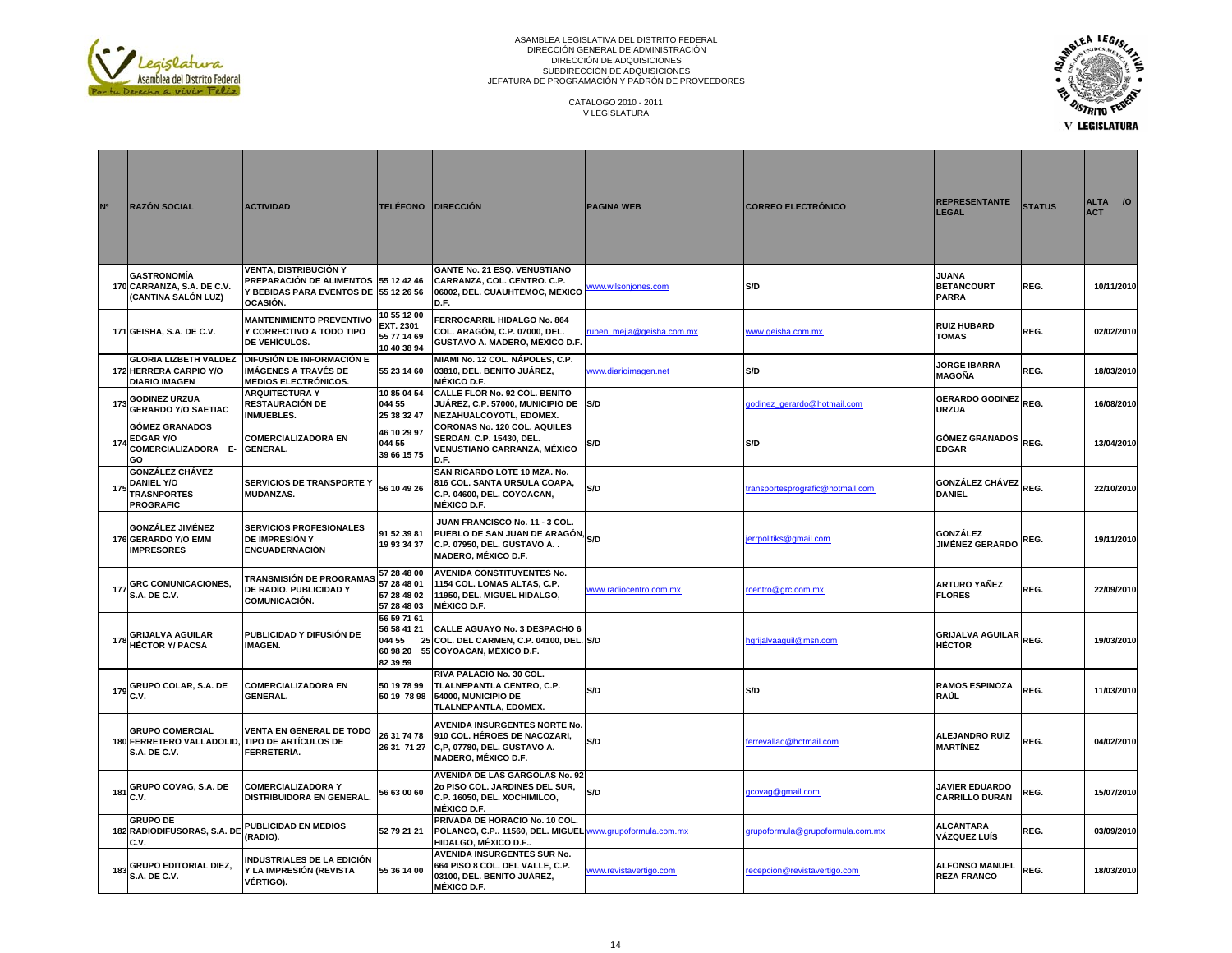



| N <sup>o</sup> | <b>RAZÓN SOCIAL</b>                                                                   | <b>ACTIVIDAD</b>                                                                                                          | <b>TELÉFONO</b>                                              | <b>DIRECCIÓN</b>                                                                                                                   | <b>PAGINA WEB</b>        | <b>CORREO ELECTRÓNICO</b>        | <b>REPRESENTANTE</b><br><b>LEGAL</b>              | <b>STATUS</b> | ALTA /O<br><b>ACT</b> |
|----------------|---------------------------------------------------------------------------------------|---------------------------------------------------------------------------------------------------------------------------|--------------------------------------------------------------|------------------------------------------------------------------------------------------------------------------------------------|--------------------------|----------------------------------|---------------------------------------------------|---------------|-----------------------|
|                | <b>GASTRONOMÍA</b><br>170 CARRANZA, S.A. DE C.V.<br>(CANTINA SALÓN LUZ)               | VENTA, DISTRIBUCIÓN Y<br><b>PREPARACIÓN DE ALIMENTOS 55 12 42 46</b><br>Y BEBIDAS PARA EVENTOS DE 55 12 26 56<br>OCASIÓN. |                                                              | <b>GANTE No. 21 ESQ. VENUSTIANO</b><br>CARRANZA, COL. CENTRO. C.P.<br>06002. DEL. CUAUHTÉMOC. MÉXICO<br>D.F.                       | ww.wilsonjones.com       | S/D                              | <b>JUANA</b><br><b>BETANCOURT</b><br><b>PARRA</b> | REG.          | 10/11/2010            |
|                | 171 GEISHA, S.A. DE C.V.                                                              | <b>MANTENIMIENTO PREVENTIVO</b><br>Y CORRECTIVO A TODO TIPO<br>DE VEHÍCULOS.                                              | 10 55 12 00<br>EXT. 2301<br>55 77 14 69<br>10 40 38 94       | FERROCARRIL HIDALGO No. 864<br>COL. ARAGÓN, C.P. 07000, DEL.<br><b>IGUSTAVO A. MADERO. MÉXICO D.F.</b>                             | uben mejia@geisha.com.mx | www.geisha.com.mx                | <b>RUIZ HUBARD</b><br><b>TOMAS</b>                | REG.          | 02/02/2010            |
|                | <b>GLORIA LIZBETH VALDEZ</b><br>172 HERRERA CARPIO Y/O<br><b>DIARIO IMAGEN</b>        | <b>DIFUSIÓN DE INFORMACIÓN E</b><br><b>IMÁGENES A TRAVÉS DE</b><br><b>MEDIOS ELECTRÓNICOS.</b>                            | 55 23 14 60                                                  | MIAMI No. 12 COL. NÁPOLES. C.P.<br>03810, DEL. BENITO JUÁREZ,<br><b>MÉXICO D.F.</b>                                                | www.diarioimagen.net     | S/D                              | <b>JORGE IBARRA</b><br><b>MAGOÑA</b>              | REG.          | 18/03/2010            |
| 173            | <b>GODINEZ URZUA</b><br><b>GERARDO Y/O SAETIAC</b>                                    | <b>ARQUITECTURA Y</b><br><b>RESTAURACIÓN DE</b><br><b>INMUEBLES.</b>                                                      | 10 85 04 54<br>044 55<br>25 38 32 47                         | CALLE FLOR No. 92 COL. BENITO<br>JUÁREZ, C.P. 57000, MUNICIPIO DE S/D<br>NEZAHUALCOYOTL, EDOMEX.                                   |                          | godinez_gerardo@hotmail.com      | <b>GERARDO GODINEZ</b><br><b>URZUA</b>            | REG.          | 16/08/2010            |
| 174            | <b>GÓMEZ GRANADOS</b><br><b>EDGAR Y/O</b><br>COMERCIALIZADORA E-<br>GO                | <b>COMERCIALIZADORA EN</b><br><b>GENERAL.</b>                                                                             | 46 10 29 97<br>044 55<br>39 66 15 75                         | <b>CORONAS No. 120 COL. AQUILES</b><br>SERDAN, C.P. 15430, DEL.<br><b>VENUSTIANO CARRANZA, MÉXICO</b><br>D.F.                      | S/D                      | S/D                              | <b>GÓMEZ GRANADOS</b><br><b>EDGAR</b>             | REG.          | 13/04/2010            |
| 175            | <b>GONZÁLEZ CHÁVEZ</b><br><b>DANIEL Y/O</b><br><b>TRASNPORTES</b><br><b>PROGRAFIC</b> | SERVICIOS DE TRANSPORTE Y<br><b>MUDANZAS.</b>                                                                             | 56 10 49 26                                                  | SAN RICARDO LOTE 10 MZA. No.<br>816 COL. SANTA URSULA COAPA,<br>C.P. 04600, DEL. COYOACAN,<br><b>MÉXICO D.F.</b>                   | S/D                      | transportesprografic@hotmail.com | <b>GONZÁLEZ CHÁVEZ</b><br><b>DANIEL</b>           | REG.          | 22/10/2010            |
|                | GONZÁLEZ JIMÉNEZ<br>176 GERARDO Y/O EMM<br><b>IMPRESORES</b>                          | <b>SERVICIOS PROFESIONALES</b><br>DE IMPRESIÓN Y<br><b>ENCUADERNACIÓN</b>                                                 | 91 52 39 81<br>19 93 34 37                                   | JUAN FRANCISCO No. 11 - 3 COL.<br>PUEBLO DE SAN JUAN DE ARAGÓN, S/D<br>C.P. 07950, DEL. GUSTAVO A. .<br><b>MADERO, MÉXICO D.F.</b> |                          | jerrpolitiks@gmail.com           | <b>GONZÁLEZ</b><br><b>JIMÉNEZ GERARDO</b>         | REG.          | 19/11/2010            |
| 17             | <b>GRC COMUNICACIONES,</b><br><b>S.A. DE C.V.</b>                                     | TRANSMISIÓN DE PROGRAMAS<br>DE RADIO, PUBLICIDAD Y<br>COMUNICACIÓN.                                                       | 57 28 48 00<br>57 28 48 01<br>57 28 48 02<br>57 28 48 03     | <b>AVENIDA CONSTITUYENTES No.</b><br>1154 COL. LOMAS ALTAS, C.P.<br>11950, DEL. MIGUEL HIDALGO,<br><b>MÉXICO D.F.</b>              | www.radiocentro.com.mx   | rcentro@grc.com.mx               | <b>ARTURO YAÑEZ</b><br><b>FLORES</b>              | REG.          | 22/09/2010            |
|                | <b>GRIJALVA AGUILAR</b><br>178 HÉCTOR Y/ PACSA                                        | PUBLICIDAD Y DIFUSIÓN DE<br><b>IMAGEN.</b>                                                                                | 56 59 71 61<br>56 58 41 21<br>044 55<br>60 98 20<br>82 39 59 | CALLE AGUAYO No. 3 DESPACHO 6<br>25 COL. DEL CARMEN, C.P. 04100, DEL. S/D<br>55 COYOACAN, MÉXICO D.F.                              |                          | ngrijalvaaguil@msn.com           | <b>GRIJALVA AGUILAR</b><br><b>HÉCTOR</b>          | REG.          | 19/03/2010            |
|                | <b>GRUPO COLAR, S.A. DE</b><br>$179$ <sub>C.V.</sub>                                  | <b>COMERCIALIZADORA EN</b><br><b>GENERAL.</b>                                                                             | 50 19 78 99<br>50 19 78 98                                   | RIVA PALACIO No. 30 COL.<br>TLALNEPANTLA CENTRO, C.P.<br>54000, MUNICIPIO DE<br>TLALNEPANTLA, EDOMEX.                              | S/D                      | S/D                              | <b>RAMOS ESPINOZA</b><br>RAÚL                     | REG.          | 11/03/2010            |
|                | <b>GRUPO COMERCIAL</b><br>180 FERRETERO VALLADOLID.<br><b>S.A. DE C.V.</b>            | <b>VENTA EN GENERAL DE TODO</b><br><b>TIPO DE ARTÍCULOS DE</b><br>FERRETERÍA.                                             | 26 31 74 78<br>26 31 71 27                                   | AVENIDA INSURGENTES NORTE No.<br>910 COL. HÉROES DE NACOZARI,<br>C,P, 07780, DEL. GUSTAVO A.<br><b>MADERO, MÉXICO D.F.</b>         | S/D                      | errevallad@hotmail.com           | <b>ALEJANDRO RUIZ</b><br><b>MARTÍNEZ</b>          | REG.          | 04/02/2010            |
| 181            | <b>GRUPO COVAG, S.A. DE</b><br>C.V.                                                   | <b>COMERCIALIZADORA Y</b><br>DISTRIBUIDORA EN GENERAL.                                                                    | 56 63 00 60                                                  | AVENIDA DE LAS GÁRGOLAS No. 92<br>20 PISO COL. JARDINES DEL SUR.<br>C.P. 16050, DEL. XOCHIMILCO,<br><b>MÉXICO D.F.</b>             | S/D                      | qcovaq@qmail.com                 | <b>JAVIER EDUARDO</b><br><b>CARRILLO DURAN</b>    | REG.          | 15/07/2010            |
|                | <b>GRUPO DE</b><br>182 RADIODIFUSORAS, S.A. DE<br>C.V.                                | PUBLICIDAD EN MEDIOS<br>(RADIO).                                                                                          | 52 79 21 21                                                  | PRIVADA DE HORACIO No. 10 COL.<br>POLANCO, C.P 11560, DEL. MIGUEL www.grupoformula.com.mx<br>HIDALGO, MÉXICO D.F.                  |                          | grupoformula@grupoformula.com.mx | <b>ALCÁNTARA</b><br><b>VÁZQUEZ LUÍS</b>           | REG.          | 03/09/2010            |
| 183            | <b>GRUPO EDITORIAL DIEZ,</b><br><b>S.A. DE C.V.</b>                                   | <b>NDUSTRIALES DE LA EDICIÓN</b><br>Y LA IMPRESIÓN (REVISTA<br>VÉRTIGO).                                                  | 55 36 14 00                                                  | <b>AVENIDA INSURGENTES SUR No.</b><br>664 PISO 8 COL. DEL VALLE, C.P.<br>03100. DEL. BENITO JUÁREZ.<br><b>MÉXICO D.F.</b>          | www.revistavertigo.com   | recepcion@revistavertigo.com     | <b>ALFONSO MANUEL</b><br><b>REZA FRANCO</b>       | REG.          | 18/03/2010            |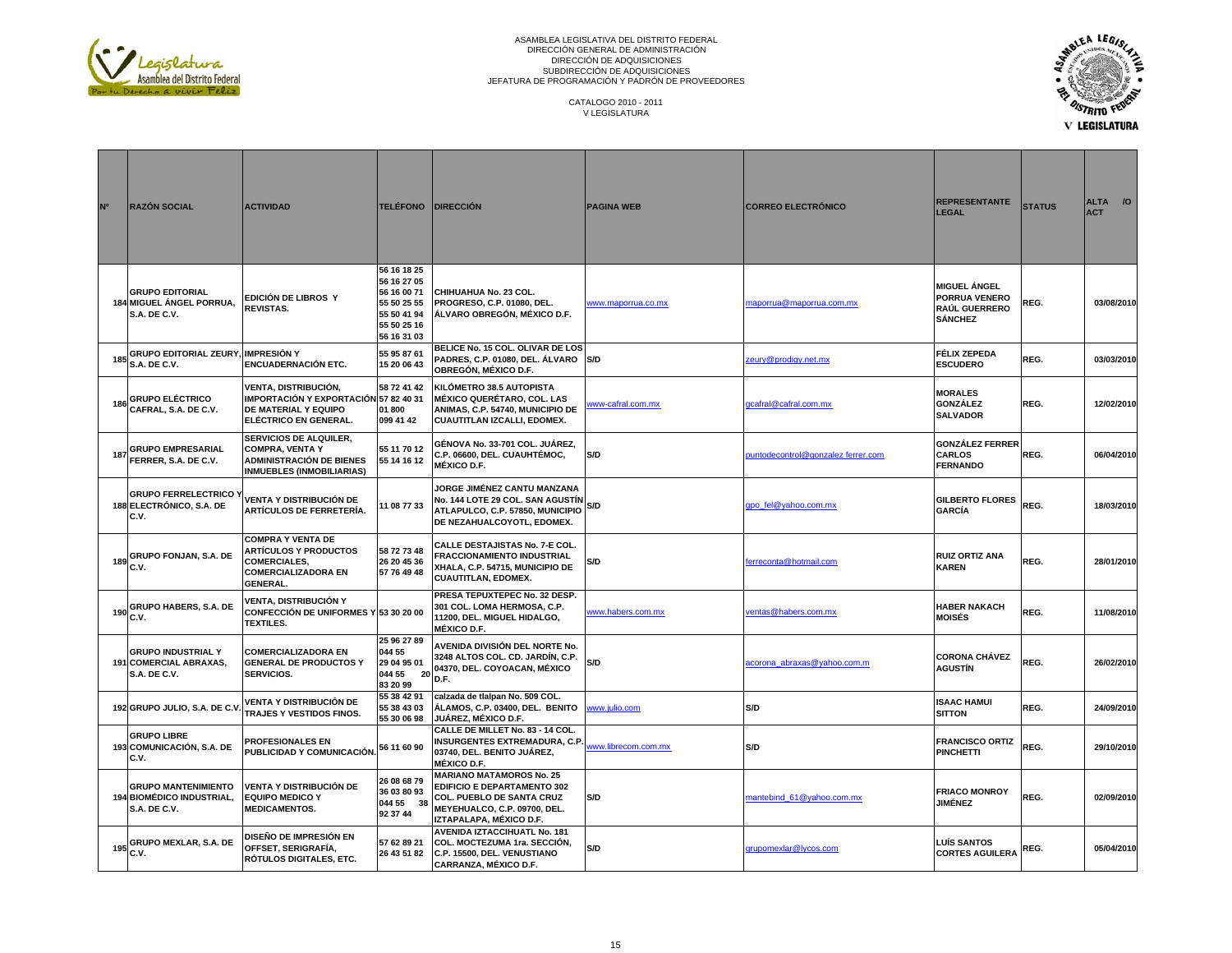



|     | <b>RAZÓN SOCIAL</b>                                                            | <b>ACTIVIDAD</b>                                                                                                                 | <b>TELÉFONO</b>                                                                                       | <b>DIRECCIÓN</b>                                                                                                                                              | <b>PAGINA WEB</b>   | <b>CORREO ELECTRÓNICO</b>          | <b>REPRESENTANTE</b><br><b>LEGAL</b>                                    | <b>STATUS</b> | ALTA /O<br><b>ACT</b> |
|-----|--------------------------------------------------------------------------------|----------------------------------------------------------------------------------------------------------------------------------|-------------------------------------------------------------------------------------------------------|---------------------------------------------------------------------------------------------------------------------------------------------------------------|---------------------|------------------------------------|-------------------------------------------------------------------------|---------------|-----------------------|
|     | <b>GRUPO EDITORIAL</b><br>184 MIGUEL ÁNGEL PORRUA,<br>S.A. DE C.V.             | EDICIÓN DE LIBROS Y<br>REVISTAS.                                                                                                 | 56 16 18 25<br>56 16 27 05<br>56 16 00 71<br>55 50 25 55<br>55 50 41 94<br>55 50 25 16<br>56 16 31 03 | <b>CHIHUAHUA No. 23 COL.</b><br>PROGRESO, C.P. 01080, DEL.<br>ÁLVARO OBREGÓN, MÉXICO D.F.                                                                     | www.maporrua.co.mx  | maporrua@maporrua.com.mx           | <b>MIGUEL ÁNGEL</b><br>PORRUA VENERO<br>RAÚL GUERRERO<br><b>SÁNCHEZ</b> | REG.          | 03/08/2010            |
|     | 185 GRUPO EDITORIAL ZEURY,<br><b>S.A. DE C.V.</b>                              | <b>IMPRESIÓN Y</b><br><b>ENCUADERNACIÓN ETC.</b>                                                                                 | 55 95 87 61<br>15 20 06 43                                                                            | BELICE No. 15 COL. OLIVAR DE LOS<br>PADRES, C.P. 01080, DEL. ÁLVARO<br>OBREGÓN, MÉXICO D.F.                                                                   | <b>S/D</b>          | zeury@prodigy.net.mx               | <b>FÉLIX ZEPEDA</b><br><b>ESCUDERO</b>                                  | REG.          | 03/03/2010            |
|     | 186 GRUPO ELÉCTRICO<br>CAFRAL, S.A. DE C.V.                                    | VENTA, DISTRIBUCIÓN,<br>IMPORTACIÓN Y EXPORTACIÓN 57 82 40 31<br>DE MATERIAL Y EQUIPO<br>ELÉCTRICO EN GENERAL.                   | 58 72 41 42<br>01 800<br>099 41 42                                                                    | KILÓMETRO 38.5 AUTOPISTA<br><b>MÉXICO QUERÉTARO. COL. LAS</b><br>ANIMAS, C.P. 54740, MUNICIPIO DE<br>CUAUTITLAN IZCALLI, EDOMEX.                              | ww-cafral.com.mx    | gcafral@cafral.com.mx              | <b>MORALES</b><br><b>GONZÁLEZ</b><br><b>SALVADOR</b>                    | REG.          | 12/02/2010            |
| 187 | <b>GRUPO EMPRESARIAL</b><br>FERRER, S.A. DE C.V.                               | <b>SERVICIOS DE ALQUILER,</b><br><b>COMPRA, VENTA Y</b><br><b>ADMINISTRACIÓN DE BIENES</b><br><b>INMUEBLES (INMOBILIARIAS)</b>   | 55 11 70 12<br>55 14 16 12                                                                            | GÉNOVA No. 33-701 COL. JUAREZ,<br>C.P. 06600, DEL. CUAUHTÉMOC,<br><b>MÉXICO D.F.</b>                                                                          | S/D                 | puntodecontrol@gonzalez ferrer.com | <b>GONZÁLEZ FERRER</b><br><b>CARLOS</b><br><b>FERNANDO</b>              | REG.          | 06/04/2010            |
|     | <b>GRUPO FERRELECTRICO Y</b><br>188 ELECTRÓNICO, S.A. DE<br>C.V.               | VENTA Y DISTRIBUCIÓN DE<br>ARTÍCULOS DE FERRETERÍA.                                                                              | 11 08 77 33                                                                                           | JORGE JIMÉNEZ CANTU MANZANA<br>No. 144 LOTE 29 COL. SAN AGUSTÍN<br>ATLAPULCO, C.P. 57850, MUNICIPIO<br>DE NEZAHUALCOYOTL, EDOMEX.                             | S/D                 | gpo_fel@yahoo.com.mx               | <b>GILBERTO FLORES</b><br><b>GARCÍA</b>                                 | REG.          | 18/03/2010            |
|     | 189 GRUPO FONJAN, S.A. DE                                                      | <b>COMPRA Y VENTA DE</b><br><b>ARTÍCULOS Y PRODUCTOS</b><br><b>COMERCIALES,</b><br><b>COMERCIALIZADORA EN</b><br><b>GENERAL.</b> | 58 72 73 48<br>26 20 45 36<br>57 76 49 48                                                             | <b>CALLE DESTAJISTAS No. 7-E COL.</b><br>FRACCIONAMIENTO INDUSTRIAL<br>XHALA, C.P. 54715, MUNICIPIO DE<br><b>CUAUTITLAN, EDOMEX.</b>                          | S/D                 | erreconta@hotmail.com              | <b>RUIZ ORTIZ ANA</b><br><b>KAREN</b>                                   | REG.          | 28/01/2010            |
|     | 190 GRUPO HABERS, S.A. DE                                                      | VENTA. DISTRIBUCIÓN Y<br><b>CONFECCIÓN DE UNIFORMES Y 53 30 20 00</b><br><b>TEXTILES.</b>                                        |                                                                                                       | PRESA TEPUXTEPEC No. 32 DESP.<br>301 COL. LOMA HERMOSA, C.P.<br>11200, DEL. MIGUEL HIDALGO,<br><b>MÉXICO D.F.</b>                                             | www.habers.com.mx   | ventas@habers.com.mx               | <b>HABER NAKACH</b><br>MOISÉS                                           | REG.          | 11/08/2010            |
|     | <b>GRUPO INDUSTRIAL Y</b><br>191 COMERCIAL ABRAXAS,<br>S.A. DE C.V.            | <b>COMERCIALIZADORA EN</b><br><b>GENERAL DE PRODUCTOS Y</b><br><b>SERVICIOS.</b>                                                 | 25 96 27 89<br>044 55<br>29 04 95 01<br>044 55<br>20 <sup>1</sup><br>83 20 99                         | AVENIDA DIVISIÓN DEL NORTE No.<br>3248 ALTOS COL. CD. JARDÍN, C.P.<br>04370, DEL. COYOACAN, MÉXICO<br>D.F.                                                    | S/D                 | acorona_abraxas@yahoo.com.m        | <b>CORONA CHÁVEZ</b><br><b>AGUSTÍN</b>                                  | REG.          | 26/02/2010            |
|     | 192 GRUPO JULIO, S.A. DE C.V.                                                  | VENTA Y DISTRIBUCIÓN DE<br>TRAJES Y VESTIDOS FINOS.                                                                              | 55 38 42 91<br>55 38 43 03<br>55 30 06 98                                                             | calzada de tlalpan No. 509 COL.<br>ÁLAMOS, C.P. 03400, DEL. BENITO<br>JUÁREZ, MÉXICO D.F.                                                                     | www.julio.com       | S/D                                | <b>ISAAC HAMUI</b><br><b>SITTON</b>                                     | REG.          | 24/09/2010            |
|     | <b>GRUPO LIBRE</b><br>193 COMUNICACIÓN, S.A. DE<br>C.V.                        | <b>PROFESIONALES EN</b><br>PUBLICIDAD Y COMUNICACIÓN                                                                             | 56 11 60 90                                                                                           | <b>CALLE DE MILLET No. 83 - 14 COL.</b><br><b>INSURGENTES EXTREMADURA, C.P.</b><br>03740, DEL. BENITO JUÁREZ,<br><b>MÉXICO D.F.</b>                           | www.librecom.com.mx | S/D                                | <b>FRANCISCO ORTIZ</b><br><b>PINCHETTI</b>                              | REG.          | 29/10/2010            |
|     | <b>GRUPO MANTENIMIENTO</b><br><b>194 BIOMÉDICO INDUSTRIAL,</b><br>S.A. DE C.V. | VENTA Y DISTRIBUCIÓN DE<br><b>EQUIPO MEDICO Y</b><br><b>MEDICAMENTOS.</b>                                                        | 26 08 68 79<br>36 03 80 93<br>044 55 38<br>92 37 44                                                   | <b>MARIANO MATAMOROS No. 25</b><br><b>EDIFICIO E DEPARTAMENTO 302</b><br>COL. PUEBLO DE SANTA CRUZ<br>MEYEHUALCO, C.P. 09700, DEL.<br>IZTAPALAPA, MÉXICO D.F. | S/D                 | mantebind_61@yahoo.com.mx          | <b>FRIACO MONROY</b><br><b>JIMÉNEZ</b>                                  | REG.          | 02/09/2010            |
|     | 195 GRUPO MEXLAR, S.A. DE<br>C.V.                                              | DISEÑO DE IMPRESIÓN EN<br>OFFSET. SERIGRAFÍA.<br>RÓTULOS DIGITALES, ETC.                                                         | 57 62 89 21<br>26 43 51 82                                                                            | AVENIDA IZTACCIHUATL No. 181<br>COL. MOCTEZUMA 1ra. SECCIÓN.<br>C.P. 15500, DEL. VENUSTIANO<br>CARRANZA, MÉXICO D.F.                                          | S/D                 | grupomexlar@lycos.com              | <b>LUÍS SANTOS</b><br><b>CORTES AGUILERA</b>                            | REG.          | 05/04/2010            |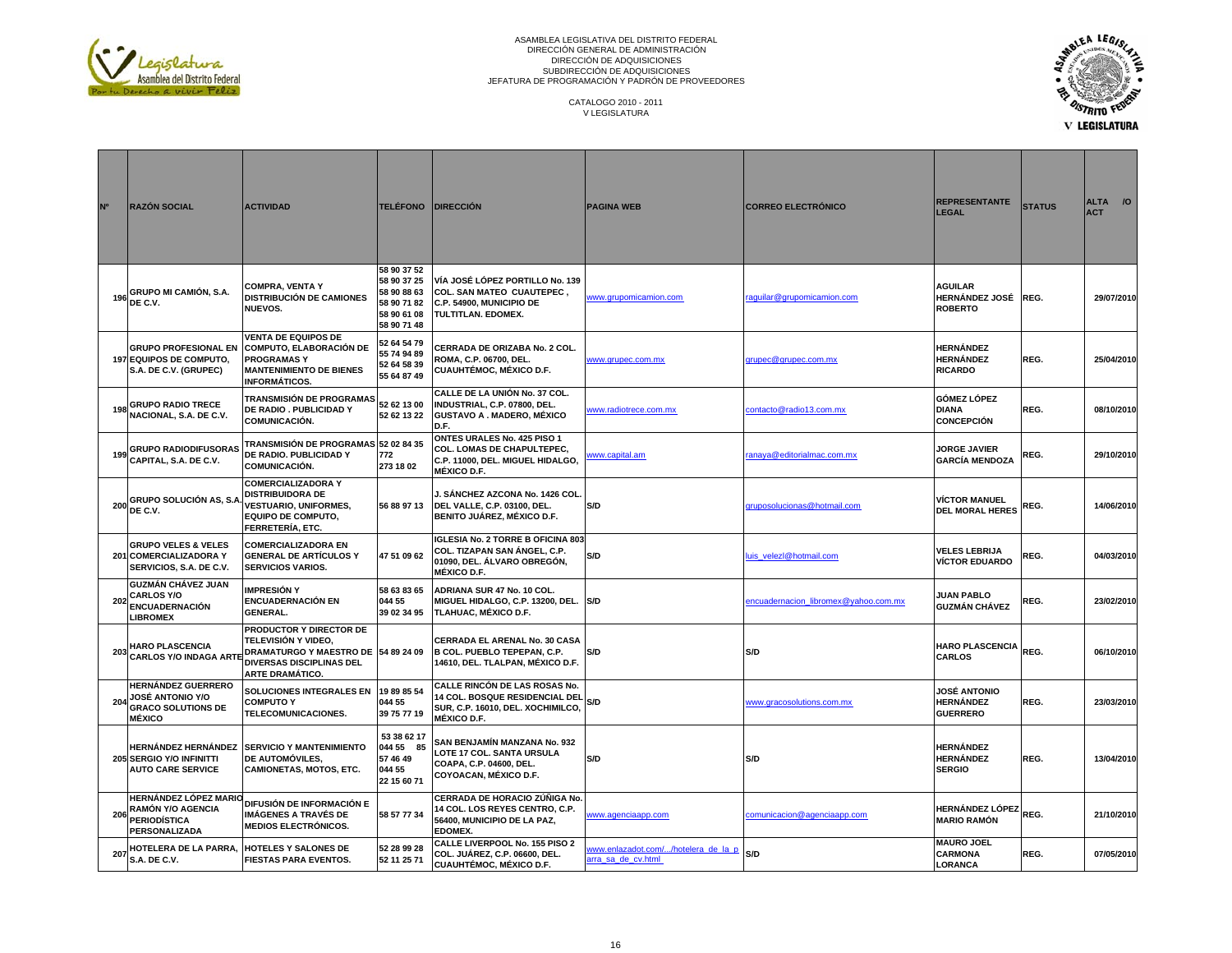



|     | <b>RAZÓN SOCIAL</b>                                                                           | <b>ACTIVIDAD</b>                                                                                                                           | <b>TELÉFONO</b>                                                                        | <b>IDIRECCIÓN</b>                                                                                                              | <b>PAGINA WEB</b>                                         | <b>CORREO ELECTRÓNICO</b>            | <b>REPRESENTANTE</b><br><b>LEGAL</b>                      | <b>STATUS</b> | ALTA /O<br><b>ACT</b> |
|-----|-----------------------------------------------------------------------------------------------|--------------------------------------------------------------------------------------------------------------------------------------------|----------------------------------------------------------------------------------------|--------------------------------------------------------------------------------------------------------------------------------|-----------------------------------------------------------|--------------------------------------|-----------------------------------------------------------|---------------|-----------------------|
|     | 196 GRUPO MI CAMIÓN, S.A.<br>DE C.V.                                                          | COMPRA, VENTA Y<br><b>DISTRIBUCIÓN DE CAMIONES</b><br><b>NUEVOS.</b>                                                                       | 58 90 37 52<br>58 90 37 25<br>58 90 88 63<br>58 90 71 82<br>58 90 61 08<br>58 90 71 48 | VÍA JOSÉ LÓPEZ PORTILLO No. 139<br>COL. SAN MATEO CUAUTEPEC,<br>C.P. 54900, MUNICIPIO DE<br>TULTITLAN. EDOMEX.                 | www.grupomicamion.com                                     | raguilar@grupomicamion.com           | <b>AGUILAR</b><br><b>HERNÁNDEZ JOSÉ</b><br><b>ROBERTO</b> | REG.          | 29/07/2010            |
|     | <b>GRUPO PROFESIONAL EN</b><br>197 EQUIPOS DE COMPUTO,<br>S.A. DE C.V. (GRUPEC)               | <b>VENTA DE EQUIPOS DE</b><br><b>COMPUTO. ELABORACIÓN DE</b><br><b>PROGRAMASY</b><br><b>MANTENIMIENTO DE BIENES</b><br><b>INFORMÁTICOS</b> | 52 64 54 79<br>55 74 94 89<br>52 64 58 39<br>55 64 87 49                               | <b>CERRADA DE ORIZABA No. 2 COL.</b><br>ROMA, C.P. 06700, DEL.<br><b>CUAUHTÉMOC, MÉXICO D.F.</b>                               | www.grupec.com.mx                                         | grupec@grupec.com.mx                 | <b>HERNÁNDEZ</b><br><b>HERNÁNDEZ</b><br><b>RICARDO</b>    | REG.          | 25/04/2010            |
|     | 198 GRUPO RADIO TRECE<br>NACIONAL, S.A. DE C.V.                                               | <b>TRANSMISIÓN DE PROGRAMAS</b><br>DE RADIO . PUBLICIDAD Y<br>COMUNICACIÓN.                                                                | 52 62 13 00<br>52 62 13 22                                                             | CALLE DE LA UNIÓN No. 37 COL.<br>INDUSTRIAL, C.P. 07800, DEL.<br><b>GUSTAVO A . MADERO, MÉXICO</b><br>D.F.                     | www.radiotrece.com.mx                                     | contacto@radio13.com.mx              | <b>GÓMEZ LÓPEZ</b><br><b>DIANA</b><br><b>CONCEPCIÓN</b>   | REG.          | 08/10/2010            |
|     | 199 GRUPO RADIODIFUSORAS<br>CAPITAL, S.A. DE C.V.                                             | <b>TRANSMISIÓN DE PROGRAMAS 52 02 84 35</b><br>DE RADIO. PUBLICIDAD Y<br>COMUNICACIÓN.                                                     | 772<br>273 18 02                                                                       | ONTES URALES No. 425 PISO 1<br>COL. LOMAS DE CHAPULTEPEC,<br>C.P. 11000, DEL. MIGUEL HIDALGO,<br><b>MÉXICO D.F.</b>            | ww.capital.am                                             | anaya@editorialmac.com.mx            | <b>JORGE JAVIER</b><br><b>GARCÍA MENDOZA</b>              | REG.          | 29/10/2010            |
|     | 200 GRUPO SOLUCIÓN AS, S.A                                                                    | <b>COMERCIALIZADORA Y</b><br><b>DISTRIBUIDORA DE</b><br><b>VESTUARIO, UNIFORMES.</b><br><b>EQUIPO DE COMPUTO,</b><br>FERRETERÍA, ETC.      | 56 88 97 13                                                                            | J. SÁNCHEZ AZCONA No. 1426 COL.<br>DEL VALLE, C.P. 03100, DEL.<br>BENITO JUÁREZ, MÉXICO D.F.                                   | S/D                                                       | gruposolucionas@hotmail.com          | <b>VÍCTOR MANUEL</b><br><b>DEL MORAL HERES</b>            | REG.          | 14/06/2010            |
|     | <b>GRUPO VELES &amp; VELES</b><br>201 COMERCIALIZADORA Y<br>SERVICIOS, S.A. DE C.V.           | <b>COMERCIALIZADORA EN</b><br>GENERAL DE ARTÍCULOS Y<br><b>SERVICIOS VARIOS.</b>                                                           | 47 51 09 62                                                                            | <b>IGLESIA No. 2 TORRE B OFICINA 803</b><br>COL. TIZAPAN SAN ÁNGEL, C.P.<br>01090, DEL. ÁLVARO OBREGÓN,<br><b>MÉXICO D.F.</b>  | S/D                                                       | luis_velezl@hotmail.com              | <b>VELES LEBRIJA</b><br><b>VÍCTOR EDUARDO</b>             | REG.          | 04/03/2010            |
| 202 | <b>GUZMÁN CHÁVEZ JUAN</b><br><b>CARLOS Y/O</b><br><b>ENCUADERNACIÓN</b><br><b>LIBROMEX</b>    | IMPRESIÓN Y<br><b>ENCUADERNACIÓN EN</b><br><b>GENERAL.</b>                                                                                 | 58 63 83 65<br>044 55<br>39 02 34 95                                                   | ADRIANA SUR 47 No. 10 COL.<br>MIGUEL HIDALGO, C.P. 13200, DEL. S/D<br>TLAHUAC, MÉXICO D.F.                                     |                                                           | encuadernacion libromex@yahoo.com.mx | <b>JUAN PABLO</b><br><b>GUZMÁN CHÁVEZ</b>                 | REG.          | 23/02/2010            |
| 203 | <b>HARO PLASCENCIA</b><br><b>CARLOS Y/O INDAGA ARTE</b>                                       | PRODUCTOR Y DIRECTOR DE<br>TELEVISIÓN Y VIDEO.<br>DRAMATURGO Y MAESTRO DE 54 89 24 09<br>DIVERSAS DISCIPLINAS DEL<br>ARTE DRAMÁTICO.       |                                                                                        | <b>CERRADA EL ARENAL No. 30 CASA</b><br><b>B COL. PUEBLO TEPEPAN, C.P.</b><br>14610, DEL. TLALPAN, MÉXICO D.F.                 | S/D                                                       | S/D                                  | <b>HARO PLASCENCIA</b><br><b>CARLOS</b>                   | REG.          | 06/10/2010            |
| 204 | <b>HERNÁNDEZ GUERRERO</b><br>JOSÉ ANTONIO Y/O<br><b>GRACO SOLUTIONS DE</b><br><b>MÉXICO</b>   | SOLUCIONES INTEGRALES EN<br><b>COMPUTO Y</b><br>TELECOMUNICACIONES.                                                                        | 19 89 85 54<br>044 55<br>39 75 77 19                                                   | CALLE RINCÓN DE LAS ROSAS No.<br>14 COL. BOSQUE RESIDENCIAL DEL S/D<br>SUR, C.P. 16010, DEL. XOCHIMILCO,<br><b>MÉXICO D.F.</b> |                                                           | www.gracosolutions.com.mx            | JOSÉ ANTONIO<br>HERNÁNDEZ<br><b>GUERRERO</b>              | REG.          | 23/03/2010            |
|     | <b>HERNÁNDEZ HERNÁNDEZ</b><br>205 SERGIO Y/O INFINITTI<br><b>AUTO CARE SERVICE</b>            | <b>SERVICIO Y MANTENIMIENTO</b><br><b>DE AUTOMÓVILES.</b><br><b>CAMIONETAS, MOTOS, ETC.</b>                                                | 53 38 62 17<br>044 55 85<br>57 46 49<br>044 55<br>22 15 60 71                          | SAN BENJAMÍN MANZANA No. 932<br>LOTE 17 COL. SANTA URSULA<br>COAPA, C.P. 04600, DEL.<br><b>COYOACAN, MÉXICO D.F.</b>           | S/D                                                       | S/D                                  | HERNÁNDEZ<br><b>HERNÁNDEZ</b><br><b>SERGIO</b>            | REG.          | 13/04/2010            |
|     | <b>HERNÁNDEZ LÓPEZ MARIC</b><br>206 RAMÓN Y/O AGENCIA<br><b>PERIODÍSTICA</b><br>PERSONALIZADA | DIFUSIÓN DE INFORMACIÓN E<br>IMÁGENES A TRAVÉS DE<br><b>MEDIOS ELECTRÓNICOS.</b>                                                           | 58 57 77 34                                                                            | CERRADA DE HORACIO ZÚÑIGA No.<br><b>14 COL. LOS REYES CENTRO, C.P.</b><br>56400, MUNICIPIO DE LA PAZ,<br>EDOMEX.               | www.agenciaapp.com                                        | comunicacion@agenciaapp.com          | HERNÁNDEZ LÓPEZ<br><b>MARIO RAMÓN</b>                     | REG.          | 21/10/2010            |
|     | 207 HOTELERA DE LA PARRA,<br>S.A. DE C.V.                                                     | <b>HOTELES Y SALONES DE</b><br><b>FIESTAS PARA EVENTOS.</b>                                                                                | 52 28 99 28<br>52 11 25 71                                                             | <b>CALLE LIVERPOOL No. 155 PISO 2</b><br>COL. JUÁREZ, C.P. 06600, DEL.<br><b>CUAUHTÉMOC, MÉXICO D.F.</b>                       | www.enlazadot.com//hotelera_de_la_p<br>arra_sa_de_cv.html | S/D                                  | <b>MAURO JOEL</b><br><b>CARMONA</b><br><b>LORANCA</b>     | REG.          | 07/05/2010            |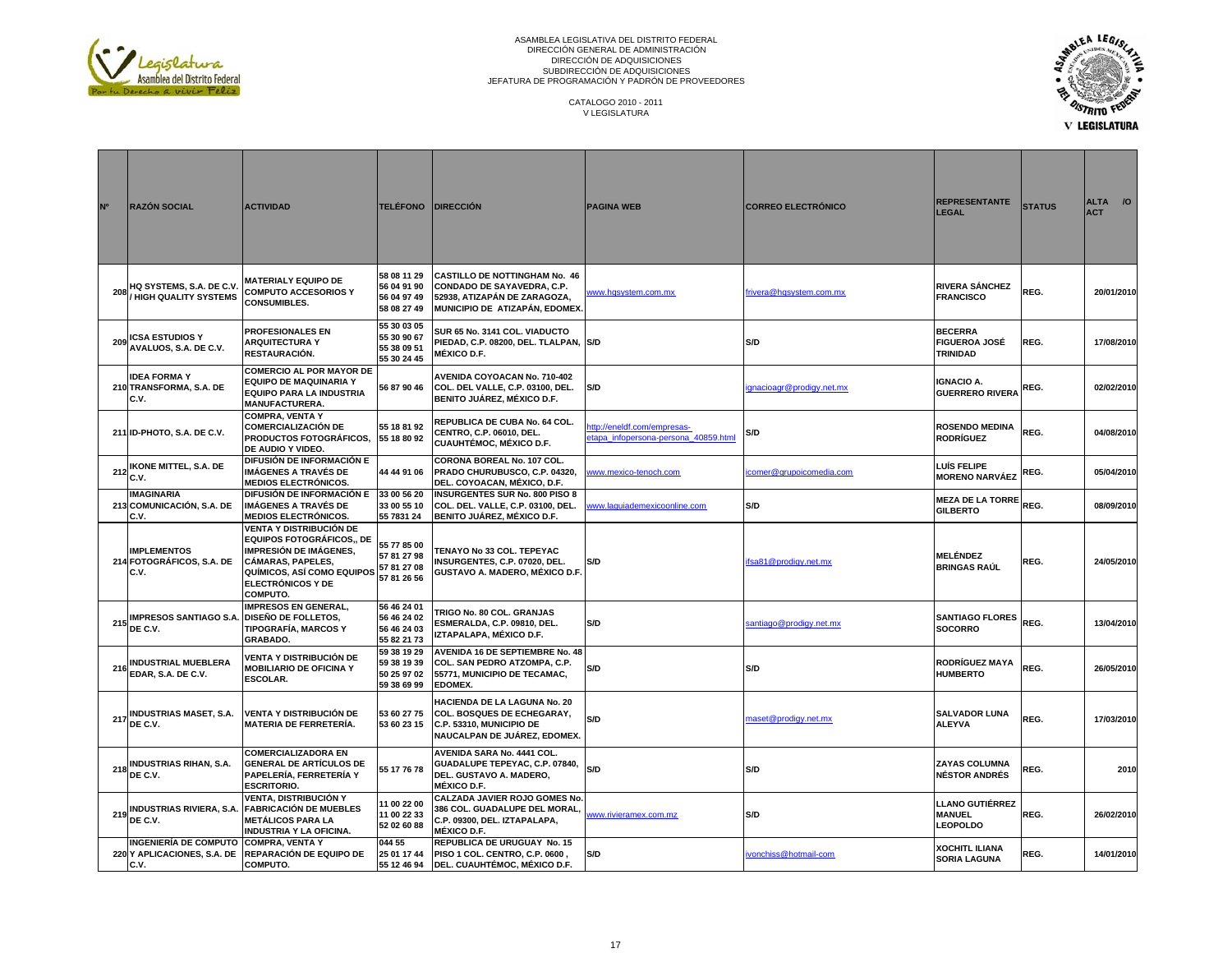

**COMPUTO.**

**55 12 46 94**

### ASAMBLEA LEGISLATIVA DEL DISTRITO FEDERALDIRECCIÓN GENERAL DE ADMINISTRACIÓN DIRECCIÓN DE ADQUISICIONES SUBDIRECCIÓN DE ADQUISICIONESJEFATURA DE PROGRAMACIÓN Y PADRÓN DE PROVEEDORES





**Nº RAZÓN SOCIAL ACTIVIDAD TELÉFONO DIRECCIÓN PAGINA WEB CORREO ELECTRÓNICOREPRESENTANTE STATUS ALTA /O**<br>LEGAL STATUS ACT **208 HQ SYSTEMS, S.A. DE C.V. / HIGH QUALITY SYSTEMS MATERIALY EQUIPO DE COMPUTO ACCESORIOS Y CONSUMIBLES. 58 08 11 29 56 04 91 90 56 04 97 49 58 08 27 49**9 CASTILLO DE NOTTINGHAM No. 46<br>9 S2938, ATIZAPÁN DE ZARAGOZA, C.P. MARIA A MARIA EN ENTERENDE EN ENTERA SÁNCHEZ RIVERA SÁNCHEZ<br>9 MUNICIPIO DE ATIZAPÁN, EDOMEX.<br>9 MUNICIPIO DE ATIZAPÁN, EDOMEX. **209 ICSA ESTUDIOS Y PROFESIONALES EN<br>AVALUOS, S.A. DE C.V. ARQUITECTURA Y<br>RESTAURACIÓN. FROFESIONALES EN 55 30 03 05<br>
ARQUITECTURA Y 55 38 09 67<br>
RESTAURACIÓN. 55 38 09 51<br>
55 30 24 45 SUR 65 No. 3141 COL. VIADUCTO PIEDAD, C.P. 08200, DEL. TLALPAN, MÉXICO D.F. S/D S/D BECERRA FIGUEROA JOSÉ TRINIDAD REG. 17/08/2010 210 TRANSFORMA, S.A. DE IDEA FORMA Y C.V.COMERCIO AL POR MAYOR DE EQUIPO DE MAQUINARIA Y EQUIPO PARA LA INDUSTRIA MANUFACTURERA.56 87 90 46AVENIDA COYOACAN No. 710-402 COL. DEL VALLE, C.P. 03100, DEL. BENITO JUÁREZ, MÉXICO D.F. S/D** ignacioagr@prodigy.net.mx **IGNACIO A. GUERRERO RIVERA REG. 02/02/2010 211 ID-PHOTO, S.A. DE C.V. COMPRA, VENTA Y COMERCIALIZACIÓN DE PRODUCTOS FOTOGRÁFICOS, DE AUDIO Y VIDEO. 55 18 81 92 55 18 80 92 REPUBLICA DE CUBA No. 64 COL. CENTRO, C.P. 06010, DEL. CUAUHTÉMOC, MÉXICO D.F.** lleneldf.com/empresas etapa\_infopersona-persona\_40859.html **S/D ROSENDO MEDINA RODRÍGUEZ REG. 04/08/2010 212IKONE MITTEL, S.A. DE DIFUSIÓN DE INFORMACIÓN E IMÁGENES A TRAVÉS DE MEDIOS ELECTRÓNICOS.**ION E CORONA BOREAL No. 107 COL.<br>: 44 44 91 06 PRADO CHURUSCO, C.P. 04320, <u>www.mexico-tenoch.com icomer@grupoicomedia.com</u> LUÍS FELIPE MORENO NARVÁEZ REG. 05/04/2010<br>. DEL. COYOACAN, MÉXICO, D.F. **213 COMUNICACIÓN, S.A. DE IMAGINARIA C.V. DIFUSIÓN DE INFORMACIÓN E 33 00 56 20 IMÁGENES A TRAVÉS DE MEDIOS ELECTRÓNICOS. 33 00 55 10 55 7831 24INSURGENTES SUR No. 800 PISO 8 COL. DEL. VALLE, C.P. 03100, DEL. BENITO JUÁREZ, MÉXICO D.F.** w<u>.laguiademexicoonline.com</u> **S/D S/D S/D S/D S/D S/CO S/CO S/CO S/CO S/CO S/CO S/CO S/CO S/CO S/CO S/CO S/CO S/CO S/CO S/CO S/CO S/CO S/CO S/CO S/CO S/CO S/CO S/CO S REG. 08/09/2010 214 FOTOGRÁFICOS, S.A. DE IMPLEMENTOS C.V.VENTA Y DISTRIBUCIÓN DE EQUIPOS FOTOGRÁFICOS,, DE IMPRESIÓN DE IMÁGENES, CÁMARAS, PAPELES, QUÍMICOS, ASÍ COMO EQUIPOS ELECTRÓNICOS Y DE COMPUTO.55 77 85 00 57 81 27 98 57 81 27 08 57 81 26 56 TENAYO No 33 COL. TEPEYAC INSURGENTES, C.P. 07020, DEL. GUSTAVO A. MADERO, MÉXICO D.F. S/D** ifsa81@prodigy.net.mx **MELÉNDEZ BRINGAS RAÚL REG. 24/05/2010 215 IMPRESOS SANTIAGO S.A. DE C.V. IMPRESOS EN GENERAL, DISEÑO DE FOLLETOS, TIPOGRAFÍA, MARCOS Y GRABADO. 56 46 24 01 56 46 24 02 56 46 24 03 55 82 21 73 TRIGO No. 80 COL. GRANJAS ESMERALDA, C.P. 09810, DEL. IZTAPALAPA, MÉXICO D.F. S/D** santiago@prodigy.net.mx **SANTIAGO FLORES SOCORRO REG. 13/04/2010 216INDUSTRIAL MUEBLERA CONCILIARIO DE SEGUE DE MOBILIARIO DE CORPORTA Y ESCOLAR.**<br> **EDAR, S.A. DE C.V. ESCOLAR. ESCOLAR.** 59 38 69 99 50 25 97 02 59 38 69 99 **AVENIDA 16 DE SEPTIEMBRE No. 48 COL. SAN PEDRO ATZOMPA, C.P. 55771, MUNICIPIO DE TECAMAC, EDOMEX. S/D S/D RODRÍGUEZ MAYA HUMBERTO REG. 26/05/2010 217 INDUSTRIAS MASET, S.A. DE C.V. VENTA Y DISTRIBUCIÓN DE MATERIA DE FERRETERÍA. 53 60 27 75 53 60 23 15HACIENDA DE LA LAGUNA No. 20 COL. BOSQUES DE ECHEGARAY, C.P. 53310, MUNICIPIO DE NAUCALPAN DE JUÁREZ, EDOMEX. S/D** maset@prodigy.net.mx **SALVADOR LUNA ALEYVAREG. 17/03/2010**<br>**ALEYVA REG.** 17/03/2010 **218 INDUSTRIAS RIHAN, S.A. DE C.V.COMERCIALIZADORA EN GENERAL DE ARTÍCULOS DE PAPELERÍA, FERRETERÍA Y ESCRITORIO.55 17 76 78AVENIDA SARA No. 4441 COL. GUADALUPE TEPEYAC, C.P. 07840, DEL. GUSTAVO A. MADERO, MÉXICO D.F. S/D S/D ZAYAS COLUMNA NÉSTOR ANDRÉS REG. <sup>2010</sup>** 219 DE C.V. **INDUSTRIAS RIVIERA, S.A. VENTA, DISTRIBUCIÓN Y FABRICACIÓN DE MUEBLES METÁLICOS PARA LA INDUSTRIA Y LA OFICINA.11 00 22 00 11 00 22 33 52 02 60 88CALZADA JAVIER ROJO GOMES No. 386 COL. GUADALUPE DEL MORAL, C.P. 09300, DEL. IZTAPALAPA, MÉXICO D.F.** w.rivieramex.com.mz **S/DLLANO GUTIÉRREZ MANUEL LEOPOLDOREG. 26/02/2010220 Y APLICACIONES, S.A. DE INGENIERÍA DE COMPUTO COMPRA, VENTA Y C.V.REPARACIÓN DE EQUIPO DE 044 55 25 01 17 44 REPUBLICA DE URUGUAY No. 15 PISO 1 COL. CENTRO, C.P. 0600 , DEL. CUAUHTÉMOC, MÉXICO D.F. S/D**onchiss@hotmail-com **XOCHITL ILIANA SORIA LAGUNAREG. 14/01/2010**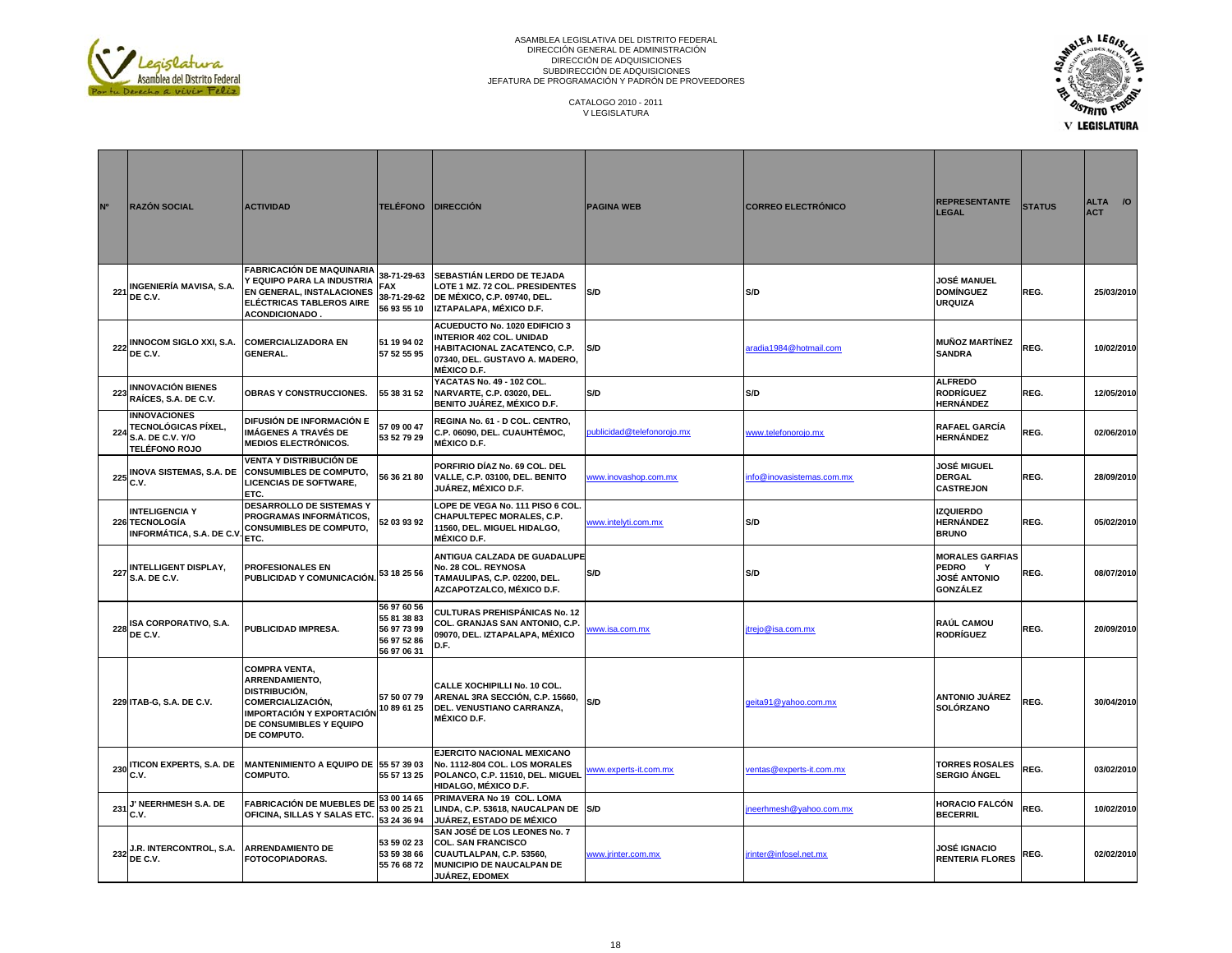



|     | <b>RAZÓN SOCIAL</b>                                                                    | <b>ACTIVIDAD</b>                                                                                                                                           | <b>TELÉFONO</b>                                                         | <b>DIRECCIÓN</b>                                                                                                                                  | <b>PAGINA WEB</b>          | <b>CORREO ELECTRÓNICO</b> | <b>REPRESENTANTE</b><br><b>LEGAL</b>                                 | <b>STATUS</b> | ALTA /O<br><b>ACT</b> |
|-----|----------------------------------------------------------------------------------------|------------------------------------------------------------------------------------------------------------------------------------------------------------|-------------------------------------------------------------------------|---------------------------------------------------------------------------------------------------------------------------------------------------|----------------------------|---------------------------|----------------------------------------------------------------------|---------------|-----------------------|
| 221 | INGENIERÍA MAVISA, S.A.<br>DE C.V.                                                     | <b>FABRICACIÓN DE MAQUINARIA</b><br>Y EQUIPO PARA LA INDUSTRIA<br>EN GENERAL, INSTALACIONES<br><b>ELÉCTRICAS TABLEROS AIRE</b><br>ACONDICIONADO.           | 38-71-29-63<br><b>FAX</b><br>38-71-29-62<br>56 93 55 10                 | SEBASTIÁN LERDO DE TEJADA<br><b>LOTE 1 MZ. 72 COL. PRESIDENTES</b><br><b>DE MÉXICO, C.P. 09740, DEL.</b><br>IZTAPALAPA, MÉXICO D.F.               | S/D                        | S/D                       | <b>JOSÉ MANUEL</b><br><b>DOMÍNGUEZ</b><br><b>URQUIZA</b>             | REG.          | 25/03/2010            |
| 222 | INNOCOM SIGLO XXI, S.A.<br>DE C.V.                                                     | <b>COMERCIALIZADORA EN</b><br>GENERAL.                                                                                                                     | 51 19 94 02<br>57 52 55 95                                              | ACUEDUCTO No. 1020 EDIFICIO 3<br>INTERIOR 402 COL. UNIDAD<br>HABITACIONAL ZACATENCO, C.P.<br>07340, DEL. GUSTAVO A. MADERO,<br><b>MÉXICO D.F.</b> | S/D                        | aradia1984@hotmail.com    | <b>MUÑOZ MARTÍNEZ</b><br><b>SANDRA</b>                               | REG.          | 10/02/2010            |
| 223 | <b>INNOVACIÓN BIENES</b><br>RAÍCES, S.A. DE C.V.                                       | OBRAS Y CONSTRUCCIONES.                                                                                                                                    | 55 38 31 52                                                             | YACATAS No. 49 - 102 COL.<br>NARVARTE, C.P. 03020, DEL.<br><b>BENITO JUÁREZ, MÉXICO D.F.</b>                                                      | S/D                        | S/D                       | <b>ALFREDO</b><br><b>RODRÍGUEZ</b><br><b>HERNÁNDEZ</b>               | REG.          | 12/05/2010            |
| 224 | <b>INNOVACIONES</b><br>TECNOLÓGICAS PÍXEL,<br>S.A. DE C.V. Y/O<br><b>TELÉFONO ROJO</b> | DIFUSIÓN DE INFORMACIÓN E<br>IMÁGENES A TRAVÉS DE<br><b>MEDIOS ELECTRÓNICOS.</b>                                                                           | 57 09 00 47<br>53 52 79 29                                              | REGINA No. 61 - D COL. CENTRO,<br>C.P. 06090, DEL. CUAUHTÉMOC,<br><b>MÉXICO D.F.</b>                                                              | oublicidad@telefonorojo.mx | www.telefonorojo.mx       | <b>RAFAEL GARCÍA</b><br><b>HERNÁNDEZ</b>                             | REG.          | 02/06/2010            |
|     | <b>INOVA SISTEMAS, S.A. DE</b><br>$225$ <sub>C.V.</sub>                                | VENTA Y DISTRIBUCIÓN DE<br><b>CONSUMIBLES DE COMPUTO,</b><br><b>LICENCIAS DE SOFTWARE,</b><br>ETC.                                                         | 56 36 21 80                                                             | PORFIRIO DÍAZ No. 69 COL. DEL<br>VALLE, C.P. 03100, DEL. BENITO<br>JUÁREZ, MÉXICO D.F.                                                            | www.inovashop.com.mx       | info@inovasistemas.com.mx | JOSÉ MIGUEL<br><b>DERGAL</b><br><b>CASTREJON</b>                     | REG.          | 28/09/2010            |
|     | <b>INTELIGENCIA Y</b><br>226 TECNOLOGÍA<br><b>INFORMÁTICA, S.A. DE C.V</b>             | <b>DESARROLLO DE SISTEMAS Y</b><br>PROGRAMAS INFORMÁTICOS,<br><b>CONSUMIBLES DE COMPUTO,</b><br>ETC.                                                       | 52 03 93 92                                                             | LOPE DE VEGA No. 111 PISO 6 COL.<br>CHAPULTEPEC MORALES, C.P.<br>11560, DEL. MIGUEL HIDALGO,<br><b>MÉXICO D.F.</b>                                | www.intelyti.com.mx        | S/D                       | <b>IZQUIERDO</b><br><b>HERNÁNDEZ</b><br><b>BRUNO</b>                 | REG.          | 05/02/2010            |
|     | 227 INTELLIGENT DISPLAY,<br>S.A. DE C.V.                                               | PROFESIONALES EN<br>PUBLICIDAD Y COMUNICACIÓN.                                                                                                             | 53 18 25 56                                                             | ANTIGUA CALZADA DE GUADALUPE<br>No. 28 COL. REYNOSA<br>TAMAULIPAS, C.P. 02200, DEL.<br>AZCAPOTZALCO, MÉXICO D.F.                                  | S/D                        | S/D                       | <b>MORALES GARFIAS</b><br>PEDRO Y<br><b>JOSÉ ANTONIO</b><br>GONZÁLEZ | REG.          | 08/07/2010            |
|     | 228 ISA CORPORATIVO, S.A.<br>DE C.V.                                                   | <b>PUBLICIDAD IMPRESA.</b>                                                                                                                                 | 56 97 60 56<br>55 81 38 83<br>56 97 73 99<br>56 97 52 86<br>56 97 06 31 | <b>CULTURAS PREHISPÁNICAS No. 12</b><br>COL. GRANJAS SAN ANTONIO, C.P.<br>09070, DEL. IZTAPALAPA, MÉXICO<br>D.F.                                  | www.isa.com.mx             | trejo@isa.com.mx          | <b>RAÚL CAMOU</b><br><b>RODRÍGUEZ</b>                                | REG.          | 20/09/2010            |
|     | 229 ITAB-G, S.A. DE C.V.                                                               | <b>COMPRA VENTA,</b><br>ARRENDAMIENTO,<br><b>DISTRIBUCIÓN.</b><br>COMERCIALIZACIÓN,<br>IMPORTACIÓN Y EXPORTACIÓN<br>DE CONSUMIBLES Y EQUIPO<br>DE COMPUTO. | 57 50 07 79<br>10 89 61 25                                              | CALLE XOCHIPILLI No. 10 COL.<br>ARENAL 3RA SECCIÓN, C.P. 15660,<br>DEL. VENUSTIANO CARRANZA.<br><b>MÉXICO D.F.</b>                                | S/D                        | qeita91@yahoo.com.mx      | ANTONIO JUÁREZ<br><b>SOLÓRZANO</b>                                   | REG.          | 30/04/2010            |
|     | 230 ITICON EXPERTS, S.A. DE                                                            | MANTENIMIENTO A EQUIPO DE 55 57 39 03<br>COMPUTO.                                                                                                          | 55 57 13 25                                                             | <b>EJERCITO NACIONAL MEXICANO</b><br>No. 1112-804 COL. LOS MORALES<br>POLANCO, C.P. 11510, DEL. MIGUEL<br>HIDALGO, MÉXICO D.F.                    | www.experts-it.com.mx      | ventas@experts-it.com.mx  | <b>TORRES ROSALES</b><br><b>SERGIO ÁNGEL</b>                         | REG.          | 03/02/2010            |
| 231 | J' NEERHMESH S.A. DE<br>C.V.                                                           | <b>FABRICACIÓN DE MUEBLES DE</b><br>OFICINA, SILLAS Y SALAS ETC.                                                                                           | 53 00 14 65<br>53 00 25 21<br>53 24 36 94                               | PRIMAVERA No 19 COL. LOMA<br>LINDA, C.P. 53618, NAUCALPAN DE S/D<br><b>JUÁREZ, ESTADO DE MÉXICO</b>                                               |                            | neerhmesh@yahoo.com.mx    | <b>HORACIO FALCÓN</b><br><b>BECERRIL</b>                             | REG.          | 10/02/2010            |
|     | 232 J.R. INTERCONTROL, S.A.<br>DE C.V.                                                 | <b>ARRENDAMIENTO DE</b><br>FOTOCOPIADORAS.                                                                                                                 | 53 59 02 23<br>53 59 38 66<br>55 76 68 72                               | SAN JOSÉ DE LOS LEONES No. 7<br><b>COL. SAN FRANCISCO</b><br>CUAUTLALPAN, C.P. 53560,<br>MUNICIPIO DE NAUCALPAN DE<br>JUÁREZ, EDOMEX              | www.jrinter.com.mx         | jrinter@infosel.net.mx    | <b>JOSÉ IGNACIO</b><br><b>RENTERIA FLORES</b>                        | REG.          | 02/02/2010            |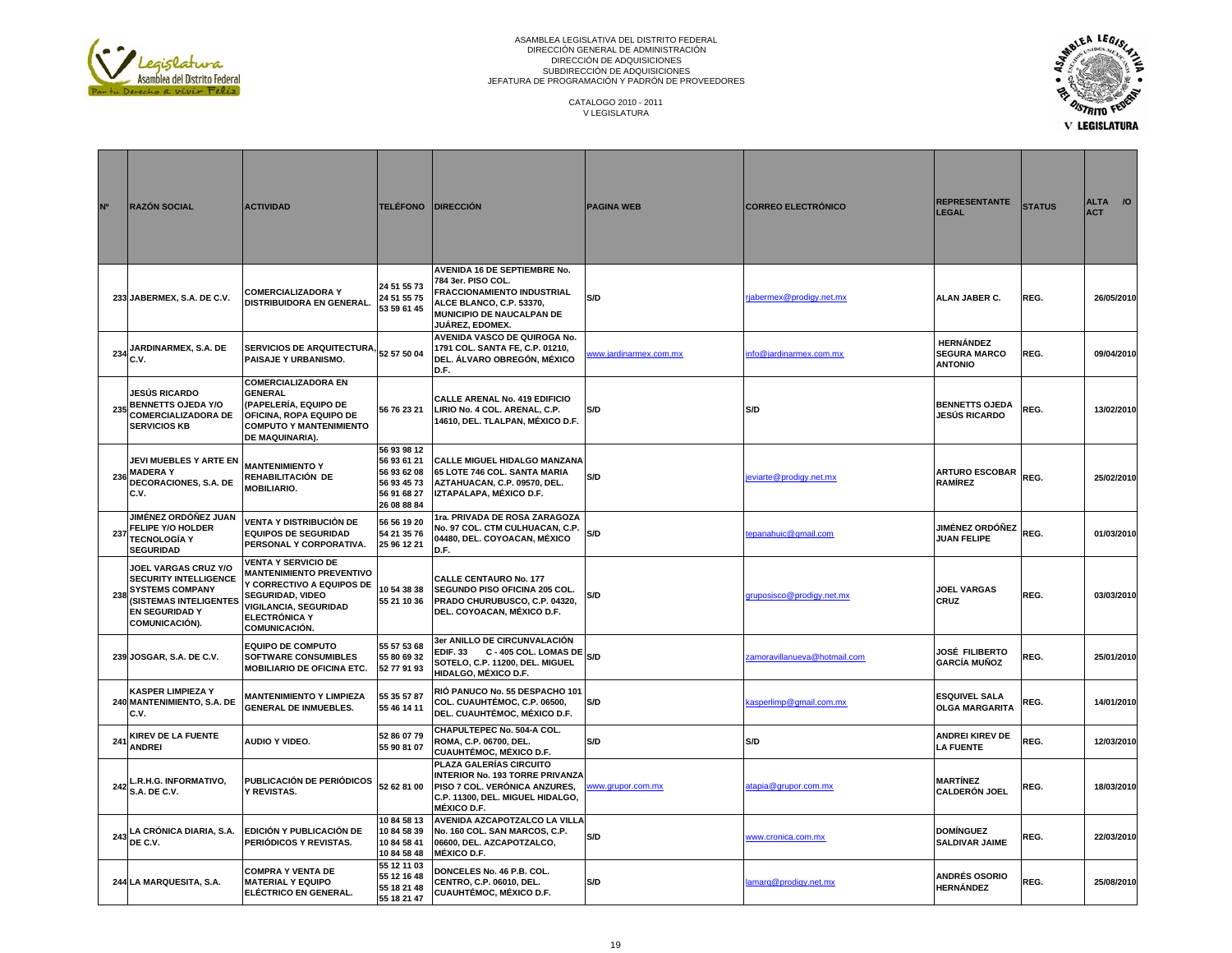





**Nº RAZÓN SOCIAL ACTIVIDAD TELÉFONO DIRECCIÓN PAGINA WEB CORREO ELECTRÓNICOREPRESENTANTE STATUS ALTA /O**<br>LEGAL STATUS ACT **<sup>233</sup> JABERMEX, S.A. DE C.V. COMERCIALIZADORA Y DISTRIBUIDORA EN GENERAL. 24 51 55 73 24 51 55 75 53 59 61 45AVENIDA 16 DE SEPTIEMBRE No. 784 3er. PISO COL. FRACCIONAMIENTO INDUSTRIAL ALCE BLANCO, C.P. 53370, MUNICIPIO DE NAUCALPAN DE JUÁREZ, EDOMEX. S/D** rjabermex@prodigy.net.mx **ALAN JABER C. REG. 26/05/2010 234 JARDINARMEX, S.A. DE C.V. SERVICIOS DE ARQUITECTURA, PAISAJE Y URBANISMO. 52 57 50 04 AVENIDA VASCO DE QUIROGA No. 1791 COL. SANTA FE, C.P. 01210, DEL. ÁLVARO OBREGÓN, MÉXICO D.F.**wiardinarmex.com.mx  $\frac{1}{2}$  info@jardinarmex.com.mx  **HERNÁNDEZ SEGURA MARCO ANTONIOREG. 09/04/2010235JESÚS RICARDO BENNETTS OJEDA Y/O COMERCIALIZADORA DE SERVICIOS KBCOMERCIALIZADORA EN GENERAL (PAPELERÍA, EQUIPO DE OFICINA, ROPA EQUIPO DE COMPUTO Y MANTENIMIENTO DE MAQUINARIA). 56 76 23 21CALLE ARENAL No. 419 EDIFICIO LIRIO No. 4 COL. ARENAL, C.P. 14610, DEL. TLALPAN, MÉXICO D.F. S/D S/D BENNETTS OJEDA JESÚS RICARDO REG. 13/02/2010 236 DECORACIONES, S.A. DE JEVI MUEBLES Y ARTE EN MADERA Y C.V.MANTENIMIENTO Y REHABILITACIÓN DE MOBILIARIO.56 93 98 12 56 93 61 21 56 93 62 08 56 93 45 73 56 91 68 27 26 08 88 84CALLE MIGUEL HIDALGO MANZANA 65 LOTE 746 COL. SANTA MARIA AZTAHUACAN, C.P. 09570, DEL. IZTAPALAPA, MÉXICO D.F. S/DD**<br>**D** ARTURO ESCOBAR<br>**RAMÍREZ REG. REG. 25/02/2010**<br>**RAMÍREZ 237 JIMÉNEZ ORDÓÑEZ JUAN FELIPE Y/O HOLDER TECNOLOGÍA Y SEGURIDADVENTA Y DISTRIBUCIÓN DE EQUIPOS DE SEGURIDAD PERSONAL Y CORPORATIVA.56 56 19 20 54 21 35 76 25 96 12 211ra. PRIVADA DE ROSA ZARAGOZA No. 97 COL. CTM CULHUACAN, C.P. 04480, DEL. COYOACAN, MÉXICO D.F.S/D** tepanahuic@gmail.com **JIMÉNEZ ORDÓÑEZ JUAN FELIPE**JIMÉNEZ ORDÓÑEZ REG. **101/03/2010**<br>JUAN FELIPE **238JOEL VARGAS CRUZ Y/O SECURITY INTELLIGENCE SYSTEMS COMPANY (SISTEMAS INTELIGENTES EN SEGURIDAD Y COMUNICACIÓN). VENTA Y SERVICIO DE MANTENIMIENTO PREVENTIVO Y CORRECTIVO A EQUIPOS DE SEGURIDAD, VIDEO VIGILANCIA, SEGURIDAD ELECTRÓNICA Y COMUNICACIÓN.10 54 38 38 55 21 10 36CALLE CENTAURO No. 177 SEGUNDO PISO OFICINA 205 COL. PRADO CHURUBUSCO, C.P. 04320, DEL. COYOACAN, MÉXICO D.F. S/D** gruposisco@prodigy.net.mx **JOEL VARGAS CRUZREG.** 03/03/2010<br>CRUZ REG. 03/03/2010 **239 JOSGAR, S.A. DE C.V. EQUIPO DE COMPUTO SOFTWARE CONSUMIBLES MOBILIARIO DE OFICINA ETC.55 57 53 68 55 80 69 32 52 77 91 933er ANILLO DE CIRCUNVALACIÓN EDIF. 33 C - 405 COL. LOMAS DE SOTELO, C.P. 11200, DEL. MIGUEL HIDALGO, MÉXICO D.F. S/D** zamoravillanueva@hotmail.com **JOSÉ FILIBERTO GARCÍA MUÑOZ REG. 25/01/2010 240 MANTENIMIENTO, S.A. DE KASPER LIMPIEZA Y C.V.MANTENIMIENTO Y LIMPIEZA GENERAL DE INMUEBLES.55 35 57 87 55 46 14 11RIÓ PANUCO No. 55 DESPACHO 101 S/DCOL. CUAUHTÉMOC, C.P. 06500, DEL. CUAUHTÉMOC, MÉXICO D.F.** kasperlimp@gmail.com.mx **ESQUIVEL SALA OLGA MARGARITA REG. 14/01/2010 241 KIREV DE LA FUENTE ANDREI AUDIO Y VIDEO. 52 86 07 79 55 90 81 07 CHAPULTEPEC No. 504-A COL. ROMA, C.P. 06700, DEL. CUAUHTÉMOC, MÉXICO D.F. S/D S/D ANDREI KIREV DE LA FUENTE REG. 12/03/2010 242 L.R.H.G. INFORMATIVO, S.A. DE C.V.PUBLICACIÓN DE PERIÓDICOS 52 62 81 00<br>Y REVISTAS PLAZA GALERÍAS CIRCUITO INTERIOR No. 193 TORRE PRIVANZA PISO 7 COL. VERÓNICA ANZURES, C.P. 11300, DEL. MIGUEL HIDALGO, MÉXICO D.F.** www.grupor.com.mx<br>atapia@grupor.com.mx **MARTÍNEZ**<br>CALDERÓN JOEL **REG.** 18/03/2010<br>CALDERÓN JOEL REG. 18/03/2010 **243 LA CRÓNICA DIARIA, S.A. DE C.V. EDICIÓN Y PUBLICACIÓN DE PERIÓDICOS Y REVISTAS. 10 84 58 13 10 84 58 39 10 84 58 41 10 84 58 48 AVENIDA AZCAPOTZALCO LA VILLA No. 160 COL. SAN MARCOS, C.P. 06600, DEL. AZCAPOTZALCO, MÉXICO D.F. S/D** www.cronica.com.mx **DOMÍNGUEZ SALDIVAR JAIMEREG.** 22/03/2010<br>**SALDIVAR JAIME** REG. 22/03/2010 **244 LA MARQUESITA, S.A. COMPRA Y VENTA DE MATERIAL Y EQUIPO ELÉCTRICO EN GENERAL.55 12 11 03 55 12 16 48 55 18 21 48 DONCELES No. 46 P.B. COL. CENTRO, C.P. 06010, DEL. CUAUHTÉMOC, MÉXICO D.F. S/D** lamarq@prodigy.net.mx **ANDRÉS OSORIO HERNÁNDEZREG. 25/08/2010**

**55 18 21 47**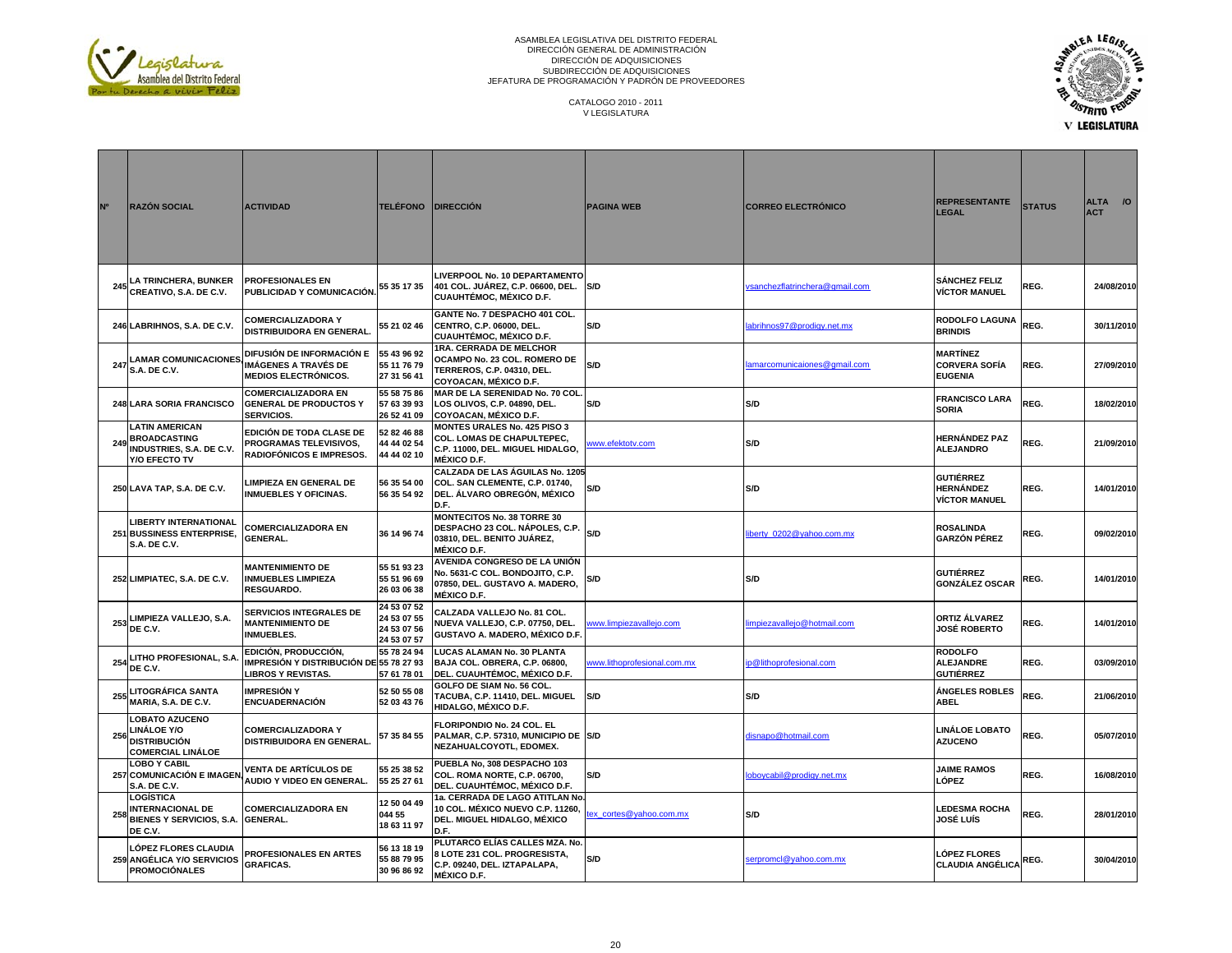





**Nº RAZÓN SOCIAL ACTIVIDAD TELÉFONO DIRECCIÓN PAGINA WEB CORREO ELECTRÓNICOREPRESENTANTE STATUS ALTA /O**<br>LEGAL STATUS ACT **245**SLA TRINCHERA, BUNKER PROFESIONALES EN ANDERES EN AUSTRALISMENTO DEPARTAMENTO EN EN ENGLA EN ARCHEZ FELIZ REG.<br>CUREATIVO, S.A. DE C.V. PUBLICIDAD Y COMUNICACIÓN. 65 35 17 35 400 FOULD CUAUHTÉMOC, MÉXICO D.F. S/D<br>CUAUHTÉMOC **<sup>246</sup> LABRIHNOS, S.A. DE C.V. COMERCIALIZADORA Y DISTRIBUIDORA EN GENERAL. 55 21 02 46 GANTE No. 7 DESPACHO 401 COL. CENTRO, C.P. 06000, DEL. CUAUHTÉMOC, MÉXICO D.F. S/D** labrihnos97@prodigy.net.mx **RODOLFO LAGUNA BRINDIS REG. 30/11/2010 247 LAMAR COMUNICACIONES, S.A. DE C.V.LAMAR COMUNICACIONES, DIFUSIÓN DE INFORMACIÓN E<br>S.A. DE C.V.<br>MEDIOS ELECTRÓNICOS. 55 43 96 92 55 11 76 79 27 31 56 41**1RA. CERRADA DE MELCHOR<br>9 OCAMPO No. 23 COL. ROMERO DE S/D<br>1 COYOACAN, MÉXICO D.F. **ISPECTE DE S/D**<br>1 COYOACAN, MÉXICO D.F. S/D<br>27/09/2010 **248 LARA SORIA FRANCISCOCOMERCIALIZADORA EN GENERAL DE PRODUCTOS Y SERVICIOS. 55 58 75 86 57 63 39 93 26 52 41 09MAR DE LA SERENIDAD No. 70 COL.**  $s/n$ **LOS OLIVOS, C.P. 04890, DEL. COYOACAN, MÉXICO D.F. S/D S/DFRANCISCO LARA**<br>SORIA **REG. 18/02/2010 249 LATIN AMERICAN BROADCASTING INDUSTRIES, S.A. DE C.V. Y/O EFECTO TVEDICIÓN DE TODA CLASE DE PROGRAMAS TELEVISIVOS, RADIOFÓNICOS E IMPRESOS. 52 82 46 88 44 44 02 54 44 44 02 10MONTES URALES No. 425 PISO 3 COL. LOMAS DE CHAPULTEPEC, C.P. 11000, DEL. MIGUEL HIDALGO, MÉXICO D.F.**www.efektotv.com **S/D HERNÁNDEZ PAZ ALEJANDRO REG. 21/09/2010 <sup>250</sup> LAVA TAP, S.A. DE C.V. LIMPIEZA EN GENERAL DE INMUEBLES Y OFICINAS. 56 35 54 00 56 35 54 92CALZADA DE LAS ÁGUILAS No. 1205COL. SAN CLEMENTE, C.P. 01740, DEL. ÁLVARO OBREGÓN, MÉXICO D.F.S/D S/DGUTIÉRREZ HERNÁNDEZ VÍCTOR MANUELREG. 14/01/2010251 BUSSINESS ENTERPRISE, LIBERTY INTERNATIONAL S.A. DE C.V.COMERCIALIZADORA EN GENERAL. 36 14 96 74 MONTECITOS No. 38 TORRE 30 DESPACHO 23 COL. NÁPOLES, C.P. S/D03810, DEL. BENITO JUÁREZ, MÉXICO D.F.** liberty\_0202@yahoo.com.mx **ROSALINDA GARZÓN PÉREZ REG. 09/02/2010 252 LIMPIATEC, S.A. DE C.V. MANTENIMIENTO DE INMUEBLES LIMPIEZA RESGUARDO.55 51 93 23 55 51 96 69 26 03 06 38 AVENIDA CONGRESO DE LA UNIÓN No. 5631-C COL. BONDOJITO, C.P. 07850, DEL. GUSTAVO A. MADERO, MÉXICO D.F.S/D S/D GUTIÉRREZ GONZÁLEZ OSCAR REG. 14/01/2010 253 LIMPIEZA VALLEJO, S.A. DE C.V.MANTENIMIENTO DE<br>INMUEBLES. 24 53 07 52<br>
MANTENIMIENTO DE 24 53 07 55<br>
INMUEBLES.** 24 53 07 56<br>
24 53 07 57 **CALZADA VALLEJO No. 81 COL.**<br>6 NUEVA VALLEJO, C.P. 07750, DEL. <u>www.limpiezavallejo.com limpiezavallejo@hotmail.com</u> oRTIZ ÁLVAREZ REG. 14/01/2010<br>7 GUSTAVO A. MADERO, MÉXICO D.F. **254 LITHO PROFESIONAL, S.A. DE C.V. EDICIÓN, PRODUCCIÓN, IMPRESIÓN Y DISTRIBUCIÓN DE LIBROS Y REVISTAS. 55 78 24 94 55 78 27 93 57 61 78 01 LUCAS ALAMAN No. 30 PLANTA BAJA COL. OBRERA, C.P. 06800, DEL. CUAUHTÉMOC, MÉXICO D.F.** www.lithoprofesional.com.mx ip@lithoprofesional.com **RODOLFO ALEJANDRE GUTIÉRREZ REG. 03/09/2010 255**SUITOGRÁFICA SANTA MIPRESIÓN Y SE 50 55 08 GOLFO DE SIAM No. 56 COL.<br>MARIA, S.A. DE C.V. ENCUADERNACIÓN 52 03 43 76 HIDALGO, MÉXICO D.F. MIGUEL S/D S/D S/D ABEL ABEL ABEL ROBLES ROBLES (21/06/2010<br>MARIA, S.A. DE C.V. ENCUA **256LOBATO AZUCENO LINÁLOE Y/O DISTRIBUCIÓN COMERCIAL LINÁLOECOMERCIALIZADORA Y DISTRIBUIDORA EN GENERAL. 57 35 84 55 FLORIPONDIO No. 24 COL. EL PALMAR, C.P. 57310, MUNICIPIO DE S/DNEZAHUALCOYOTL, EDOMEX.** disnapo@hotmail.com **LINÁLOE LOBATO AZUCENO REG. 05/07/2010 257 COMUNICACIÓN E IMAGEN, LOBO Y CABIL S.A. DE C.V. VENTA DE ARTÍCULOS DE AUDIO Y VIDEO EN GENERAL. 55 25 38 52 55 25 27 61 PUEBLA No, 308 DESPACHO 103 COL. ROMA NORTE, C.P. 06700, DEL. CUAUHTÉMOC, MÉXICO D.F. S/D** loboycabil@prodigy.net.mx **JAIME RAMOS LÓPEZ REG. 16/08/2010 258LOGÍSTICA INTERNACIONAL DE BIENES Y SERVICIOS, S.A. DE C.V.COMERCIALIZADORA EN GENERAL.12 50 04 49 044 55 18 63 11 97 1a. CERRADA DE LAGO ATITLAN No.10 COL. MÉXICO NUEVO C.P. 11260, DEL. MIGUEL HIDALGO, MÉXICO D.F.**tex\_cortes@yahoo.com.mx **S/D LEDESMA ROCHA JOSÉ LUÍS REG. 28/01/2010 259ANGÉLICA Y/O SERVICIOS LÓPEZ FLORES CLAUDIA PROMOCIÓNALESPROFESIONALES EN ARTES GRAFICAS.56 13 18 19 55 88 79 95 30 96 86 92PLUTARCO ELÍAS CALLES MZA. No. 8 LOTE 231 COL. PROGRESISTA, C.P. 09240, DEL. IZTAPALAPA, MÉXICO D.F. S/D** serpromcl@yahoo.com.mx **LÓPEZ FLORES CLAUDIA ANGÉLICAREG. 30/04/2010**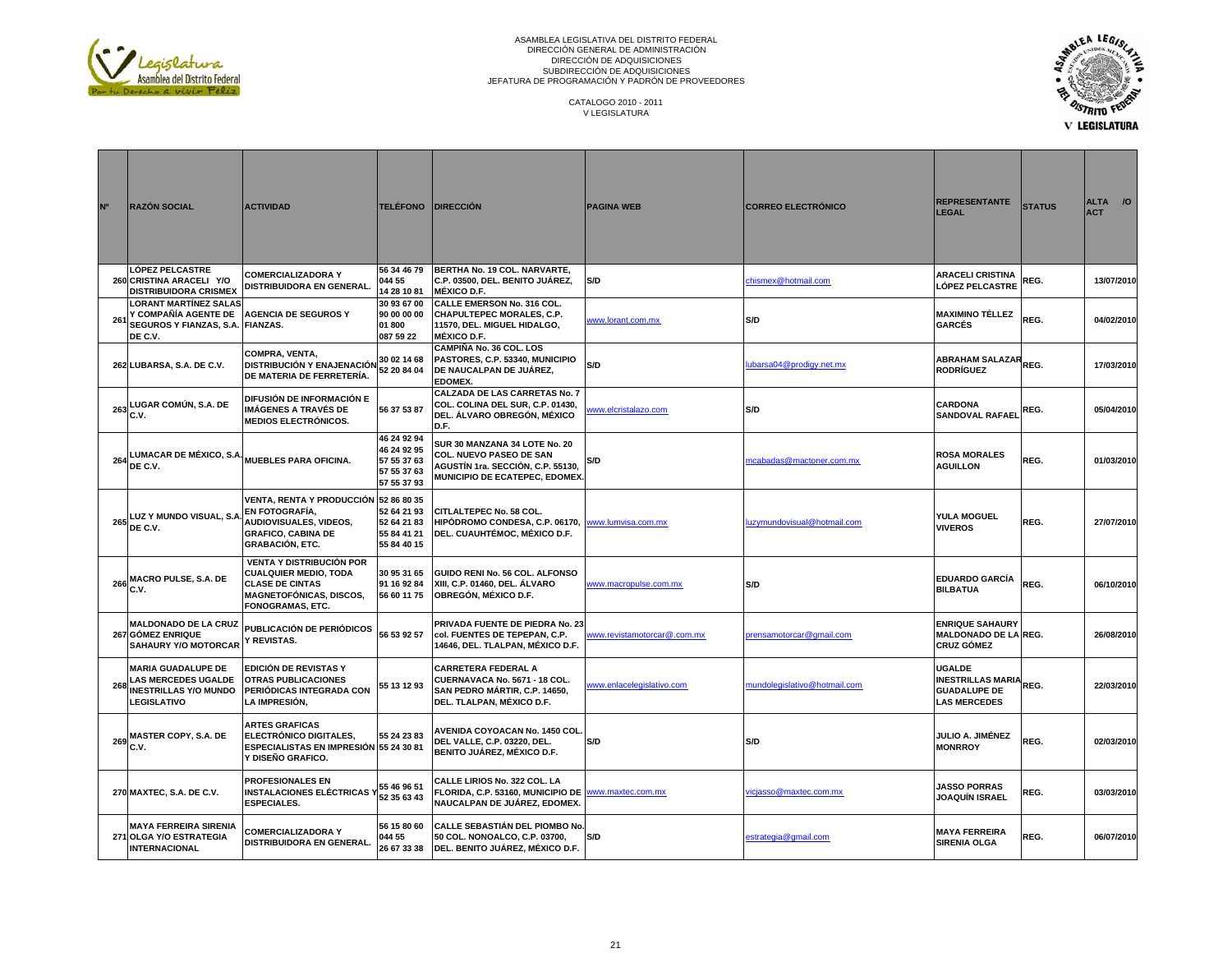



|     | <b>RAZÓN SOCIAL</b>                                                                                        | <b>ACTIVIDAD</b>                                                                                                                                       | TELÉFONO                                                                | <b>IDIRECCIÓN</b>                                                                                                                             | <b>PAGINA WEB</b>           | <b>CORREO ELECTRÓNICO</b>    | <b>REPRESENTANTE</b><br><b>LEGAL</b>                                                    | <b>STATUS</b> | ALTA /O<br><b>ACT</b> |
|-----|------------------------------------------------------------------------------------------------------------|--------------------------------------------------------------------------------------------------------------------------------------------------------|-------------------------------------------------------------------------|-----------------------------------------------------------------------------------------------------------------------------------------------|-----------------------------|------------------------------|-----------------------------------------------------------------------------------------|---------------|-----------------------|
|     | <b>LÓPEZ PELCASTRE</b><br>260 CRISTINA ARACELI Y/O<br><b>DISTRIBUIDORA CRISMEX</b>                         | <b>COMERCIALIZADORA Y</b><br>DISTRIBUIDORA EN GENERAL.                                                                                                 | 56 34 46 79<br>044 55<br>14 28 10 81                                    | BERTHA No. 19 COL. NARVARTE,<br>C.P. 03500, DEL. BENITO JUÁREZ,<br><b>MÉXICO D.F.</b>                                                         | S/D                         | chismex@hotmail.com          | <b>ARACELI CRISTINA</b><br><b>LÓPEZ PELCASTRE</b>                                       | REG.          | 13/07/2010            |
| 26' | <b>LORANT MARTÍNEZ SALAS</b><br>Y COMPAÑÍA AGENTE DE<br>SEGUROS Y FIANZAS, S.A.<br>DE C.V.                 | <b>AGENCIA DE SEGUROS Y</b><br>FIANZAS.                                                                                                                | 30 93 67 00<br>90 00 00 00<br>01 800<br>087 59 22                       | CALLE EMERSON No. 316 COL.<br><b>CHAPULTEPEC MORALES, C.P.</b><br>11570, DEL. MIGUEL HIDALGO,<br><b>MÉXICO D.F.</b>                           | www.lorant.com.mx           | S/D                          | <b>MAXIMINO TÉLLEZ</b><br><b>GARCÉS</b>                                                 | REG.          | 04/02/2010            |
|     | 262 LUBARSA, S.A. DE C.V.                                                                                  | <b>COMPRA, VENTA,</b><br>DISTRIBUCIÓN Y ENAJENACIÓN<br>DE MATERIA DE FERRETERÍA.                                                                       | 30 02 14 68<br>52 20 84 04                                              | CAMPIÑA No. 36 COL. LOS<br>PASTORES, C.P. 53340, MUNICIPIO<br>DE NAUCALPAN DE JUÁREZ,<br><b>EDOMEX.</b>                                       | S/D                         | ubarsa04@prodigy.net.mx      | ABRAHAM SALAZAR<br><b>RODRÍGUEZ</b>                                                     | REG.          | 17/03/2010            |
|     | 263 LUGAR COMÚN, S.A. DE                                                                                   | DIFUSIÓN DE INFORMACIÓN E<br>IMÁGENES A TRAVÉS DE<br><b>MEDIOS ELECTRÓNICOS.</b>                                                                       | 56 37 53 87                                                             | <b>CALZADA DE LAS CARRETAS No. 7</b><br>COL. COLINA DEL SUR, C.P. 01430,<br>DEL. ÁLVARO OBREGÓN, MÉXICO<br>D.F.                               | www.elcristalazo.com        | S/D                          | <b>CARDONA</b><br><b>SANDOVAL RAFAEL</b>                                                | REG.          | 05/04/2010            |
|     | LUMACAR DE MÉXICO, S.A.<br>$264$ DE C.V.                                                                   | <b>MUEBLES PARA OFICINA.</b>                                                                                                                           | 46 24 92 94<br>46 24 92 95<br>57 55 37 63<br>57 55 37 63<br>57 55 37 93 | SUR 30 MANZANA 34 LOTE No. 20<br><b>COL. NUEVO PASEO DE SAN</b><br>AGUSTÍN 1ra. SECCIÓN, C.P. 55130,<br><b>MUNICIPIO DE ECATEPEC, EDOMEX.</b> | S/D                         | mcabadas@mactoner.com.mx     | <b>ROSA MORALES</b><br><b>AGUILLON</b>                                                  | REG.          | 01/03/2010            |
|     | 265 LUZ Y MUNDO VISUAL, S.A.<br>DE C.V.                                                                    | <b>VENTA, RENTA Y PRODUCCIÓN 52 86 80 35</b><br>EN FOTOGRAFÍA,<br>AUDIOVISUALES, VIDEOS,<br><b>GRAFICO, CABINA DE</b><br><b>GRABACIÓN, ETC.</b>        | 52 64 21 93<br>52 64 21 83<br>55 84 41 21<br>55 84 40 15                | CITLALTEPEC No. 58 COL.<br>HIPÓDROMO CONDESA, C.P. 06170,<br>DEL. CUAUHTÉMOC, MÉXICO D.F.                                                     | www.lumvisa.com.mx          | uzymundovisual@hotmail.com   | YULA MOGUEL<br><b>VIVEROS</b>                                                           | REG.          | 27/07/2010            |
|     | 266 MACRO PULSE, S.A. DE<br>C.V.                                                                           | <b>VENTA Y DISTRIBUCIÓN POR</b><br><b>CUALQUIER MEDIO, TODA</b><br><b>CLASE DE CINTAS</b><br><b>MAGNETOFÓNICAS, DISCOS,</b><br><b>FONOGRAMAS, ETC.</b> | 30 95 31 65<br>91 16 92 84<br>56 60 11 75                               | GUIDO RENI No. 56 COL. ALFONSO<br>XIII, C.P. 01460, DEL. ÁLVARO<br><b>OBREGÓN, MÉXICO D.F.</b>                                                | www.macropulse.com.mx       | S/D                          | <b>EDUARDO GARCÍA</b><br><b>BILBATUA</b>                                                | REG.          | 06/10/2010            |
|     | <b>MALDONADO DE LA CRUZ</b><br>267 GÓMEZ ENRIQUE<br><b>SAHAURY Y/O MOTORCAR</b>                            | PUBLICACIÓN DE PERIÓDICOS<br><b>Y REVISTAS.</b>                                                                                                        | 56 53 92 57                                                             | PRIVADA FUENTE DE PIEDRA No. 23<br>col. FUENTES DE TEPEPAN. C.P.<br>14646, DEL. TLALPAN, MÉXICO D.F.                                          | www.revistamotorcar@.com.mx | prensamotorcar@gmail.com     | <b>ENRIQUE SAHAURY</b><br><b>MALDONADO DE LA REG.</b><br><b>CRUZ GÓMEZ</b>              |               | 26/08/2010            |
|     | <b>MARIA GUADALUPE DE</b><br>268 LAS MERCEDES UGALDE<br><b>INESTRILLAS Y/O MUNDO</b><br><b>LEGISLATIVO</b> | <b>EDICIÓN DE REVISTAS Y</b><br><b>OTRAS PUBLICACIONES</b><br>PERIÓDICAS INTEGRADA CON<br>LA IMPRESIÓN,                                                | 55 13 12 93                                                             | CARRETERA FEDERAL A<br><b>CUERNAVACA No. 5671 - 18 COL.</b><br>SAN PEDRO MARTIR, C.P. 14650,<br>DEL. TLALPAN, MÉXICO D.F.                     | www.enlacelegislativo.com   | mundolegislativo@hotmail.com | <b>UGALDE</b><br><b>INESTRILLAS MARIA</b><br><b>GUADALUPE DE</b><br><b>LAS MERCEDES</b> | REG.          | 22/03/2010            |
|     | 269 MASTER COPY, S.A. DE<br>C.V.                                                                           | <b>ARTES GRAFICAS</b><br>ELECTRÓNICO DIGITALES.<br><b>ESPECIALISTAS EN IMPRESIÓN 55 24 30 81</b><br>Y DISEÑO GRAFICO.                                  | 55 24 23 83                                                             | AVENIDA COYOACAN No. 1450 COL.<br>DEL VALLE, C.P. 03220, DEL.<br><b>BENITO JUÁREZ, MÉXICO D.F.</b>                                            | S/D                         | S/D                          | JULIO A. JIMÉNEZ<br><b>MONRROY</b>                                                      | REG.          | 02/03/2010            |
|     | 270 MAXTEC, S.A. DE C.V.                                                                                   | PROFESIONALES EN<br>INSTALACIONES ELÉCTRICAS Y<br><b>ESPECIALES.</b>                                                                                   | 55 46 96 51<br>52 35 63 43                                              | <b>CALLE LIRIOS No. 322 COL. LA</b><br>FLORIDA, C.P. 53160, MUNICIPIO DE  <br>NAUCALPAN DE JUÁREZ, EDOMEX.                                    | www.maxtec.com.mx           | vicjasso@maxtec.com.mx       | <b>JASSO PORRAS</b><br>JOAQUÍN ISRAEL                                                   | REG.          | 03/03/2010            |
|     | <b>MAYA FERREIRA SIRENIA</b><br>271 OLGA Y/O ESTRATEGIA<br><b>INTERNACIONAL</b>                            | <b>COMERCIALIZADORA Y</b><br>DISTRIBUIDORA EN GENERAL.                                                                                                 | 56 15 80 60<br>044 55<br>26 67 33 38                                    | CALLE SEBASTIÁN DEL PIOMBO No.<br>50 COL. NONOALCO, C.P. 03700,<br>DEL. BENITO JUÁREZ, MÉXICO D.F.                                            | S/D                         | estrategia@gmail.com         | <b>MAYA FERREIRA</b><br><b>SIRENIA OLGA</b>                                             | REG.          | 06/07/2010            |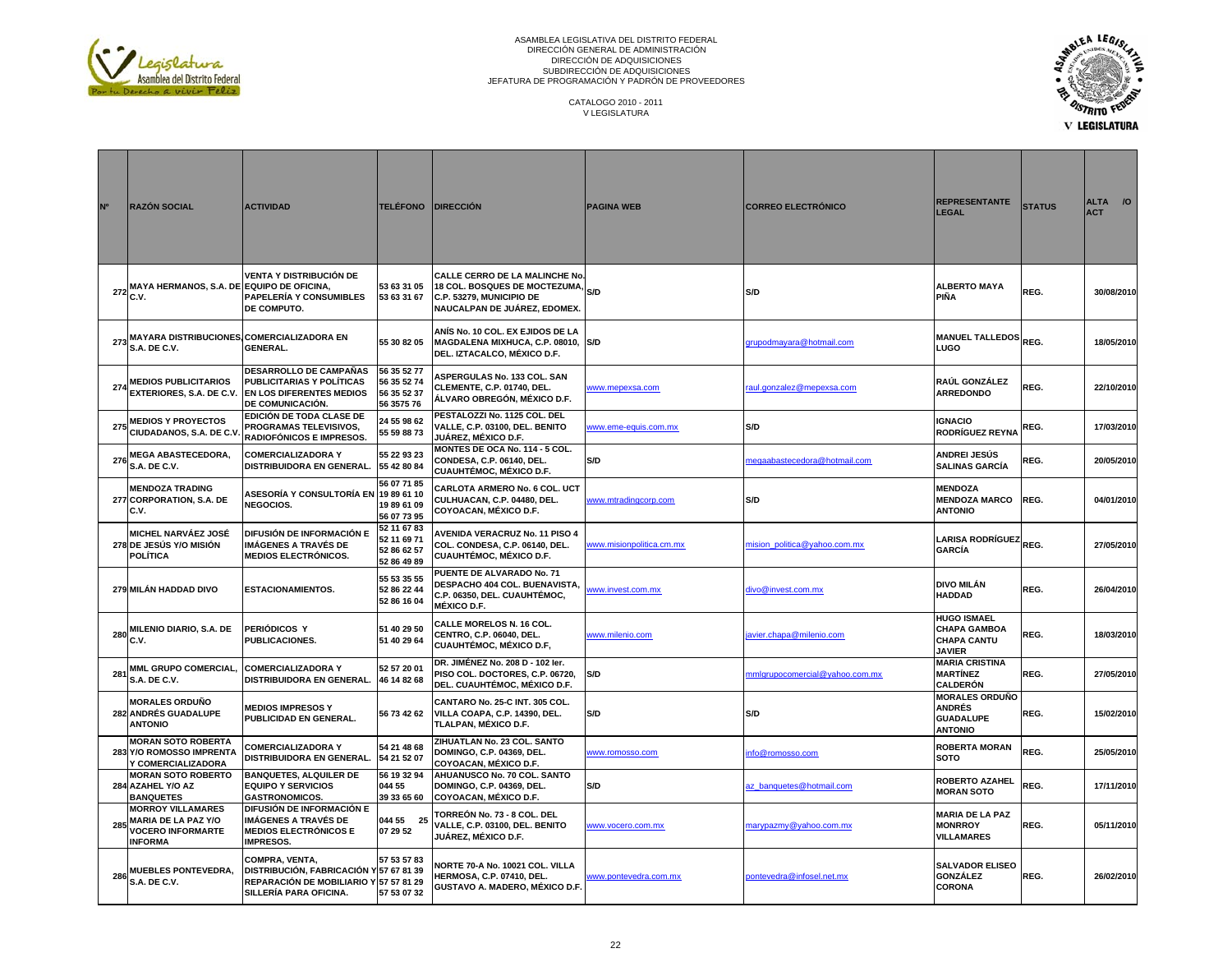



|     | <b>RAZÓN SOCIAL</b>                                                                                  | <b>ACTIVIDAD</b>                                                                                                              | <b>TELÉFONO</b>                                          | <b>DIRECCIÓN</b>                                                                                                                       | <b>PAGINA WEB</b>        | <b>CORREO ELECTRÓNICO</b>      | <b>REPRESENTANTE</b><br><b>LEGAL</b>                                             | <b>STATUS</b> | ALTA /O<br><b>ACT</b> |
|-----|------------------------------------------------------------------------------------------------------|-------------------------------------------------------------------------------------------------------------------------------|----------------------------------------------------------|----------------------------------------------------------------------------------------------------------------------------------------|--------------------------|--------------------------------|----------------------------------------------------------------------------------|---------------|-----------------------|
|     | MAYA HERMANOS, S.A. DE EQUIPO DE OFICINA,<br>$272$ <sub>C.V.</sub>                                   | VENTA Y DISTRIBUCIÓN DE<br>PAPELERÍA Y CONSUMIBLES<br>DE COMPUTO.                                                             | 53 63 31 05<br>53 63 31 67                               | <b>CALLE CERRO DE LA MALINCHE No.</b><br>18 COL. BOSQUES DE MOCTEZUMA, S/D<br>C.P. 53279, MUNICIPIO DE<br>NAUCALPAN DE JUÁREZ. EDOMEX. |                          | S/D                            | <b>ALBERTO MAYA</b><br>PIÑA                                                      | REG.          | 30/08/2010            |
| 273 | MAYARA DISTRIBUCIONES COMERCIALIZADORA EN<br>S.A. DE C.V.                                            | <b>GENERAL.</b>                                                                                                               | 55 30 82 05                                              | ANÍS No. 10 COL. EX EJIDOS DE LA<br>MAGDALENA MIXHUCA, C.P. 08010, S/D<br>IDEL. IZTACALCO. MÉXICO D.F.                                 |                          | grupodmayara@hotmail.com       | <b>MANUEL TALLEDOS</b><br>LUGO                                                   | REG.          | 18/05/2010            |
| 274 | <b>MEDIOS PUBLICITARIOS</b><br><b>EXTERIORES, S.A. DE C.V.</b>                                       | <b>DESARROLLO DE CAMPAÑAS</b><br>PUBLICITARIAS Y POLÍTICAS<br>EN LOS DIFERENTES MEDIOS<br><b>DE COMUNICACIÓN.</b>             | 56 35 52 77<br>56 35 52 74<br>56 35 52 37<br>56 3575 76  | <b>ASPERGULAS No. 133 COL. SAN</b><br>CLEMENTE, C.P. 01740, DEL.<br>ÁLVARO OBREGÓN, MÉXICO D.F.                                        | www.mepexsa.com          | aul.gonzalez@mepexsa.com       | <b>RAÚL GONZÁLEZ</b><br><b>ARREDONDO</b>                                         | REG.          | 22/10/2010            |
| 275 | <b>MEDIOS Y PROYECTOS</b><br><b>CIUDADANOS, S.A. DE C.V</b>                                          | <b>EDICIÓN DE TODA CLASE DE</b><br>PROGRAMAS TELEVISIVOS,<br><b>RADIOFÓNICOS E IMPRESOS.</b>                                  | 24 55 98 62<br>55 59 88 73                               | PESTALOZZI No. 1125 COL. DEL<br>VALLE, C.P. 03100, DEL. BENITO<br>JUÁREZ, MÉXICO D.F.                                                  | www.eme-equis.com.mx     | S/D                            | <b>IGNACIO</b><br>RODRÍGUEZ REYNA                                                | REG.          | 17/03/2010            |
|     | 276 MEGA ABASTECEDORA,<br>S.A. DE C.V.                                                               | <b>COMERCIALIZADORA Y</b><br>DISTRIBUIDORA EN GENERAL.                                                                        | 55 22 93 23<br>55 42 80 84                               | MONTES DE OCA No. 114 - 5 COL.<br>CONDESA, C.P. 06140, DEL.<br><b>CUAUHTÉMOC, MÉXICO D.F.</b>                                          | S/D                      | negaabastecedora@hotmail.com   | <b>ANDREI JESÚS</b><br><b>SALINAS GARCÍA</b>                                     | REG.          | 20/05/2010            |
|     | <b>MENDOZA TRADING</b><br>277 CORPORATION, S.A. DE<br>C.V.                                           | ASESORÍA Y CONSULTORÍA EN 19 89 61 10<br>NEGOCIOS.                                                                            | 56 07 71 85<br>19896109<br>56 07 73 95                   | <b>CARLOTA ARMERO No. 6 COL. UCT</b><br>CULHUACAN, C.P. 04480, DEL.<br>COYOACAN, MÉXICO D.F.                                           | www.mtradingcorp.com     | S/D                            | <b>MENDOZA</b><br><b>MENDOZA MARCO</b><br><b>ANTONIO</b>                         | REG.          | 04/01/2010            |
|     | MICHEL NARVÁEZ JOSÉ<br>278 DE JESÚS Y/O MISIÓN<br><b>POLÍTICA</b>                                    | DIFUSIÓN DE INFORMACIÓN E<br>IMÁGENES A TRAVÉS DE<br><b>MEDIOS ELECTRÓNICOS.</b>                                              | 52 11 67 83<br>52 11 69 71<br>52 86 62 57<br>52 86 49 89 | <b>AVENIDA VERACRUZ No. 11 PISO 4</b><br>COL. CONDESA, C.P. 06140, DEL.<br>CUAUHTÉMOC, MÉXICO D.F.                                     | www.misionpolitica.cm.mx | mision politica@yahoo.com.mx   | <b>LARISA RODRÍGUEZ</b><br><b>GARCÍA</b>                                         | REG.          | 27/05/2010            |
|     | 279 MILÁN HADDAD DIVO                                                                                | <b>ESTACIONAMIENTOS.</b>                                                                                                      | 55 53 35 55<br>52 86 22 44<br>52 86 16 04                | PUENTE DE ALVARADO No. 71<br>DESPACHO 404 COL. BUENAVISTA,<br>C.P. 06350, DEL. CUAUHTÉMOC,<br><b>MÉXICO D.F.</b>                       | www.invest.com.mx        | divo@invest.com.mx             | <b>DIVO MILÁN</b><br><b>HADDAD</b>                                               | REG.          | 26/04/2010            |
|     | 280 MILENIO DIARIO, S.A. DE                                                                          | PERIÓDICOS Y<br><b>PUBLICACIONES.</b>                                                                                         | 51 40 29 50<br>51 40 29 64                               | CALLE MORELOS N. 16 COL.<br>CENTRO, C.P. 06040, DEL.<br><b>CUAUHTÉMOC, MÉXICO D.F.</b>                                                 | www.milenio.com          | avier.chapa@milenio.com        | <b>HUGO ISMAEL</b><br><b>CHAPA GAMBOA</b><br><b>CHAPA CANTU</b><br><b>JAVIER</b> | REG.          | 18/03/2010            |
| 281 | MML GRUPO COMERCIAL,<br>S.A. DE C.V.                                                                 | <b>COMERCIALIZADORA Y</b><br>DISTRIBUIDORA EN GENERAL.                                                                        | 52 57 20 01<br>46 14 82 68                               | DR. JIMÉNEZ No. 208 D - 102 ler.<br>PISO COL. DOCTORES, C.P. 06720,<br>DEL. CUAUHTÉMOC, MÉXICO D.F.                                    | S/D                      | mmlgrupocomercial@yahoo.com.mx | <b>MARIA CRISTINA</b><br><b>MARTÍNEZ</b><br><b>CALDERÓN</b>                      | REG.          | 27/05/2010            |
|     | <b>MORALES ORDUÑO</b><br><b>282 ANDRÉS GUADALUPE</b><br><b>ANTONIO</b>                               | <b>MEDIOS IMPRESOS Y</b><br>PUBLICIDAD EN GENERAL.                                                                            | 56 73 42 62                                              | <b>CANTARO No. 25-C INT. 305 COL.</b><br>VILLA COAPA, C.P. 14390, DEL.<br>TLALPAN, MÉXICO D.F.                                         | S/D                      | S/D                            | <b>MORALES ORDUÑO</b><br><b>ANDRÉS</b><br><b>GUADALUPE</b><br><b>ANTONIO</b>     | REG.          | 15/02/2010            |
|     | <b>MORAN SOTO ROBERTA</b><br>283 Y/O ROMOSSO IMPRENTA<br>Y COMERCIALIZADORA                          | <b>COMERCIALIZADORA Y</b><br>DISTRIBUIDORA EN GENERAL.                                                                        | 54 21 48 68<br>54 21 52 07                               | ZIHUATLAN No. 23 COL. SANTO<br>DOMINGO, C.P. 04369, DEL.<br>COYOACAN. MÉXICO D.F.                                                      | www.romosso.com          | info@romosso.com               | <b>ROBERTA MORAN</b><br><b>SOTO</b>                                              | REG.          | 25/05/2010            |
|     | <b>MORAN SOTO ROBERTO</b><br>284 AZAHEL Y/O AZ<br><b>BANQUETES</b>                                   | <b>BANQUETES, ALQUILER DE</b><br><b>EQUIPO Y SERVICIOS</b><br><b>GASTRONOMICOS.</b>                                           | 56 19 32 94<br>044 55<br>39 33 65 60                     | AHUANUSCO No. 70 COL. SANTO<br><b>DOMINGO, C.P. 04369, DEL.</b><br>COYOACAN, MÉXICO D.F.                                               | S/D                      | az_banquetes@hotmail.com       | ROBERTO AZAHEL<br><b>MORAN SOTO</b>                                              | REG.          | 17/11/2010            |
| 285 | <b>MORROY VILLAMARES</b><br><b>MARIA DE LA PAZ Y/O</b><br><b>VOCERO INFORMARTE</b><br><b>INFORMA</b> | DIFUSIÓN DE INFORMACIÓN E<br>IMÁGENES A TRAVÉS DE<br><b>MEDIOS ELECTRÓNICOS E</b><br><b>IMPRESOS.</b>                         | 044 55<br>25<br>07 29 52                                 | TORREÓN No. 73 - 8 COL. DEL<br>VALLE, C.P. 03100, DEL. BENITO<br>JUÁREZ, MÉXICO D.F.                                                   | www.vocero.com.mx        | marypazmy@yahoo.com.mx         | <b>MARIA DE LA PAZ</b><br><b>MONRROY</b><br><b>VILLAMARES</b>                    | REG.          | 05/11/2010            |
| 286 | <b>MUEBLES PONTEVEDRA,</b><br>S.A. DE C.V.                                                           | COMPRA, VENTA,<br>DISTRIBUCIÓN, FABRICACIÓN Y 57 67 81 39<br>REPARACIÓN DE MOBILIARIO Y 57 57 81 29<br>SILLERÍA PARA OFICINA. | 57 53 57 83<br>57 53 07 32                               | <b>NORTE 70-A No. 10021 COL. VILLA</b><br><b>HERMOSA, C.P. 07410, DEL.</b><br>GUSTAVO A. MADERO, MÉXICO D.F.                           | www.pontevedra.com.mx    | pontevedra@infosel.net.mx      | <b>SALVADOR ELISEO</b><br><b>GONZÁLEZ</b><br><b>CORONA</b>                       | REG.          | 26/02/2010            |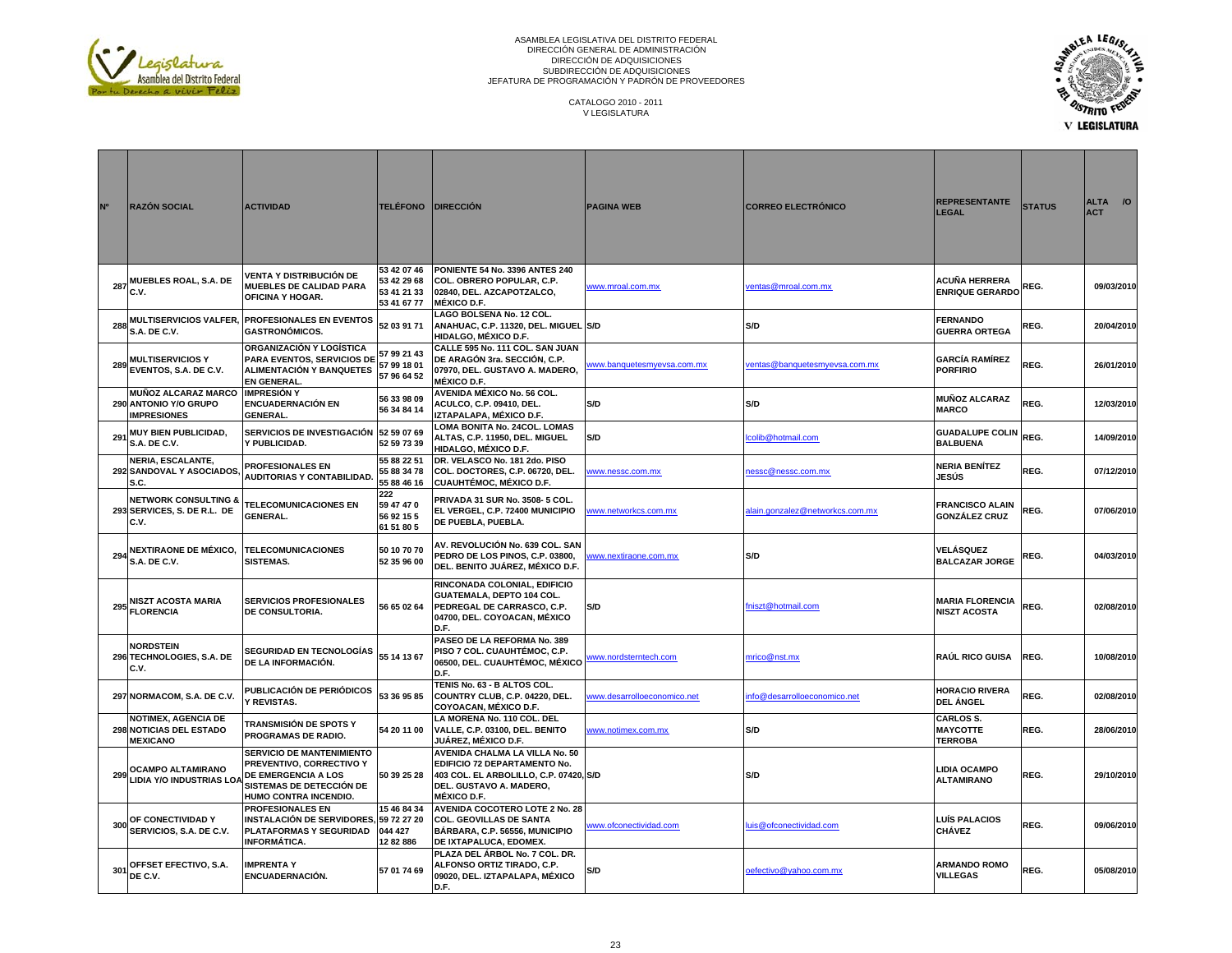

CATALOGO 2010 - 2011 V LEGISLATURA



|     | <b>RAZÓN SOCIAL</b>                                                       | <b>ACTIVIDAD</b>                                                                                                                         | <b>TELÉFONO</b>                                          | <b>DIRECCIÓN</b>                                                                                                                                          | <b>PAGINA WEB</b>           | <b>CORREO ELECTRÓNICO</b>       | <b>REPRESENTANTE</b><br><b>LEGAL</b>                  | <b>STATUS</b> | ALTA /O<br><b>ACT</b> |
|-----|---------------------------------------------------------------------------|------------------------------------------------------------------------------------------------------------------------------------------|----------------------------------------------------------|-----------------------------------------------------------------------------------------------------------------------------------------------------------|-----------------------------|---------------------------------|-------------------------------------------------------|---------------|-----------------------|
|     | 287 MUEBLES ROAL, S.A. DE                                                 | VENTA Y DISTRIBUCIÓN DE<br><b>MUEBLES DE CALIDAD PARA</b><br>OFICINA Y HOGAR.                                                            | 53 42 07 46<br>53 42 29 68<br>53 41 21 33<br>53 41 67 77 | PONIENTE 54 No. 3396 ANTES 240<br>COL. OBRERO POPULAR, C.P.<br>02840, DEL. AZCAPOTZALCO,<br><b>MÉXICO D.F.</b>                                            | www.mroal.com.mx            | ventas@mroal.com.mx             | <b>ACUÑA HERRERA</b><br><b>ENRIQUE GERARDO</b>        | REG.          | 09/03/2010            |
|     | <b>MULTISERVICIOS VALFER,</b><br>288 S.A. DE C.V.                         | PROFESIONALES EN EVENTOS<br><b>GASTRONÓMICOS.</b>                                                                                        | 52 03 91 71                                              | <b>AGO BOLSENA No. 12 COL.</b><br>ANAHUAC, C.P. 11320, DEL. MIGUEL S/D<br>HIDALGO, MÉXICO D.F.                                                            |                             | S/D                             | <b>FERNANDO</b><br><b>GUERRA ORTEGA</b>               | REG.          | 20/04/2010            |
|     | 289 MULTISERVICIOS Y<br>EVENTOS, S.A. DE C.V.                             | ORGANIZACIÓN Y LOGÍSTICA<br><b>PARA EVENTOS, SERVICIOS DE</b><br>ALIMENTACIÓN Y BANQUETES<br>EN GENERAL.                                 | 57 99 21 43<br>57 99 18 01<br>57 96 64 52                | CALLE 595 No. 111 COL. SAN JUAN<br>DE ARAGÓN 3ra. SECCIÓN, C.P.<br>07970, DEL. GUSTAVO A. MADERO.<br><b>MÉXICO D.F.</b>                                   | www.banquetesmyevsa.com.mx  | ventas@banquetesmyevsa.com.mx   | <b>GARCÍA RAMÍREZ</b><br><b>PORFIRIO</b>              | REG.          | 26/01/2010            |
|     | <b>MUÑOZ ALCARAZ MARCO</b><br>290 ANTONIO Y/O GRUPO<br><b>IMPRESIONES</b> | <b>IMPRESIÓN Y</b><br><b>ENCUADERNACIÓN EN</b><br><b>GENERAL</b>                                                                         | 56 33 98 09<br>56 34 84 14                               | AVENIDA MÉXICO No. 56 COL.<br>ACULCO, C.P. 09410, DEL.<br>ZTAPALAPA, MÉXICO D.F.                                                                          | S/D                         | S/D                             | <b>MUÑOZ ALCARAZ</b><br><b>MARCO</b>                  | REG.          | 12/03/2010            |
| 291 | <b>MUY BIEN PUBLICIDAD,</b><br>S.A. DE C.V.                               | SERVICIOS DE INVESTIGACIÓN 52 59 07 69<br>Y PUBLICIDAD.                                                                                  | 52 59 73 39                                              | OMA BONITA No. 24COL. LOMAS<br>ALTAS, C.P. 11950, DEL. MIGUEL<br>HIDALGO, MÉXICO D.F.                                                                     | S/D                         | lcolib@hotmail.com              | <b>GUADALUPE COLIN</b><br><b>BALBUENA</b>             | REG.          | 14/09/2010            |
|     | <b>NERIA, ESCALANTE,</b><br>292 SANDOVAL Y ASOCIADOS,<br>S.C.             | <b>PROFESIONALES EN</b><br><b>AUDITORIAS Y CONTABILIDAD</b>                                                                              | 55 88 22 51<br>55 88 34 78<br>55 88 46 16                | DR. VELASCO No. 181 2do. PISO<br>COL. DOCTORES, C.P. 06720, DEL.<br><b>CUAUHTÉMOC, MÉXICO D.F.</b>                                                        | www.nessc.com.mx            | nessc@nessc.com.mx              | NERIA BENÍTEZ<br>JESÚS                                | REG.          | 07/12/2010            |
|     | <b>NETWORK CONSULTING &amp;</b><br>293 SERVICES, S. DE R.L. DE<br>C.V.    | <b>TELECOMUNICACIONES EN</b><br><b>GENERAL.</b>                                                                                          | 222<br>59 47 47 0<br>56 92 15 5<br>61 51 80 5            | PRIVADA 31 SUR No. 3508- 5 COL.<br>EL VERGEL, C.P. 72400 MUNICIPIO<br>DE PUEBLA, PUEBLA.                                                                  | www.networkcs.com.mx        | alain.gonzalez@networkcs.com.mx | <b>FRANCISCO ALAIN</b><br><b>GONZÁLEZ CRUZ</b>        | REG.          | 07/06/2010            |
| 294 | <b>NEXTIRAONE DE MÉXICO,</b><br>S.A. DE C.V.                              | TELECOMUNICACIONES<br>SISTEMAS.                                                                                                          | 50 10 70 70<br>52 35 96 00                               | AV. REVOLUCIÓN No. 639 COL. SAN<br>PEDRO DE LOS PINOS, C.P. 03800,<br>DEL. BENITO JUÁREZ, MÉXICO D.F.                                                     | www.nextiraone.com.mx       | S/D                             | <b>VELÁSQUEZ</b><br><b>BALCAZAR JORGE</b>             | REG.          | 04/03/2010            |
|     | 295 NISZT ACOSTA MARIA                                                    | <b>SERVICIOS PROFESIONALES</b><br>DE CONSULTORIA.                                                                                        | 56 65 02 64                                              | RINCONADA COLONIAL, EDIFICIO<br>GUATEMALA, DEPTO 104 COL.<br>PEDREGAL DE CARRASCO, C.P.<br>04700, DEL. COYOACAN, MÉXICO<br>D.F.                           | S/D                         | niszt@hotmail.com               | <b>MARIA FLORENCIA</b><br><b>NISZT ACOSTA</b>         | REG.          | 02/08/2010            |
|     | <b>NORDSTEIN</b><br>296 TECHNOLOGIES, S.A. DE<br>C.V.                     | <b>SEGURIDAD EN TECNOLOGÍAS</b><br>DE LA INFORMACIÓN.                                                                                    | 55 14 13 67                                              | PASEO DE LA REFORMA No. 389<br>PISO 7 COL. CUAUHTÉMOC, C.P.<br>06500, DEL. CUAUHTÉMOC, MÉXICO<br>D.F.                                                     | ww.nordsterntech.com        | mrico@nst.mx                    | <b>RAÚL RICO GUISA</b>                                | REG.          | 10/08/2010            |
|     | 297 NORMACOM, S.A. DE C.V.                                                | PUBLICACIÓN DE PERIÓDICOS<br>Y REVISTAS.                                                                                                 | 53 36 95 85                                              | TENIS No. 63 - B ALTOS COL.<br>COUNTRY CLUB, C.P. 04220, DEL.<br>COYOACAN, MÉXICO D.F.                                                                    | www.desarrolloeconomico.net | info@desarrolloeconomico.net    | <b>HORACIO RIVERA</b><br><b>DEL ÁNGEL</b>             | REG.          | 02/08/2010            |
|     | <b>NOTIMEX, AGENCIA DE</b><br>298 NOTICIAS DEL ESTADO<br><b>MEXICANO</b>  | TRANSMISIÓN DE SPOTS Y<br>PROGRAMAS DE RADIO.                                                                                            | 54 20 11 00                                              | LA MORENA No. 110 COL. DEL<br>VALLE, C.P. 03100, DEL. BENITO<br>JUÁREZ, MÉXICO D.F.                                                                       | www.notimex.com.mx          | S/D                             | <b>CARLOS S.</b><br><b>MAYCOTTE</b><br><b>TERROBA</b> | REG.          | 28/06/2010            |
|     | 299 OCAMPO ALTAMIRANO<br><b>LIDIA Y/O INDUSTRIAS LOA</b>                  | <b>SERVICIO DE MANTENIMIENTO</b><br>PREVENTIVO, CORRECTIVO Y<br>DE EMERGENCIA A LOS<br>SISTEMAS DE DETECCIÓN DE<br>HUMO CONTRA INCENDIO. | 50 39 25 28                                              | AVENIDA CHALMA LA VILLA No. 50<br>EDIFICIO 72 DEPARTAMENTO No.<br>403 COL. EL ARBOLILLO, C.P. 07420, S/D<br>DEL. GUSTAVO A. MADERO,<br><b>MÉXICO D.F.</b> |                             | S/D                             | LIDIA OCAMPO<br><b>ALTAMIRANO</b>                     | REG.          | 29/10/2010            |
|     | 300 OF CONECTIVIDAD Y<br>SERVICIOS, S.A. DE C.V.                          | <b>PROFESIONALES EN</b><br>INSTALACIÓN DE SERVIDORES, 59 72 27 20<br>PLATAFORMAS Y SEGURIDAD<br>INFORMÁTICA.                             | 15 46 84 34<br>044 427<br>1282886                        | <b>AVENIDA COCOTERO LOTE 2 No. 28</b><br><b>COL. GEOVILLAS DE SANTA</b><br>BÁRBARA, C.P. 56556, MUNICIPIO<br>DE IXTAPALUCA, EDOMEX.                       | www.ofconectividad.com      | luis@ofconectividad.com         | <b>LUÍS PALACIOS</b><br><b>CHÁVEZ</b>                 | REG.          | 09/06/2010            |
| 301 | OFFSET EFECTIVO, S.A.<br>DE C.V.                                          | IMPRENTA Y<br>ENCUADERNACIÓN.                                                                                                            | 57 01 74 69                                              | PLAZA DEL ÁRBOL No. 7 COL. DR.<br>ALFONSO ORTIZ TIRADO, C.P.<br>09020. DEL. IZTAPALAPA. MÉXICO                                                            | S/D                         | oefectivo@yahoo.com.mx          | <b>ARMANDO ROMO</b><br><b>VILLEGAS</b>                | REG.          | 05/08/2010            |

**D.F.**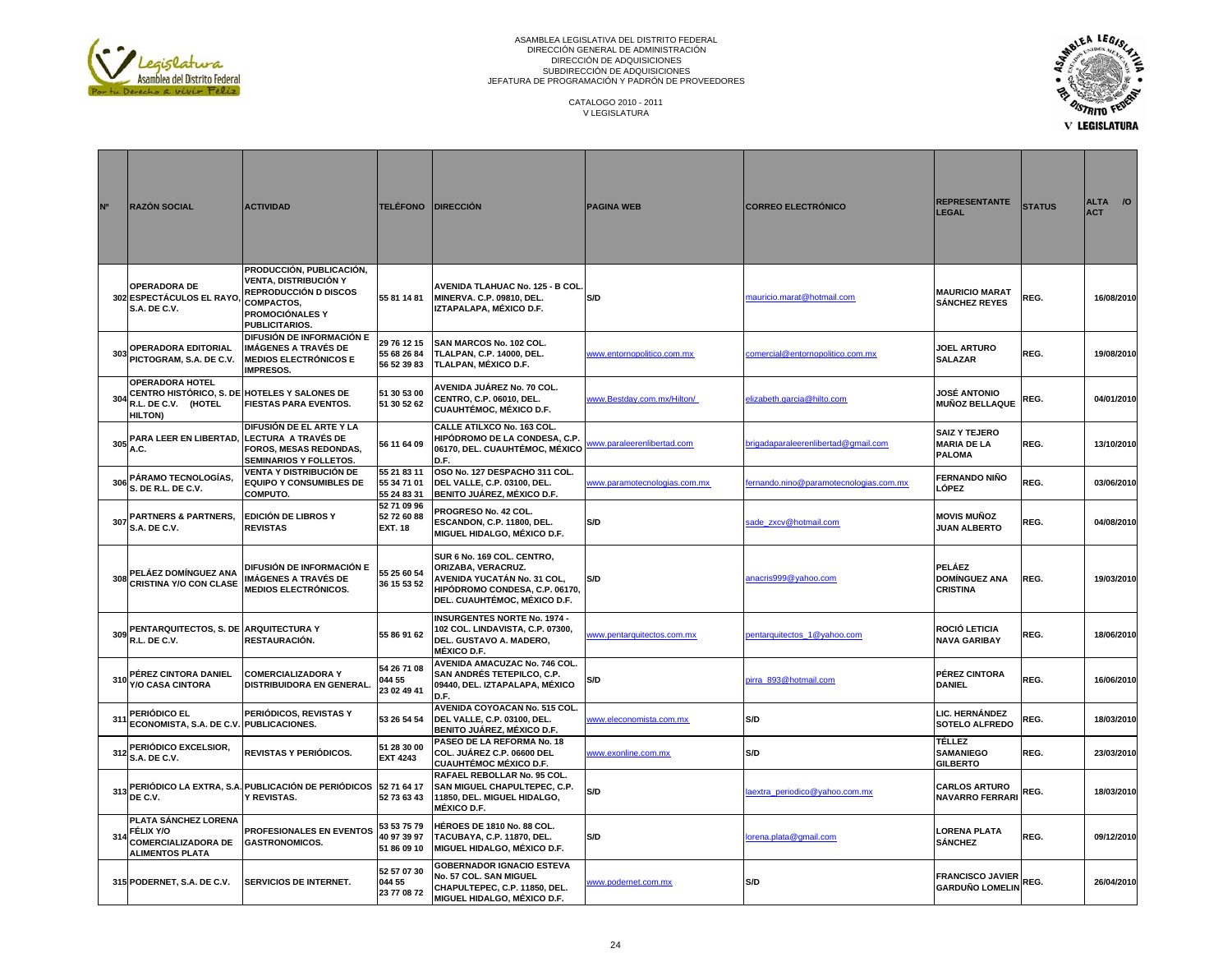



| N°  | <b>RAZÓN SOCIAL</b>                                                                                                                           | <b>ACTIVIDAD</b>                                                                                                                                   | TELÉFONO DIRECCIÓN                           |                                                                                                                                                   | <b>PAGINA WEB</b>            | <b>CORREO ELECTRÓNICO</b>             | <b>REPRESENTANTE</b><br><b>LEGAL</b>                        | <b>STATUS</b> | ALTA /O<br><b>ACT</b> |
|-----|-----------------------------------------------------------------------------------------------------------------------------------------------|----------------------------------------------------------------------------------------------------------------------------------------------------|----------------------------------------------|---------------------------------------------------------------------------------------------------------------------------------------------------|------------------------------|---------------------------------------|-------------------------------------------------------------|---------------|-----------------------|
|     | <b>OPERADORA DE</b><br>302 ESPECTÁCULOS EL RAYO.<br><b>S.A. DE C.V.</b>                                                                       | PRODUCCIÓN, PUBLICACIÓN,<br>VENTA. DISTRIBUCIÓN Y<br><b>REPRODUCCIÓN D DISCOS</b><br><b>COMPACTOS,</b><br><b>PROMOCIÓNALES Y</b><br>PUBLICITARIOS. | 55 81 14 81                                  | <b>AVENIDA TLAHUAC No. 125 - B COL.</b><br>MINERVA. C.P. 09810, DEL.<br>IZTAPALAPA, MÉXICO D.F.                                                   | S/D                          | nauricio.marat@hotmail.com            | <b>MAURICIO MARAT</b><br><b>SÁNCHEZ REYES</b>               | REG.          | 16/08/2010            |
|     | <b>OPERADORA EDITORIAL</b><br>303 PICTOGRAM, S.A. DE C.V.                                                                                     | DIFUSIÓN DE INFORMACIÓN E<br><b>IMÁGENES A TRAVÉS DE</b><br><b>MEDIOS ELECTRÓNICOS E</b><br><b>IMPRESOS.</b>                                       | 29 76 12 15<br>55 68 26 84<br>56 52 39 83    | SAN MARCOS No. 102 COL.<br>TLALPAN, C.P. 14000, DEL.<br>TLALPAN, MÉXICO D.F.                                                                      | www.entornopolitico.com.mx   | comercial@entornopolitico.com.mx      | <b>JOEL ARTURO</b><br><b>SALAZAR</b>                        | REG.          | 19/08/2010            |
|     | <b>OPERADORA HOTEL</b><br>304 CENTRO HISTÓRICO, S. DE HOTELES Y SALONES DE<br>304 R.L. DE C.V. (HOTEL FIESTAS PARA EVENTOS.<br><b>HILTON)</b> | <b>FIESTAS PARA EVENTOS.</b>                                                                                                                       | 51 30 53 00<br>51 30 52 62                   | AVENIDA JUÁREZ No. 70 COL.<br>CENTRO, C.P. 06010, DEL.<br><b>CUAUHTÉMOC, MÉXICO D.F.</b>                                                          | www.Bestday.com.mx/Hilton/   | elizabeth.garcia@hilto.com            | JOSÉ ANTONIO<br><b>MUÑOZ BELLAQUE</b>                       | REG.          | 04/01/2010            |
|     | 305 PARA LEER EN LIBERTAD,<br>A.C.                                                                                                            | DIFUSIÓN DE EL ARTE Y LA<br>LECTURA A TRAVÉS DE<br><b>FOROS, MESAS REDONDAS,</b><br>SEMINARIOS Y FOLLETOS.                                         | 56 11 64 09                                  | CALLE ATILXCO No. 163 COL.<br><b>HIPÓDROMO DE LA CONDESA, C.P.</b><br>06170, DEL. CUAUHTÉMOC, MÉXICO<br>D.F.                                      | ww.paraleerenlibertad.com    | prigadaparaleerenlibertad@gmail.com   | <b>SAIZ Y TEJERO</b><br><b>MARIA DE LA</b><br><b>PALOMA</b> | REG.          | 13/10/2010            |
|     | 306 PÁRAMO TECNOLOGÍAS,<br>S. DE R.L. DE C.V.                                                                                                 | <b>VENTA Y DISTRIBUCIÓN DE</b><br><b>EQUIPO Y CONSUMIBLES DE</b><br><b>COMPUTO.</b>                                                                | 55 21 83 11<br>55 34 71 01<br>55 24 83 31    | OSO No. 127 DESPACHO 311 COL.<br>DEL VALLE, C.P. 03100, DEL.<br>BENITO JUÁREZ, MÉXICO D.F.                                                        | www.paramotecnologias.com.mx | ernando.nino@paramotecnologias.com.mx | FERNANDO NIÑO<br>LÓPEZ                                      | REG.          | 03/06/2010            |
|     | 307 PARTNERS & PARTNERS,<br>S.A. DE C.V.                                                                                                      | EDICIÓN DE LIBROS Y<br><b>REVISTAS</b>                                                                                                             | 52 71 09 96<br>52 72 60 88<br><b>EXT. 18</b> | PROGRESO No. 42 COL.<br>ESCANDON, C.P. 11800, DEL.<br>MIGUEL HIDALGO, MÉXICO D.F.                                                                 | S/D                          | sade_zxcv@hotmail.com                 | <b>MOVIS MUÑOZ</b><br><b>JUAN ALBERTO</b>                   | REG.          | 04/08/2010            |
| 308 | PELÁEZ DOMÍNGUEZ ANA<br><b>CRISTINA Y/O CON CLASE</b>                                                                                         | DIFUSIÓN DE INFORMACIÓN E<br>IMÁGENES A TRAVÉS DE<br><b>MEDIOS ELECTRÓNICOS.</b>                                                                   | 55 25 60 54<br>36 15 53 52                   | SUR 6 No. 169 COL. CENTRO,<br>ORIZABA, VERACRUZ.<br>AVENIDA YUCATÁN No. 31 COL,<br>HIPÓDROMO CONDESA, C.P. 06170,<br>DEL. CUAUHTÉMOC, MÉXICO D.F. | S/D                          | anacris999@yahoo.com                  | <b>PELÁEZ</b><br><b>DOMÍNGUEZ ANA</b><br><b>CRISTINA</b>    | REG.          | 19/03/2010            |
|     | 309 PENTARQUITECTOS, S. DE<br>R.L. DE C.V.                                                                                                    | <b>ARQUITECTURA Y</b><br>RESTAURACIÓN.                                                                                                             | 55 86 91 62                                  | <b>INSURGENTES NORTE No. 1974 -</b><br>102 COL. LINDAVISTA, C.P. 07300,<br>DEL. GUSTAVO A. MADERO,<br><b>MÉXICO D.F.</b>                          | www.pentarquitectos.com.mx   | pentarquitectos_1@yahoo.com           | ROCIÓ LETICIA<br><b>NAVA GARIBAY</b>                        | REG.          | 18/06/2010            |
|     | PÉREZ CINTORA DANIEL<br>310 Y/O CASA CINTORA                                                                                                  | <b>COMERCIALIZADORA Y</b><br>DISTRIBUIDORA EN GENERAL                                                                                              | 54 26 71 08<br>044 55<br>23 02 49 41         | AVENIDA AMACUZAC No. 746 COL.<br>SAN ANDRÉS TETEPILCO, C.P.<br>09440, DEL. IZTAPALAPA, MÉXICO<br>D.F.                                             | S/D                          | pirra_893@hotmail.com                 | PÉREZ CINTORA<br><b>DANIEL</b>                              | REG.          | 16/06/2010            |
| 311 | PERIÓDICO EL<br>ECONOMISTA, S.A. DE C.V.                                                                                                      | PERIÓDICOS, REVISTAS Y<br><b>PUBLICACIONES.</b>                                                                                                    | 53 26 54 54                                  | AVENIDA COYOACAN No. 515 COL.<br>DEL VALLE, C.P. 03100, DEL.<br>BENITO JUÁREZ, MÉXICO D.F.                                                        | www.eleconomista.com.mx      | S/D                                   | LIC. HERNÁNDEZ<br>SOTELO ALFREDO                            | REG.          | 18/03/2010            |
|     | 312 PERIÓDICO EXCELSIOR,<br><b>S.A. DE C.V.</b>                                                                                               | <b>REVISTAS Y PERIÓDICOS.</b>                                                                                                                      | 51 28 30 00<br><b>EXT 4243</b>               | PASEO DE LA REFORMA No. 18<br>COL. JUÁREZ C.P. 06600 DEL<br>CUAUHTÉMOC MÉXICO D.F.                                                                | www.exonline.com.mx          | S/D                                   | <b>TÉLLEZ</b><br><b>SAMANIEGO</b><br><b>GILBERTO</b>        | REG.          | 23/03/2010            |
|     |                                                                                                                                               | 313 PERIÓDICO LA EXTRA, S.A. PUBLICACIÓN DE PERIÓDICOS 52 71 64 17<br>27 3 63 43 × 1 7 REVISTAS.                                                   |                                              | RAFAEL REBOLLAR No. 95 COL.<br>SAN MIGUEL CHAPULTEPEC, C.P.<br>11850, DEL. MIGUEL HIDALGO,<br><b>MÉXICO D.F.</b>                                  | S/D                          | aextra periodico@yahoo.com.mx         | <b>CARLOS ARTURO</b><br><b>NAVARRO FERRARI</b>              | REG.          | 18/03/2010            |
| 314 | PLATA SÁNCHEZ LORENA<br><b>FÉLIX Y/O</b><br><b>COMERCIALIZADORA DE</b><br><b>ALIMENTOS PLATA</b>                                              | PROFESIONALES EN EVENTOS<br><b>GASTRONOMICOS.</b>                                                                                                  | 53 53 75 79<br>40 97 39 97<br>51 86 09 10    | HÉROES DE 1810 No. 88 COL.<br>TACUBAYA, C.P. 11870, DEL.<br>MIGUEL HIDALGO, MÉXICO D.F.                                                           | S/D                          | lorena.plata@gmail.com                | <b>LORENA PLATA</b><br><b>SÁNCHEZ</b>                       | REG.          | 09/12/2010            |
|     | 315 PODERNET, S.A. DE C.V.                                                                                                                    | SERVICIOS DE INTERNET.                                                                                                                             | 52 57 07 30<br>044 55<br>23 77 08 72         | <b>GOBERNADOR IGNACIO ESTEVA</b><br>No. 57 COL. SAN MIGUEL<br>CHAPULTEPEC, C.P. 11850, DEL.<br>MIGUEL HIDALGO, MÉXICO D.F.                        | www.podernet.com.mx          | S/D                                   | <b>FRANCISCO JAVIER</b><br><b>GARDUÑO LOMELIN</b>           | REG.          | 26/04/2010            |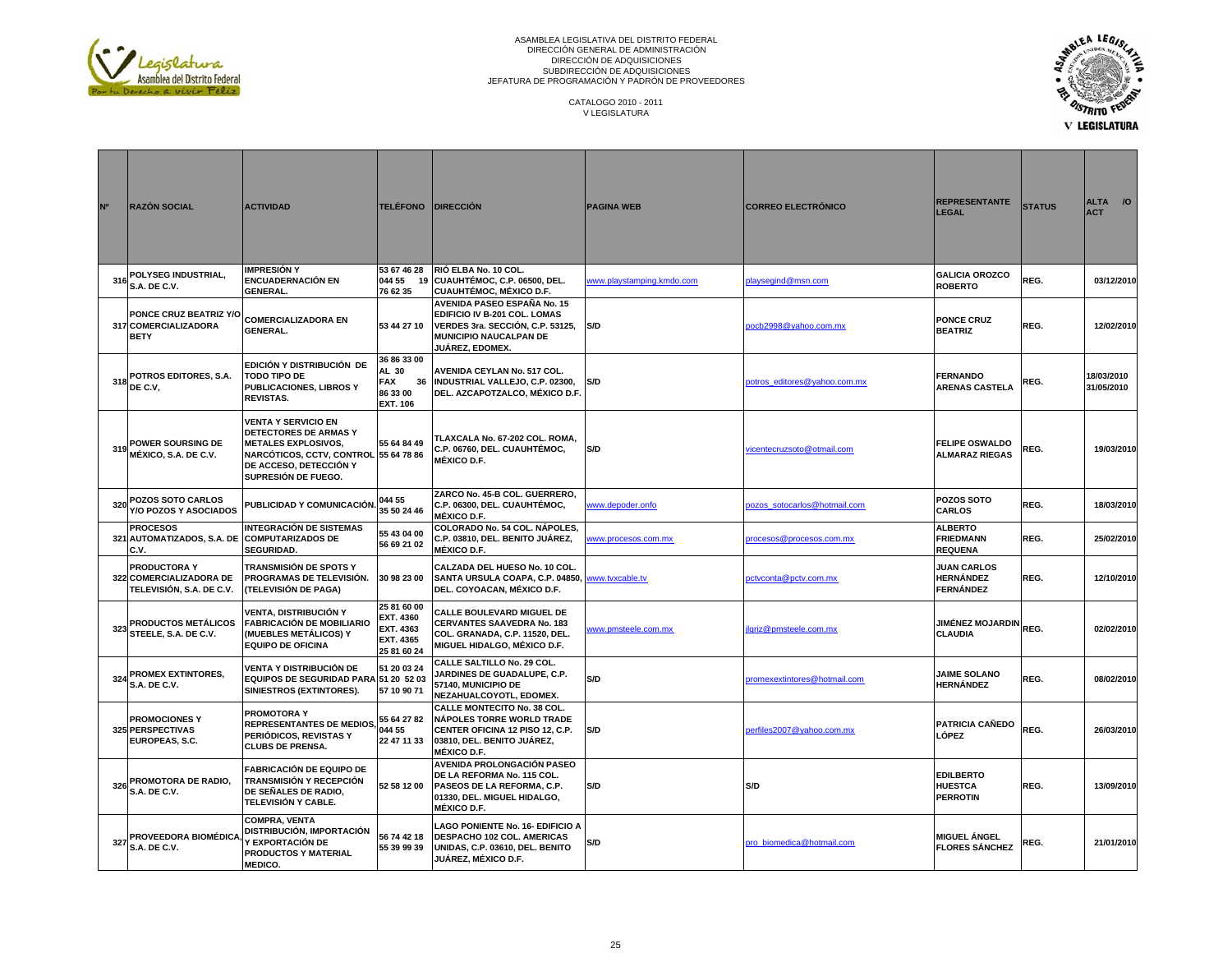



|     | <b>RAZÓN SOCIAL</b>                                                        | <b>ACTIVIDAD</b>                                                                                                                                                            | <b>TELÉFONO</b>                                                                        | <b>DIRECCIÓN</b>                                                                                                                                       | <b>PAGINA WEB</b>         | <b>CORREO ELECTRÓNICO</b>    | <b>REPRESENTANTE</b><br><b>LEGAL</b>                       | <b>STATUS</b> | ALTA /O<br><b>ACT</b>    |
|-----|----------------------------------------------------------------------------|-----------------------------------------------------------------------------------------------------------------------------------------------------------------------------|----------------------------------------------------------------------------------------|--------------------------------------------------------------------------------------------------------------------------------------------------------|---------------------------|------------------------------|------------------------------------------------------------|---------------|--------------------------|
| 316 | POLYSEG INDUSTRIAL,<br>S.A. DE C.V.                                        | <b>IMPRESIÓN Y</b><br><b>ENCUADERNACIÓN EN</b><br><b>GENERAL.</b>                                                                                                           | 53 67 46 28<br>76 62 35                                                                | RIÓ ELBA No. 10 COL.<br>044 55 19 CUAUHTÉMOC. C.P. 06500. DEL.<br><b>CUAUHTÉMOC, MÉXICO D.F.</b>                                                       | www.playstamping.kmdo.com | playsegind@msn.com           | <b>GALICIA OROZCO</b><br><b>ROBERTO</b>                    | REG.          | 03/12/2010               |
|     | <b>PONCE CRUZ BEATRIZ Y/O</b><br>317 COMERCIALIZADORA<br><b>BETY</b>       | <b>COMERCIALIZADORA EN</b><br><b>GENERAL.</b>                                                                                                                               | 53 44 27 10                                                                            | AVENIDA PASEO ESPAÑA No. 15<br>EDIFICIO IV B-201 COL. LOMAS<br>VERDES 3ra. SECCIÓN, C.P. 53125,<br><b>MUNICIPIO NAUCALPAN DE</b><br>JUÁREZ, EDOMEX.    | S/D                       | pocb2998@yahoo.com.mx        | <b>PONCE CRUZ</b><br><b>BEATRIZ</b>                        | REG.          | 12/02/2010               |
| 318 | POTROS EDITORES, S.A.<br>DE C.V.                                           | EDICIÓN Y DISTRIBUCIÓN DE<br>TODO TIPO DE<br><b>PUBLICACIONES, LIBROS Y</b><br><b>REVISTAS.</b>                                                                             | 36 86 33 00<br>AL 30<br><b>FAX</b><br>36<br>86 33 00<br><b>EXT. 106</b>                | AVENIDA CEYLAN No. 517 COL.<br><b>INDUSTRIAL VALLEJO, C.P. 02300.</b><br>DEL. AZCAPOTZALCO, MÉXICO D.F.                                                | S/D                       | potros editores@yahoo.com.mx | <b>FERNANDO</b><br><b>ARENAS CASTELA</b>                   | REG.          | 18/03/2010<br>31/05/2010 |
| 319 | POWER SOURSING DE<br>MÉXICO, S.A. DE C.V.                                  | <b>VENTA Y SERVICIO EN</b><br>DETECTORES DE ARMAS Y<br><b>METALES EXPLOSIVOS,</b><br>NARCÓTICOS, CCTV, CONTROL 55 64 78 86<br>DE ACCESO, DETECCIÓN Y<br>SUPRESIÓN DE FUEGO. | 55 64 84 49                                                                            | TLAXCALA No. 67-202 COL. ROMA.<br>C.P. 06760, DEL. CUAUHTÉMOC,<br><b>MÉXICO D.F.</b>                                                                   | S/D                       | vicentecruzsoto@otmail.com   | <b>FELIPE OSWALDO</b><br><b>ALMARAZ RIEGAS</b>             | REG.          | 19/03/2010               |
| 320 | <b>POZOS SOTO CARLOS</b><br>Y/O POZOS Y ASOCIADOS                          | PUBLICIDAD Y COMUNICACIÓN.                                                                                                                                                  | 044 55<br>35 50 24 46                                                                  | ZARCO No. 45-B COL. GUERRERO,<br>C.P. 06300, DEL. CUAUHTÉMOC,<br><b>MÉXICO D.F.</b>                                                                    | www.depoder.onfo          | pozos sotocarlos@hotmail.com | POZOS SOTO<br><b>CARLOS</b>                                | REG.          | 18/03/2010               |
|     | <b>PROCESOS</b><br>321 AUTOMATIZADOS, S.A. DE<br>C.V.                      | INTEGRACIÓN DE SISTEMAS<br><b>COMPUTARIZADOS DE</b><br>SEGURIDAD.                                                                                                           | 55 43 04 00<br>56 69 21 02                                                             | COLORADO No. 54 COL. NÁPOLES.<br>C.P. 03810, DEL. BENITO JUÁREZ,<br><b>MÉXICO D.F.</b>                                                                 | www.procesos.com.mx       | procesos@procesos.com.mx     | <b>ALBERTO</b><br><b>FRIEDMANN</b><br><b>REQUENA</b>       | REG.          | 25/02/2010               |
|     | <b>PRODUCTORA Y</b><br>322 COMERCIALIZADORA DE<br>TELEVISIÓN, S.A. DE C.V. | TRANSMISIÓN DE SPOTS Y<br>PROGRAMAS DE TELEVISIÓN.<br>(TELEVISIÓN DE PAGA)                                                                                                  | 30 98 23 00                                                                            | CALZADA DEL HUESO No. 10 COL.<br>SANTA URSULA COAPA, C.P. 04850, www.tvxcable.tv<br>DEL. COYOACAN, MÉXICO D.F.                                         |                           | octvconta@pctv.com.mx        | <b>JUAN CARLOS</b><br><b>HERNÁNDEZ</b><br><b>FERNÁNDEZ</b> | REG.          | 12/10/2010               |
| 323 | PRODUCTOS METÁLICOS<br>STEELE, S.A. DE C.V.                                | VENTA, DISTRIBUCIÓN Y<br><b>FABRICACIÓN DE MOBILIARIO</b><br>(MUEBLES METÁLICOS) Y<br><b>EQUIPO DE OFICINA</b>                                                              | 25 81 60 00<br><b>EXT. 4360</b><br><b>EXT. 4363</b><br><b>EXT. 4365</b><br>25 81 60 24 | CALLE BOULEVARD MIGUEL DE<br><b>CERVANTES SAAVEDRA No. 183</b><br>COL. GRANADA, C.P. 11520, DEL.<br><b>MIGUEL HIDALGO, MÉXICO D.F.</b>                 | www.pmsteele.com.mx       | lgriz@pmsteele.com.mx        | <b>JIMÉNEZ MOJARDIN</b><br><b>CLAUDIA</b>                  | REG.          | 02/02/2010               |
| 324 | <b>PROMEX EXTINTORES.</b><br><b>S.A. DE C.V.</b>                           | VENTA Y DISTRIBUCIÓN DE<br>EQUIPOS DE SEGURIDAD PARA 51 20 52 03<br>SINIESTROS (EXTINTORES).                                                                                | 51 20 03 24<br>57 10 90 71                                                             | CALLE SALTILLO No. 29 COL.<br>JARDINES DE GUADALUPE, C.P.<br>57140, MUNICIPIO DE<br>NEZAHUALCOYOTL, EDOMEX.                                            | S/D                       | promexextintores@hotmail.com | <b>JAIME SOLANO</b><br><b>HERNÁNDEZ</b>                    | REG.          | 08/02/2010               |
|     | <b>PROMOCIONES Y</b><br>325 PERSPECTIVAS<br><b>EUROPEAS, S.C.</b>          | <b>PROMOTORA Y</b><br><b>REPRESENTANTES DE MEDIOS,</b><br>PERIÓDICOS, REVISTAS Y<br><b>CLUBS DE PRENSA.</b>                                                                 | 55 64 27 82<br>044 55<br>22 47 11 33                                                   | <b>CALLE MONTECITO No. 38 COL.</b><br>NÁPOLES TORRE WORLD TRADE<br>CENTER OFICINA 12 PISO 12, C.P.<br>03810. DEL. BENITO JUÁREZ.<br><b>MÉXICO D.F.</b> | S/D                       | perfiles2007@yahoo.com.mx    | PATRICIA CAÑEDO<br>LÓPEZ                                   | REG.          | 26/03/2010               |
| 326 | PROMOTORA DE RADIO,<br>S.A. DE C.V.                                        | <b>FABRICACIÓN DE EQUIPO DE</b><br>TRANSMISIÓN Y RECEPCIÓN<br>DE SEÑALES DE RADIO,<br>TELEVISIÓN Y CABLE.                                                                   | 52 58 12 00                                                                            | AVENIDA PROLONGACIÓN PASEO<br>DE LA REFORMA No. 115 COL.<br>PASEOS DE LA REFORMA, C.P.<br>01330, DEL. MIGUEL HIDALGO,<br><b>MÉXICO D.F.</b>            | S/D                       | S/D                          | <b>EDILBERTO</b><br><b>HUESTCA</b><br><b>PERROTIN</b>      | REG.          | 13/09/2010               |
| 327 | PROVEEDORA BIOMÉDICA<br>S.A. DE C.V.                                       | <b>COMPRA, VENTA</b><br>DISTRIBUCIÓN, IMPORTACIÓN<br>Y EXPORTACIÓN DE<br>PRODUCTOS Y MATERIAL<br>MEDICO.                                                                    | 56 74 42 18<br>55 39 99 39                                                             | <b>LAGO PONIENTE No. 16- EDIFICIO A</b><br>DESPACHO 102 COL. AMERICAS<br>UNIDAS, C.P. 03610, DEL. BENITO<br>JUÁREZ, MÉXICO D.F.                        | S/D                       | oro biomedica@hotmail.com    | <b>MIGUEL ÁNGEL</b><br><b>FLORES SÁNCHEZ</b>               | REG.          | 21/01/2010               |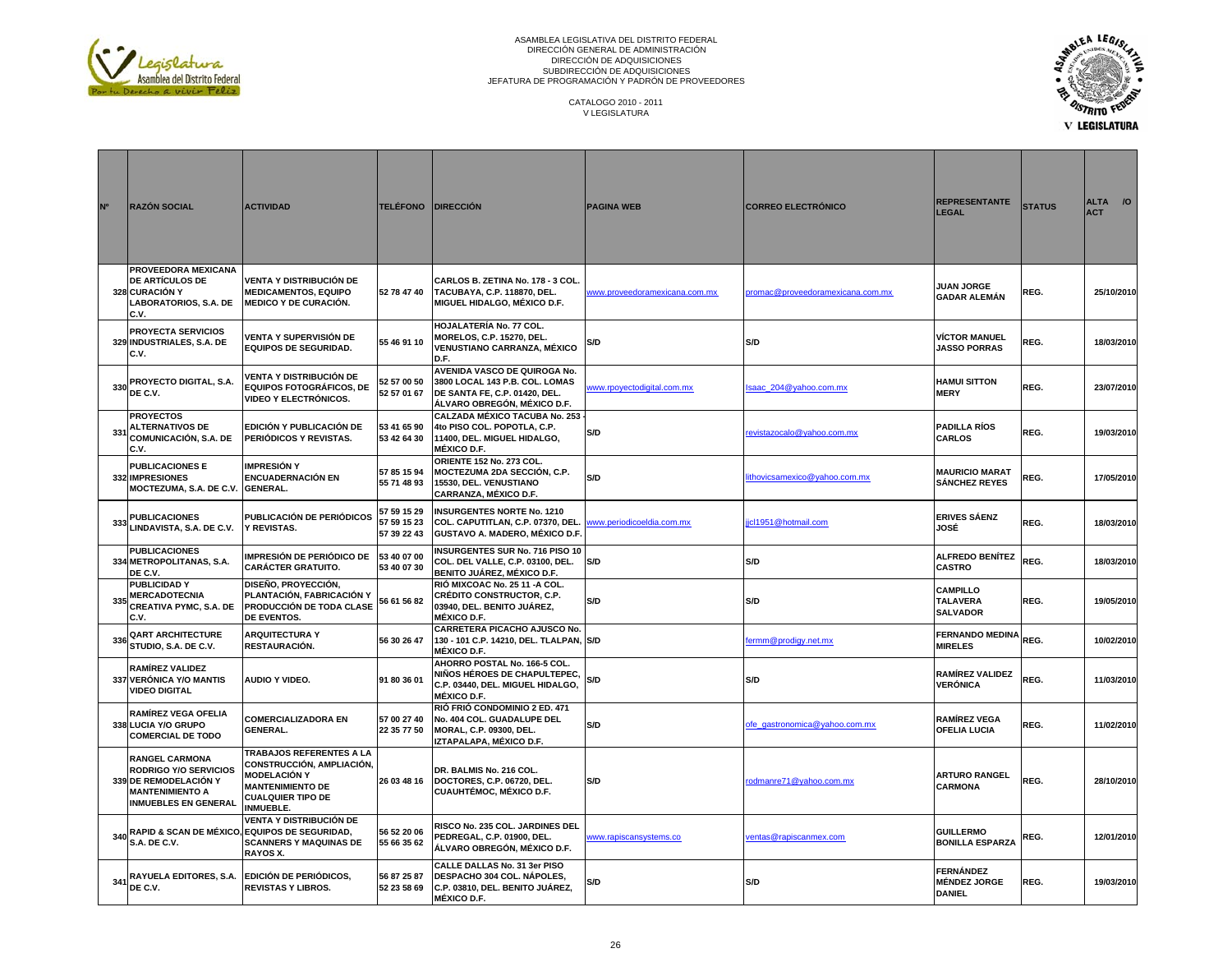

CATALOGO 2010 - 2011 V LEGISLATURA



|     | <b>RAZÓN SOCIAL</b>                                                                                                                     | <b>ACTIVIDAD</b>                                                                                                                                               | <b>TELÉFONO DIRECCIÓN</b>                 |                                                                                                                                | <b>PAGINA WEB</b>             | <b>CORREO ELECTRÓNICO</b>        | <b>REPRESENTANTE</b><br><b>LEGAL</b>                  | <b>STATUS</b> | ALTA /O<br><b>ACT</b> |
|-----|-----------------------------------------------------------------------------------------------------------------------------------------|----------------------------------------------------------------------------------------------------------------------------------------------------------------|-------------------------------------------|--------------------------------------------------------------------------------------------------------------------------------|-------------------------------|----------------------------------|-------------------------------------------------------|---------------|-----------------------|
|     | PROVEEDORA MEXICANA<br>DE ARTÍCULOS DE<br>328 CURACIÓN Y<br>LABORATORIOS, S.A. DE<br>C.V.                                               | VENTA Y DISTRIBUCIÓN DE<br><b>MEDICAMENTOS, EQUIPO</b><br><b>MEDICO Y DE CURACIÓN.</b>                                                                         | 52 78 47 40                               | CARLOS B. ZETINA No. 178 - 3 COL.<br>TACUBAYA, C.P. 118870, DEL.<br>MIGUEL HIDALGO, MÉXICO D.F.                                | www.proveedoramexicana.com.mx | oromac@proveedoramexicana.com.mx | <b>JUAN JORGE</b><br><b>GADAR ALEMÁN</b>              | REG.          | 25/10/2010            |
|     | <b>PROYECTA SERVICIOS</b><br>329 INDUSTRIALES, S.A. DE<br>C.V.                                                                          | VENTA Y SUPERVISIÓN DE<br><b>EQUIPOS DE SEGURIDAD.</b>                                                                                                         | 55 46 91 10                               | HOJALATERÍA No. 77 COL.<br><b>MORELOS, C.P. 15270, DEL.</b><br><b>VENUSTIANO CARRANZA, MÉXICO</b><br>D.F.                      | S/D                           | S/D                              | <b>VÍCTOR MANUEL</b><br><b>JASSO PORRAS</b>           | REG.          | 18/03/2010            |
| 330 | PROYECTO DIGITAL, S.A.<br>DE C.V.                                                                                                       | VENTA Y DISTRIBUCIÓN DE<br>EQUIPOS FOTOGRÁFICOS, DE<br><b>VIDEO Y ELECTRÓNICOS.</b>                                                                            | 52 57 00 50<br>52 57 01 67                | AVENIDA VASCO DE QUIROGA No.<br>3800 LOCAL 143 P.B. COL. LOMAS<br>DE SANTA FE, C.P. 01420, DEL.<br>ÁLVARO OBREGÓN, MÉXICO D.F. | www.rpoyectodigital.com.mx    | saac_204@yahoo.com.mx            | <b>HAMUI SITTON</b><br><b>MERY</b>                    | REG.          | 23/07/2010            |
| 33  | <b>PROYECTOS</b><br><b>ALTERNATIVOS DE</b><br><b>COMUNICACIÓN, S.A. DE</b><br>C.V.                                                      | EDICIÓN Y PUBLICACIÓN DE<br><b>PERIÓDICOS Y REVISTAS.</b>                                                                                                      | 53 41 65 90<br>53 42 64 30                | <b>CALZADA MÉXICO TACUBA No. 253</b><br>4to PISO COL. POPOTLA, C.P.<br>11400, DEL. MIGUEL HIDALGO,<br>MÉXICO D.F.              | S/D                           | revistazocalo@yahoo.com.mx       | <b>PADILLA RÍOS</b><br><b>CARLOS</b>                  | REG.          | 19/03/2010            |
|     | <b>PUBLICACIONES E</b><br>332 IMPRESIONES<br>MOCTEZUMA, S.A. DE C.V.                                                                    | IMPRESIÓN Y<br><b>ENCUADERNACIÓN EN</b><br><b>GENERAL.</b>                                                                                                     | 57 85 15 94<br>55 71 48 93                | ORIENTE 152 No. 273 COL.<br>MOCTEZUMA 2DA SECCIÓN, C.P.<br>15530, DEL. VENUSTIANO<br>CARRANZA, MÉXICO D.F.                     | S/D                           | ithovicsamexico@yahoo.com.mx     | <b>MAURICIO MARAT</b><br><b>SÁNCHEZ REYES</b>         | REG.          | 17/05/2010            |
|     | 333 PUBLICACIONES<br>LINDAVISTA, S.A. DE C.V.                                                                                           | <b>PUBLICACIÓN DE PERIÓDICOS</b><br>Y REVISTAS.                                                                                                                | 57 59 15 29<br>57 59 15 23<br>57 39 22 43 | <b>INSURGENTES NORTE No. 1210</b><br>COL. CAPUTITLAN, C.P. 07370, DEL.<br>GUSTAVO A. MADERO, MÉXICO D.F.                       | www.periodicoeldia.com.mx     | jcl1951@hotmail.com              | <b>ERIVES SÁENZ</b><br>JOSÉ                           | REG.          | 18/03/2010            |
|     | <b>PUBLICACIONES</b><br>334 METROPOLITANAS, S.A.<br>DE C.V.                                                                             | IMPRESIÓN DE PERIÓDICO DE<br>CARÁCTER GRATUITO.                                                                                                                | 53 40 07 00<br>53 40 07 30                | <b>INSURGENTES SUR No. 716 PISO 10</b><br>COL. DEL VALLE, C.P. 03100, DEL.<br><b>BENITO JUÁREZ, MÉXICO D.F.</b>                | S/D                           | S/D                              | <b>ALFREDO BENÍTEZ</b><br><b>CASTRO</b>               | REG.          | 18/03/2010            |
| 335 | <b>PUBLICIDAD Y</b><br><b>MERCADOTECNIA</b><br><b>CREATIVA PYMC, S.A. DE</b><br>C.V.                                                    | DISEÑO, PROYECCIÓN,<br>PLANTACIÓN, FABRICACIÓN Y<br>PRODUCCIÓN DE TODA CLASE<br>DE EVENTOS.                                                                    | 56 61 56 82                               | RIÓ MIXCOAC No. 25 11 -A COL.<br><b>CRÉDITO CONSTRUCTOR, C.P.</b><br>03940, DEL. BENITO JUÁREZ,<br><b>MÉXICO D.F.</b>          | S/D                           | S/D                              | <b>CAMPILLO</b><br><b>TALAVERA</b><br><b>SALVADOR</b> | REG.          | 19/05/2010            |
|     | 336 QART ARCHITECTURE<br>STUDIO, S.A. DE C.V.                                                                                           | <b>ARQUITECTURA Y</b><br><b>RESTAURACIÓN.</b>                                                                                                                  | 56 30 26 47                               | CARRETERA PICACHO AJUSCO No.<br>130 - 101 C.P. 14210, DEL. TLALPAN, S/D<br><b>MÉXICO D.F.</b>                                  |                               | ermm@prodigy.net.mx              | <b>FERNANDO MEDINA</b><br><b>MIRELES</b>              | REG.          | 10/02/2010            |
|     | <b>RAMÍREZ VALIDEZ</b><br>337 VERÓNICA Y/O MANTIS<br><b>VIDEO DIGITAL</b>                                                               | AUDIO Y VIDEO.                                                                                                                                                 | 91 80 36 01                               | AHORRO POSTAL No. 166-5 COL.<br>NIÑOS HÉROES DE CHAPULTEPEC,<br>C.P. 03440, DEL. MIGUEL HIDALGO,<br>MÉXICO D.F.                | S/D                           | S/D                              | <b>RAMÍREZ VALIDEZ</b><br><b>VERÓNICA</b>             | REG.          | 11/03/2010            |
|     | <b>RAMÍREZ VEGA OFELIA</b><br>338 LUCIA Y/O GRUPO<br><b>COMERCIAL DE TODO</b>                                                           | <b>COMERCIALIZADORA EN</b><br><b>GENERAL.</b>                                                                                                                  | 57 00 27 40<br>22 35 77 50                | RIÓ FRIÓ CONDOMINIO 2 ED. 471<br>No. 404 COL. GUADALUPE DEL<br>MORAL, C.P. 09300, DEL.<br>IZTAPALAPA, MÉXICO D.F.              | S/D                           | ofe_gastronomica@yahoo.com.mx    | <b>RAMÍREZ VEGA</b><br><b>OFELIA LUCIA</b>            | REG.          | 11/02/2010            |
|     | <b>RANGEL CARMONA</b><br><b>RODRIGO Y/O SERVICIOS</b><br>339 DE REMODELACIÓN Y<br><b>MANTENIMIENTO A</b><br><b>INMUEBLES EN GENERAL</b> | <b>TRABAJOS REFERENTES A LA</b><br>CONSTRUCCIÓN, AMPLIACIÓN,<br><b>MODELACIÓN Y</b><br><b>MANTENIMIENTO DE</b><br><b>CUALQUIER TIPO DE</b><br><b>INMUEBLE.</b> | 26 03 48 16                               | DR. BALMIS No. 216 COL.<br>DOCTORES, C.P. 06720, DEL.<br><b>CUAUHTÉMOC, MÉXICO D.F.</b>                                        | S/D                           | rodmanre71@yahoo.com.mx          | <b>ARTURO RANGEL</b><br><b>CARMONA</b>                | REG.          | 28/10/2010            |
|     | 340 RAPID & SCAN DE MÉXICO, EQUIPOS DE SEGURIDAD,<br>S.A. DE C.V.                                                                       | VENTA Y DISTRIBUCIÓN DE<br><b>SCANNERS Y MAQUINAS DE</b><br><b>RAYOS X.</b>                                                                                    | 56 52 20 06<br>55 66 35 62                | <b>RISCO No. 235 COL. JARDINES DEL</b><br>PEDREGAL, C.P. 01900, DEL.<br>ÁLVARO OBREGÓN, MÉXICO D.F.                            | www.rapiscansystems.co        | ventas@rapiscanmex.com           | <b>GUILLERMO</b><br><b>BONILLA ESPARZA</b>            | REG.          | 12/01/2010            |
|     | 341 RAYUELA EDITORES, S.A.<br>DE C.V.                                                                                                   | <b>EDICIÓN DE PERIÓDICOS.</b><br><b>REVISTAS Y LIBROS.</b>                                                                                                     | 56 87 25 87<br>52 23 58 69                | <b>CALLE DALLAS No. 31 3er PISO</b><br><b>DESPACHO 304 COL. NÁPOLES.</b><br>C.P. 03810, DEL. BENITO JUÁREZ,<br>IÉVIAA B.F      | S/D                           | S/D                              | FERNÁNDEZ<br><b>MÉNDEZ JORGE</b><br><b>DANIEL</b>     | REG.          | 19/03/2010            |

**MÉXICO D.F.**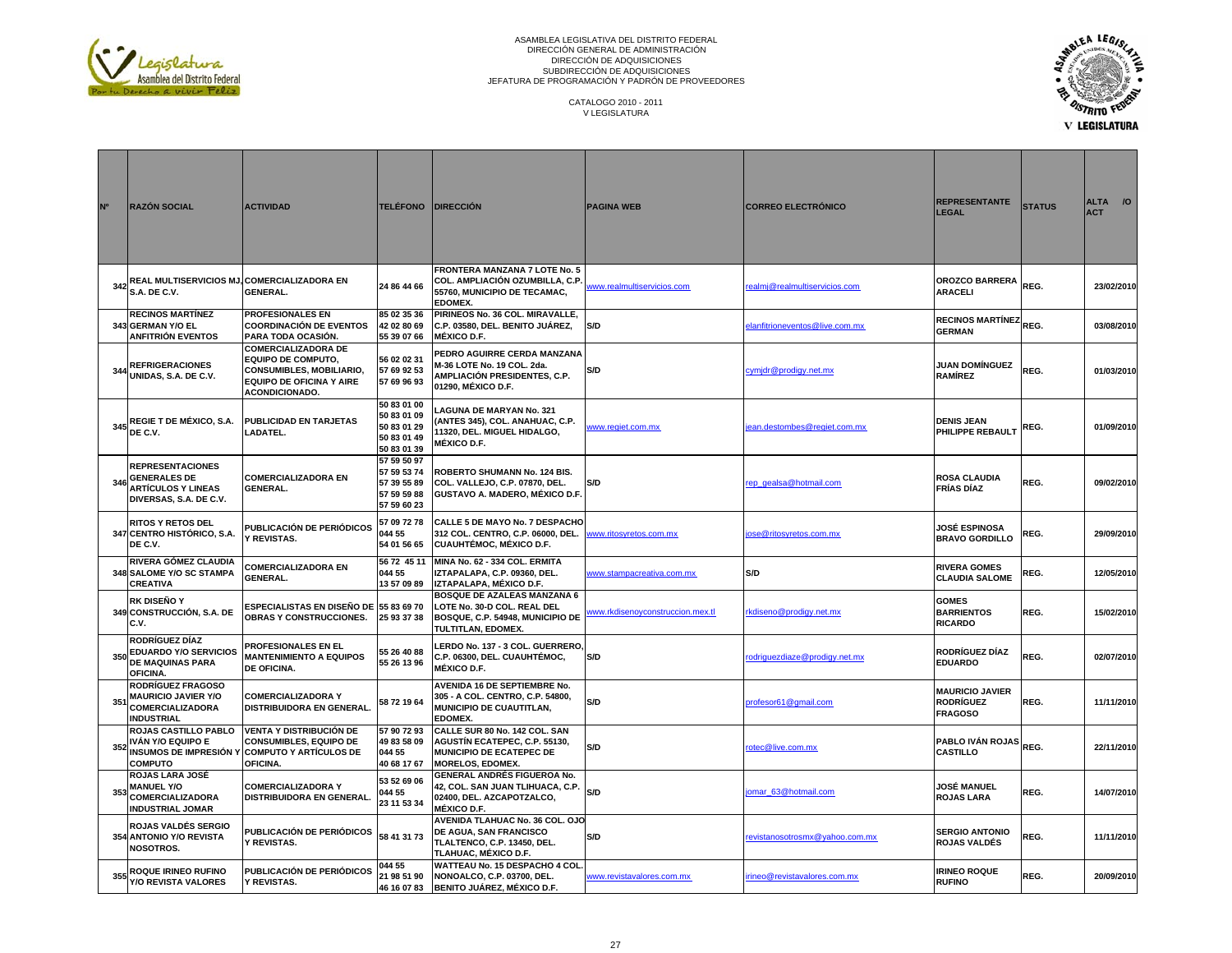



|     | <b>RAZÓN SOCIAL</b>                                                                                    | <b>ACTIVIDAD</b>                                                                                                                  | <b>TELÉFONO DIRECCIÓN</b>                                               |                                                                                                                              | <b>PAGINA WEB</b>               | <b>CORREO ELECTRÓNICO</b>      | <b>REPRESENTANTE</b><br><b>LEGAL</b>                         | <b>STATUS</b> | ALTA /O<br><b>ACT</b> |
|-----|--------------------------------------------------------------------------------------------------------|-----------------------------------------------------------------------------------------------------------------------------------|-------------------------------------------------------------------------|------------------------------------------------------------------------------------------------------------------------------|---------------------------------|--------------------------------|--------------------------------------------------------------|---------------|-----------------------|
|     | 342 REAL MULTISERVICIOS MJ COMERCIALIZADORA EN<br>S.A. DE C.V.                                         | <b>GENERAL.</b>                                                                                                                   | 24 86 44 66                                                             | FRONTERA MANZANA 7 LOTE No. 5<br>COL. AMPLIACIÓN OZUMBILLA, C.P.<br>55760, MUNICIPIO DE TECAMAC,<br>EDOMEX.                  | www.realmultiservicios.com      | realmj@realmultiservicios.com  | <b>OROZCO BARRERA</b><br><b>ARACELI</b>                      | REG.          | 23/02/2010            |
|     | <b>RECINOS MARTÍNEZ</b><br>343 GERMAN Y/O EL<br><b>ANFITRIÓN EVENTOS</b>                               | <b>PROFESIONALES EN</b><br><b>COORDINACIÓN DE EVENTOS</b><br>PARA TODA OCASIÓN.                                                   | 85 02 35 36<br>42 02 80 69<br>55 39 07 66                               | PIRINEOS No. 36 COL. MIRAVALLE,<br>C.P. 03580, DEL. BENITO JUÁREZ,<br><b>MÉXICO D.F.</b>                                     | S/D                             | elanfitrioneventos@live.com.mx | <b>RECINOS MARTÍNEZ</b><br><b>GERMAN</b>                     | REG.          | 03/08/2010            |
| 344 | <b>REFRIGERACIONES</b><br>UNIDAS, S.A. DE C.V.                                                         | <b>COMERCIALIZADORA DE</b><br><b>EQUIPO DE COMPUTO,</b><br>CONSUMIBLES, MOBILIARIO,<br>EQUIPO DE OFICINA Y AIRE<br>ACONDICIONADO. | 56 02 02 31<br>57 69 92 53<br>57 69 96 93                               | PEDRO AGUIRRE CERDA MANZANA<br>M-36 LOTE No. 19 COL. 2da.<br>AMPLIACIÓN PRESIDENTES, C.P.<br>01290, MÉXICO D.F.              | S/D                             | cymjdr@prodigy.net.mx          | <b>JUAN DOMÍNGUEZ</b><br><b>RAMÍREZ</b>                      | REG.          | 01/03/2010            |
|     | 345 REGIE T DE MÉXICO, S.A.<br>DE C.V.                                                                 | <b>PUBLICIDAD EN TARJETAS</b><br><b>LADATEL.</b>                                                                                  | 50 83 01 00<br>50 83 01 09<br>50 83 01 29<br>50 83 01 49<br>50 83 01 39 | <b>AGUNA DE MARYAN No. 321</b><br>(ANTES 345), COL. ANAHUAC, C.P.<br>11320, DEL. MIGUEL HIDALGO,<br><b>MÉXICO D.F.</b>       | www.regiet.com.mx               | ean.destombes@regiet.com.mx    | <b>DENIS JEAN</b><br>PHILIPPE REBAULT                        | REG.          | 01/09/2010            |
|     | <b>REPRESENTACIONES</b><br>346 GENERALES DE<br><b>ARTÍCULOS Y LINEAS</b><br>DIVERSAS, S.A. DE C.V.     | <b>COMERCIALIZADORA EN</b><br><b>GENERAL.</b>                                                                                     | 57 59 50 97<br>57 59 53 74<br>57 39 55 89<br>57 59 59 88<br>57 59 60 23 | <b>ROBERTO SHUMANN No. 124 BIS.</b><br>COL. VALLEJO, C.P. 07870, DEL.<br>GUSTAVO A. MADERO, MÉXICO D.F.                      | S/D                             | rep_gealsa@hotmail.com         | <b>ROSA CLAUDIA</b><br><b>FRÍAS DÍAZ</b>                     | REG.          | 09/02/2010            |
|     | <b>RITOS Y RETOS DEL</b><br>347 CENTRO HISTÓRICO, S.A.<br>DE C.V.                                      | PUBLICACIÓN DE PERIÓDICOS<br><b>Y REVISTAS.</b>                                                                                   | 57 09 72 78<br>044 55<br>54 01 56 65                                    | CALLE 5 DE MAYO No. 7 DESPACHO<br>312 COL. CENTRO, C.P. 06000, DEL.<br><b>CUAUHTÉMOC, MÉXICO D.F.</b>                        | www.ritosyretos.com.mx          | jose@ritosyretos.com.mx        | <b>JOSÉ ESPINOSA</b><br><b>BRAVO GORDILLO</b>                | REG.          | 29/09/2010            |
|     | RIVERA GÓMEZ CLAUDIA<br>348 SALOME Y/O SC STAMPA<br><b>CREATIVA</b>                                    | <b>COMERCIALIZADORA EN</b><br><b>GENERAL.</b>                                                                                     | 56 72 45 11<br>044 55<br>13 57 09 89                                    | MINA No. 62 - 334 COL. ERMITA<br>IZTAPALAPA, C.P. 09360, DEL.<br>IZTAPALAPA, MÉXICO D.F.                                     | www.stampacreativa.com.mx       | S/D                            | <b>RIVERA GOMES</b><br><b>CLAUDIA SALOME</b>                 | REG.          | 12/05/2010            |
|     | <b>RK DISEÑO Y</b><br>349 CONSTRUCCIÓN, S.A. DE<br>C.V.                                                | ESPECIALISTAS EN DISEÑO DE 55 83 69 70<br>OBRAS Y CONSTRUCCIONES.                                                                 | 25 93 37 38                                                             | <b>BOSQUE DE AZALEAS MANZANA 6</b><br>LOTE No. 30-D COL. REAL DEL<br>BOSQUE, C.P. 54948, MUNICIPIO DE<br>TULTITLAN, EDOMEX.  | ww.rkdisenoyconstruccion.mex.tl | rkdiseno@prodigy.net.mx        | <b>GOMES</b><br><b>BARRIENTOS</b><br><b>RICARDO</b>          | REG.          | 15/02/2010            |
| 350 | RODRÍGUEZ DÍAZ<br><b>EDUARDO Y/O SERVICIOS</b><br><b>DE MAQUINAS PARA</b><br>OFICINA.                  | <b>PROFESIONALES EN EL</b><br><b>MANTENIMIENTO A EQUIPOS</b><br>DE OFICINA.                                                       | 55 26 40 88<br>55 26 13 96                                              | <b>LERDO No. 137 - 3 COL. GUERRERO.</b><br>C.P. 06300, DEL. CUAUHTÉMOC,<br><b>MÉXICO D.F.</b>                                | S/D                             | odriguezdiaze@prodigy.net.mx   | RODRÍGUEZ DÍAZ<br><b>EDUARDO</b>                             | REG.          | 02/07/2010            |
| 351 | <b>RODRÍGUEZ FRAGOSO</b><br><b>MAURICIO JAVIER Y/O</b><br><b>COMERCIALIZADORA</b><br><b>INDUSTRIAL</b> | <b>COMERCIALIZADORA Y</b><br>DISTRIBUIDORA EN GENERAL                                                                             | 58 72 19 64                                                             | AVENIDA 16 DE SEPTIEMBRE No.<br>305 - A COL. CENTRO, C.P. 54800,<br>MUNICIPIO DE CUAUTITLAN,<br><b>EDOMEX.</b>               | S/D                             | profesor61@gmail.com           | <b>MAURICIO JAVIER</b><br><b>RODRÍGUEZ</b><br><b>FRAGOSO</b> | REG.          | 11/11/2010            |
| 352 | <b>ROJAS CASTILLO PABLO</b><br>IVÁN Y/O EQUIPO E<br><b>INSUMOS DE IMPRESIÓN Y</b><br><b>COMPUTO</b>    | <b>VENTA Y DISTRIBUCIÓN DE</b><br><b>CONSUMIBLES, EQUIPO DE</b><br><b>COMPUTO Y ARTICULOS DE</b><br>OFICINA.                      | 57 90 72 93<br>49 83 58 09<br>044 55<br>40 68 17 67                     | CALLE SUR 80 No. 142 COL. SAN<br>AGUSTÍN ECATEPEC, C.P. 55130,<br><b>MUNICIPIO DE ECATEPEC DE</b><br><b>MORELOS, EDOMEX.</b> | S/D                             | otec@live.com.mx               | PABLO IVÁN ROJAS<br><b>CASTILLO</b>                          | REG.          | 22/11/2010            |
|     | ROJAS LARA JOSÉ<br>353 MANUEL Y/O<br><b>COMERCIALIZADORA</b><br><b>INDUSTRIAL JOMAR</b>                | <b>COMERCIALIZADORA Y</b><br>DISTRIBUIDORA EN GENERAL                                                                             | 53 52 69 06<br>044 55<br>23 11 53 34                                    | GENERAL ANDRÉS FIGUEROA No.<br>42, COL. SAN JUAN TLIHUACA, C.P. S/D<br>02400, DEL. AZCAPOTZALCO,<br><b>MÉXICO D.F.</b>       |                                 | omar 63@hotmail.com            | <b>JOSÉ MANUEL</b><br><b>ROJAS LARA</b>                      | REG.          | 14/07/2010            |
|     | <b>ROJAS VALDÉS SERGIO</b><br>354 ANTONIO Y/O REVISTA<br><b>NOSOTROS.</b>                              | <b>PUBLICACIÓN DE PERIÓDICOS</b><br>Y REVISTAS.                                                                                   | 58 41 31 73                                                             | <b>AVENIDA TLAHUAC No. 36 COL. OJO</b><br>DE AGUA, SAN FRANCISCO<br>TLALTENCO, C.P. 13450, DEL.<br>TLAHUAC, MÉXICO D.F.      | S/D                             | revistanosotrosmx@yahoo.com.mx | <b>SERGIO ANTONIO</b><br><b>ROJAS VALDÉS</b>                 | REG.          | 11/11/2010            |
|     | <b>855 ROQUE IRINEO RUFINO</b><br>Y/O REVISTA VALORES                                                  | <b>PUBLICACIÓN DE PERIÓDICOS</b><br>Y REVISTAS.                                                                                   | 044 55<br>21 98 51 90<br>46 16 07 83                                    | <b>WATTEAU No. 15 DESPACHO 4 COL</b><br>NONOALCO, C.P. 03700, DEL.<br><b>BENITO JUÁREZ, MÉXICO D.F.</b>                      | www.revistavalores.com.mx       | irineo@revistavalores.com.mx   | <b>IRINEO ROQUE</b><br><b>RUFINO</b>                         | REG.          | 20/09/2010            |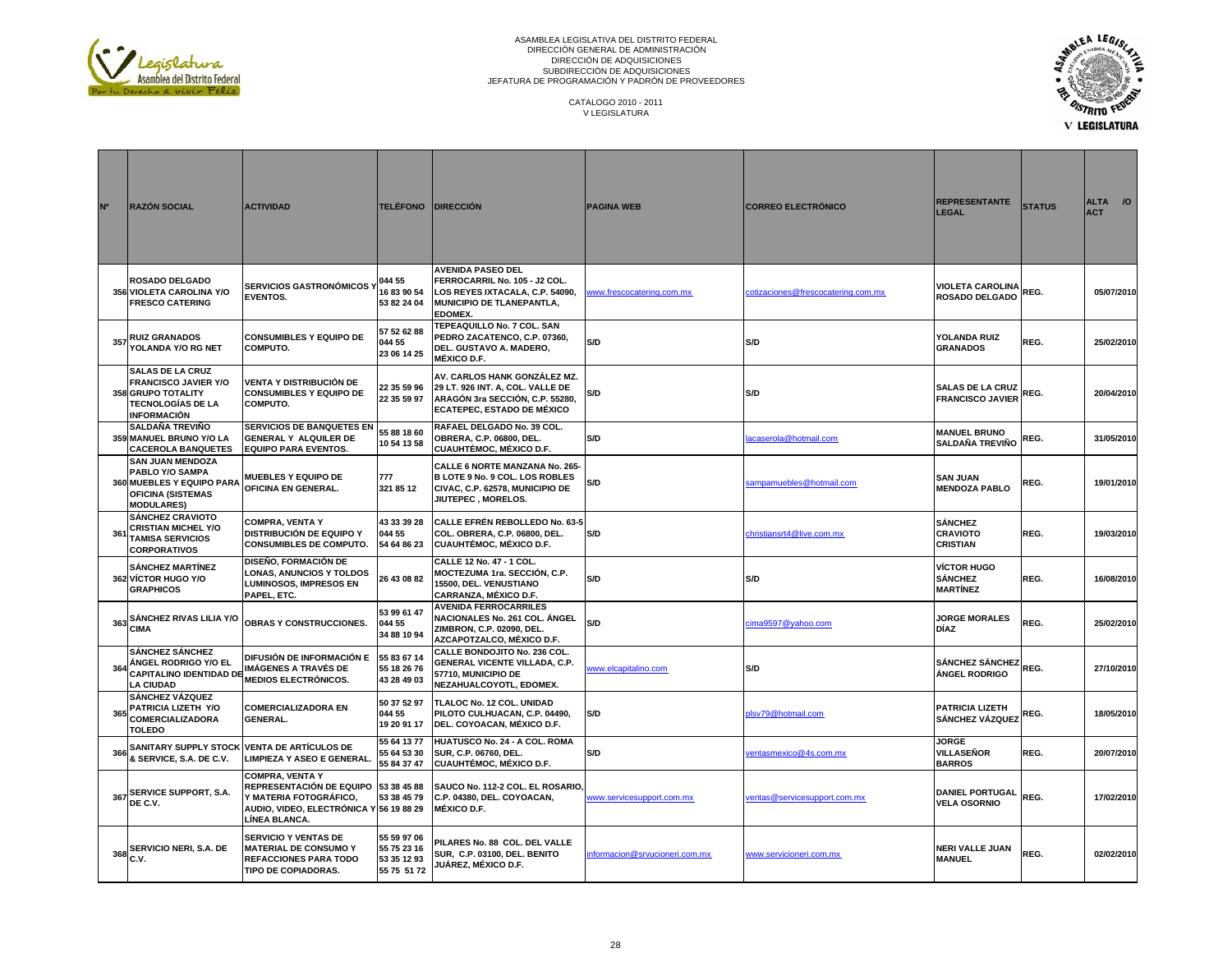





 ${\bf V}$  Legislatura

| <b>N°</b> | <b>RAZÓN SOCIAL</b>                                                                                                      | <b>ACTIVIDAD</b>                                                                                                                                     | <b>TELÉFONO</b>                                          | <b>DIRECCIÓN</b>                                                                                                                                   | <b>PAGINA WEB</b>              | <b>CORREO ELECTRÓNICO</b>          | <b>REPRESENTANTE</b><br><b>LEGAL</b>                    | <b>STATUS</b> | ALTA /O<br><b>ACT</b> |
|-----------|--------------------------------------------------------------------------------------------------------------------------|------------------------------------------------------------------------------------------------------------------------------------------------------|----------------------------------------------------------|----------------------------------------------------------------------------------------------------------------------------------------------------|--------------------------------|------------------------------------|---------------------------------------------------------|---------------|-----------------------|
|           | <b>ROSADO DELGADO</b><br>356 VIOLETA CAROLINA Y/O<br><b>FRESCO CATERING</b>                                              | <b>SERVICIOS GASTRONÓMICOS Y</b><br><b>EVENTOS.</b>                                                                                                  | 044 55<br>16 83 90 54<br>53 82 24 04                     | <b>AVENIDA PASEO DEL</b><br>FERROCARRIL No. 105 - J2 COL.<br>LOS REYES IXTACALA, C.P. 54090,<br><b>MUNICIPIO DE TLANEPANTLA,</b><br><b>EDOMEX.</b> | www.frescocatering.com.mx      | cotizaciones@frescocatering.com.mx | <b>VIOLETA CAROLINA</b><br><b>ROSADO DELGADO</b>        | REG.          | 05/07/2010            |
| 357       | <b>RUIZ GRANADOS</b><br>YOLANDA Y/O RG NET                                                                               | <b>CONSUMIBLES Y EQUIPO DE</b><br><b>COMPUTO.</b>                                                                                                    | 57 52 62 88<br>044 55<br>23 06 14 25                     | TEPEAQUILLO No. 7 COL. SAN<br>PEDRO ZACATENCO, C.P. 07360,<br>DEL. GUSTAVO A. MADERO,<br><b>MÉXICO D.F.</b>                                        | S/D                            | S/D                                | YOLANDA RUIZ<br><b>GRANADOS</b>                         | REG.          | 25/02/2010            |
|           | <b>SALAS DE LA CRUZ</b><br><b>FRANCISCO JAVIER Y/O</b><br>358 GRUPO TOTALITY<br><b>TECNOLOGÍAS DE LA</b><br>INFORMACIÓN  | VENTA Y DISTRIBUCIÓN DE<br><b>CONSUMIBLES Y EQUIPO DE</b><br><b>COMPUTO.</b>                                                                         | 22 35 59 96<br>22 35 59 97                               | AV. CARLOS HANK GONZÁLEZ MZ.<br>29 LT. 926 INT. A, COL. VALLE DE<br>ARAGÓN 3ra SECCIÓN, C.P. 55280.<br><b>ECATEPEC, ESTADO DE MÉXICO</b>           | S/D                            | S/D                                | <b>SALAS DE LA CRUZ</b><br><b>FRANCISCO JAVIER</b>      | REG.          | 20/04/2010            |
|           | SALDAÑA TREVIÑO<br>359 MANUEL BRUNO Y/O LA<br><b>CACEROLA BANQUETES</b>                                                  | <b>SERVICIOS DE BANQUETES EN</b><br><b>GENERAL Y ALQUILER DE</b><br><b>EQUIPO PARA EVENTOS.</b>                                                      | 55 88 18 60<br>10 54 13 58                               | RAFAEL DELGADO No. 39 COL.<br>OBRERA, C.P. 06800, DEL.<br><b>CUAUHTÉMOC, MÉXICO D.F.</b>                                                           | S/D                            | acaserola@hotmail.com              | <b>MANUEL BRUNO</b><br><b>SALDAÑA TREVIÑO</b>           | REG.          | 31/05/2010            |
|           | <b>SAN JUAN MENDOZA</b><br>PABLO Y/O SAMPA<br>360 MUEBLES Y EQUIPO PARA<br><b>OFICINA (SISTEMAS</b><br><b>MODULARES)</b> | <b>MUEBLES Y EQUIPO DE</b><br><b>OFICINA EN GENERAL.</b>                                                                                             | 777<br>321 85 12                                         | CALLE 6 NORTE MANZANA No. 265-<br>B LOTE 9 No. 9 COL. LOS ROBLES<br>CIVAC, C.P. 62578, MUNICIPIO DE<br>JIUTEPEC, MORELOS.                          | S/D                            | sampamuebles@hotmail.com           | <b>SAN JUAN</b><br><b>MENDOZA PABLO</b>                 | REG.          | 19/01/2010            |
| 361       | <b>SÁNCHEZ CRAVIOTO</b><br><b>CRISTIAN MICHEL Y/O</b><br><b>TAMISA SERVICIOS</b><br><b>CORPORATIVOS</b>                  | <b>COMPRA, VENTA Y</b><br>DISTRIBUCIÓN DE EQUIPO Y<br><b>CONSUMIBLES DE COMPUTO.</b>                                                                 | 43 33 39 28<br>044 55<br>54 64 86 23                     | <b>CALLE EFRÉN REBOLLEDO No. 63-5</b><br>COL. OBRERA, C.P. 06800, DEL.<br><b>CUAUHTÉMOC, MÉXICO D.F.</b>                                           | S/D                            | christiansrt4@live.com.mx          | <b>SÁNCHEZ</b><br><b>CRAVIOTO</b><br><b>CRISTIAN</b>    | REG.          | 19/03/2010            |
|           | <b>SÁNCHEZ MARTÍNEZ</b><br>362 VÍCTOR HUGO Y/O<br><b>GRAPHICOS</b>                                                       | DISEÑO, FORMACIÓN DE<br><b>LONAS, ANUNCIOS Y TOLDOS</b><br><b>LUMINOSOS, IMPRESOS EN</b><br>PAPEL, ETC.                                              | 26 43 08 82                                              | CALLE 12 No. 47 - 1 COL.<br>MOCTEZUMA 1ra. SECCIÓN, C.P.<br>15500, DEL. VENUSTIANO<br>CARRANZA, MÉXICO D.F.                                        | S/D                            | S/D                                | <b>VÍCTOR HUGO</b><br><b>SÁNCHEZ</b><br><b>MARTÍNEZ</b> | REG.          | 16/08/2010            |
| 363       | <b>SANCHEZ RIVAS LILIA Y/O</b><br><b>CIMA</b>                                                                            | OBRAS Y CONSTRUCCIONES.                                                                                                                              | 53 99 61 47<br>044 55<br>34 88 10 94                     | <b>AVENIDA FERROCARRILES</b><br>NACIONALES No. 261 COL. ÁNGEL<br>ZIMBRON, C.P. 02090, DEL.<br>AZCAPOTZALCO, MÉXICO D.F.                            | S/D                            | ima9597@yahoo.com                  | <b>JORGE MORALES</b><br><b>DÍAZ</b>                     | REG.          | 25/02/2010            |
| 364       | <b>SÁNCHEZ SÁNCHEZ</b><br>ÁNGEL RODRIGO Y/O EL<br>CAPITALINO IDENTIDAD DE<br><b>LA CIUDAD</b>                            | DIFUSIÓN DE INFORMACIÓN E<br>IMÁGENES A TRAVÉS DE<br><b>MEDIOS ELECTRÓNICOS.</b>                                                                     | 55 83 67 14<br>55 18 26 76<br>43 28 49 03                | CALLE BONDOJITO No. 236 COL.<br>GENERAL VICENTE VILLADA, C.P.<br>57710, MUNICIPIO DE<br>NEZAHUALCOYOTL, EDOMEX.                                    | www.elcapitalino.com           | S/D                                | <b>SÁNCHEZ SÁNCHEZ</b><br>ÁNGEL RODRIGO                 | REG.          | 27/10/2010            |
| 365       | <b>SÁNCHEZ VÁZQUEZ</b><br>PATRICIA LIZETH Y/O<br><b>COMERCIALIZADORA</b><br><b>TOLEDO</b>                                | <b>COMERCIALIZADORA EN</b><br><b>GENERAL.</b>                                                                                                        | 50 37 52 97<br>044 55<br>19 20 91 17                     | TLALOC No. 12 COL. UNIDAD<br>PILOTO CULHUACAN, C.P. 04490,<br>DEL. COYOACAN, MÉXICO D.F.                                                           | <b>S/D</b>                     | plsv79@hotmail.com                 | <b>PATRICIA LIZETH</b><br><b>SÁNCHEZ VÁZQUEZ</b>        | REG.          | 18/05/2010            |
| 366       | <b>SANITARY SUPPLY STOCK</b><br>& SERVICE, S.A. DE C.V.                                                                  | <b>VENTA DE ARTÍCULOS DE</b><br><b>LIMPIEZA Y ASEO E GENERAL</b>                                                                                     | 55 64 13 77<br>55 64 53 30<br>55 84 37 47                | HUATUSCO No. 24 - A COL. ROMA<br>SUR, C.P. 06760, DEL.<br><b>CUAUHTÉMOC, MÉXICO D.F.</b>                                                           | S/D                            | ventasmexico@4s.com.mx             | <b>JORGE</b><br><b>VILLASEÑOR</b><br><b>BARROS</b>      | REG.          | 20/07/2010            |
| 367       | <b>SERVICE SUPPORT, S.A.</b><br>DE C.V.                                                                                  | COMPRA, VENTA Y<br><b>REPRESENTACIÓN DE EQUIPO 53 38 45 88</b><br>Y MATERIA FOTOGRÁFICO,<br>AUDIO, VIDEO, ELECTRÓNICA Y 56 19 88 29<br>LÍNEA BLANCA. | 53 38 45 79                                              | SAUCO No. 112-2 COL. EL ROSARIO.<br>C.P. 04380, DEL. COYOACAN,<br><b>MÉXICO D.F.</b>                                                               | www.servicesupport.com.mx      | ventas@servicesupport.com.mx       | <b>DANIEL PORTUGAL</b><br><b>VELA OSORNIO</b>           | REG.          | 17/02/2010            |
| 368       | <b>SERVICIO NERI, S.A. DE</b><br>C.V.                                                                                    | <b>SERVICIO Y VENTAS DE</b><br><b>MATERIAL DE CONSUMO Y</b><br><b>REFACCIONES PARA TODO</b><br>TIPO DE COPIADORAS.                                   | 55 59 97 06<br>55 75 23 16<br>53 35 12 93<br>55 75 51 72 | PILARES No. 88 COL. DEL VALLE<br>SUR, C.P. 03100, DEL. BENITO<br><b>JUÁREZ, MÉXICO D.F.</b>                                                        | informacion@srvucioneri.com.mx | www.servicioneri.com.mx            | <b>NERI VALLE JUAN</b><br><b>MANUEL</b>                 | REG.          | 02/02/2010            |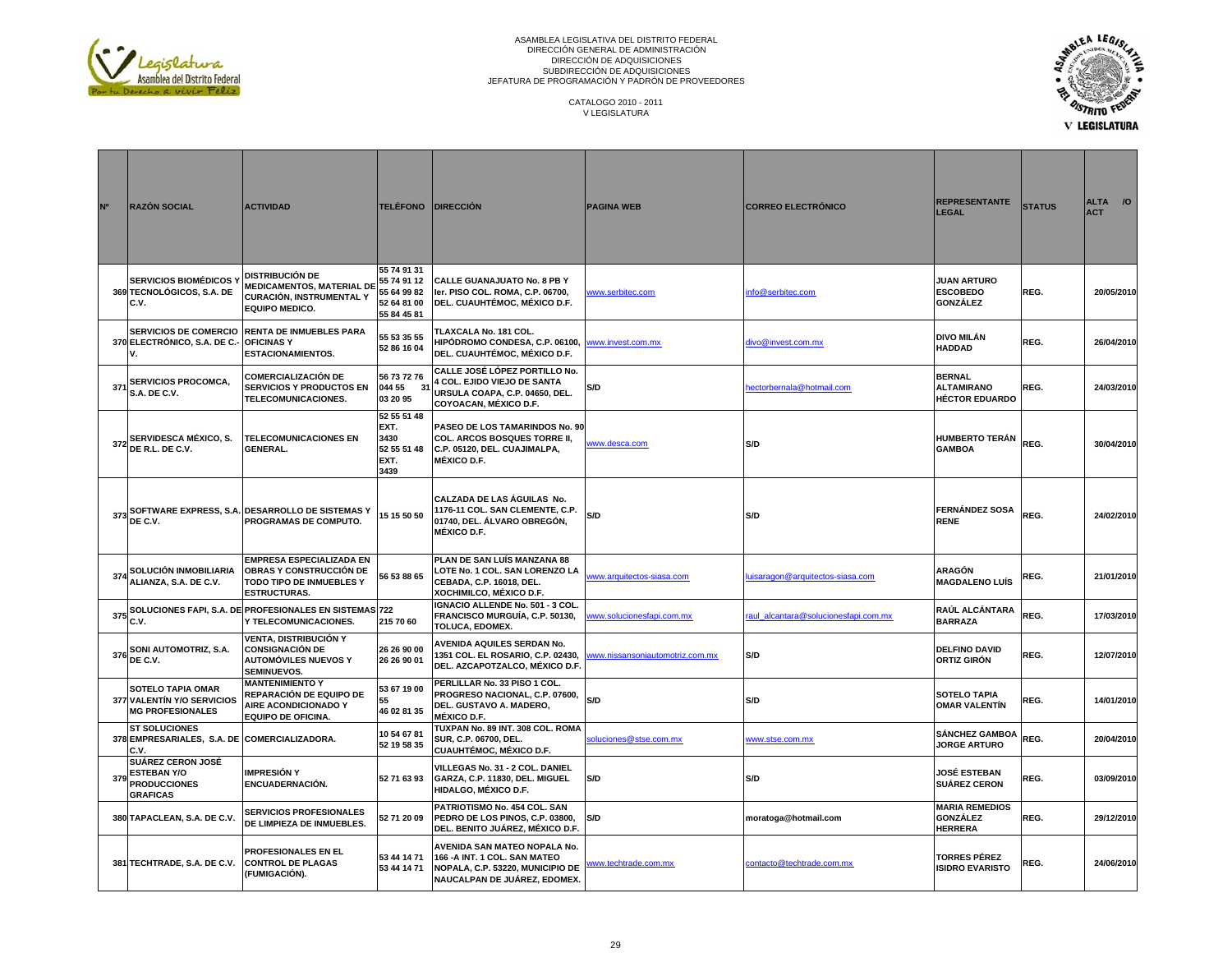



|                 | <b>RAZÓN SOCIAL</b>                                                                   | <b>ACTIVIDAD</b>                                                                                                     | <b>TELÉFONO</b>                                                         | <b>DIRECCIÓN</b>                                                                                                                  | <b>PAGINA WEB</b>               | <b>CORREO ELECTRÓNICO</b>            | <b>REPRESENTANTE</b><br><b>LEGAL</b>                        | <b>STATUS</b> | ALTA /O<br><b>ACT</b> |
|-----------------|---------------------------------------------------------------------------------------|----------------------------------------------------------------------------------------------------------------------|-------------------------------------------------------------------------|-----------------------------------------------------------------------------------------------------------------------------------|---------------------------------|--------------------------------------|-------------------------------------------------------------|---------------|-----------------------|
|                 | <b>ISERVICIOS BIOMÉDICOS Y</b><br>369 TECNOLÓGICOS, S.A. DE<br>C.V.                   | DISTRIBUCIÓN DE<br><b>MEDICAMENTOS, MATERIAL DE</b><br>CURACIÓN, INSTRUMENTAL Y<br><b>EQUIPO MEDICO.</b>             | 55 74 91 31<br>55 74 91 12<br>55 64 99 82<br>52 64 81 00<br>55 84 45 81 | <b>CALLE GUANAJUATO No. 8 PB Y</b><br>Ier. PISO COL. ROMA, C.P. 06700,<br>DEL. CUAUHTÉMOC, MÉXICO D.F.                            | www.serbitec.com                | info@serbitec.com                    | <b>JUAN ARTURO</b><br><b>ESCOBEDO</b><br><b>GONZÁLEZ</b>    | REG.          | 20/05/2010            |
|                 | <b>SERVICIOS DE COMERCIO</b><br>370 ELECTRÓNICO, S.A. DE C.-<br>IV.                   | <b>RENTA DE INMUEBLES PARA</b><br><b>OFICINAS Y</b><br><b>ESTACIONAMIENTOS.</b>                                      | 55 53 35 55<br>52 86 16 04                                              | TLAXCALA No. 181 COL.<br>HIPÓDROMO CONDESA, C.P. 06100, www.invest.com.mx<br>DEL. CUAUHTÉMOC, MÉXICO D.F.                         |                                 | divo@invest.com.mx                   | <b>DIVO MILÁN</b><br><b>HADDAD</b>                          | REG.          | 26/04/2010            |
| 37 <sub>1</sub> | <b>SERVICIOS PROCOMCA,</b><br><b>S.A. DE C.V.</b>                                     | <b>COMERCIALIZACIÓN DE</b><br><b>SERVICIOS Y PRODUCTOS EN</b><br>TELECOMUNICACIONES.                                 | 56 73 72 76<br>044 55<br>-31<br>03 20 95                                | CALLE JOSÉ LÓPEZ PORTILLO No.<br>4 COL. EJIDO VIEJO DE SANTA<br>URSULA COAPA, C.P. 04650, DEL.<br>COYOACAN, MÉXICO D.F.           | S/D                             | hectorbernala@hotmail.com            | <b>BERNAL</b><br><b>ALTAMIRANO</b><br><b>HÉCTOR EDUARDO</b> | REG.          | 24/03/2010            |
|                 | <b>SERVIDESCA MÉXICO, S.</b><br>372 DE R.L. DE C.V.                                   | <b>TELECOMUNICACIONES EN</b><br><b>GENERAL.</b>                                                                      | 52 55 51 48<br>EXT.<br>3430<br>52 55 51 48<br>EXT.<br>3439              | PASEO DE LOS TAMARINDOS No. 90<br><b>COL. ARCOS BOSQUES TORRE II.</b><br>C.P. 05120, DEL. CUAJIMALPA,<br><b>MÉXICO D.F.</b>       | www.desca.com                   | S/D                                  | <b>HUMBERTO TERÁN</b><br><b>GAMBOA</b>                      | REG.          | 30/04/2010            |
|                 | DE C.V.                                                                               | 373 SOFTWARE EXPRESS, S.A. DESARROLLO DE SISTEMAS Y<br>PROGRAMAS DE COMPUTO.                                         | 15 15 50 50                                                             | CALZADA DE LAS ÁGUILAS No.<br>1176-11 COL. SAN CLEMENTE, C.P.<br>01740, DEL. ÁLVARO OBREGÓN,<br><b>MÉXICO D.F.</b>                | S/D                             | S/D                                  | <b>FERNÁNDEZ SOSA</b><br><b>RENE</b>                        | REG.          | 24/02/2010            |
|                 | 374 SOLUCIÓN INMOBILIARIA<br>ALIANZA, S.A. DE C.V.                                    | <b>EMPRESA ESPECIALIZADA EN</b><br><b>OBRAS Y CONSTRUCCIÓN DE</b><br>TODO TIPO DE INMUEBLES Y<br><b>ESTRUCTURAS.</b> | 56 53 88 65                                                             | PLAN DE SAN LUÍS MANZANA 88<br><b>LOTE No. 1 COL. SAN LORENZO LA</b><br>CEBADA, C.P. 16018, DEL.<br>XOCHIMILCO, MÉXICO D.F.       | www.arquitectos-siasa.com       | luisaragon@arquitectos-siasa.com     | <b>ARAGÓN</b><br><b>MAGDALENO LUÍS</b>                      | REG.          | 21/01/2010            |
|                 |                                                                                       | 375 SOLUCIONES FAPI, S.A. DE PROFESIONALES EN SISTEMAS 722<br>C.V. TELECOMUNICACIONES                                | 215 70 60                                                               | IGNACIO ALLENDE No. 501 - 3 COL.<br>FRANCISCO MURGUÍA, C.P. 50130,<br>TOLUCA. EDOMEX.                                             | www.solucionesfapi.com.mx       | raul alcantara@solucionesfapi.com.mx | RAÚL ALCÁNTARA<br><b>BARRAZA</b>                            | REG.          | 17/03/2010            |
|                 | 376 SONI AUTOMOTRIZ, S.A.<br>DE C.V.                                                  | VENTA, DISTRIBUCIÓN Y<br><b>CONSIGNACIÓN DE</b><br>AUTOMÓVILES NUEVOS Y<br>SEMINUEVOS.                               | 26 26 90 00<br>26 26 90 01                                              | AVENIDA AQUILES SERDAN No.<br>1351 COL. EL ROSARIO, C.P. 02430,<br>DEL. AZCAPOTZALCO, MÉXICO D.F.                                 | www.nissansoniautomotriz.com.mx | S/D                                  | <b>DELFINO DAVID</b><br>ORTIZ GIRÓN                         | REG.          | 12/07/2010            |
|                 | <b>SOTELO TAPIA OMAR</b><br>377 VALENTÍN Y/O SERVICIOS<br><b>MG PROFESIONALES</b>     | <b>MANTENIMIENTO Y</b><br>REPARACIÓN DE EQUIPO DE<br>AIRE ACONDICIONADO Y<br>EQUIPO DE OFICINA.                      | 53 67 19 00<br>55<br>46 02 81 35                                        | PERLILLAR No. 33 PISO 1 COL.<br>PROGRESO NACIONAL, C.P. 07600,<br>DEL. GUSTAVO A. MADERO,<br><b>MÉXICO D.F.</b>                   | S/D                             | S/D                                  | <b>SOTELO TAPIA</b><br><b>OMAR VALENTÍN</b>                 | REG.          | 14/01/2010            |
|                 | <b>ST SOLUCIONES</b><br>378 EMPRESARIALES, S.A. DE<br>C.V.                            | COMERCIALIZADORA.                                                                                                    | 10 54 67 81<br>52 19 58 35                                              | TUXPAN No. 89 INT. 308 COL. ROMA<br>SUR, C.P. 06700, DEL.<br><b>CUAUHTÉMOC, MÉXICO D.F.</b>                                       | soluciones@stse.com.mx          | www.stse.com.mx                      | <b>SÁNCHEZ GAMBOA</b><br><b>JORGE ARTURO</b>                | REG.          | 20/04/2010            |
|                 | <b>SUÁREZ CERON JOSÉ</b><br>379 ESTEBAN Y/O<br><b>PRODUCCIONES</b><br><b>GRAFICAS</b> | IMPRESIÓN Y<br>ENCUADERNACIÓN.                                                                                       | 52 71 63 93                                                             | <b>VILLEGAS No. 31 - 2 COL. DANIEL</b><br>GARZA, C.P. 11830, DEL. MIGUEL<br>HIDALGO, MÉXICO D.F.                                  | S/D                             | S/D                                  | <b>JOSÉ ESTEBAN</b><br><b>SUÁREZ CERON</b>                  | REG.          | 03/09/2010            |
|                 | 380 TAPACLEAN, S.A. DE C.V.                                                           | <b>SERVICIOS PROFESIONALES</b><br>DE LIMPIEZA DE INMUEBLES.                                                          | 52 71 20 09                                                             | PATRIOTISMO No. 454 COL. SAN<br>PEDRO DE LOS PINOS, C.P. 03800,<br>DEL. BENITO JUÁREZ, MÉXICO D.F.                                | S/D                             | moratoga@hotmail.com                 | <b>MARIA REMEDIOS</b><br><b>GONZÁLEZ</b><br><b>HERRERA</b>  | REG.          | 29/12/2010            |
|                 | 381 TECHTRADE, S.A. DE C.V.                                                           | <b>PROFESIONALES EN EL</b><br><b>CONTROL DE PLAGAS</b><br>(FUMIGACIÓN).                                              | 53 44 14 71<br>53 44 14 71                                              | AVENIDA SAN MATEO NOPALA No.<br>166 - A INT. 1 COL. SAN MATEO<br>NOPALA, C.P. 53220, MUNICIPIO DE<br>NAIICAI PAN DE JUÁREZ EDOMEX | www.techtrade.com.mx            | contacto@techtrade.com.mx            | <b>TORRES PÉREZ</b><br><b>ISIDRO EVARISTO</b>               | REG.          | 24/06/2010            |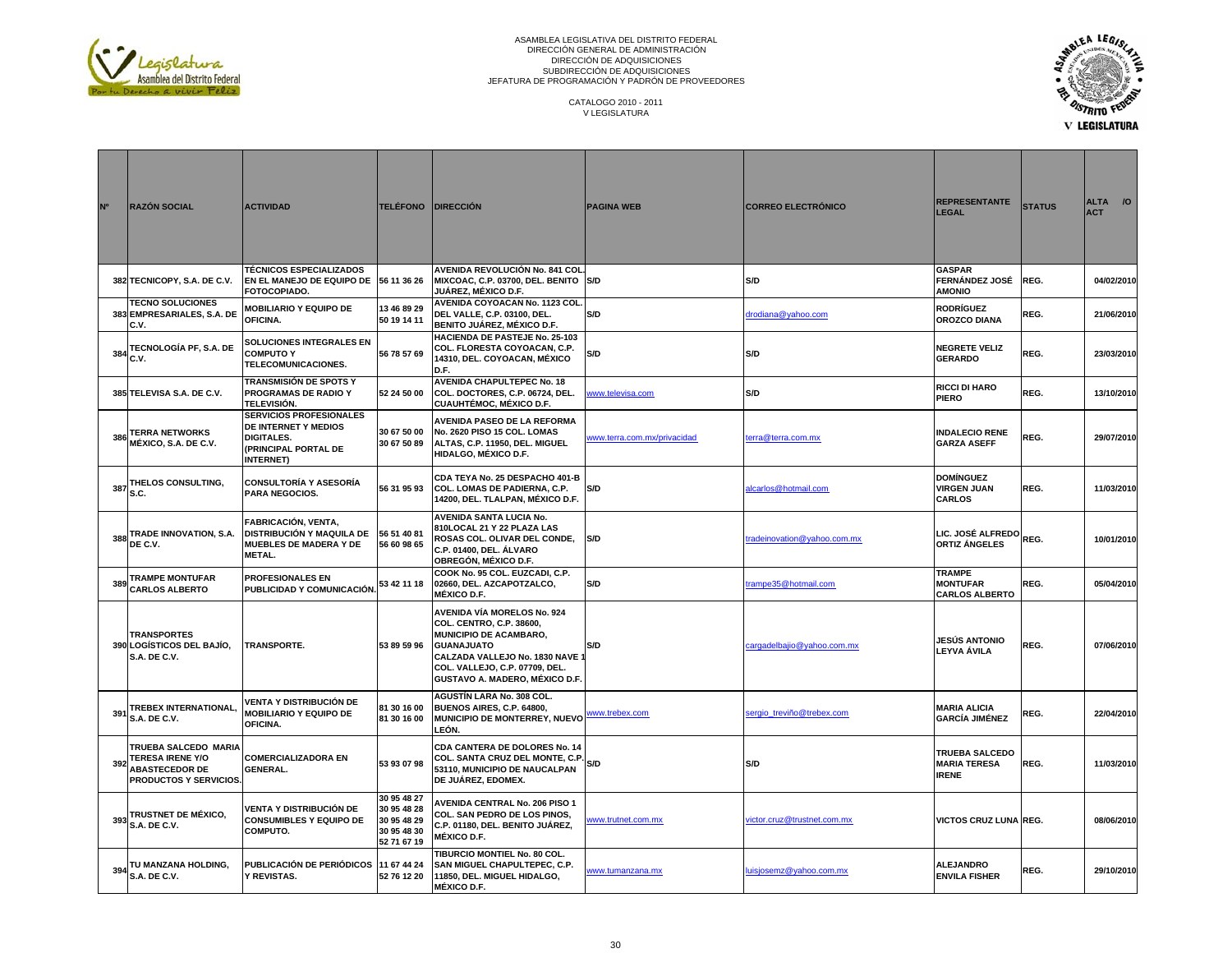



|     | <b>RAZÓN SOCIAL</b>                                                                                       | <b>ACTIVIDAD</b>                                                                                                        | <b>TELÉFONO</b>                                                         | <b>IDIRECCIÓN</b>                                                                                                                                                                                             | <b>PAGINA WEB</b>           | <b>CORREO ELECTRÓNICO</b>   | <b>REPRESENTANTE</b><br><b>LEGAL</b>                         | <b>STATUS</b> | ALTA /O<br><b>ACT</b> |
|-----|-----------------------------------------------------------------------------------------------------------|-------------------------------------------------------------------------------------------------------------------------|-------------------------------------------------------------------------|---------------------------------------------------------------------------------------------------------------------------------------------------------------------------------------------------------------|-----------------------------|-----------------------------|--------------------------------------------------------------|---------------|-----------------------|
|     | 382 TECNICOPY, S.A. DE C.V.                                                                               | <b>TÉCNICOS ESPECIALIZADOS</b><br>EN EL MANEJO DE EQUIPO DE 56 11 36 26<br>FOTOCOPIADO.                                 |                                                                         | AVENIDA REVOLUCIÓN No. 841 COL<br>MIXCOAC, C.P. 03700, DEL. BENITO S/D<br>JUÁREZ, MÉXICO D.F.                                                                                                                 |                             | S/D                         | <b>GASPAR</b><br><b>FERNÁNDEZ JOSÉ</b><br><b>AMONIO</b>      | REG.          | 04/02/2010            |
|     | <b>TECNO SOLUCIONES</b><br>383 EMPRESARIALES, S.A. DE<br>C.V.                                             | <b>MOBILIARIO Y EQUIPO DE</b><br>OFICINA.                                                                               | 13 46 89 29<br>50 19 14 11                                              | AVENIDA COYOACAN No. 1123 COL<br>DEL VALLE, C.P. 03100, DEL.<br>BENITO JUÁREZ, MÉXICO D.F.                                                                                                                    | S/D                         | drodiana@yahoo.com          | <b>RODRÍGUEZ</b><br><b>OROZCO DIANA</b>                      | REG.          | 21/06/2010            |
|     | TECNOLOGÍA PF, S.A. DE<br>$384$ <sub>C.V.</sub>                                                           | <b>SOLUCIONES INTEGRALES EN</b><br><b>COMPUTO Y</b><br>TELECOMUNICACIONES.                                              | 56 78 57 69                                                             | HACIENDA DE PASTEJE No. 25-103<br>COL. FLORESTA COYOACAN, C.P.<br>14310, DEL. COYOACAN, MÉXICO<br>D.F.                                                                                                        | S/D                         | S/D                         | <b>NEGRETE VELIZ</b><br><b>GERARDO</b>                       | REG.          | 23/03/2010            |
|     | 385 TELEVISA S.A. DE C.V.                                                                                 | TRANSMISIÓN DE SPOTS Y<br>PROGRAMAS DE RADIO Y<br>TELEVISIÓN.                                                           | 52 24 50 00                                                             | <b>AVENIDA CHAPULTEPEC No. 18</b><br>COL. DOCTORES, C.P. 06724, DEL.<br>CUAUHTÉMOC, MÉXICO D.F.                                                                                                               | www.televisa.com            | S/D                         | <b>RICCI DI HARO</b><br><b>PIERO</b>                         | REG.          | 13/10/2010            |
|     | 386 TERRA NETWORKS<br>MÉXICO, S.A. DE C.V.                                                                | <b>SERVICIOS PROFESIONALES</b><br>DE INTERNET Y MEDIOS<br><b>DIGITALES.</b><br>(PRINCIPAL PORTAL DE<br><b>INTERNET)</b> | 30 67 50 00<br>30 67 50 89                                              | <b>AVENIDA PASEO DE LA REFORMA</b><br>No. 2620 PISO 15 COL. LOMAS<br>ALTAS, C.P. 11950, DEL. MIGUEL<br>HIDALGO, MÉXICO D.F.                                                                                   | www.terra.com.mx/privacidad | terra@terra.com.mx          | <b>INDALECIO RENE</b><br><b>GARZA ASEFF</b>                  | REG.          | 29/07/2010            |
|     | 387 THELOS CONSULTING,                                                                                    | <b>CONSULTORÍA Y ASESORÍA</b><br>PARA NEGOCIOS.                                                                         | 56 31 95 93                                                             | CDA TEYA No. 25 DESPACHO 401-B<br>COL. LOMAS DE PADIERNA, C.P.<br>14200, DEL. TLALPAN, MÉXICO D.F.                                                                                                            | S/D                         | alcarlos@hotmail.com        | <b>DOMÍNGUEZ</b><br><b>VIRGEN JUAN</b><br><b>CARLOS</b>      | REG.          | 11/03/2010            |
|     | 388 TRADE INNOVATION, S.A.<br>DE C.V.                                                                     | FABRICACIÓN, VENTA,<br>DISTRIBUCIÓN Y MAQUILA DE 56 51 40 81<br><b>MUEBLES DE MADERA Y DE</b><br>METAL.                 | 56 60 98 65                                                             | <b>AVENIDA SANTA LUCIA No.</b><br>810LOCAL 21 Y 22 PLAZA LAS<br>ROSAS COL. OLIVAR DEL CONDE,<br>C.P. 01400, DEL. ÁLVARO<br>OBREGÓN, MÉXICO D.F.                                                               | S/D                         | radeinovation@yahoo.com.mx  | LIC. JOSÉ ALFREDO<br><b>ORTIZ ÁNGELES</b>                    | REG.          | 10/01/2010            |
|     | 389 TRAMPE MONTUFAR<br><b>CARLOS ALBERTO</b>                                                              | <b>PROFESIONALES EN</b><br>PUBLICIDAD Y COMUNICACIÓN                                                                    | 53 42 11 18                                                             | COOK No. 95 COL. EUZCADI, C.P.<br>02660, DEL. AZCAPOTZALCO,<br><b>MÉXICO D.F.</b>                                                                                                                             | S/D                         | trampe35@hotmail.com        | <b>TRAMPE</b><br><b>MONTUFAR</b><br><b>CARLOS ALBERTO</b>    | REG.          | 05/04/2010            |
|     | <b>TRANSPORTES</b><br>390 LOGÍSTICOS DEL BAJÍO,<br>S.A. DE C.V.                                           | <b>TRANSPORTE.</b>                                                                                                      | 53 89 59 96                                                             | AVENIDA VÍA MORELOS No. 924<br>COL. CENTRO. C.P. 38600.<br>MUNICIPIO DE ACAMBARO,<br><b>GUANAJUATO</b><br>CALZADA VALLEJO No. 1830 NAVE 1<br>COL. VALLEJO, C.P. 07709, DEL.<br>GUSTAVO A. MADERO, MÉXICO D.F. | S/D                         | cargadelbajio@yahoo.com.mx  | <b>JESÚS ANTONIO</b><br><b>LEYVA ÁVILA</b>                   | REG.          | 07/06/2010            |
| 391 | TREBEX INTERNATIONAL,<br>S.A. DE C.V.                                                                     | VENTA Y DISTRIBUCIÓN DE<br><b>MOBILIARIO Y EQUIPO DE</b><br>OFICINA.                                                    | 81 30 16 00<br>81 30 16 00                                              | AGUSTÍN LARA No. 308 COL.<br>BUENOS AIRES, C.P. 64800,<br>MUNICIPIO DE MONTERREY, NUEVO WWW.trebex.com<br>LEÓN.                                                                                               |                             | sergio treviño@trebex.com   | <b>MARIA ALICIA</b><br><b>GARCÍA JIMÉNEZ</b>                 | REG.          | 22/04/2010            |
| 392 | TRUEBA SALCEDO MARIA<br><b>TERESA IRENE Y/O</b><br><b>ABASTECEDOR DE</b><br><b>PRODUCTOS Y SERVICIOS.</b> | <b>COMERCIALIZADORA EN</b><br><b>GENERAL.</b>                                                                           | 53 93 07 98                                                             | <b>CDA CANTERA DE DOLORES No. 14</b><br>COL. SANTA CRUZ DEL MONTE, C.P.<br>53110, MUNICIPIO DE NAUCALPAN<br>DE JUÁREZ, EDOMEX.                                                                                | S/D                         | S/D                         | <b>TRUEBA SALCEDO</b><br><b>MARIA TERESA</b><br><b>IRENE</b> | REG.          | 11/03/2010            |
|     | <b>TRUSTNET DE MÉXICO,</b><br>393 S.A. DE C.V.                                                            | VENTA Y DISTRIBUCIÓN DE<br><b>CONSUMIBLES Y EQUIPO DE</b><br>COMPUTO.                                                   | 30 95 48 27<br>30 95 48 28<br>30 95 48 29<br>30 95 48 30<br>52 71 67 19 | <b>AVENIDA CENTRAL No. 206 PISO 1</b><br>COL. SAN PEDRO DE LOS PINOS,<br>C.P. 01180, DEL. BENITO JUÁREZ,<br><b>MÉXICO D.F.</b>                                                                                | www.trutnet.com.mx          | victor.cruz@trustnet.com.mx | <b>VICTOS CRUZ LUNA REG.</b>                                 |               | 08/06/2010            |
| 394 | TU MANZANA HOLDING,<br>S.A. DE C.V.                                                                       | <b>PUBLICACIÓN DE PERIÓDICOS 111 67 44 24</b><br>Y REVISTAS.                                                            | 52 76 12 20                                                             | TIBURCIO MONTIEL No. 80 COL.<br>SAN MIGUEL CHAPULTEPEC, C.P.<br>11850, DEL. MIGUEL HIDALGO,<br><b>MÉXICO D.F.</b>                                                                                             | www.tumanzana.mx            | luisjosemz@yahoo.com.mx     | <b>ALEJANDRO</b><br><b>ENVILA FISHER</b>                     | REG.          | 29/10/2010            |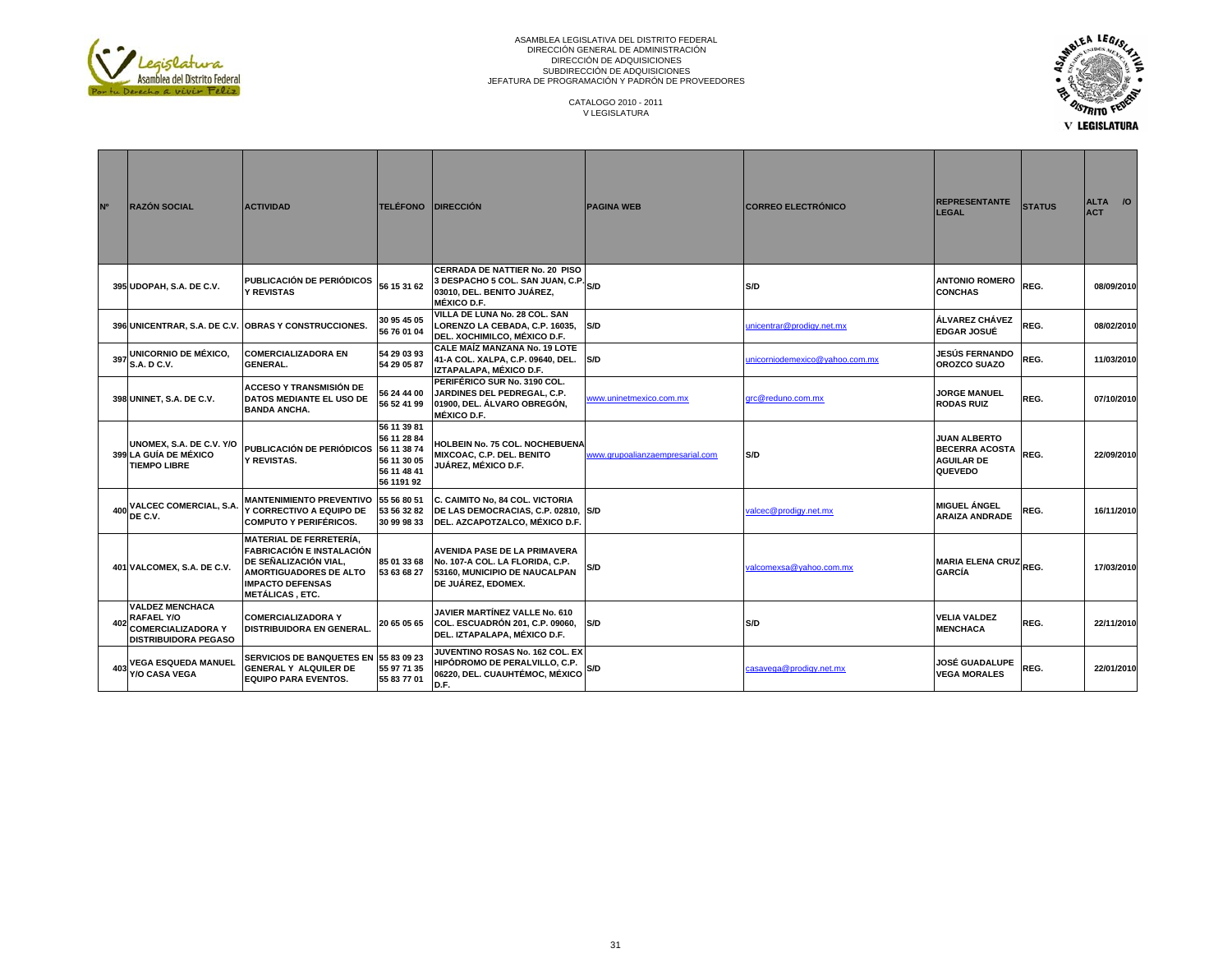



|     | <b>RAZÓN SOCIAL</b>                                                                                     | <b>ACTIVIDAD</b>                                                                                                                                                   | <b>TELÉFONO</b>                                                        | <b>DIRECCIÓN</b>                                                                                                               | <b>PAGINA WEB</b>               | <b>CORREO ELECTRÓNICO</b>      | <b>REPRESENTANTE</b><br><b>LEGAL</b>                                                | <b>STATUS</b> | ALTA /O<br><b>ACT</b> |
|-----|---------------------------------------------------------------------------------------------------------|--------------------------------------------------------------------------------------------------------------------------------------------------------------------|------------------------------------------------------------------------|--------------------------------------------------------------------------------------------------------------------------------|---------------------------------|--------------------------------|-------------------------------------------------------------------------------------|---------------|-----------------------|
|     | 395 UDOPAH, S.A. DE C.V.                                                                                | PUBLICACIÓN DE PERIÓDICOS<br><b>Y REVISTAS</b>                                                                                                                     | 56 15 31 62                                                            | CERRADA DE NATTIER No. 20 PISO<br>3 DESPACHO 5 COL. SAN JUAN, C.P. <sub>S/D</sub><br>03010, DEL. BENITO JUÁREZ,<br>MÉXICO D.F. |                                 | S/D                            | <b>ANTONIO ROMERO</b><br><b>CONCHAS</b>                                             | REG.          | 08/09/2010            |
|     |                                                                                                         | 396 UNICENTRAR, S.A. DE C.V. OBRAS Y CONSTRUCCIONES.                                                                                                               | 30 95 45 05<br>56 76 01 04                                             | VILLA DE LUNA No. 28 COL. SAN<br>LORENZO LA CEBADA, C.P. 16035,<br>DEL. XOCHIMILCO, MÉXICO D.F.                                | S/D                             | unicentrar@prodigy.net.mx      | ÁLVAREZ CHÁVEZ<br><b>EDGAR JOSUÉ</b>                                                | REG.          | 08/02/2010            |
|     | 397 UNICORNIO DE MÉXICO.<br>S.A. D C.V.                                                                 | <b>COMERCIALIZADORA EN</b><br><b>GENERAL.</b>                                                                                                                      | 54 29 03 93<br>54 29 05 87                                             | <b>CALE MAÍZ MANZANA No. 19 LOTE</b><br>41-A COL. XALPA, C.P. 09640, DEL.<br>IZTAPALAPA, MÉXICO D.F.                           | S/D                             | unicorniodemexico@yahoo.com.mx | JESÚS FERNANDO<br>OROZCO SUAZO                                                      | REG.          | 11/03/2010            |
|     | 398 UNINET, S.A. DE C.V.                                                                                | ACCESO Y TRANSMISIÓN DE<br><b>DATOS MEDIANTE EL USO DE</b><br><b>BANDA ANCHA.</b>                                                                                  | 56 24 44 00<br>56 52 41 99                                             | PERIFÉRICO SUR No. 3190 COL.<br>JARDINES DEL PEDREGAL, C.P.<br>01900, DEL. ÁLVARO OBREGÓN,<br><b>MÉXICO D.F.</b>               | www.uninetmexico.com.mx         | arc@reduno.com.mx              | <b>JORGE MANUEL</b><br><b>RODAS RUIZ</b>                                            | REG.          | 07/10/2010            |
|     | UNOMEX, S.A. DE C.V. Y/O<br>399 LA GUÍA DE MÉXICO<br><b>TIEMPO LIBRE</b>                                | PUBLICACIÓN DE PERIÓDICOS 56 11 38 74<br>Y REVISTAS.                                                                                                               | 56 11 39 81<br>56 11 28 84<br>56 11 30 05<br>56 11 48 41<br>56 1191 92 | <b>HOLBEIN No. 75 COL. NOCHEBUENA</b><br>MIXCOAC, C.P. DEL. BENITO<br>JUÁREZ, MÉXICO D.F.                                      | www.grupoalianzaempresarial.com | S/D                            | <b>JUAN ALBERTO</b><br><b>BECERRA ACOSTA</b><br><b>AGUILAR DE</b><br><b>QUEVEDO</b> | REG.          | 22/09/2010            |
|     | 400 VALCEC COMERCIAL, S.A.<br>DE C.V.                                                                   | <b>MANTENIMIENTO PREVENTIVO</b><br>Y CORRECTIVO A EQUIPO DE<br><b>COMPUTO Y PERIFÉRICOS.</b>                                                                       | 55 56 80 51<br>53 56 32 82<br>30 99 98 33                              | C. CAIMITO No, 84 COL. VICTORIA<br>DE LAS DEMOCRACIAS, C.P. 02810, S/D<br>DEL. AZCAPOTZALCO, MÉXICO D.F.                       |                                 | valcec@prodigy.net.mx          | <b>MIGUEL ÁNGEL</b><br><b>ARAIZA ANDRADE</b>                                        | REG.          | 16/11/2010            |
|     | 401 VALCOMEX, S.A. DE C.V.                                                                              | MATERIAL DE FERRETERÍA.<br><b>FABRICACIÓN E INSTALACIÓN</b><br>DE SEÑALIZACIÓN VIAL<br><b>AMORTIGUADORES DE ALTO</b><br><b>IMPACTO DEFENSAS</b><br>METÁLICAS, ETC. | 85 01 33 68<br>53 63 68 27                                             | <b>AVENIDA PASE DE LA PRIMAVERA</b><br>No. 107-A COL. LA FLORIDA. C.P.<br>53160, MUNICIPIO DE NAUCALPAN<br>DE JUÁREZ, EDOMEX.  | S/D                             | valcomexsa@yahoo.com.mx        | <b>MARIA ELENA CRUZ</b><br><b>GARCÍA</b>                                            | REG.          | 17/03/2010            |
| 402 | <b>VALDEZ MENCHACA</b><br><b>RAFAEL Y/O</b><br><b>COMERCIALIZADORA Y</b><br><b>DISTRIBUIDORA PEGASO</b> | <b>COMERCIALIZADORA Y</b><br><b>DISTRIBUIDORA EN GENERAL</b>                                                                                                       | 20 65 05 65                                                            | JAVIER MARTÍNEZ VALLE No. 610<br>COL. ESCUADRÓN 201, C.P. 09060,<br>DEL. IZTAPALAPA, MÉXICO D.F.                               | S/D                             | S/D                            | <b>VELIA VALDEZ</b><br><b>MENCHACA</b>                                              | REG.          | 22/11/2010            |
| 403 | <b>VEGA ESQUEDA MANUEL</b><br>Y/O CASA VEGA                                                             | SERVICIOS DE BANQUETES EN 55 83 09 23<br><b>GENERAL Y ALQUILER DE</b><br><b>EQUIPO PARA EVENTOS.</b>                                                               | 55 97 71 35<br>55 83 77 01                                             | <b>JUVENTINO ROSAS No. 162 COL. EX</b><br>HIPÓDROMO DE PERALVILLO, C.P.<br>06220, DEL. CUAUHTÉMOC, MÉXICO<br>D.F.              | S/D                             | casavega@prodigy.net.mx        | JOSÉ GUADALUPE<br><b>VEGA MORALES</b>                                               | REG.          | 22/01/2010            |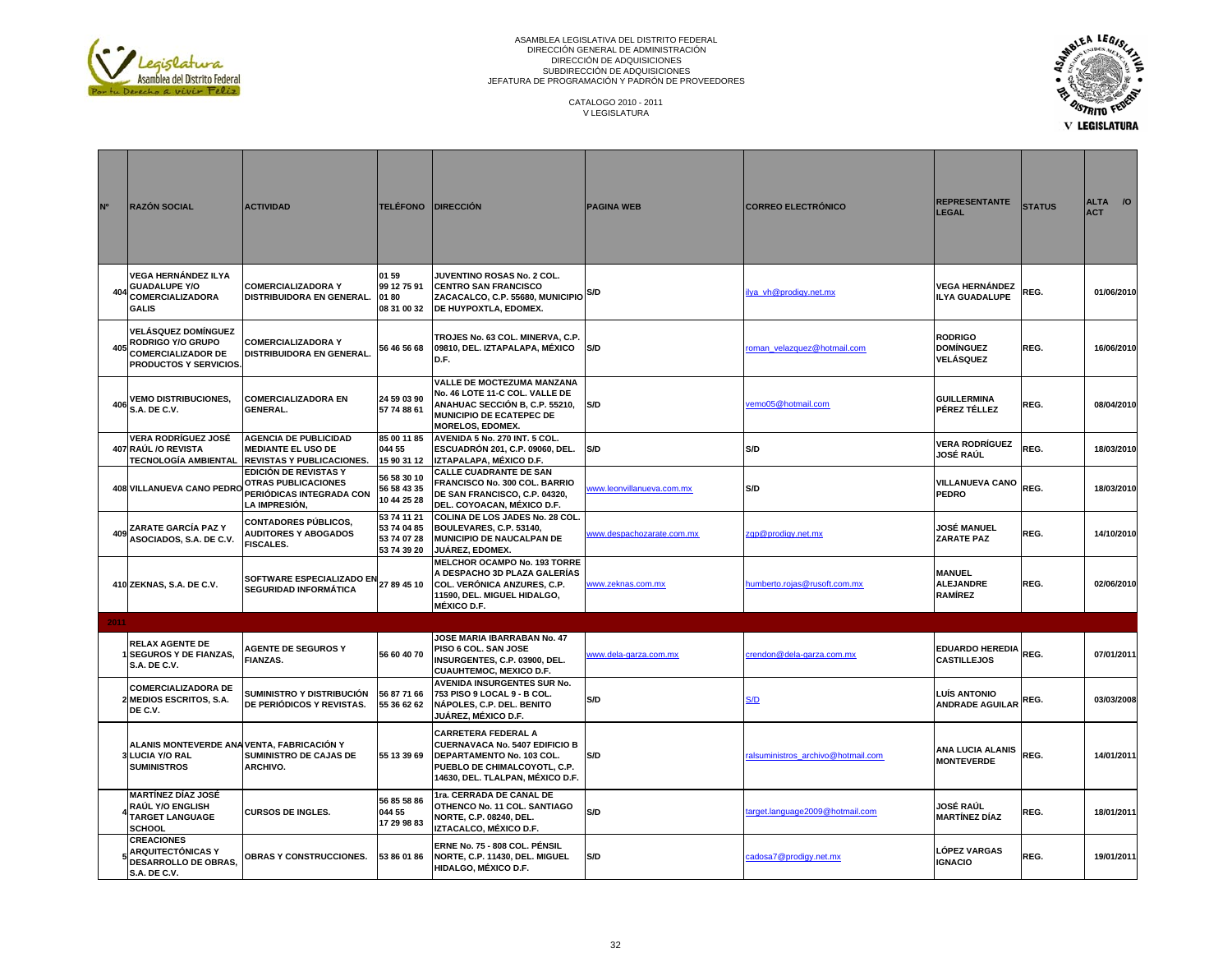





**Nº RAZÓN SOCIAL ACTIVIDAD TELÉFONO DIRECCIÓN PAGINA WEB CORREO ELECTRÓNICOREPRESENTANTE STATUS ALTA /O**<br>LEGAL STATUS ACT **404 VEGA HERNÁNDEZ ILYA GUADALUPE Y/O COMERCIALIZADORA GALISCOMERCIALIZADORA Y DISTRIBUIDORA EN GENERAL. 01 59 99 12 75 91 01 80 08 31 00 32 JUVENTINO ROSAS No. 2 COL. CENTRO SAN FRANCISCO ZACACALCO, C.P. 55680, MUNICIPIO S/DDE HUYPOXTLA, EDOMEX.** ilya\_vh@prodigy.net.mx **VEGA HERNÁNDEZ ILYA GUADALUPEREGA HERNÁNDEZ**<br>**REG.** 01/06/2010<br>**REG.** 01/06/2010 **405VELÁSQUEZ DOMÍNGUEZ RODRIGO Y/O GRUPO COMERCIALIZADOR DE PRODUCTOS Y SERVICIOS.COMERCIALIZADORA Y DISTRIBUIDORA EN GENERAL. 56 46 56 68 TROJES No. 63 COL. MINERVA, C.P. 09810, DEL. IZTAPALAPA, MÉXICO S/DD.F.** roman\_velazquez@hotmail.com **RODRIGO DOMÍNGUEZ VELÁSQUEZREG. 16/06/2010406VEMO DISTRIBUCIONES,<br>S.A. DE C.V. COMERCIALIZADORA EN 24 59 03 90<br>GENERAL.** 57 74 88 61 **VALLE DE MOCTEZUMA MANZANA No. 46 LOTE 11-C COL. VALLE DE ANAHUAC SECCIÓN B, C.P. 55210, MUNICIPIO DE ECATEPEC DE MORELOS, EDOMEX. S/D** vemo05@hotmail.com **GUILLERMINA PÉREZ TÉLLEZ REG. 08/04/2010 407 RAÚL /O REVISTA VERA RODRÍGUEZ JOSÉ TECNOLOGÍA AMBIENTALAGENCIA DE PUBLICIDAD MEDIANTE EL USO DE REVISTAS Y PUBLICACIONES. 85 00 11 85 044 55 15 90 31 12AVENIDA 5 No. 270 INT. 5 COL. ESCUADRÓN 201, C.P. 09060, DEL. IZTAPALAPA, MÉXICO D.F. S/D S/D VERA RODRÍGUEZ JOSÉ RAÚL REG. 18/03/2010 408 VILLANUEVA CANO PEDRO EDICIÓN DE REVISTAS Y OTRAS PUBLICACIONES PERIÓDICAS INTEGRADA CON LA IMPRESIÓN, 56 58 30 10 56 58 43 35 10 44 25 28CALLE CUADRANTE DE SAN FRANCISCO No. 300 COL. BARRIO DE SAN FRANCISCO, C.P. 04320, DEL. COYOACAN, MÉXICO D.F.** w.leonvillanueva.com.mx **S/D VILLANUEVA CANO PEDRO REG. 18/03/2010 409ZARATE GARCÍA PAZ Y CONTADORES PÚBLICOS, 53 74 11 21 53 74 11 21 54 74 04 85 FISCALES. AUDITORES Y ABOGADOS** 53 74 04 85 53 74 07 28 FISCALES. **COLINA DE LOS JADES No. 28 COL. BOULEVARES, C.P. 53140, MUNICIPIO DE NAUCALPAN DE JUÁREZ, EDOMEX.** www.despachozarate.com.mx zgp@prodigy.net.mx **JOSÉ MANUEL ZARATE PAZ REG. 14/10/2010 <sup>410</sup> ZEKNAS, S.A. DE C.V. SOFTWARE ESPECIALIZADO EN SEGURIDAD INFORMÁTICA 27 89 45 10 MELCHOR OCAMPO No. 193 TORRE A DESPACHO 3D PLAZA GALERÍAS COL. VERÓNICA ANZURES, C.P. 11590, DEL. MIGUEL HIDALGO, MÉXICO D.F.**w.zeknas.com.mx mberto.rojas@rusoft.com.mx **MANUEL ALEJANDRE RAMÍREZREG. 02/06/20101 SEGUROS Y DE FIANZAS, RELAX AGENTE DE S.A. DE C.V.AGENTE DE SEGUROS Y FIANZAS. 56 60 40 70 JOSE MARIA IBARRABAN No. 47 PISO 6 COL. SAN JOSE INSURGENTES, C.P. 03900, DEL. CUAUHTEMOC, MEXICO D.F.** w.dela-garza.com.mx **crendon@dela-garza.com.mx EDUARDO HEREDIA REG.**<br>CASTILLEJOS **REG. 07/01/2011 2MEDIOS ESCRITOS, S.A. COMERCIALIZADORA DE DE C.V.SUMINISTRO Y DISTRIBUCIÓN DE PERIÓDICOS Y REVISTAS.56 87 71 66 55 36 62 62AVENIDA INSURGENTES SUR No. 753 PISO 9 LOCAL 9 - B COL. NÁPOLES, C.P. DEL. BENITO JUÁREZ, MÉXICO D.F. S/D** S/D **LUÍS ANTONIO ANDRADE AGUILAR REG. 03/03/2008 3LUCIA Y/O RAL ALANIS MONTEVERDE ANAVENTA, FABRICACIÓN Y SUMINISTROSSUMINISTRO DE CAJAS DE ARCHIVO.55 13 39 69 CARRETERA FEDERAL A CUERNAVACA No. 5407 EDIFICIO B DEPARTAMENTO No. 103 COL. PUEBLO DE CHIMALCOYOTL, C.P. 14630, DEL. TLALPAN, MÉXICO D.F. S/D** ralsuministros\_archivo@hotmail.com **ANA LUCIA ALANIS MONTEVERDEREG. 14/01/2011 4MARTÍNEZ DÍAZ JOSÉ RAÚL Y/O ENGLISH TARGET LANGUAGE SCHOOLCURSOS DE INGLES.56 85 58 86 044 55 17 29 98 831ra. CERRADA DE CANAL DE OTHENCO No. 11 COL. SANTIAGO NORTE, C.P. 08240, DEL. IZTACALCO, MÉXICO D.F. S/D** target.language2009@hotmail.com **JOSÉ RAÚL MARTÍNEZ DÍAZ REG. 18/01/2011 5CREACIONES ARQUITECTÓNICAS Y DESARROLLO DE OBRAS, S.A. DE C.V. OBRAS Y CONSTRUCCIONES. 53 86 01 86**53 86 01 86 **ERNE No. 75 - 808 COL. PÉNSIL NORTE, C.P. 11430, DEL. MIGUEL HIDALGO, MÉXICO D.F. S/D** cadosa7@prodigy.net.mx **LÓPEZ VARGAS IGNACIOREG. 19/01/2011**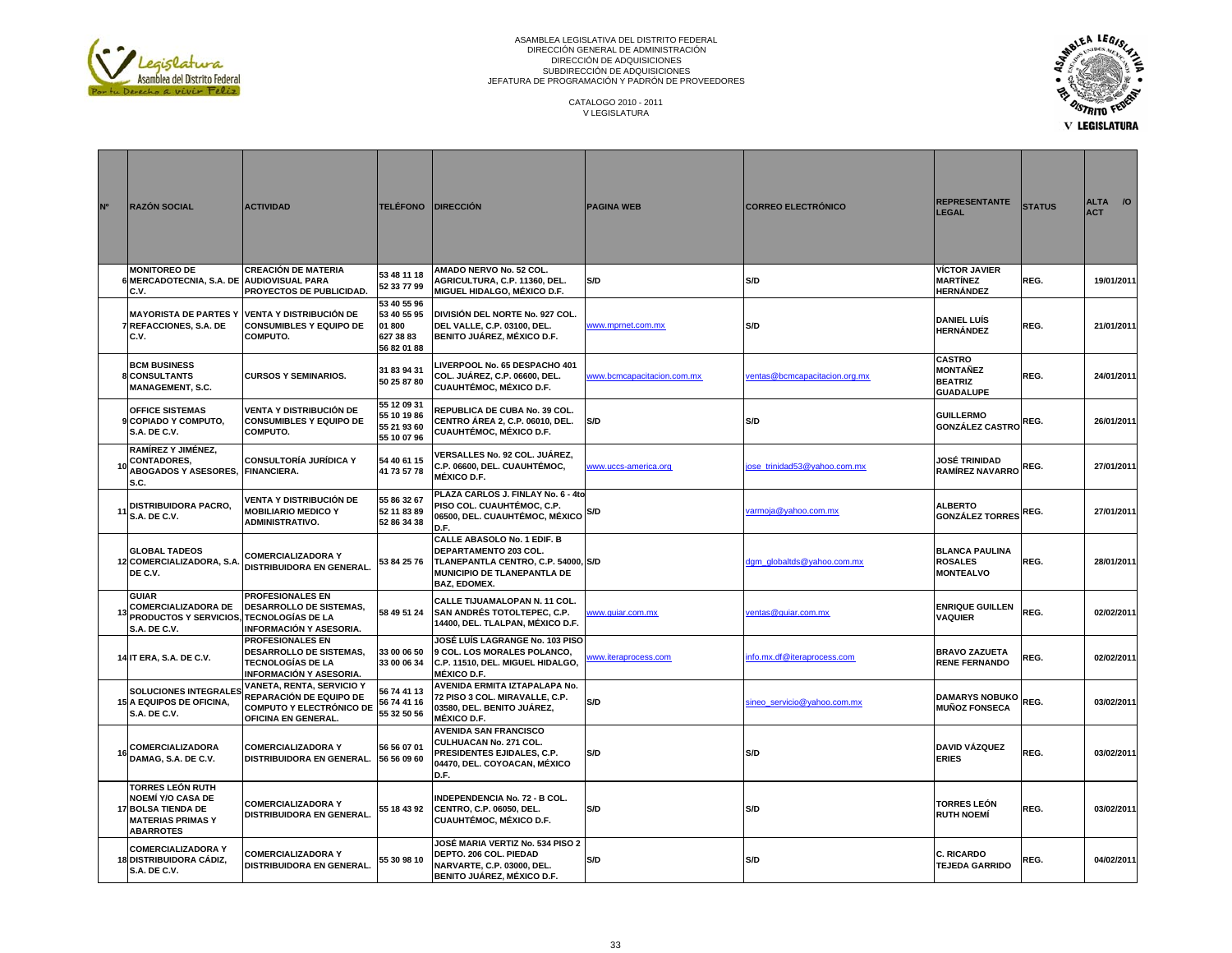



| <b>RAZÓN SOCIAL</b>                                                                                                              | <b>ACTIVIDAD</b>                                                                                               | <b>TELÉFONO</b>                                                  | <b>DIRECCIÓN</b>                                                                                                                                         | <b>PAGINA WEB</b>          | <b>CORREO ELECTRÓNICO</b>     | <b>REPRESENTANTE</b><br><b>LEGAL</b>                            | <b>STATUS</b> | ALTA /O<br><b>ACT</b> |
|----------------------------------------------------------------------------------------------------------------------------------|----------------------------------------------------------------------------------------------------------------|------------------------------------------------------------------|----------------------------------------------------------------------------------------------------------------------------------------------------------|----------------------------|-------------------------------|-----------------------------------------------------------------|---------------|-----------------------|
| <b>MONITOREO DE</b><br>6 MERCADOTECNIA, S.A. DE<br>C.V.                                                                          | <b>CREACIÓN DE MATERIA</b><br><b>AUDIOVISUAL PARA</b><br>PROYECTOS DE PUBLICIDAD.                              | 53 48 11 18<br>52 33 77 99                                       | <b>AMADO NERVO No. 52 COL.</b><br>AGRICULTURA, C.P. 11360, DEL.<br><b>MIGUEL HIDALGO. MÉXICO D.F.</b>                                                    | S/D                        | S/D                           | <b>VÍCTOR JAVIER</b><br><b>MARTÍNEZ</b><br><b>HERNÁNDEZ</b>     | REG.          | 19/01/2011            |
| <b>MAYORISTA DE PARTES Y</b><br><b>7 REFACCIONES, S.A. DE</b><br>C.V.                                                            | <b>VENTA Y DISTRIBUCIÓN DE</b><br><b>CONSUMIBLES Y EQUIPO DE</b><br>COMPUTO.                                   | 53 40 55 96<br>53 40 55 95<br>01 800<br>627 38 83<br>56 82 01 88 | DIVISIÓN DEL NORTE No. 927 COL.<br>DEL VALLE, C.P. 03100, DEL.<br>BENITO JUÁREZ, MÉXICO D.F.                                                             | www.mprnet.com.mx          | S/D                           | DANIEL LUÍS<br><b>HERNÁNDEZ</b>                                 | REG.          | 21/01/2011            |
| <b>BCM BUSINESS</b><br><b>8 CONSULTANTS</b><br><b>MANAGEMENT, S.C.</b>                                                           | <b>CURSOS Y SEMINARIOS.</b>                                                                                    | 31 83 94 31<br>50 25 87 80                                       | <b>IVERPOOL No. 65 DESPACHO 401</b><br>COL. JUÁREZ, C.P. 06600, DEL.<br><b>CUAUHTÉMOC, MÉXICO D.F.</b>                                                   | www.bcmcapacitacion.com.mx | ventas@bcmcapacitacion.org.mx | <b>CASTRO</b><br>MONTAÑEZ<br><b>BEATRIZ</b><br><b>GUADALUPE</b> | REG.          | 24/01/2011            |
| <b>OFFICE SISTEMAS</b><br>9 COPIADO Y COMPUTO.<br><b>S.A. DE C.V.</b>                                                            | VENTA Y DISTRIBUCIÓN DE<br><b>CONSUMIBLES Y EQUIPO DE</b><br>COMPUTO.                                          | 55 12 09 31<br>55 10 19 86<br>55 21 93 60<br>55 10 07 96         | REPUBLICA DE CUBA No. 39 COL.<br>CENTRO ÁREA 2. C.P. 06010. DEL.<br>CUAUHTÉMOC, MÉXICO D.F.                                                              | S/D                        | S/D                           | <b>GUILLERMO</b><br><b>GONZÁLEZ CASTRO</b>                      | REG.          | 26/01/2011            |
| RAMÍREZ Y JIMÉNEZ,<br><b>CONTADORES,</b><br>ABOGADOS Y ASESORES,<br>S.C.                                                         | <b>CONSULTORÍA JURÍDICA Y</b><br><b>FINANCIERA.</b>                                                            | 54 40 61 15<br>41 73 57 78                                       | VERSALLES No. 92 COL. JUÁREZ,<br>C.P. 06600, DEL. CUAUHTÉMOC,<br><b>MÉXICO D.F.</b>                                                                      | www.uccs-america.org       | ose_trinidad53@yahoo.com.mx   | JOSÉ TRINIDAD<br><b>RAMÍREZ NAVARRO</b>                         | REG.          | 27/01/2011            |
| <b>DISTRIBUIDORA PACRO,</b><br>$11$ S.A. DE C.V.                                                                                 | VENTA Y DISTRIBUCIÓN DE<br><b>MOBILIARIO MEDICO Y</b><br><b>ADMINISTRATIVO.</b>                                | 55 86 32 67<br>52 11 83 89<br>52 86 34 38                        | PLAZA CARLOS J. FINLAY No. 6 - 4to<br>PISO COL. CUAUHTÉMOC, C.P.<br>06500, DEL. CUAUHTÉMOC, MÉXICO S/D<br>D.F.                                           |                            | armoja@yahoo.com.mx           | <b>ALBERTO</b><br><b>GONZÁLEZ TORRES</b>                        | REG.          | 27/01/2011            |
| <b>GLOBAL TADEOS</b><br>12 COMERCIALIZADORA, S.A.<br>DE C.V.                                                                     | <b>COMERCIALIZADORA Y</b><br>DISTRIBUIDORA EN GENERAL                                                          | 53 84 25 76                                                      | CALLE ABASOLO No. 1 EDIF. B<br>DEPARTAMENTO 203 COL.<br>TLANEPANTLA CENTRO, C.P. 54000, S/D<br><b>MUNICIPIO DE TLANEPANTLA DE</b><br><b>BAZ, EDOMEX.</b> |                            | dgm_globaltds@yahoo.com.mx    | <b>BLANCA PAULINA</b><br><b>ROSALES</b><br><b>MONTEALVO</b>     | REG.          | 28/01/2011            |
| <b>GUIAR</b><br><b>COMERCIALIZADORA DE</b><br>PRODUCTOS Y SERVICIOS, TECNOLOGÍAS DE LA<br>S.A. DE C.V.                           | <b>PROFESIONALES EN</b><br><b>DESARROLLO DE SISTEMAS,</b><br>INFORMACIÓN Y ASESORIA.                           | 58 49 51 24                                                      | CALLE TIJUAMALOPAN N. 11 COL.<br>SAN ANDRÉS TOTOLTEPEC, C.P.<br>14400, DEL. TLALPAN, MÉXICO D.F.                                                         | ww.guiar.com.mx            | ventas@quiar.com.mx           | <b>ENRIQUE GUILLEN</b><br><b>VAQUIER</b>                        | REG.          | 02/02/2011            |
| 14 IT ERA, S.A. DE C.V.                                                                                                          | PROFESIONALES EN<br><b>DESARROLLO DE SISTEMAS,</b><br><b>TECNOLOGÍAS DE LA</b><br>INFORMACIÓN Y ASESORIA.      | 33 00 06 50<br>33 00 06 34                                       | JOSÉ LUÍS LAGRANGE No. 103 PISO<br>9 COL. LOS MORALES POLANCO,<br>C.P. 11510, DEL. MIGUEL HIDALGO,<br>MÉXICO D.F.                                        | ww.iteraprocess.com        | info.mx.df@iteraprocess.com   | <b>BRAVO ZAZUETA</b><br><b>RENE FERNANDO</b>                    | REG.          | 02/02/2011            |
| <b>SOLUCIONES INTEGRALES</b><br><b>15 A EQUIPOS DE OFICINA,</b><br><b>S.A. DE C.V.</b>                                           | VANETA, RENTA, SERVICIO Y<br>REPARACIÓN DE EQUIPO DE<br><b>COMPUTO Y ELECTRÓNICO DE</b><br>OFICINA EN GENERAL. | 56 74 41 13<br>56 74 41 16<br>55 32 50 56                        | AVENIDA ERMITA IZTAPALAPA No.<br>72 PISO 3 COL. MIRAVALLE, C.P.<br>03580, DEL. BENITO JUÁREZ,<br><b>MÉXICO D.F.</b>                                      | S/D                        | sineo_servicio@yahoo.com.mx   | <b>DAMARYS NOBUKO</b><br><b>MUÑOZ FONSECA</b>                   | REG.          | 03/02/2011            |
| <b>COMERCIALIZADORA</b><br>16 DAMAG, S.A. DE C.V.                                                                                | <b>COMERCIALIZADORA Y</b><br>DISTRIBUIDORA EN GENERAL.                                                         | 56 56 07 01<br>56 56 09 60                                       | <b>AVENIDA SAN FRANCISCO</b><br>CULHUACAN No. 271 COL.<br>PRESIDENTES EJIDALES, C.P.<br>04470, DEL. COYOACAN, MÉXICO<br>D.F.                             | S/D                        | S/D                           | <b>DAVID VÁZQUEZ</b><br><b>ERIES</b>                            | REG.          | 03/02/2011            |
| <b>TORRES LEÓN RUTH</b><br><b>NOEMÍ Y/O CASA DE</b><br><b>17 BOLSA TIENDA DE</b><br><b>MATERIAS PRIMAS Y</b><br><b>ABARROTES</b> | <b>COMERCIALIZADORA Y</b><br>DISTRIBUIDORA EN GENERAL                                                          | 55 18 43 92                                                      | INDEPENDENCIA No. 72 - B COL.<br>CENTRO, C.P. 06050, DEL.<br><b>CUAUHTÉMOC, MÉXICO D.F.</b>                                                              | S/D                        | S/D                           | <b>TORRES LEÓN</b><br>RUTH NOEMÍ                                | REG.          | 03/02/2011            |
| <b>COMERCIALIZADORA Y</b><br><b>18 DISTRIBUIDORA CÁDIZ.</b><br>S.A. DE C.V.                                                      | <b>COMERCIALIZADORA Y</b><br>DISTRIBUIDORA EN GENERAL                                                          | 55 30 98 10                                                      | JOSÉ MARIA VERTIZ No. 534 PISO 2<br>DEPTO. 206 COL. PIEDAD<br>NARVARTE, C.P. 03000, DEL.<br><b>BENITO JUÁREZ, MÉXICO D.F.</b>                            | S/D                        | S/D                           | <b>C. RICARDO</b><br><b>TEJEDA GARRIDO</b>                      | REG.          | 04/02/2011            |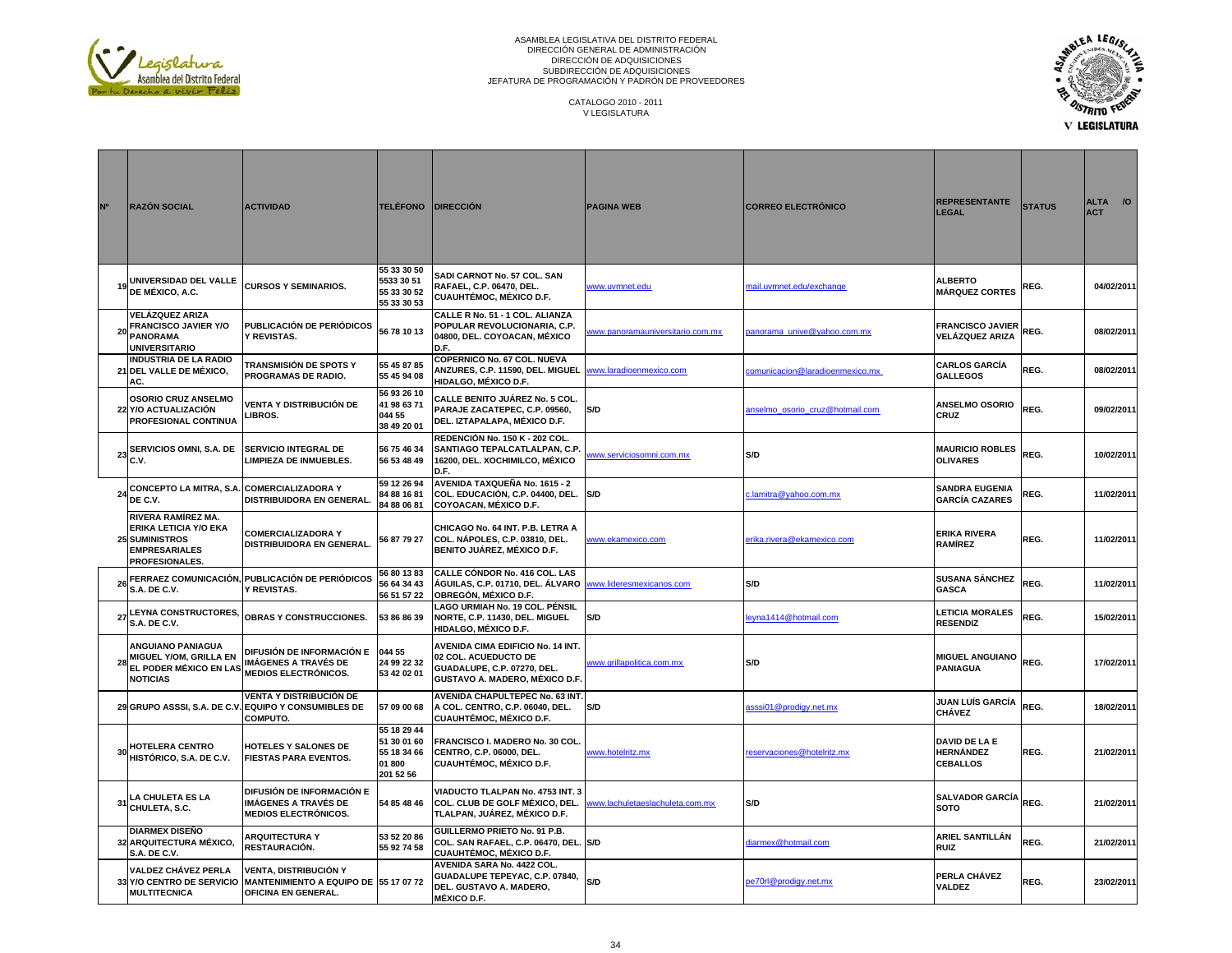



|    | <b>RAZÓN SOCIAL</b>                                                                                                   | <b>ACTIVIDAD</b>                                                                             | <b>TELÉFONO</b>                                                  | <b>DIRECCIÓN</b>                                                                                                                  | <b>PAGINA WEB</b>               | <b>CORREO ELECTRÓNICO</b>       | <b>REPRESENTANTE</b><br><b>LEGAL</b>                 | <b>STATUS</b> | ALTA /O<br><b>ACT</b> |
|----|-----------------------------------------------------------------------------------------------------------------------|----------------------------------------------------------------------------------------------|------------------------------------------------------------------|-----------------------------------------------------------------------------------------------------------------------------------|---------------------------------|---------------------------------|------------------------------------------------------|---------------|-----------------------|
|    | 19 UNIVERSIDAD DEL VALLE<br>DE MÉXICO, A.C.                                                                           | <b>CURSOS Y SEMINARIOS.</b>                                                                  | 55 33 30 50<br>5533 30 51<br>55 33 30 52<br>55 33 30 53          | SADI CARNOT No. 57 COL. SAN<br>RAFAEL, C.P. 06470, DEL.<br><b>CUAUHTÉMOC, MÉXICO D.F.</b>                                         | www.uvmnet.edu                  | mail.uvmnet.edu/exchange        | <b>ALBERTO</b><br><b>MÁRQUEZ CORTES</b>              | REG.          | 04/02/2011            |
|    | <b>VELÁZQUEZ ARIZA</b><br>20 FRANCISCO JAVIER Y/O<br><b>PANORAMA</b><br><b>UNIVERSITARIO</b>                          | <b>PUBLICACIÓN DE PERIÓDICOS</b><br>Y REVISTAS.                                              | 56 78 10 13                                                      | CALLE R No. 51 - 1 COL. ALIANZA<br>POPULAR REVOLUCIONARIA, C.P.<br>04800. DEL. COYOACAN. MÉXICO<br>D.F.                           | ww.panoramauniversitario.com.mx | vanorama_unive@yahoo.com.mx     | <b>FRANCISCO JAVIER</b><br><b>VELÁZQUEZ ARIZA</b>    | REG.          | 08/02/2011            |
|    | <b>INDUSTRIA DE LA RADIO</b><br>21 DEL VALLE DE MÉXICO,<br>AC.                                                        | TRANSMISIÓN DE SPOTS Y<br>PROGRAMAS DE RADIO.                                                | 55 45 87 85<br>55 45 94 08                                       | <b>COPERNICO No. 67 COL. NUEVA</b><br>ANZURES, C.P. 11590, DEL. MIGUEL<br>HIDALGO, MÉXICO D.F.                                    | www.laradioenmexico.com         | comunicacion@laradioenmexico.mx | <b>CARLOS GARCÍA</b><br><b>GALLEGOS</b>              | REG.          | 08/02/2011            |
|    | OSORIO CRUZ ANSELMO<br>22 Y/O ACTUALIZACIÓN<br><b>PROFESIONAL CONTINUA</b>                                            | <b>/ENTA Y DISTRIBUCIÓN DE</b><br>LIBROS.                                                    | 56 93 26 10<br>41 98 63 71<br>044 55<br>38 49 20 01              | <b>CALLE BENITO JUÁREZ No. 5 COL.</b><br>PARAJE ZACATEPEC, C.P. 09560,<br>DEL. IZTAPALAPA, MÉXICO D.F.                            | S/D                             | anselmo osorio cruz@hotmail.com | <b>ANSELMO OSORIO</b><br><b>CRUZ</b>                 | REG.          | 09/02/2011            |
|    | 23 SERVICIOS OMNI, S.A. DE<br>C.V.                                                                                    | SERVICIO INTEGRAL DE<br>LIMPIEZA DE INMUEBLES.                                               | 56 75 46 34<br>56 53 48 49                                       | REDENCIÓN No. 150 K - 202 COL.<br>SANTIAGO TEPALCATLALPAN, C.P.<br>16200, DEL. XOCHIMILCO, MÉXICO<br>D.F.                         | ww.serviciosomni.com.mx         | S/D                             | <b>MAURICIO ROBLES</b><br><b>OLIVARES</b>            | REG.          | 10/02/2011            |
|    | 24 CONCEPTO LA MITRA, S.A.<br>DE C.V.                                                                                 | <b>COMERCIALIZADORA Y</b><br>DISTRIBUIDORA EN GENERAL                                        | 59 12 26 94<br>84 88 16 81<br>84 88 06 81                        | AVENIDA TAXQUEÑA No. 1615 - 2<br>COL. EDUCACIÓN, C.P. 04400, DEL.<br>COYOACAN, MÉXICO D.F.                                        | S/D                             | .lamitra@yahoo.com.mx           | <b>SANDRA EUGENIA</b><br><b>GARCÍA CAZARES</b>       | REG.          | 11/02/2011            |
|    | RIVERA RAMÍREZ MA.<br>ERIKA LETICIA Y/O EKA<br><b>25 SUMINISTROS</b><br><b>EMPRESARIALES</b><br><b>PROFESIONALES.</b> | <b>COMERCIALIZADORA Y</b><br>DISTRIBUIDORA EN GENERAL.                                       | 56 87 79 27                                                      | CHICAGO No. 64 INT. P.B. LETRA A<br>COL. NÁPOLES, C.P. 03810, DEL.<br>BENITO JUÁREZ, MÉXICO D.F.                                  | www.ekamexico.com               | erika.rivera@ekamexico.com      | <b>ERIKA RIVERA</b><br><b>RAMÍREZ</b>                | REG.          | 11/02/2011            |
|    | 26 FERRAEZ COMUNICACIÓN,<br>S.A. DE C.V.                                                                              | PUBLICACIÓN DE PERIÓDICOS<br><b>Y REVISTAS.</b>                                              | 56 80 13 83<br>56 64 34 43<br>56 51 57 22                        | CALLE CÓNDOR No. 416 COL. LAS<br>ÁGUILAS, C.P. 01710, DEL. ÁLVARO<br>OBREGÓN, MÉXICO D.F.                                         | www.lideresmexicanos.com        | S/D                             | <b>SUSANA SÁNCHEZ</b><br><b>GASCA</b>                | REG.          | 11/02/2011            |
| 27 | <b>LEYNA CONSTRUCTORES,</b><br>S.A. DE C.V.                                                                           | <b>OBRAS Y CONSTRUCCIONES.</b>                                                               | 53 86 86 39                                                      | -AGO URMIAH No. 19 COL. PÉNSIL<br>NORTE, C.P. 11430, DEL. MIGUEL<br>HIDALGO, MÉXICO D.F.                                          | S/D                             | leyna1414@hotmail.com           | <b>LETICIA MORALES</b><br><b>RESENDIZ</b>            | REG.          | 15/02/2011            |
|    | <b>ANGUIANO PANIAGUA</b><br>28 MIGUEL Y/OM, GRILLA EN<br>EL PODER MÉXICO EN LAS<br><b>NOTICIAS</b>                    | DIFUSIÓN DE INFORMACIÓN E 044 55<br>MÁGENES A TRAVÉS DE<br><b>MEDIOS ELECTRÓNICOS.</b>       | 24 99 22 32<br>53 42 02 01                                       | AVENIDA CIMA EDIFICIO No. 14 INT.<br>02 COL. ACUEDUCTO DE<br>GUADALUPE, C.P. 07270, DEL.<br><b>GUSTAVO A. MADERO. MÉXICO D.F.</b> | www.grillapolitica.com.mx       | S/D                             | <b>MIGUEL ANGUIANO</b><br><b>PANIAGUA</b>            | REG.          | 17/02/2011            |
|    | 29 GRUPO ASSSI, S.A. DE C.V                                                                                           | VENTA Y DISTRIBUCIÓN DE<br><b>EQUIPO Y CONSUMIBLES DE</b><br>COMPUTO.                        | 57 09 00 68                                                      | AVENIDA CHAPULTEPEC No. 63 INT.<br>A COL. CENTRO, C.P. 06040, DEL.<br><b>CUAUHTÉMOC, MÉXICO D.F.</b>                              | S/D                             | sssi01@prodigy.net.mx           | JUAN LUÍS GARCÍA<br><b>CHÁVEZ</b>                    | REG.          | 18/02/2011            |
|    | <b>HOTELERA CENTRO</b><br>30 HISTÓRICO, S.A. DE C.V.                                                                  | <b>HOTELES Y SALONES DE</b><br><b>FIESTAS PARA EVENTOS.</b>                                  | 55 18 29 44<br>51 30 01 60<br>55 18 34 66<br>01 800<br>201 52 56 | FRANCISCO I. MADERO No. 30 COL.<br>CENTRO, C.P. 06000, DEL.<br><b>CUAUHTÉMOC, MÉXICO D.F.</b>                                     | www.hotelritz.mx                | reservaciones@hotelritz.mx      | DAVID DE LA E<br><b>HERNÁNDEZ</b><br><b>CEBALLOS</b> | REG.          | 21/02/2011            |
|    | <b>LA CHULETA ES LA</b><br>31 CHULETA, S.C.                                                                           | <b>DIFUSIÓN DE INFORMACIÓN E</b><br>IMÁGENES A TRAVÉS DE<br><b>MEDIOS ELECTRÓNICOS.</b>      | 54 85 48 46                                                      | <b>VIADUCTO TLALPAN No. 4753 INT. 3</b><br>COL. CLUB DE GOLF MÉXICO, DEL.<br>TLALPAN, JUÁREZ, MÉXICO D.F.                         | www.lachuletaeslachuleta.com.mx | S/D                             | <b>SALVADOR GARCÍA</b><br><b>SOTO</b>                | REG.          | 21/02/2011            |
|    | <b>DIARMEX DISEÑO</b><br>32 ARQUITECTURA MÉXICO,<br><b>S.A. DE C.V.</b>                                               | ARQUITECTURA Y<br><b>RESTAURACIÓN.</b>                                                       | 53 52 20 86<br>55 92 74 58                                       | GUILLERMO PRIETO No. 91 P.B.<br>COL. SAN RAFAEL, C.P. 06470, DEL. S/D<br><b>CUAUHTÉMOC, MÉXICO D.F.</b>                           |                                 | diarmex@hotmail.com             | <b>ARIEL SANTILLÁN</b><br><b>RUIZ</b>                | REG.          | 21/02/2011            |
|    | <b>VALDEZ CHÁVEZ PERLA</b><br>33 Y/O CENTRO DE SERVICIO<br><b>MULTITECNICA</b>                                        | <b>/ENTA. DISTRIBUCIÓN Y</b><br>MANTENIMIENTO A EQUIPO DE 55 17 07 72<br>OFICINA EN GENERAL. |                                                                  | AVENIDA SARA No. 4422 COL<br>GUADALUPE TEPEYAC, C.P. 07840,<br>DEL. GUSTAVO A. MADERO,<br><b>MÉXICO D.F.</b>                      | S/D                             | be70rl@prodigy.net.mx           | <b>PERLA CHÁVEZ</b><br><b>VALDEZ</b>                 | REG.          | 23/02/2011            |